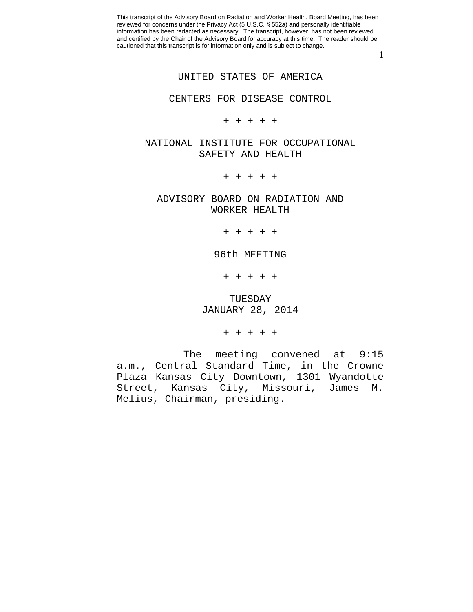1

## UNITED STATES OF AMERICA

CENTERS FOR DISEASE CONTROL

+ + + + +

NATIONAL INSTITUTE FOR OCCUPATIONAL SAFETY AND HEALTH

+ + + + +

ADVISORY BOARD ON RADIATION AND WORKER HEALTH

+ + + + +

96th MEETING

+ + + + +

TUESDAY JANUARY 28, 2014

+ + + + +

The meeting convened at 9:15 a.m., Central Standard Time, in the Crowne Plaza Kansas City Downtown, 1301 Wyandotte Street, Kansas City, Missouri, James M. Melius, Chairman, presiding.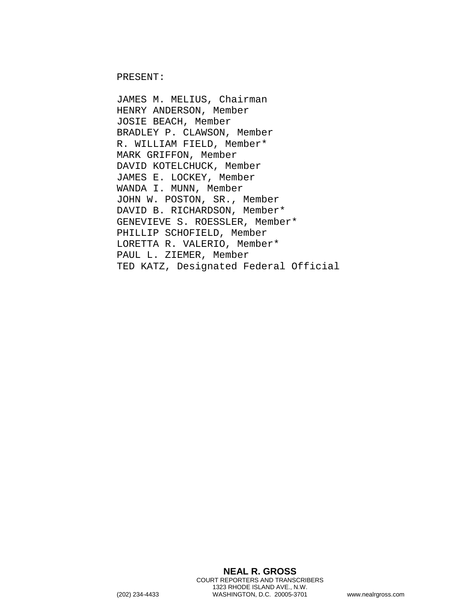PRESENT:

JAMES M. MELIUS, Chairman HENRY ANDERSON, Member JOSIE BEACH, Member BRADLEY P. CLAWSON, Member R. WILLIAM FIELD, Member\* MARK GRIFFON, Member DAVID KOTELCHUCK, Member JAMES E. LOCKEY, Member WANDA I. MUNN, Member JOHN W. POSTON, SR., Member DAVID B. RICHARDSON, Member\* GENEVIEVE S. ROESSLER, Member\* PHILLIP SCHOFIELD, Member LORETTA R. VALERIO, Member\* PAUL L. ZIEMER, Member TED KATZ, Designated Federal Official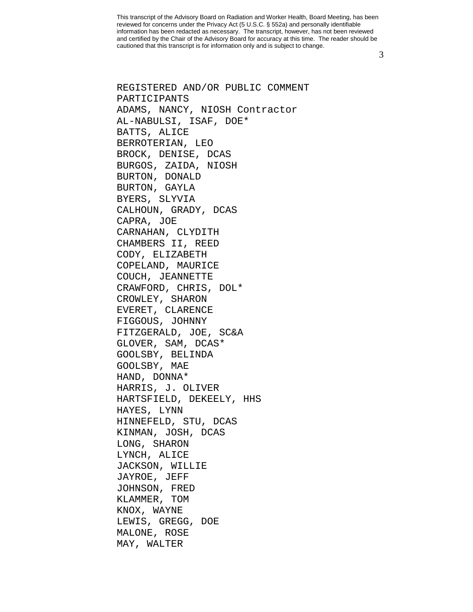3

REGISTERED AND/OR PUBLIC COMMENT PARTICIPANTS ADAMS, NANCY, NIOSH Contractor AL-NABULSI, ISAF, DOE\* BATTS, ALICE BERROTERIAN, LEO BROCK, DENISE, DCAS BURGOS, ZAIDA, NIOSH BURTON, DONALD BURTON, GAYLA BYERS, SLYVIA CALHOUN, GRADY, DCAS CAPRA, JOE CARNAHAN, CLYDITH CHAMBERS II, REED CODY, ELIZABETH COPELAND, MAURICE COUCH, JEANNETTE CRAWFORD, CHRIS, DOL\* CROWLEY, SHARON EVERET, CLARENCE FIGGOUS, JOHNNY FITZGERALD, JOE, SC&A GLOVER, SAM, DCAS\* GOOLSBY, BELINDA GOOLSBY, MAE HAND, DONNA\* HARRIS, J. OLIVER HARTSFIELD, DEKEELY, HHS HAYES, LYNN HINNEFELD, STU, DCAS KINMAN, JOSH, DCAS LONG, SHARON LYNCH, ALICE JACKSON, WILLIE JAYROE, JEFF JOHNSON, FRED KLAMMER, TOM KNOX, WAYNE LEWIS, GREGG, DOE MALONE, ROSE MAY, WALTER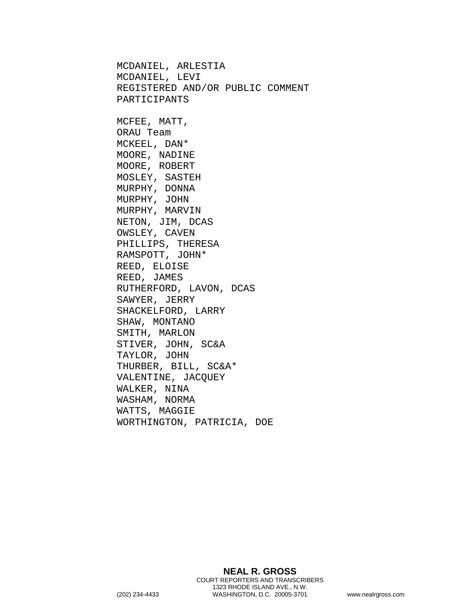MCDANIEL, ARLESTIA MCDANIEL, LEVI REGISTERED AND/OR PUBLIC COMMENT PARTICIPANTS MCFEE, MATT, ORAU Team MCKEEL, DAN\* MOORE, NADINE MOORE, ROBERT MOSLEY, SASTEH MURPHY, DONNA MURPHY, JOHN MURPHY, MARVIN NETON, JIM, DCAS OWSLEY, CAVEN PHILLIPS, THERESA RAMSPOTT, JOHN\* REED, ELOISE REED, JAMES RUTHERFORD, LAVON, DCAS SAWYER, JERRY SHACKELFORD, LARRY SHAW, MONTANO SMITH, MARLON STIVER, JOHN, SC&A TAYLOR, JOHN THURBER, BILL, SC&A\* VALENTINE, JACQUEY WALKER, NINA WASHAM, NORMA WATTS, MAGGIE WORTHINGTON, PATRICIA, DOE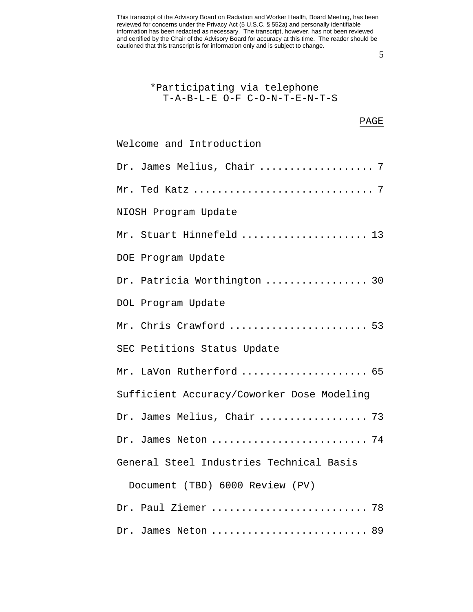5

| *Participating via telephone            |  |  |
|-----------------------------------------|--|--|
| $T - A - B - L - E$ O-F C-O-N-T-E-N-T-S |  |  |

## PAGE

| Welcome and Introduction                   |
|--------------------------------------------|
| Dr. James Melius, Chair  7                 |
|                                            |
| NIOSH Program Update                       |
| Mr. Stuart Hinnefeld  13                   |
| DOE Program Update                         |
| Dr. Patricia Worthington  30               |
| DOL Program Update                         |
| Mr. Chris Crawford  53                     |
| SEC Petitions Status Update                |
| Mr. LaVon Rutherford  65                   |
| Sufficient Accuracy/Coworker Dose Modeling |
| Dr. James Melius, Chair  73                |
| Dr. James Neton  74                        |
| General Steel Industries Technical Basis   |
| Document (TBD) 6000 Review (PV)            |
| Dr. Paul Ziemer  78                        |
| Dr. James Neton  89                        |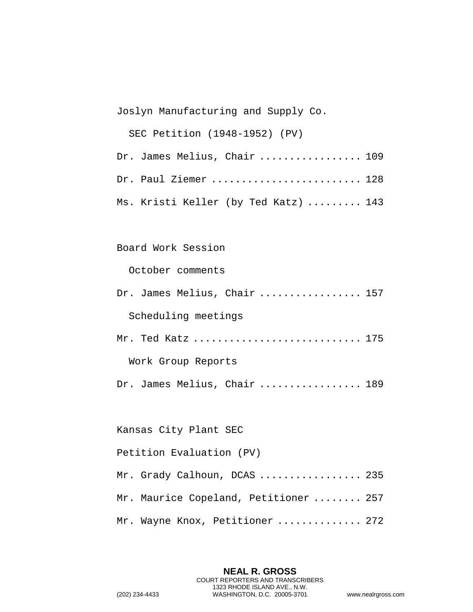Joslyn Manufacturing and Supply Co.

SEC Petition (1948-1952) (PV)

| Dr. James Melius, Chair  109         |  |
|--------------------------------------|--|
| Dr. Paul Ziemer  128                 |  |
| Ms. Kristi Keller (by Ted Katz)  143 |  |

## Board Work Session

October comments

Dr. James Melius, Chair ................. 157 Scheduling meetings Mr. Ted Katz .............................. 175 Work Group Reports

Dr. James Melius, Chair ................. 189

Kansas City Plant SEC

Petition Evaluation (PV)

| Mr. Grady Calhoun, DCAS  235          |  |
|---------------------------------------|--|
| Mr. Maurice Copeland, Petitioner  257 |  |
| Mr. Wayne Knox, Petitioner  272       |  |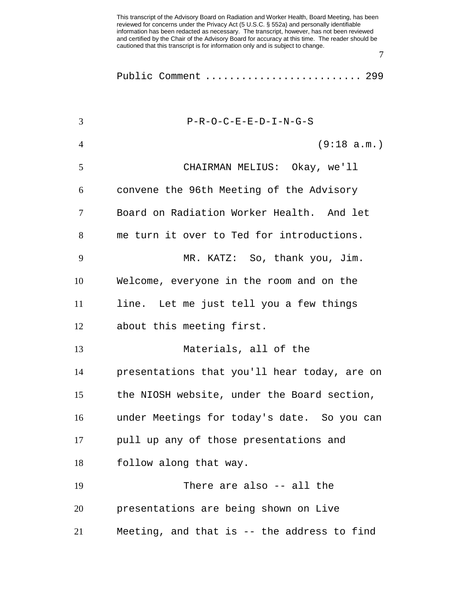Public Comment ............................. 299

| 3              | $P-R-O-C-E-E-D-I-N-G-S$                      |
|----------------|----------------------------------------------|
| $\overline{4}$ | (9:18 a.m.)                                  |
| 5              | CHAIRMAN MELIUS: Okay, we'll                 |
| 6              | convene the 96th Meeting of the Advisory     |
| 7              | Board on Radiation Worker Health. And let    |
| 8              | me turn it over to Ted for introductions.    |
| 9              | MR. KATZ: So, thank you, Jim.                |
| 10             | Welcome, everyone in the room and on the     |
| 11             | line. Let me just tell you a few things      |
| 12             | about this meeting first.                    |
| 13             | Materials, all of the                        |
| 14             | presentations that you'll hear today, are on |
| 15             | the NIOSH website, under the Board section,  |
| 16             | under Meetings for today's date. So you can  |
| 17             | pull up any of those presentations and       |
| 18             | follow along that way.                       |
| 19             | There are also -- all the                    |
| 20             | presentations are being shown on Live        |
| 21             | Meeting, and that is -- the address to find  |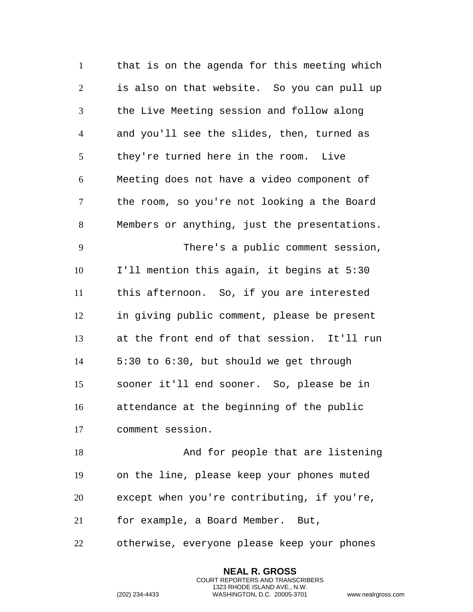that is on the agenda for this meeting which is also on that website. So you can pull up the Live Meeting session and follow along and you'll see the slides, then, turned as they're turned here in the room. Live Meeting does not have a video component of the room, so you're not looking a the Board Members or anything, just the presentations. There's a public comment session, I'll mention this again, it begins at 5:30 this afternoon. So, if you are interested in giving public comment, please be present at the front end of that session. It'll run 5:30 to 6:30, but should we get through sooner it'll end sooner. So, please be in attendance at the beginning of the public comment session. And for people that are listening on the line, please keep your phones muted except when you're contributing, if you're,

for example, a Board Member. But,

otherwise, everyone please keep your phones

**NEAL R. GROSS** COURT REPORTERS AND TRANSCRIBERS 1323 RHODE ISLAND AVE., N.W.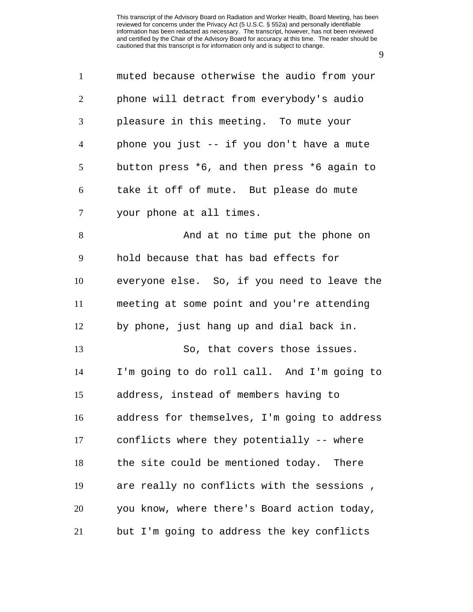| $\mathbf{1}$   | muted because otherwise the audio from your  |
|----------------|----------------------------------------------|
| $\overline{2}$ | phone will detract from everybody's audio    |
| 3              | pleasure in this meeting. To mute your       |
| $\overline{4}$ | phone you just -- if you don't have a mute   |
| 5              | button press *6, and then press *6 again to  |
| 6              | take it off of mute. But please do mute      |
| 7              | your phone at all times.                     |
| $8\,$          | And at no time put the phone on              |
| 9              | hold because that has bad effects for        |
| 10             | everyone else. So, if you need to leave the  |
| 11             | meeting at some point and you're attending   |
| 12             | by phone, just hang up and dial back in.     |
| 13             | So, that covers those issues.                |
| 14             | I'm going to do roll call. And I'm going to  |
| 15             | address, instead of members having to        |
| 16             | address for themselves, I'm going to address |
| 17             | conflicts where they potentially -- where    |
| 18             | the site could be mentioned today. There     |
| 19             | are really no conflicts with the sessions,   |
| 20             | you know, where there's Board action today,  |
| 21             | but I'm going to address the key conflicts   |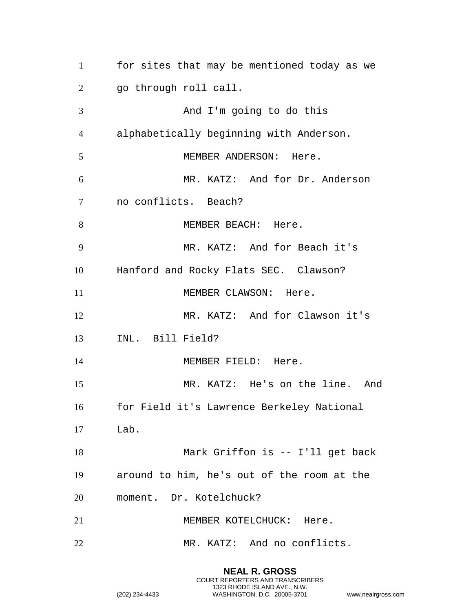for sites that may be mentioned today as we go through roll call. And I'm going to do this alphabetically beginning with Anderson. 5 MEMBER ANDERSON: Here. MR. KATZ: And for Dr. Anderson no conflicts. Beach? 8 MEMBER BEACH: Here. MR. KATZ: And for Beach it's Hanford and Rocky Flats SEC. Clawson? 11 MEMBER CLAWSON: Here. MR. KATZ: And for Clawson it's INL. Bill Field? 14 MEMBER FIELD: Here. MR. KATZ: He's on the line. And for Field it's Lawrence Berkeley National Lab. Mark Griffon is -- I'll get back around to him, he's out of the room at the moment. Dr. Kotelchuck? 21 MEMBER KOTELCHUCK: Here. MR. KATZ: And no conflicts.

> **NEAL R. GROSS** COURT REPORTERS AND TRANSCRIBERS 1323 RHODE ISLAND AVE., N.W.

```
(202) 234-4433 WASHINGTON, D.C. 20005-3701 www.nealrgross.com
```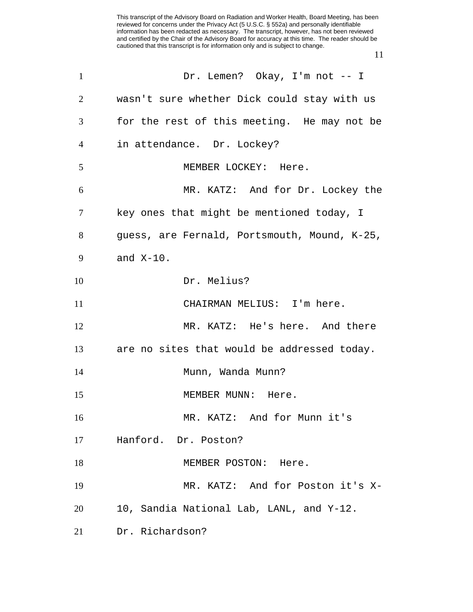| $\mathbf{1}$ | Dr. Lemen? Okay, I'm not -- I                |
|--------------|----------------------------------------------|
| 2            | wasn't sure whether Dick could stay with us  |
| 3            | for the rest of this meeting. He may not be  |
| 4            | in attendance. Dr. Lockey?                   |
| 5            | MEMBER LOCKEY: Here.                         |
| 6            | MR. KATZ: And for Dr. Lockey the             |
| $\tau$       | key ones that might be mentioned today, I    |
| 8            | guess, are Fernald, Portsmouth, Mound, K-25, |
| 9            | and $X-10$ .                                 |
| 10           | Dr. Melius?                                  |
| 11           | CHAIRMAN MELIUS: I'm here.                   |
| 12           | MR. KATZ: He's here. And there               |
| 13           | are no sites that would be addressed today.  |
| 14           | Munn, Wanda Munn?                            |
| 15           | MEMBER MUNN: Here.                           |
| 16           | MR. KATZ: And for Munn it's                  |
| 17           | Hanford. Dr. Poston?                         |
| 18           | MEMBER POSTON: Here.                         |
| 19           | MR. KATZ: And for Poston it's X-             |
| 20           | 10, Sandia National Lab, LANL, and Y-12.     |
| 21           | Dr. Richardson?                              |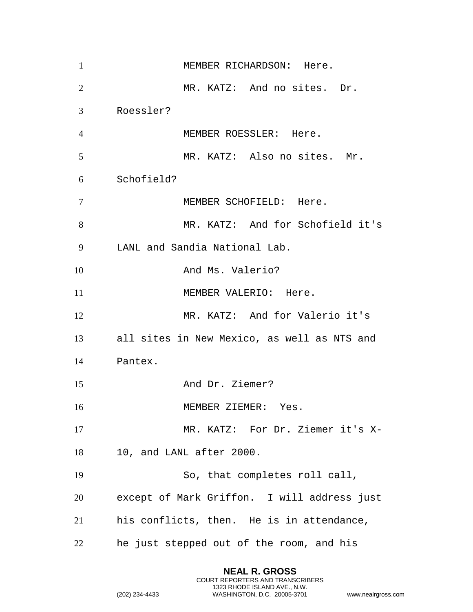| $\mathbf{1}$   | MEMBER RICHARDSON: Here.                    |
|----------------|---------------------------------------------|
| $\overline{2}$ | MR. KATZ: And no sites. Dr.                 |
| 3              | Roessler?                                   |
| $\overline{4}$ | MEMBER ROESSLER: Here.                      |
| 5              | MR. KATZ: Also no sites. Mr.                |
| 6              | Schofield?                                  |
| $\tau$         | MEMBER SCHOFIELD: Here.                     |
| 8              | MR. KATZ: And for Schofield it's            |
| 9              | LANL and Sandia National Lab.               |
| 10             | And Ms. Valerio?                            |
| 11             | MEMBER VALERIO: Here.                       |
| 12             | MR. KATZ: And for Valerio it's              |
| 13             | all sites in New Mexico, as well as NTS and |
| 14             | Pantex.                                     |
| 15             | And Dr. Ziemer?                             |
| 16             | MEMBER ZIEMER: Yes.                         |
| 17             | MR. KATZ: For Dr. Ziemer it's X-            |
| 18             | 10, and LANL after 2000.                    |
| 19             | So, that completes roll call,               |
| 20             | except of Mark Griffon. I will address just |
| 21             | his conflicts, then. He is in attendance,   |
| 22             | he just stepped out of the room, and his    |

**NEAL R. GROSS** COURT REPORTERS AND TRANSCRIBERS 1323 RHODE ISLAND AVE., N.W.

```
(202) 234-4433 WASHINGTON, D.C. 20005-3701 www.nealrgross.com
```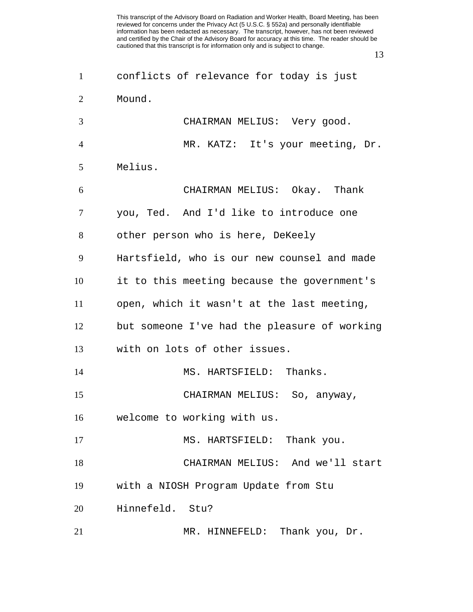| $\mathbf{1}$   | conflicts of relevance for today is just     |
|----------------|----------------------------------------------|
| 2              | Mound.                                       |
| 3              | CHAIRMAN MELIUS: Very good.                  |
| $\overline{4}$ | MR. KATZ: It's your meeting, Dr.             |
| 5              | Melius.                                      |
| 6              | CHAIRMAN MELIUS: Okay. Thank                 |
| $\tau$         | you, Ted. And I'd like to introduce one      |
| 8              | other person who is here, DeKeely            |
| 9              | Hartsfield, who is our new counsel and made  |
| 10             | it to this meeting because the government's  |
| 11             | open, which it wasn't at the last meeting,   |
| 12             | but someone I've had the pleasure of working |
| 13             | with on lots of other issues.                |
| 14             | MS. HARTSFIELD: Thanks.                      |
| 15             | CHAIRMAN MELIUS: So, anyway,                 |
| 16             | welcome to working with us.                  |
| 17             | MS. HARTSFIELD: Thank you.                   |
| 18             | CHAIRMAN MELIUS: And we'll start             |
| 19             | with a NIOSH Program Update from Stu         |
| 20             | Hinnefeld. Stu?                              |
| 21             | MR. HINNEFELD: Thank you, Dr.                |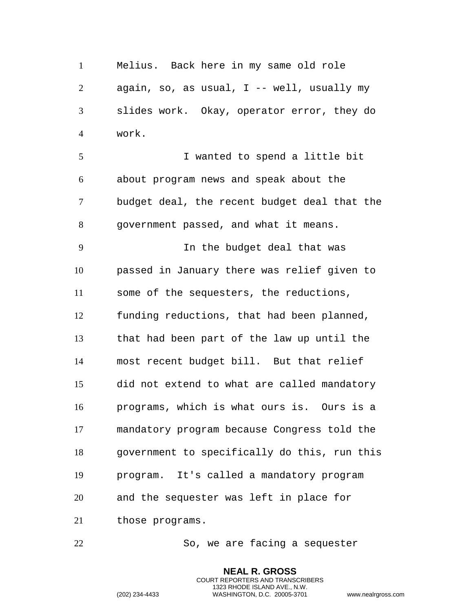Melius. Back here in my same old role again, so, as usual, I -- well, usually my slides work. Okay, operator error, they do work.

 I wanted to spend a little bit about program news and speak about the budget deal, the recent budget deal that the government passed, and what it means.

 In the budget deal that was passed in January there was relief given to some of the sequesters, the reductions, funding reductions, that had been planned, that had been part of the law up until the most recent budget bill. But that relief did not extend to what are called mandatory programs, which is what ours is. Ours is a mandatory program because Congress told the government to specifically do this, run this program. It's called a mandatory program and the sequester was left in place for those programs.

So, we are facing a sequester

**NEAL R. GROSS** COURT REPORTERS AND TRANSCRIBERS 1323 RHODE ISLAND AVE., N.W.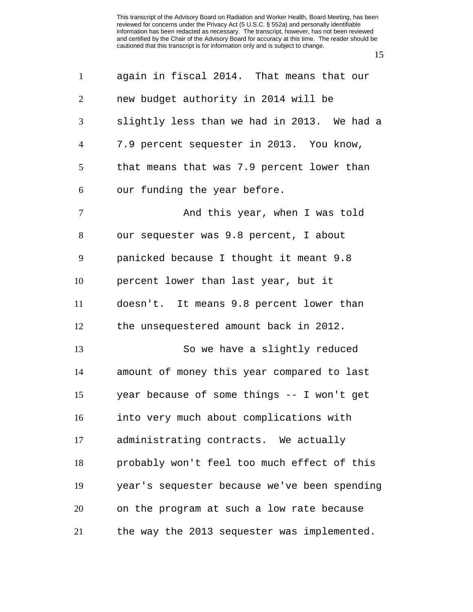again in fiscal 2014. That means that our new budget authority in 2014 will be slightly less than we had in 2013. We had a 7.9 percent sequester in 2013. You know, that means that was 7.9 percent lower than our funding the year before. 7 And this year, when I was told our sequester was 9.8 percent, I about panicked because I thought it meant 9.8 percent lower than last year, but it doesn't. It means 9.8 percent lower than the unsequestered amount back in 2012. So we have a slightly reduced amount of money this year compared to last year because of some things -- I won't get into very much about complications with administrating contracts. We actually probably won't feel too much effect of this year's sequester because we've been spending on the program at such a low rate because the way the 2013 sequester was implemented.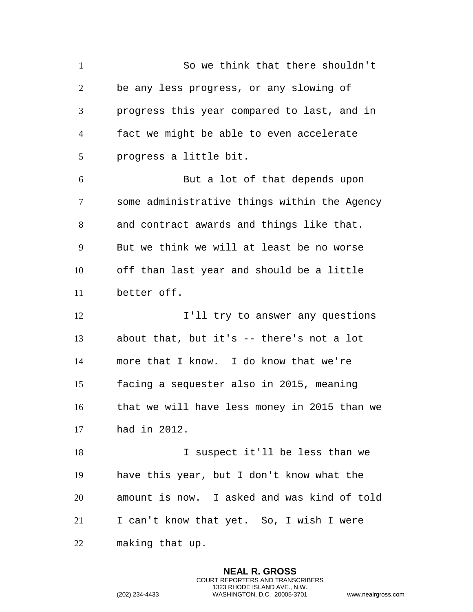So we think that there shouldn't be any less progress, or any slowing of progress this year compared to last, and in fact we might be able to even accelerate progress a little bit. But a lot of that depends upon some administrative things within the Agency and contract awards and things like that. But we think we will at least be no worse off than last year and should be a little better off. 12 I'll try to answer any questions about that, but it's -- there's not a lot more that I know. I do know that we're facing a sequester also in 2015, meaning that we will have less money in 2015 than we had in 2012. I suspect it'll be less than we have this year, but I don't know what the amount is now. I asked and was kind of told I can't know that yet. So, I wish I were making that up.

> **NEAL R. GROSS** COURT REPORTERS AND TRANSCRIBERS 1323 RHODE ISLAND AVE., N.W.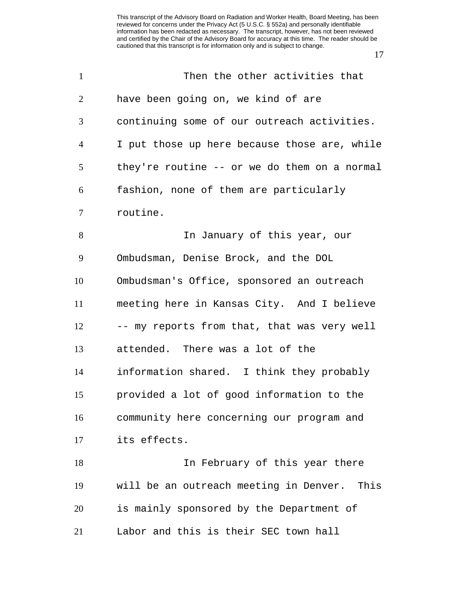| $\mathbf{1}$   | Then the other activities that               |
|----------------|----------------------------------------------|
| 2              | have been going on, we kind of are           |
| 3              | continuing some of our outreach activities.  |
| $\overline{4}$ | I put those up here because those are, while |
| 5              | they're routine -- or we do them on a normal |
| 6              | fashion, none of them are particularly       |
| $\tau$         | routine.                                     |
| 8              | In January of this year, our                 |
| 9              | Ombudsman, Denise Brock, and the DOL         |
| 10             | Ombudsman's Office, sponsored an outreach    |
| 11             | meeting here in Kansas City. And I believe   |
| 12             | -- my reports from that, that was very well  |
| 13             | attended. There was a lot of the             |
| 14             | information shared. I think they probably    |
| 15             | provided a lot of good information to the    |
| 16             | community here concerning our program and    |
| 17             | its effects.                                 |
| 18             | In February of this year there               |
| 19             | will be an outreach meeting in Denver. This  |
| 20             | is mainly sponsored by the Department of     |
| 21             | Labor and this is their SEC town hall        |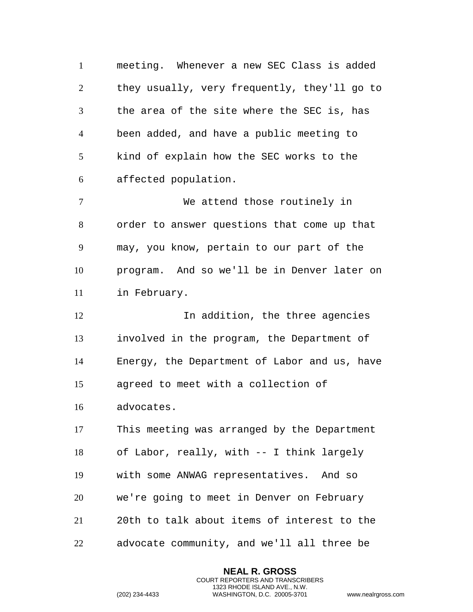meeting. Whenever a new SEC Class is added they usually, very frequently, they'll go to the area of the site where the SEC is, has been added, and have a public meeting to kind of explain how the SEC works to the affected population.

 We attend those routinely in order to answer questions that come up that may, you know, pertain to our part of the program. And so we'll be in Denver later on in February.

**In addition, the three agencies**  involved in the program, the Department of Energy, the Department of Labor and us, have agreed to meet with a collection of

advocates.

 This meeting was arranged by the Department of Labor, really, with -- I think largely with some ANWAG representatives. And so we're going to meet in Denver on February 20th to talk about items of interest to the advocate community, and we'll all three be

> **NEAL R. GROSS** COURT REPORTERS AND TRANSCRIBERS 1323 RHODE ISLAND AVE., N.W.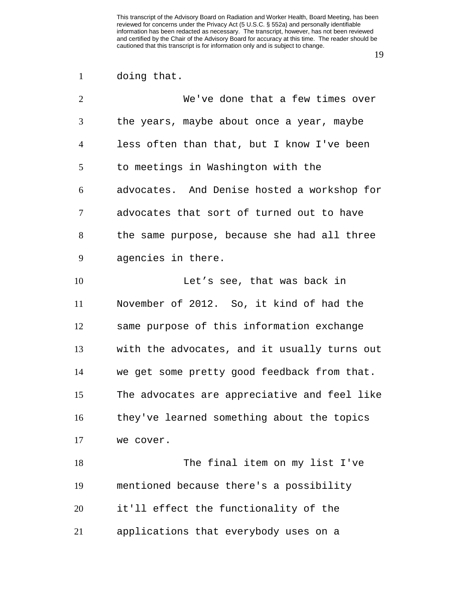doing that.

| $\overline{2}$ | We've done that a few times over             |
|----------------|----------------------------------------------|
| 3              | the years, maybe about once a year, maybe    |
| $\overline{4}$ | less often than that, but I know I've been   |
| 5              | to meetings in Washington with the           |
| 6              | advocates. And Denise hosted a workshop for  |
| 7              | advocates that sort of turned out to have    |
| 8              | the same purpose, because she had all three  |
| 9              | agencies in there.                           |
| 10             | Let's see, that was back in                  |
| 11             | November of 2012. So, it kind of had the     |
| 12             | same purpose of this information exchange    |
| 13             | with the advocates, and it usually turns out |
| 14             | we get some pretty good feedback from that.  |
| 15             | The advocates are appreciative and feel like |
| 16             | they've learned something about the topics   |
| 17             | we cover.                                    |
| 18             | The final item on my list I've               |
| 19             | mentioned because there's a possibility      |
| 20             | it'll effect the functionality of the        |
| 21             | applications that everybody uses on a        |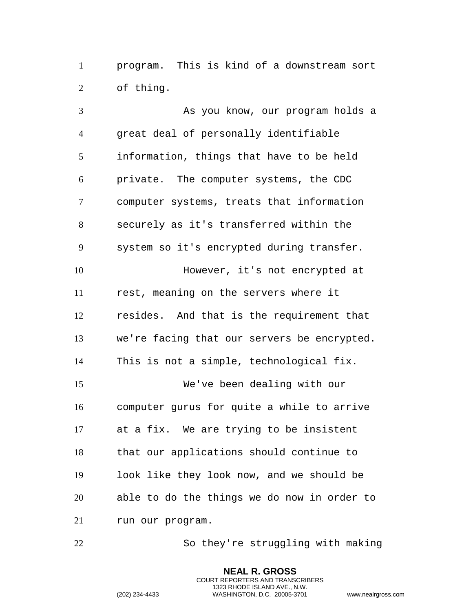program. This is kind of a downstream sort of thing.

 As you know, our program holds a great deal of personally identifiable information, things that have to be held private. The computer systems, the CDC computer systems, treats that information securely as it's transferred within the system so it's encrypted during transfer. **However, it's not encrypted at**  rest, meaning on the servers where it resides. And that is the requirement that we're facing that our servers be encrypted. This is not a simple, technological fix. We've been dealing with our computer gurus for quite a while to arrive at a fix. We are trying to be insistent that our applications should continue to look like they look now, and we should be able to do the things we do now in order to run our program.

So they're struggling with making

**NEAL R. GROSS** COURT REPORTERS AND TRANSCRIBERS 1323 RHODE ISLAND AVE., N.W.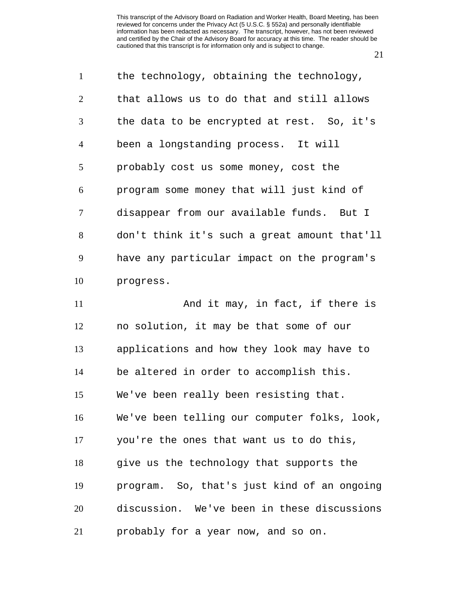| $\mathbf{1}$   | the technology, obtaining the technology,    |
|----------------|----------------------------------------------|
| 2              | that allows us to do that and still allows   |
| 3              | the data to be encrypted at rest. So, it's   |
| $\overline{4}$ | been a longstanding process. It will         |
| 5              | probably cost us some money, cost the        |
| 6              | program some money that will just kind of    |
| $\tau$         | disappear from our available funds. But I    |
| 8              | don't think it's such a great amount that'll |
| 9              | have any particular impact on the program's  |
| 10             | progress.                                    |
| 11             | And it may, in fact, if there is             |
| 12             | no solution, it may be that some of our      |
| 13             | applications and how they look may have to   |
| 14             | be altered in order to accomplish this.      |
| 15             | We've been really been resisting that.       |
| 16             | We've been telling our computer folks, look, |
| 17             | you're the ones that want us to do this,     |
| 18             | give us the technology that supports the     |
| 19             | program. So, that's just kind of an ongoing  |
| 20             | discussion. We've been in these discussions  |
| 21             | probably for a year now, and so on.          |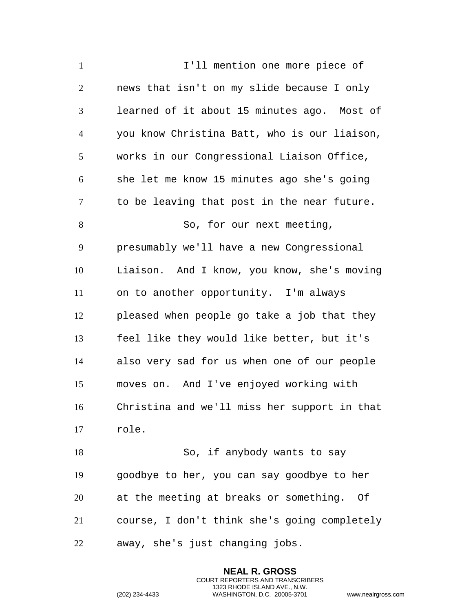1 I'll mention one more piece of news that isn't on my slide because I only learned of it about 15 minutes ago. Most of you know Christina Batt, who is our liaison, works in our Congressional Liaison Office, she let me know 15 minutes ago she's going to be leaving that post in the near future. 8 So, for our next meeting, presumably we'll have a new Congressional Liaison. And I know, you know, she's moving on to another opportunity. I'm always pleased when people go take a job that they feel like they would like better, but it's also very sad for us when one of our people moves on. And I've enjoyed working with Christina and we'll miss her support in that role. So, if anybody wants to say goodbye to her, you can say goodbye to her at the meeting at breaks or something. Of course, I don't think she's going completely

away, she's just changing jobs.

**NEAL R. GROSS** COURT REPORTERS AND TRANSCRIBERS 1323 RHODE ISLAND AVE., N.W.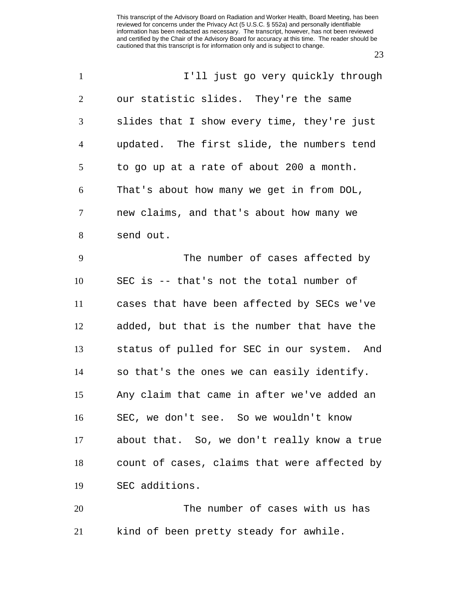| $\mathbf{1}$   | I'll just go very quickly through            |
|----------------|----------------------------------------------|
| $\overline{2}$ | our statistic slides. They're the same       |
| 3              | slides that I show every time, they're just  |
| $\overline{4}$ | updated. The first slide, the numbers tend   |
| 5              | to go up at a rate of about 200 a month.     |
| 6              | That's about how many we get in from DOL,    |
| $\tau$         | new claims, and that's about how many we     |
| 8              | send out.                                    |
| 9              | The number of cases affected by              |
| 10             | SEC is -- that's not the total number of     |
| 11             | cases that have been affected by SECs we've  |
| 12             | added, but that is the number that have the  |
| 13             | status of pulled for SEC in our system. And  |
| 14             | so that's the ones we can easily identify.   |
| 15             | Any claim that came in after we've added an  |
| 16             | SEC, we don't see. So we wouldn't know       |
| 17             | about that. So, we don't really know a true  |
| 18             | count of cases, claims that were affected by |
| 19             | SEC additions.                               |
| 20             | The number of cases with us has              |
| 21             | kind of been pretty steady for awhile.       |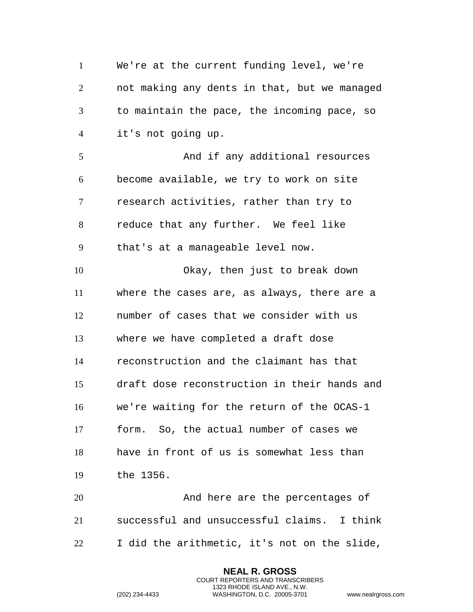We're at the current funding level, we're not making any dents in that, but we managed to maintain the pace, the incoming pace, so it's not going up. And if any additional resources become available, we try to work on site research activities, rather than try to reduce that any further. We feel like that's at a manageable level now. Okay, then just to break down where the cases are, as always, there are a number of cases that we consider with us where we have completed a draft dose reconstruction and the claimant has that draft dose reconstruction in their hands and we're waiting for the return of the OCAS-1 form. So, the actual number of cases we have in front of us is somewhat less than the 1356. And here are the percentages of successful and unsuccessful claims. I think

I did the arithmetic, it's not on the slide,

**NEAL R. GROSS** COURT REPORTERS AND TRANSCRIBERS 1323 RHODE ISLAND AVE., N.W.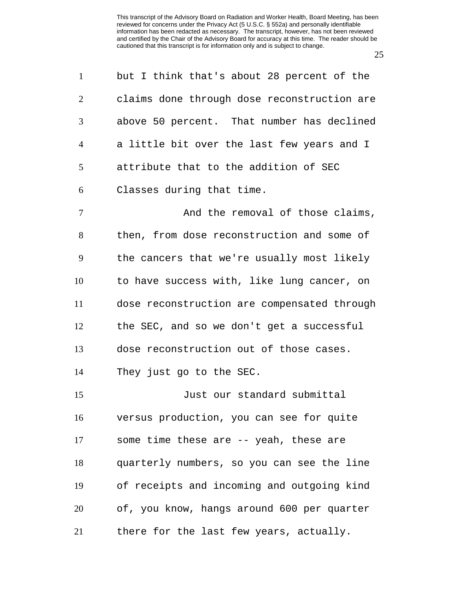| $\mathbf{1}$   | but I think that's about 28 percent of the  |
|----------------|---------------------------------------------|
|                |                                             |
| $\overline{2}$ | claims done through dose reconstruction are |
| 3              | above 50 percent. That number has declined  |
| $\overline{4}$ | a little bit over the last few years and I  |
| 5              | attribute that to the addition of SEC       |
| 6              | Classes during that time.                   |
| 7              | And the removal of those claims,            |
| 8              | then, from dose reconstruction and some of  |
| 9              | the cancers that we're usually most likely  |
| 10             | to have success with, like lung cancer, on  |
| 11             | dose reconstruction are compensated through |
| 12             | the SEC, and so we don't get a successful   |
| 13             | dose reconstruction out of those cases.     |
| 14             | They just go to the SEC.                    |
| 15             | Just our standard submittal                 |
| 16             | versus production, you can see for quite    |
| 17             | some time these are -- yeah, these are      |
| 18             | quarterly numbers, so you can see the line  |
| 19             | of receipts and incoming and outgoing kind  |
| 20             | of, you know, hangs around 600 per quarter  |
| 21             | there for the last few years, actually.     |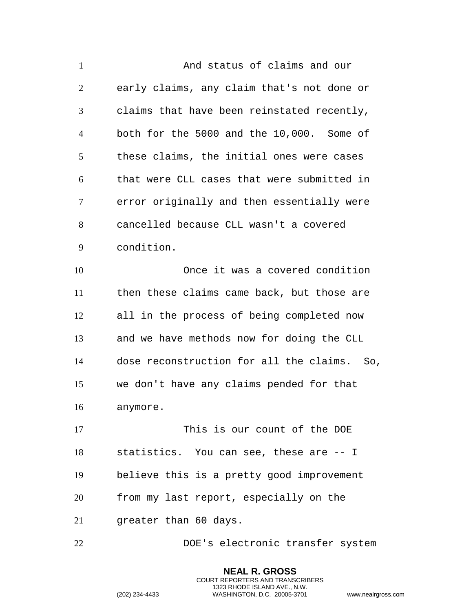| $\mathbf{1}$   | And status of claims and our                |
|----------------|---------------------------------------------|
| 2              | early claims, any claim that's not done or  |
| 3              | claims that have been reinstated recently,  |
| $\overline{4}$ | both for the 5000 and the 10,000. Some of   |
| 5              | these claims, the initial ones were cases   |
| 6              | that were CLL cases that were submitted in  |
| 7              | error originally and then essentially were  |
| 8              | cancelled because CLL wasn't a covered      |
| 9              | condition.                                  |
| 10             | Once it was a covered condition             |
| 11             | then these claims came back, but those are  |
| 12             | all in the process of being completed now   |
| 13             | and we have methods now for doing the CLL   |
| 14             | dose reconstruction for all the claims. So, |
| 15             | we don't have any claims pended for that    |
| 16             | anymore.                                    |
| 17             | This is our count of the DOE                |
| 18             | statistics. You can see, these are -- I     |
| 19             | believe this is a pretty good improvement   |
| 20             | from my last report, especially on the      |
| 21             | greater than 60 days.                       |
| 22             | DOE's electronic transfer system            |

**NEAL R. GROSS** COURT REPORTERS AND TRANSCRIBERS 1323 RHODE ISLAND AVE., N.W.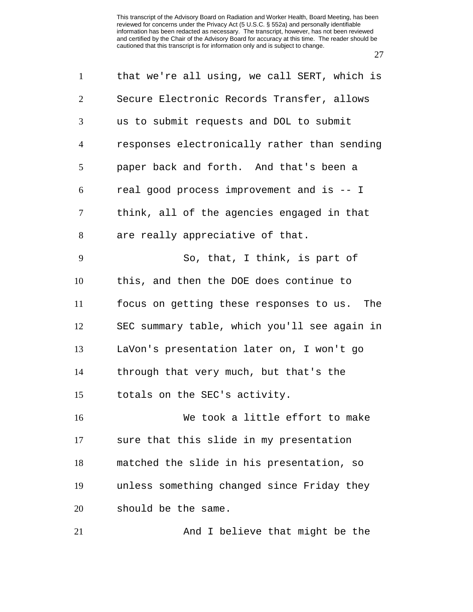| $\mathbf{1}$   | that we're all using, we call SERT, which is |
|----------------|----------------------------------------------|
| $\overline{2}$ | Secure Electronic Records Transfer, allows   |
| 3              | us to submit requests and DOL to submit      |
| $\overline{4}$ | responses electronically rather than sending |
| 5              | paper back and forth. And that's been a      |
| 6              | real good process improvement and is -- I    |
| 7              | think, all of the agencies engaged in that   |
| 8              | are really appreciative of that.             |
| 9              | So, that, I think, is part of                |
| 10             | this, and then the DOE does continue to      |
| 11             | focus on getting these responses to us. The  |
| 12             | SEC summary table, which you'll see again in |
| 13             | LaVon's presentation later on, I won't go    |
| 14             | through that very much, but that's the       |
| 15             | totals on the SEC's activity.                |
| 16             | We took a little effort to make              |
| 17             | sure that this slide in my presentation      |
| 18             | matched the slide in his presentation, so    |
| 19             | unless something changed since Friday they   |
| 20             | should be the same.                          |
| 21             | And I believe that might be the              |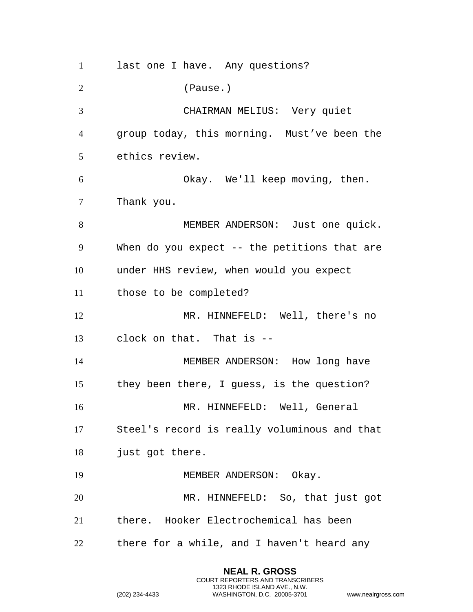last one I have. Any questions? (Pause.) CHAIRMAN MELIUS: Very quiet group today, this morning. Must've been the ethics review. Okay. We'll keep moving, then. Thank you. MEMBER ANDERSON: Just one quick. When do you expect -- the petitions that are under HHS review, when would you expect those to be completed? 12 MR. HINNEFELD: Well, there's no clock on that. That is -- 14 MEMBER ANDERSON: How long have they been there, I guess, is the question? MR. HINNEFELD: Well, General Steel's record is really voluminous and that just got there. 19 MEMBER ANDERSON: Okay. MR. HINNEFELD: So, that just got there. Hooker Electrochemical has been there for a while, and I haven't heard any

> **NEAL R. GROSS** COURT REPORTERS AND TRANSCRIBERS 1323 RHODE ISLAND AVE., N.W.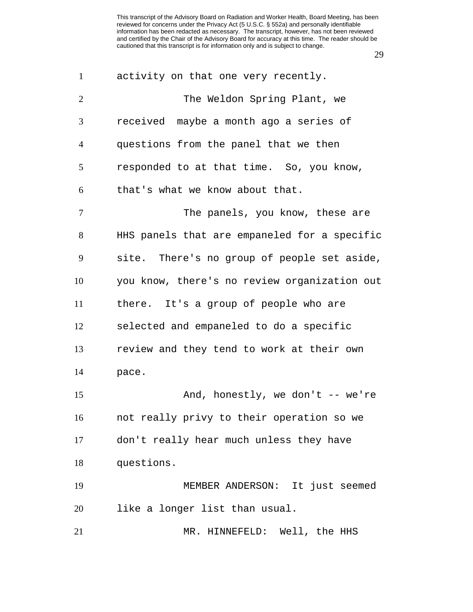| $\mathbf{1}$   | activity on that one very recently.          |
|----------------|----------------------------------------------|
| $\mathbf{2}$   | The Weldon Spring Plant, we                  |
| 3              | received maybe a month ago a series of       |
| $\overline{4}$ | questions from the panel that we then        |
| 5              | responded to at that time. So, you know,     |
| 6              | that's what we know about that.              |
| $\tau$         | The panels, you know, these are              |
| 8              | HHS panels that are empaneled for a specific |
| 9              | site. There's no group of people set aside,  |
| 10             | you know, there's no review organization out |
| 11             | there. It's a group of people who are        |
| 12             | selected and empaneled to do a specific      |
| 13             | review and they tend to work at their own    |
| 14             | pace.                                        |
| 15             | And, honestly, we don't $--$ we're           |
| 16             | not really privy to their operation so we    |
| 17             | don't really hear much unless they have      |
| 18             | questions.                                   |
| 19             | MEMBER ANDERSON: It just seemed              |
| 20             | like a longer list than usual.               |
| 21             | MR. HINNEFELD: Well, the HHS                 |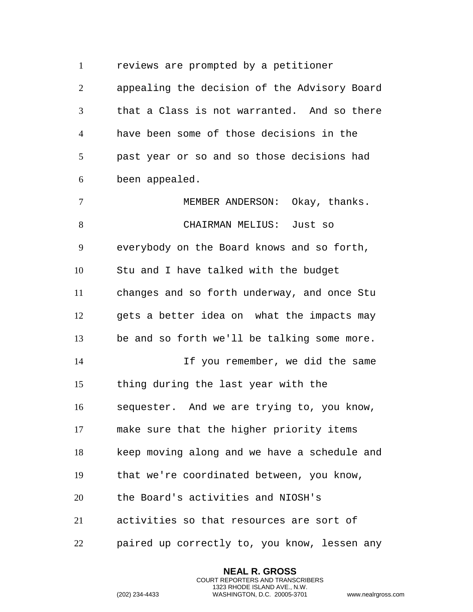reviews are prompted by a petitioner

 appealing the decision of the Advisory Board that a Class is not warranted. And so there have been some of those decisions in the past year or so and so those decisions had been appealed.

 MEMBER ANDERSON: Okay, thanks. CHAIRMAN MELIUS: Just so everybody on the Board knows and so forth, Stu and I have talked with the budget changes and so forth underway, and once Stu gets a better idea on what the impacts may be and so forth we'll be talking some more. If you remember, we did the same thing during the last year with the sequester. And we are trying to, you know, make sure that the higher priority items keep moving along and we have a schedule and that we're coordinated between, you know, the Board's activities and NIOSH's activities so that resources are sort of paired up correctly to, you know, lessen any

> **NEAL R. GROSS** COURT REPORTERS AND TRANSCRIBERS 1323 RHODE ISLAND AVE., N.W.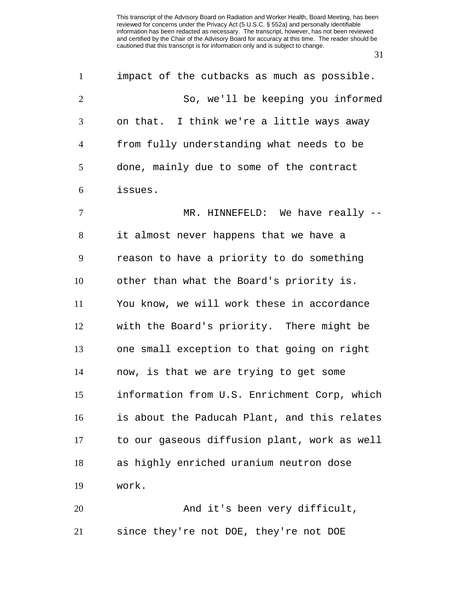| $\mathbf{1}$   | impact of the cutbacks as much as possible.  |
|----------------|----------------------------------------------|
| $\overline{2}$ | So, we'll be keeping you informed            |
| 3              | on that. I think we're a little ways away    |
| $\overline{4}$ | from fully understanding what needs to be    |
| 5              | done, mainly due to some of the contract     |
| 6              | issues.                                      |
| $\overline{7}$ | MR. HINNEFELD: We have really --             |
| $8\,$          | it almost never happens that we have a       |
| 9              | reason to have a priority to do something    |
| 10             | other than what the Board's priority is.     |
| 11             | You know, we will work these in accordance   |
| 12             | with the Board's priority. There might be    |
| 13             | one small exception to that going on right   |
| 14             | now, is that we are trying to get some       |
| 15             | information from U.S. Enrichment Corp, which |
| 16             | is about the Paducah Plant, and this relates |
| 17             | to our gaseous diffusion plant, work as well |
| 18             | as highly enriched uranium neutron dose      |
| 19             | work.                                        |
| 20             | And it's been very difficult,                |
| 21             | since they're not DOE, they're not DOE       |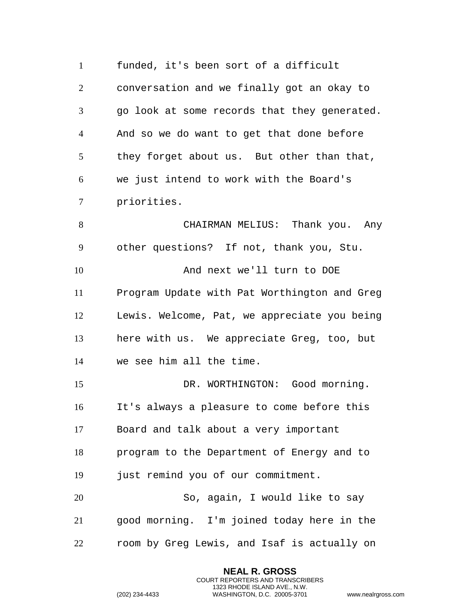funded, it's been sort of a difficult conversation and we finally got an okay to go look at some records that they generated. And so we do want to get that done before they forget about us. But other than that, we just intend to work with the Board's priorities. CHAIRMAN MELIUS: Thank you. Any other questions? If not, thank you, Stu. 10 And next we'll turn to DOE Program Update with Pat Worthington and Greg Lewis. Welcome, Pat, we appreciate you being here with us. We appreciate Greg, too, but we see him all the time. DR. WORTHINGTON: Good morning. It's always a pleasure to come before this Board and talk about a very important program to the Department of Energy and to 19 just remind you of our commitment. So, again, I would like to say good morning. I'm joined today here in the room by Greg Lewis, and Isaf is actually on

> **NEAL R. GROSS** COURT REPORTERS AND TRANSCRIBERS 1323 RHODE ISLAND AVE., N.W.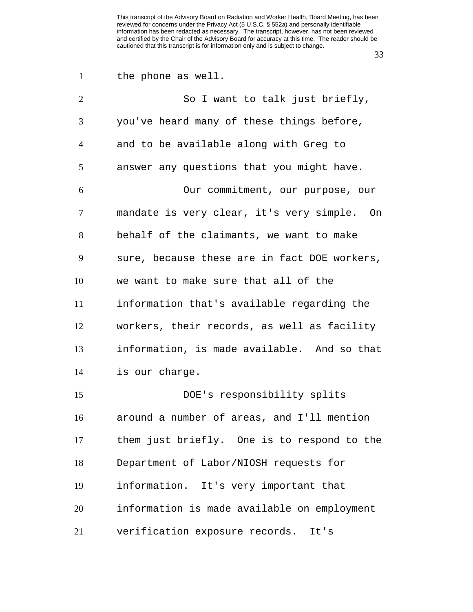| $\mathbf{1}$   | the phone as well.                           |
|----------------|----------------------------------------------|
| $\overline{2}$ | So I want to talk just briefly,              |
| 3              | you've heard many of these things before,    |
| $\overline{4}$ | and to be available along with Greg to       |
| 5              | answer any questions that you might have.    |
| 6              | Our commitment, our purpose, our             |
| 7              | mandate is very clear, it's very simple. On  |
| 8              | behalf of the claimants, we want to make     |
| 9              | sure, because these are in fact DOE workers, |
| 10             | we want to make sure that all of the         |
| 11             | information that's available regarding the   |
| 12             | workers, their records, as well as facility  |
| 13             | information, is made available. And so that  |
| 14             | is our charge.                               |
| 15             | DOE's responsibility splits                  |
| 16             | around a number of areas, and I'll mention   |
| 17             | them just briefly. One is to respond to the  |
| 18             | Department of Labor/NIOSH requests for       |
| 19             | information. It's very important that        |
| 20             | information is made available on employment  |
| 21             | verification exposure records. It's          |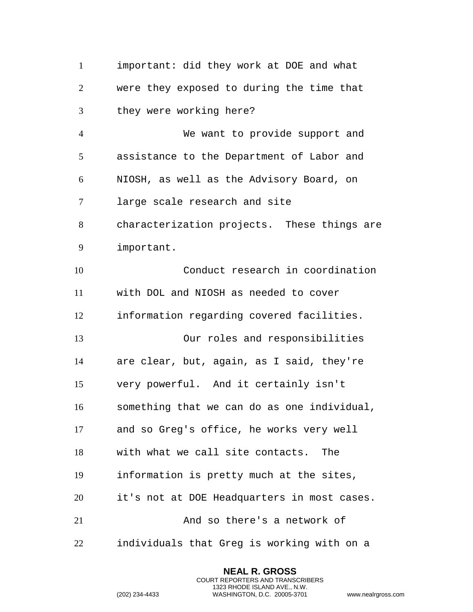important: did they work at DOE and what were they exposed to during the time that they were working here? We want to provide support and assistance to the Department of Labor and NIOSH, as well as the Advisory Board, on large scale research and site characterization projects. These things are important. Conduct research in coordination with DOL and NIOSH as needed to cover information regarding covered facilities. Our roles and responsibilities are clear, but, again, as I said, they're very powerful. And it certainly isn't something that we can do as one individual, and so Greg's office, he works very well with what we call site contacts. The information is pretty much at the sites, it's not at DOE Headquarters in most cases. And so there's a network of individuals that Greg is working with on a

> **NEAL R. GROSS** COURT REPORTERS AND TRANSCRIBERS 1323 RHODE ISLAND AVE., N.W.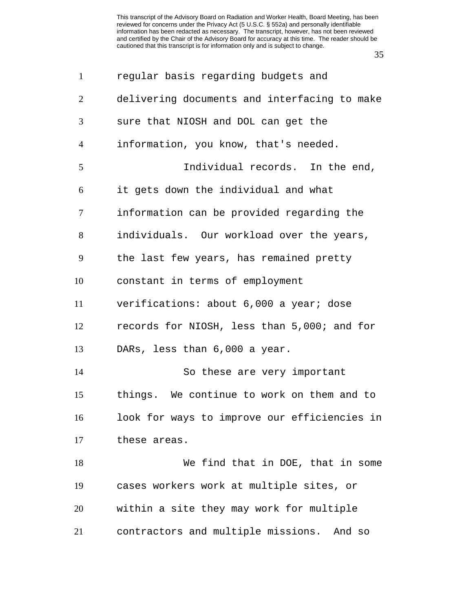| $\mathbf{1}$   | regular basis regarding budgets and          |
|----------------|----------------------------------------------|
| $\overline{2}$ | delivering documents and interfacing to make |
| 3              | sure that NIOSH and DOL can get the          |
| $\overline{4}$ | information, you know, that's needed.        |
| 5              | Individual records. In the end,              |
| 6              | it gets down the individual and what         |
| $\tau$         | information can be provided regarding the    |
| 8              | individuals. Our workload over the years,    |
| 9              | the last few years, has remained pretty      |
| 10             | constant in terms of employment              |
| 11             | verifications: about 6,000 a year; dose      |
| 12             | records for NIOSH, less than 5,000; and for  |
| 13             | DARs, less than 6,000 a year.                |
| 14             | So these are very important                  |
| 15             | things. We continue to work on them and to   |
| 16             | look for ways to improve our efficiencies in |
| 17             | these areas.                                 |
| 18             | We find that in DOE, that in some            |
| 19             | cases workers work at multiple sites, or     |
| 20             | within a site they may work for multiple     |
| 21             | contractors and multiple missions. And so    |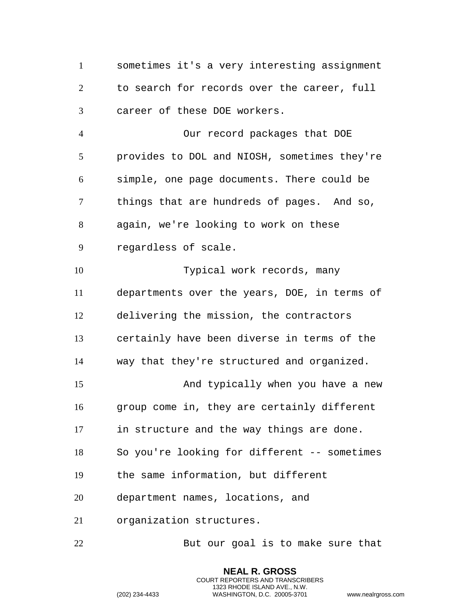sometimes it's a very interesting assignment to search for records over the career, full career of these DOE workers. Our record packages that DOE provides to DOL and NIOSH, sometimes they're simple, one page documents. There could be things that are hundreds of pages. And so, again, we're looking to work on these regardless of scale. Typical work records, many departments over the years, DOE, in terms of delivering the mission, the contractors certainly have been diverse in terms of the way that they're structured and organized. And typically when you have a new group come in, they are certainly different in structure and the way things are done. So you're looking for different -- sometimes the same information, but different department names, locations, and organization structures. 22 But our goal is to make sure that

> **NEAL R. GROSS** COURT REPORTERS AND TRANSCRIBERS 1323 RHODE ISLAND AVE., N.W.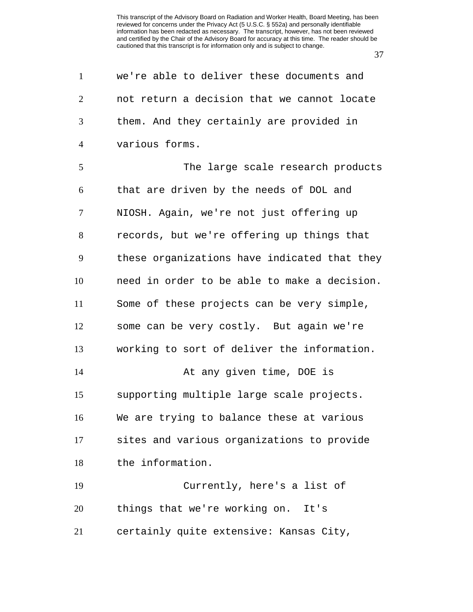| $\mathbf{1}$   | we're able to deliver these documents and    |
|----------------|----------------------------------------------|
| $\overline{2}$ | not return a decision that we cannot locate  |
| 3              | them. And they certainly are provided in     |
| $\overline{4}$ | various forms.                               |
| 5              | The large scale research products            |
| 6              | that are driven by the needs of DOL and      |
| $\tau$         | NIOSH. Again, we're not just offering up     |
| 8              | records, but we're offering up things that   |
| 9              | these organizations have indicated that they |
| 10             | need in order to be able to make a decision. |
| 11             | Some of these projects can be very simple,   |
| 12             | some can be very costly. But again we're     |
| 13             | working to sort of deliver the information.  |
| 14             | At any given time, DOE is                    |
| 15             | supporting multiple large scale projects.    |
| 16             | We are trying to balance these at various    |
| 17             | sites and various organizations to provide   |
| 18             | the information.                             |
| 19             | Currently, here's a list of                  |
| 20             | things that we're working on. It's           |
| 21             | certainly quite extensive: Kansas City,      |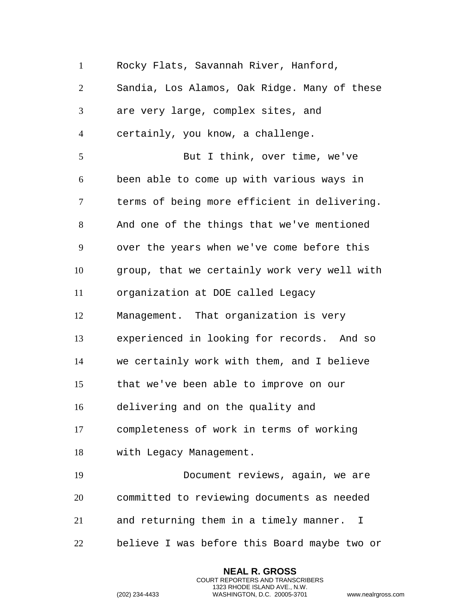Rocky Flats, Savannah River, Hanford, Sandia, Los Alamos, Oak Ridge. Many of these are very large, complex sites, and certainly, you know, a challenge. But I think, over time, we've been able to come up with various ways in terms of being more efficient in delivering. And one of the things that we've mentioned over the years when we've come before this group, that we certainly work very well with organization at DOE called Legacy Management. That organization is very experienced in looking for records. And so we certainly work with them, and I believe that we've been able to improve on our delivering and on the quality and completeness of work in terms of working with Legacy Management. Document reviews, again, we are committed to reviewing documents as needed and returning them in a timely manner. I believe I was before this Board maybe two or

> **NEAL R. GROSS** COURT REPORTERS AND TRANSCRIBERS 1323 RHODE ISLAND AVE., N.W.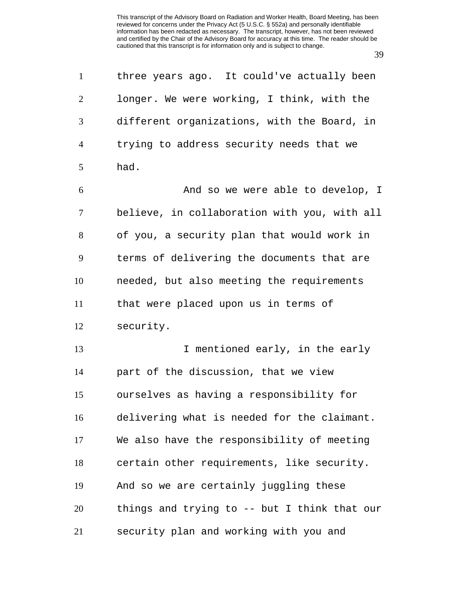| $\mathbf{1}$   | three years ago. It could've actually been   |
|----------------|----------------------------------------------|
| 2              | longer. We were working, I think, with the   |
| 3              | different organizations, with the Board, in  |
| $\overline{4}$ | trying to address security needs that we     |
| 5              | had.                                         |
| 6              | And so we were able to develop, I            |
| 7              | believe, in collaboration with you, with all |
| 8              | of you, a security plan that would work in   |
| 9              | terms of delivering the documents that are   |
| 10             | needed, but also meeting the requirements    |
| 11             | that were placed upon us in terms of         |
| 12             | security.                                    |
| 13             | I mentioned early, in the early              |
| 14             | part of the discussion, that we view         |
| 15             | ourselves as having a responsibility for     |
| 16             | delivering what is needed for the claimant.  |
| 17             | We also have the responsibility of meeting   |
| 18             | certain other requirements, like security.   |
| 19             | And so we are certainly juggling these       |
| 20             | things and trying to -- but I think that our |
| 21             | security plan and working with you and       |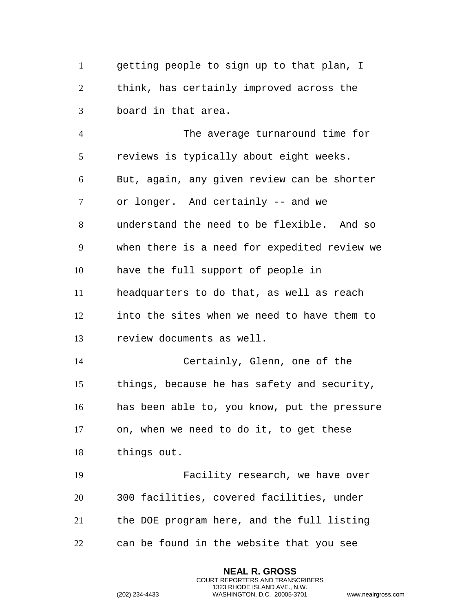getting people to sign up to that plan, I think, has certainly improved across the board in that area.

 The average turnaround time for reviews is typically about eight weeks. But, again, any given review can be shorter or longer. And certainly -- and we understand the need to be flexible. And so when there is a need for expedited review we have the full support of people in headquarters to do that, as well as reach into the sites when we need to have them to review documents as well. Certainly, Glenn, one of the things, because he has safety and security, has been able to, you know, put the pressure on, when we need to do it, to get these things out. Facility research, we have over 300 facilities, covered facilities, under the DOE program here, and the full listing can be found in the website that you see

> **NEAL R. GROSS** COURT REPORTERS AND TRANSCRIBERS 1323 RHODE ISLAND AVE., N.W.

```
(202) 234-4433 WASHINGTON, D.C. 20005-3701 www.nealrgross.com
```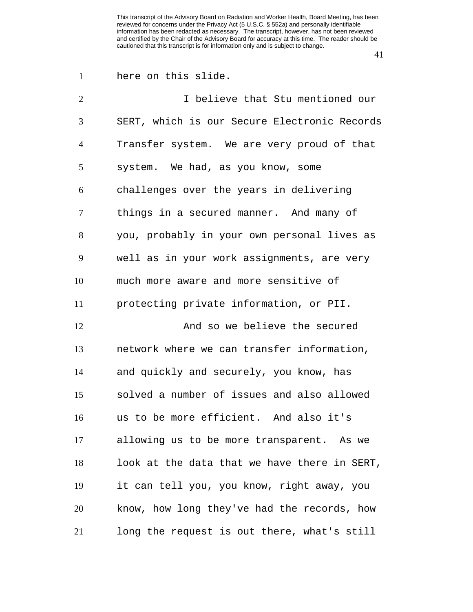| here on this slide. |
|---------------------|
|                     |

| $\overline{2}$ | I believe that Stu mentioned our             |
|----------------|----------------------------------------------|
| 3              | SERT, which is our Secure Electronic Records |
| $\overline{4}$ | Transfer system. We are very proud of that   |
| 5              | system. We had, as you know, some            |
| 6              | challenges over the years in delivering      |
| 7              | things in a secured manner. And many of      |
| 8              | you, probably in your own personal lives as  |
| 9              | well as in your work assignments, are very   |
| 10             | much more aware and more sensitive of        |
| 11             | protecting private information, or PII.      |
| 12             | And so we believe the secured                |
| 13             | network where we can transfer information,   |
| 14             | and quickly and securely, you know, has      |
| 15             | solved a number of issues and also allowed   |
| 16             | us to be more efficient. And also it's       |
| 17             | allowing us to be more transparent. As we    |
| 18             | look at the data that we have there in SERT, |
| 19             | it can tell you, you know, right away, you   |
| 20             | know, how long they've had the records, how  |
| 21             | long the request is out there, what's still  |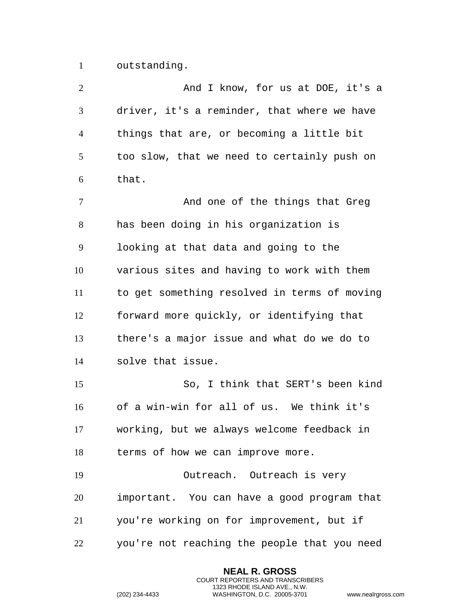outstanding.

| $\overline{2}$ | And I know, for us at DOE, it's a            |
|----------------|----------------------------------------------|
| 3              | driver, it's a reminder, that where we have  |
| $\overline{4}$ | things that are, or becoming a little bit    |
| 5              | too slow, that we need to certainly push on  |
| 6              | that.                                        |
| $\tau$         | And one of the things that Greg              |
| $8\,$          | has been doing in his organization is        |
| 9              | looking at that data and going to the        |
| 10             | various sites and having to work with them   |
| 11             | to get something resolved in terms of moving |
| 12             | forward more quickly, or identifying that    |
| 13             | there's a major issue and what do we do to   |
| 14             | solve that issue.                            |
| 15             | So, I think that SERT's been kind            |
| 16             | of a win-win for all of us. We think it's    |
| 17             | working, but we always welcome feedback in   |
| 18             | terms of how we can improve more.            |
| 19             | Outreach. Outreach is very                   |
| 20             | important. You can have a good program that  |
| 21             | you're working on for improvement, but if    |
| 22             | you're not reaching the people that you need |

**NEAL R. GROSS** COURT REPORTERS AND TRANSCRIBERS 1323 RHODE ISLAND AVE., N.W.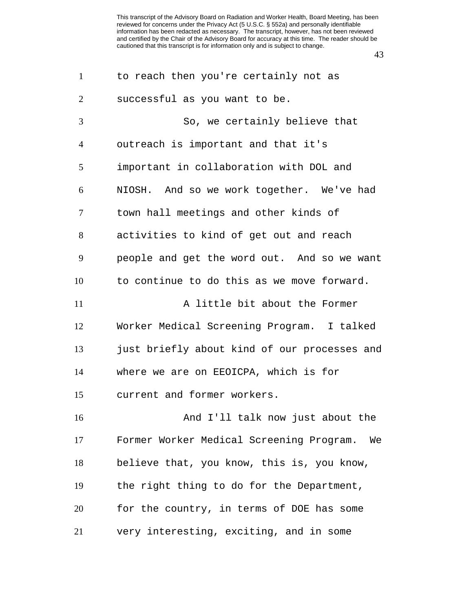| $\mathbf{1}$   | to reach then you're certainly not as          |
|----------------|------------------------------------------------|
| 2              | successful as you want to be.                  |
| 3              | So, we certainly believe that                  |
| $\overline{4}$ | outreach is important and that it's            |
| 5              | important in collaboration with DOL and        |
| 6              | NIOSH. And so we work together. We've had      |
| $\tau$         | town hall meetings and other kinds of          |
| 8              | activities to kind of get out and reach        |
| 9              | people and get the word out. And so we want    |
| 10             | to continue to do this as we move forward.     |
| 11             | A little bit about the Former                  |
| 12             | Worker Medical Screening Program. I talked     |
| 13             | just briefly about kind of our processes and   |
| 14             | where we are on EEOICPA, which is for          |
| 15             | current and former workers.                    |
| 16             | And I'll talk now just about the               |
| 17             | Former Worker Medical Screening Program.<br>We |
| 18             | believe that, you know, this is, you know,     |
| 19             | the right thing to do for the Department,      |
| 20             | for the country, in terms of DOE has some      |
| 21             | very interesting, exciting, and in some        |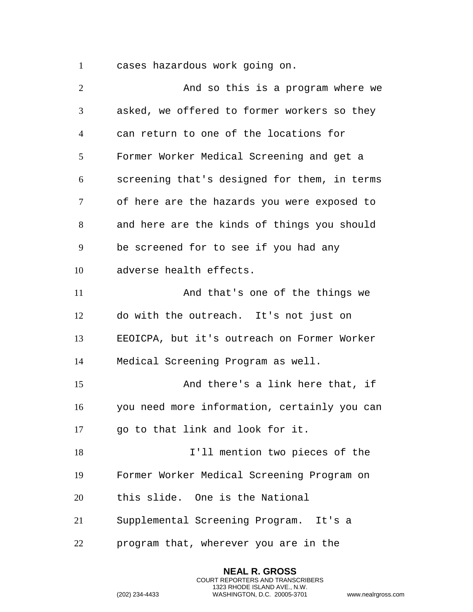cases hazardous work going on.

| $\overline{2}$ | And so this is a program where we            |
|----------------|----------------------------------------------|
| 3              | asked, we offered to former workers so they  |
| $\overline{4}$ | can return to one of the locations for       |
| 5              | Former Worker Medical Screening and get a    |
| 6              | screening that's designed for them, in terms |
| 7              | of here are the hazards you were exposed to  |
| 8              | and here are the kinds of things you should  |
| 9              | be screened for to see if you had any        |
| 10             | adverse health effects.                      |
| 11             | And that's one of the things we              |
| 12             | do with the outreach. It's not just on       |
| 13             | EEOICPA, but it's outreach on Former Worker  |
| 14             | Medical Screening Program as well.           |
| 15             | And there's a link here that, if             |
| 16             | you need more information, certainly you can |
| 17             | go to that link and look for it.             |
| 18             | I'll mention two pieces of the               |
| 19             | Former Worker Medical Screening Program on   |
| 20             | this slide. One is the National              |
| 21             | Supplemental Screening Program. It's a       |
| 22             | program that, wherever you are in the        |

**NEAL R. GROSS** COURT REPORTERS AND TRANSCRIBERS 1323 RHODE ISLAND AVE., N.W.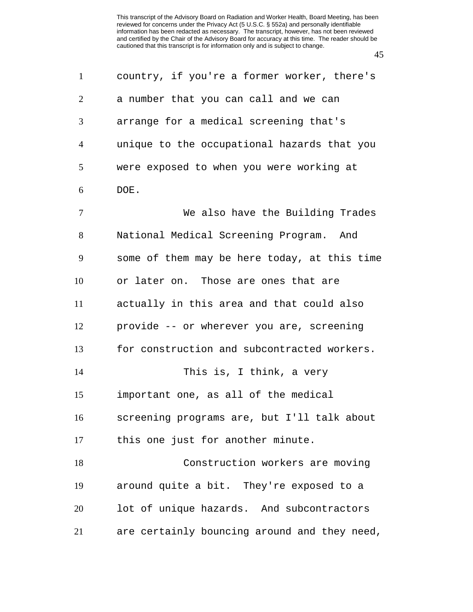| $\mathbf{1}$   | country, if you're a former worker, there's  |
|----------------|----------------------------------------------|
| $\overline{2}$ | a number that you can call and we can        |
| 3              | arrange for a medical screening that's       |
| $\overline{4}$ | unique to the occupational hazards that you  |
| 5              | were exposed to when you were working at     |
| 6              | DOE.                                         |
| $\overline{7}$ | We also have the Building Trades             |
| 8              | National Medical Screening Program. And      |
| 9              | some of them may be here today, at this time |
| 10             | or later on. Those are ones that are         |
| 11             | actually in this area and that could also    |
| 12             | provide -- or wherever you are, screening    |
| 13             | for construction and subcontracted workers.  |
| 14             | This is, I think, a very                     |
| 15             | important one, as all of the medical         |
| 16             | screening programs are, but I'll talk about  |
| 17             | this one just for another minute.            |
| 18             | Construction workers are moving              |
| 19             | around quite a bit. They're exposed to a     |
| 20             | lot of unique hazards. And subcontractors    |
| 21             | are certainly bouncing around and they need, |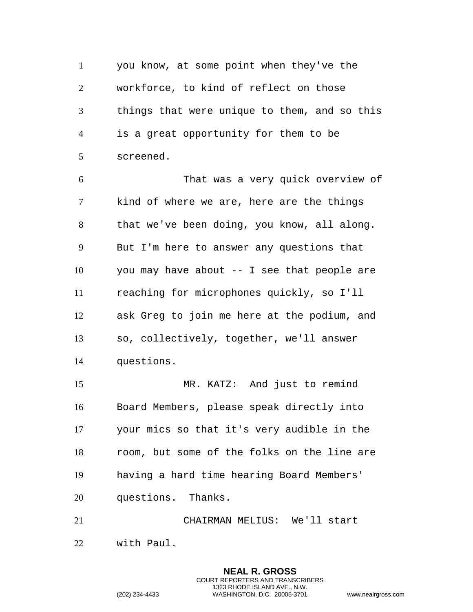you know, at some point when they've the workforce, to kind of reflect on those things that were unique to them, and so this is a great opportunity for them to be screened.

 That was a very quick overview of kind of where we are, here are the things that we've been doing, you know, all along. But I'm here to answer any questions that you may have about -- I see that people are reaching for microphones quickly, so I'll ask Greg to join me here at the podium, and so, collectively, together, we'll answer questions.

 MR. KATZ: And just to remind Board Members, please speak directly into your mics so that it's very audible in the room, but some of the folks on the line are having a hard time hearing Board Members' questions. Thanks.

 CHAIRMAN MELIUS: We'll start with Paul.

> **NEAL R. GROSS** COURT REPORTERS AND TRANSCRIBERS 1323 RHODE ISLAND AVE., N.W.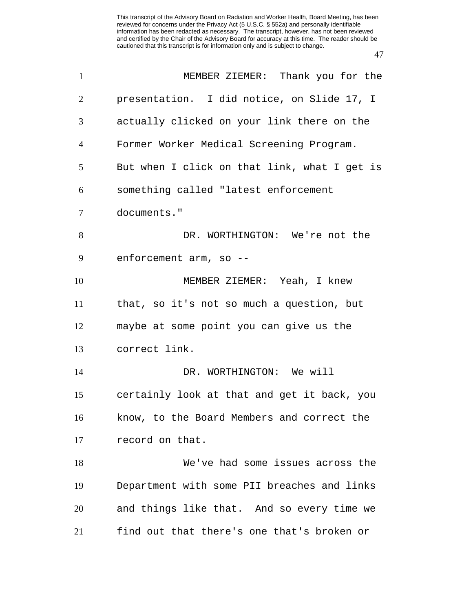| $\mathbf{1}$   | MEMBER ZIEMER: Thank you for the             |
|----------------|----------------------------------------------|
| 2              | presentation. I did notice, on Slide 17, I   |
| 3              | actually clicked on your link there on the   |
| $\overline{4}$ | Former Worker Medical Screening Program.     |
| 5              | But when I click on that link, what I get is |
| 6              | something called "latest enforcement         |
| 7              | documents."                                  |
| 8              | DR. WORTHINGTON: We're not the               |
| 9              | enforcement arm, so --                       |
| 10             | MEMBER ZIEMER: Yeah, I knew                  |
| 11             | that, so it's not so much a question, but    |
| 12             | maybe at some point you can give us the      |
| 13             | correct link.                                |
| 14             | DR. WORTHINGTON: We will                     |
| 15             | certainly look at that and get it back, you  |
| 16             | know, to the Board Members and correct the   |
| 17             | record on that.                              |
| 18             | We've had some issues across the             |
| 19             | Department with some PII breaches and links  |
| 20             | and things like that. And so every time we   |
| 21             | find out that there's one that's broken or   |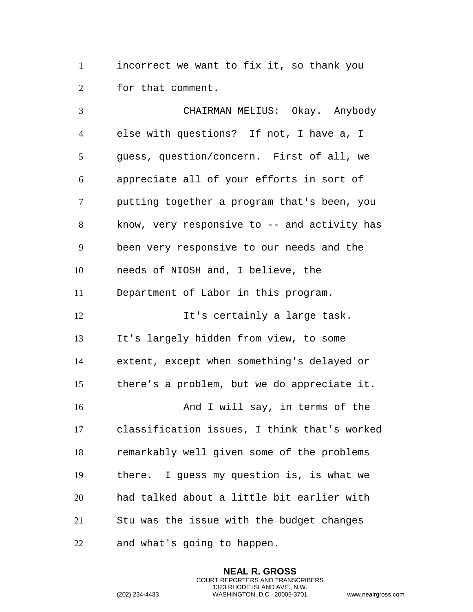incorrect we want to fix it, so thank you for that comment.

 CHAIRMAN MELIUS: Okay. Anybody else with questions? If not, I have a, I guess, question/concern. First of all, we appreciate all of your efforts in sort of putting together a program that's been, you know, very responsive to -- and activity has been very responsive to our needs and the needs of NIOSH and, I believe, the Department of Labor in this program. It's certainly a large task. It's largely hidden from view, to some extent, except when something's delayed or there's a problem, but we do appreciate it. 16 And I will say, in terms of the classification issues, I think that's worked remarkably well given some of the problems there. I guess my question is, is what we had talked about a little bit earlier with Stu was the issue with the budget changes and what's going to happen.

> **NEAL R. GROSS** COURT REPORTERS AND TRANSCRIBERS 1323 RHODE ISLAND AVE., N.W.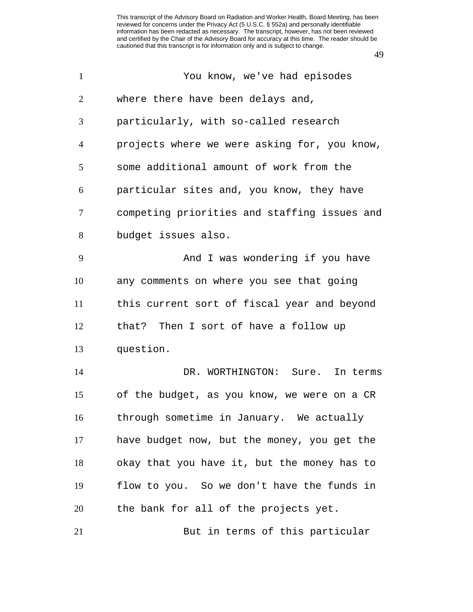| $\mathbf{1}$   | You know, we've had episodes                 |
|----------------|----------------------------------------------|
| 2              | where there have been delays and,            |
| 3              | particularly, with so-called research        |
| $\overline{4}$ | projects where we were asking for, you know, |
| 5              | some additional amount of work from the      |
| 6              | particular sites and, you know, they have    |
| $\tau$         | competing priorities and staffing issues and |
| 8              | budget issues also.                          |
| 9              | And I was wondering if you have              |
| 10             | any comments on where you see that going     |
| 11             | this current sort of fiscal year and beyond  |
| 12             | that? Then I sort of have a follow up        |
| 13             | question.                                    |
| 14             | DR. WORTHINGTON: Sure.<br>In terms           |
| 15             | of the budget, as you know, we were on a CR  |
| 16             | through sometime in January. We actually     |
| 17             | have budget now, but the money, you get the  |
| 18             | okay that you have it, but the money has to  |
| 19             | flow to you. So we don't have the funds in   |
| 20             | the bank for all of the projects yet.        |
| 21             | But in terms of this particular              |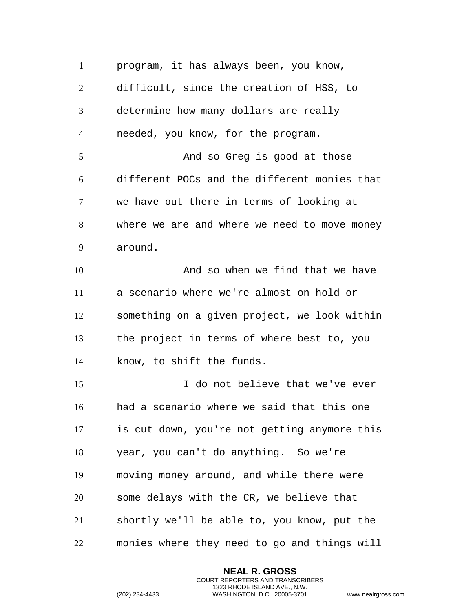program, it has always been, you know, difficult, since the creation of HSS, to determine how many dollars are really needed, you know, for the program. 5 And so Greg is good at those different POCs and the different monies that we have out there in terms of looking at where we are and where we need to move money around. And so when we find that we have a scenario where we're almost on hold or something on a given project, we look within the project in terms of where best to, you know, to shift the funds. I do not believe that we've ever had a scenario where we said that this one is cut down, you're not getting anymore this year, you can't do anything. So we're moving money around, and while there were some delays with the CR, we believe that shortly we'll be able to, you know, put the monies where they need to go and things will

> **NEAL R. GROSS** COURT REPORTERS AND TRANSCRIBERS 1323 RHODE ISLAND AVE., N.W.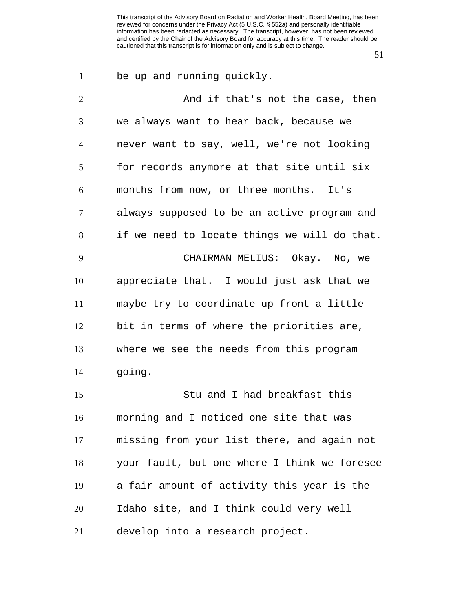| $\mathbf{1}$   | be up and running quickly.                   |
|----------------|----------------------------------------------|
| $\overline{2}$ | And if that's not the case, then             |
| 3              | we always want to hear back, because we      |
| $\overline{4}$ | never want to say, well, we're not looking   |
| 5              | for records anymore at that site until six   |
| 6              | months from now, or three months. It's       |
| $\tau$         | always supposed to be an active program and  |
| 8              | if we need to locate things we will do that. |
| 9              | CHAIRMAN MELIUS: Okay. No, we                |
| 10             | appreciate that. I would just ask that we    |
| 11             | maybe try to coordinate up front a little    |
| 12             | bit in terms of where the priorities are,    |
| 13             | where we see the needs from this program     |
| 14             | going.                                       |
| 15             | Stu and I had breakfast this                 |
| 16             | morning and I noticed one site that was      |
| 17             | missing from your list there, and again not  |
| 18             | your fault, but one where I think we foresee |
| 19             | a fair amount of activity this year is the   |
| 20             | Idaho site, and I think could very well      |
| 21             | develop into a research project.             |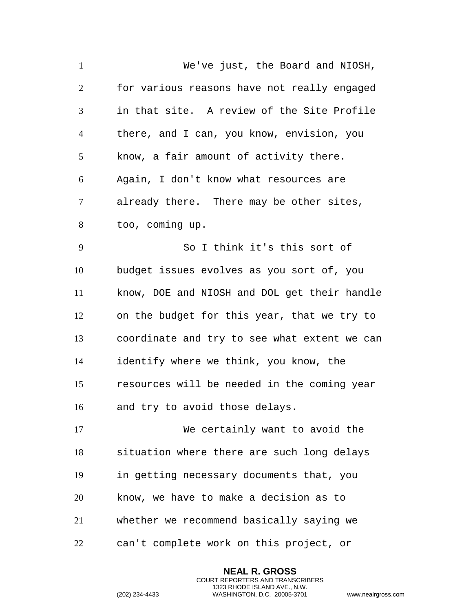| $\mathbf{1}$   | We've just, the Board and NIOSH,             |
|----------------|----------------------------------------------|
| $\overline{2}$ | for various reasons have not really engaged  |
| 3              | in that site. A review of the Site Profile   |
| $\overline{4}$ | there, and I can, you know, envision, you    |
| 5              | know, a fair amount of activity there.       |
| 6              | Again, I don't know what resources are       |
| $\tau$         | already there. There may be other sites,     |
| 8              | too, coming up.                              |
| 9              | So I think it's this sort of                 |
| 10             | budget issues evolves as you sort of, you    |
| 11             | know, DOE and NIOSH and DOL get their handle |
| 12             | on the budget for this year, that we try to  |
| 13             | coordinate and try to see what extent we can |
| 14             | identify where we think, you know, the       |
| 15             | resources will be needed in the coming year  |
| 16             | and try to avoid those delays.               |
| 17             | We certainly want to avoid the               |
| 18             | situation where there are such long delays   |
| 19             | in getting necessary documents that, you     |
| 20             | know, we have to make a decision as to       |
| 21             | whether we recommend basically saying we     |
| 22             | can't complete work on this project, or      |

**NEAL R. GROSS** COURT REPORTERS AND TRANSCRIBERS 1323 RHODE ISLAND AVE., N.W.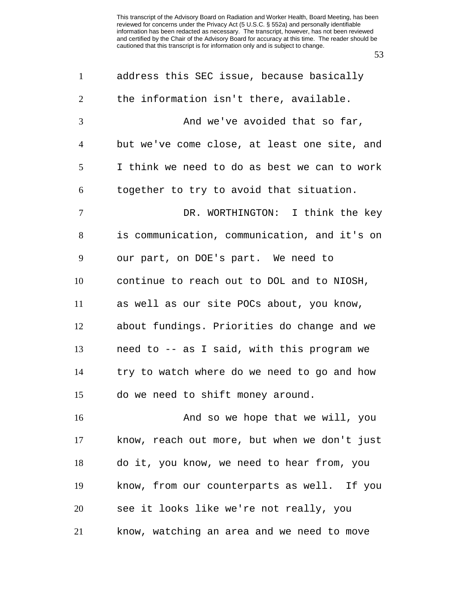| $\mathbf{1}$   | address this SEC issue, because basically    |
|----------------|----------------------------------------------|
| 2              | the information isn't there, available.      |
| 3              | And we've avoided that so far,               |
| $\overline{4}$ | but we've come close, at least one site, and |
| 5              | I think we need to do as best we can to work |
| 6              | together to try to avoid that situation.     |
| $\tau$         | DR. WORTHINGTON: I think the key             |
| 8              | is communication, communication, and it's on |
| 9              | our part, on DOE's part. We need to          |
| 10             | continue to reach out to DOL and to NIOSH,   |
| 11             | as well as our site POCs about, you know,    |
| 12             | about fundings. Priorities do change and we  |
| 13             | need to -- as I said, with this program we   |
| 14             | try to watch where do we need to go and how  |
| 15             | do we need to shift money around.            |
| 16             | And so we hope that we will, you             |
| 17             | know, reach out more, but when we don't just |
| 18             | do it, you know, we need to hear from, you   |
| 19             | know, from our counterparts as well. If you  |
| 20             | see it looks like we're not really, you      |
| 21             | know, watching an area and we need to move   |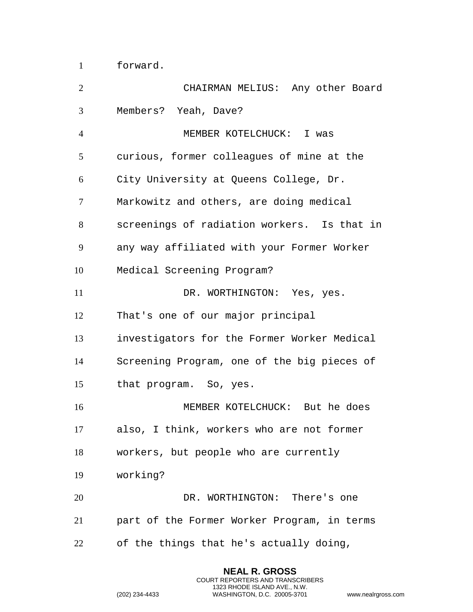forward.

| $\overline{2}$ | CHAIRMAN MELIUS: Any other Board            |
|----------------|---------------------------------------------|
| 3              | Members? Yeah, Dave?                        |
| $\overline{4}$ | MEMBER KOTELCHUCK: I was                    |
| 5              | curious, former colleagues of mine at the   |
| 6              | City University at Queens College, Dr.      |
| $\tau$         | Markowitz and others, are doing medical     |
| 8              | screenings of radiation workers. Is that in |
| 9              | any way affiliated with your Former Worker  |
| 10             | Medical Screening Program?                  |
| 11             | DR. WORTHINGTON: Yes, yes.                  |
| 12             | That's one of our major principal           |
| 13             | investigators for the Former Worker Medical |
| 14             | Screening Program, one of the big pieces of |
| 15             | that program. So, yes.                      |
| 16             | MEMBER KOTELCHUCK: But he does              |
| 17             | also, I think, workers who are not former   |
| 18             | workers, but people who are currently       |
| 19             | working?                                    |
| 20             | DR. WORTHINGTON: There's one                |
| 21             | part of the Former Worker Program, in terms |
| 22             | of the things that he's actually doing,     |

**NEAL R. GROSS** COURT REPORTERS AND TRANSCRIBERS 1323 RHODE ISLAND AVE., N.W.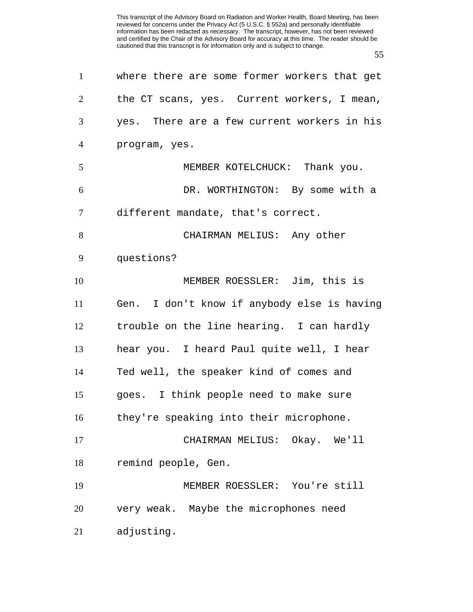| $\mathbf{1}$   | where there are some former workers that get |
|----------------|----------------------------------------------|
| 2              | the CT scans, yes. Current workers, I mean,  |
| 3              | yes. There are a few current workers in his  |
| $\overline{4}$ | program, yes.                                |
| 5              | MEMBER KOTELCHUCK: Thank you.                |
| 6              | DR. WORTHINGTON: By some with a              |
| 7              | different mandate, that's correct.           |
| 8              | CHAIRMAN MELIUS: Any other                   |
| 9              | questions?                                   |
| 10             | MEMBER ROESSLER: Jim, this is                |
| 11             | Gen. I don't know if anybody else is having  |
| 12             | trouble on the line hearing. I can hardly    |
| 13             | hear you. I heard Paul quite well, I hear    |
| 14             | Ted well, the speaker kind of comes and      |
| 15             | goes. I think people need to make sure       |
| 16             | they're speaking into their microphone.      |
| 17             | CHAIRMAN MELIUS: Okay. We'll                 |
| 18             | remind people, Gen.                          |
| 19             | MEMBER ROESSLER: You're still                |
| 20             | very weak. Maybe the microphones need        |
| 21             | adjusting.                                   |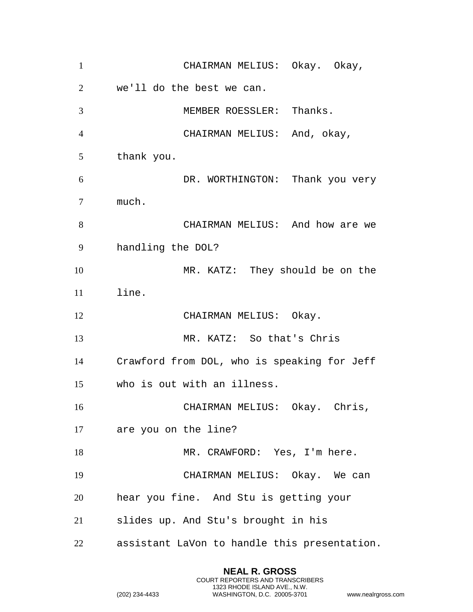| $\mathbf{1}$   | CHAIRMAN MELIUS: Okay. Okay,                 |
|----------------|----------------------------------------------|
| 2              | we'll do the best we can.                    |
| 3              | MEMBER ROESSLER: Thanks.                     |
| $\overline{4}$ | CHAIRMAN MELIUS: And, okay,                  |
| 5              | thank you.                                   |
| 6              | DR. WORTHINGTON: Thank you very              |
| 7              | much.                                        |
| 8              | CHAIRMAN MELIUS: And how are we              |
| 9              | handling the DOL?                            |
| 10             | MR. KATZ: They should be on the              |
| 11             | line.                                        |
| 12             | CHAIRMAN MELIUS: Okay.                       |
| 13             | MR. KATZ: So that's Chris                    |
| 14             | Crawford from DOL, who is speaking for Jeff  |
| 15             | who is out with an illness.                  |
| 16             | CHAIRMAN MELIUS: Okay. Chris,                |
| 17             | are you on the line?                         |
| 18             | MR. CRAWFORD: Yes, I'm here.                 |
| 19             | CHAIRMAN MELIUS: Okay. We can                |
| 20             | hear you fine. And Stu is getting your       |
| 21             | slides up. And Stu's brought in his          |
| 22             | assistant LaVon to handle this presentation. |

**NEAL R. GROSS** COURT REPORTERS AND TRANSCRIBERS 1323 RHODE ISLAND AVE., N.W.

```
(202) 234-4433 WASHINGTON, D.C. 20005-3701 www.nealrgross.com
```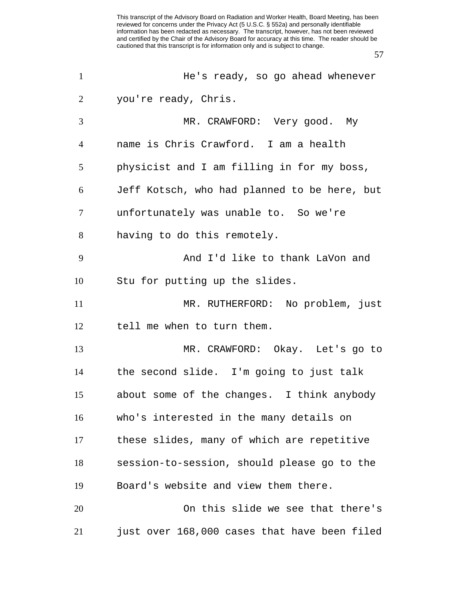| $\mathbf{1}$   | He's ready, so go ahead whenever             |
|----------------|----------------------------------------------|
| $\overline{2}$ | you're ready, Chris.                         |
| 3              | MR. CRAWFORD: Very good. My                  |
| $\overline{4}$ | name is Chris Crawford. I am a health        |
| 5              | physicist and I am filling in for my boss,   |
| 6              | Jeff Kotsch, who had planned to be here, but |
| 7              | unfortunately was unable to. So we're        |
| 8              | having to do this remotely.                  |
| 9              | And I'd like to thank LaVon and              |
| 10             | Stu for putting up the slides.               |
| 11             | MR. RUTHERFORD: No problem, just             |
| 12             | tell me when to turn them.                   |
| 13             | MR. CRAWFORD: Okay. Let's go to              |
| 14             | the second slide. I'm going to just talk     |
| 15             | about some of the changes. I think anybody   |
| 16             | who's interested in the many details on      |
| 17             | these slides, many of which are repetitive   |
| 18             | session-to-session, should please go to the  |
| 19             | Board's website and view them there.         |
| 20             | On this slide we see that there's            |
| 21             | just over 168,000 cases that have been filed |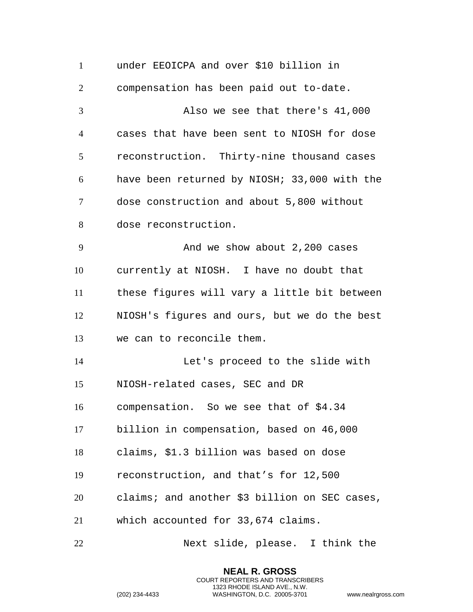under EEOICPA and over \$10 billion in compensation has been paid out to-date. Also we see that there's 41,000 cases that have been sent to NIOSH for dose reconstruction. Thirty-nine thousand cases have been returned by NIOSH; 33,000 with the dose construction and about 5,800 without dose reconstruction. 9 And we show about 2,200 cases currently at NIOSH. I have no doubt that these figures will vary a little bit between NIOSH's figures and ours, but we do the best we can to reconcile them. Let's proceed to the slide with NIOSH-related cases, SEC and DR compensation. So we see that of \$4.34 billion in compensation, based on 46,000 claims, \$1.3 billion was based on dose reconstruction, and that's for 12,500 claims; and another \$3 billion on SEC cases, which accounted for 33,674 claims. Next slide, please. I think the

> **NEAL R. GROSS** COURT REPORTERS AND TRANSCRIBERS 1323 RHODE ISLAND AVE., N.W.

```
(202) 234-4433 WASHINGTON, D.C. 20005-3701 www.nealrgross.com
```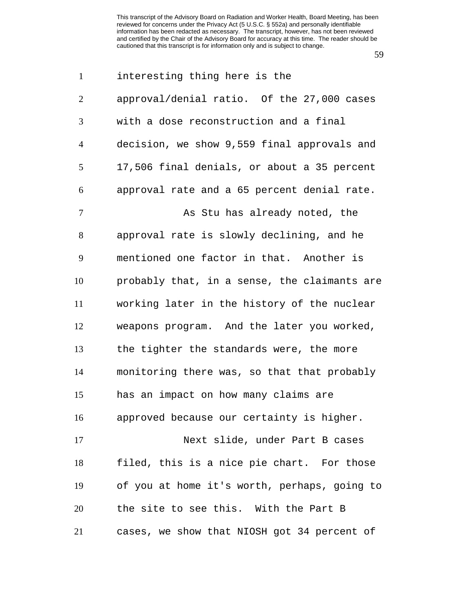| $\mathbf{1}$   | interesting thing here is the                |
|----------------|----------------------------------------------|
| $\overline{2}$ | approval/denial ratio. Of the 27,000 cases   |
| 3              | with a dose reconstruction and a final       |
| $\overline{4}$ | decision, we show 9,559 final approvals and  |
| 5              | 17,506 final denials, or about a 35 percent  |
| 6              | approval rate and a 65 percent denial rate.  |
| $\tau$         | As Stu has already noted, the                |
| 8              | approval rate is slowly declining, and he    |
| 9              | mentioned one factor in that. Another is     |
| 10             | probably that, in a sense, the claimants are |
| 11             | working later in the history of the nuclear  |
| 12             | weapons program. And the later you worked,   |
| 13             | the tighter the standards were, the more     |
| 14             | monitoring there was, so that that probably  |
| 15             | has an impact on how many claims are         |
| 16             | approved because our certainty is higher.    |
| 17             | Next slide, under Part B cases               |
| 18             | filed, this is a nice pie chart. For those   |
| 19             | of you at home it's worth, perhaps, going to |
| 20             | the site to see this. With the Part B        |
| 21             | cases, we show that NIOSH got 34 percent of  |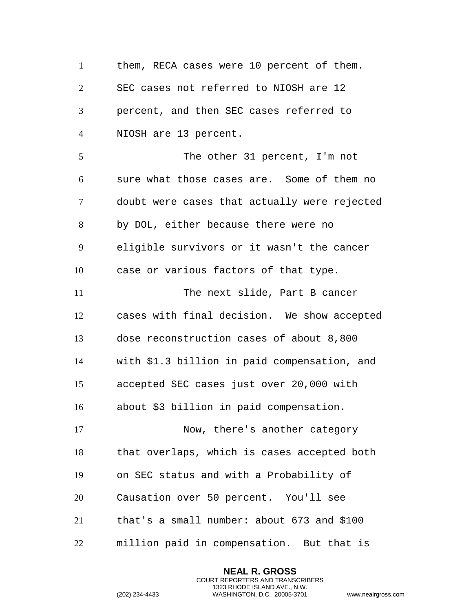1 them, RECA cases were 10 percent of them. SEC cases not referred to NIOSH are 12 percent, and then SEC cases referred to NIOSH are 13 percent. The other 31 percent, I'm not sure what those cases are. Some of them no doubt were cases that actually were rejected by DOL, either because there were no eligible survivors or it wasn't the cancer case or various factors of that type. The next slide, Part B cancer cases with final decision. We show accepted dose reconstruction cases of about 8,800 with \$1.3 billion in paid compensation, and accepted SEC cases just over 20,000 with about \$3 billion in paid compensation. Now, there's another category that overlaps, which is cases accepted both on SEC status and with a Probability of

Causation over 50 percent. You'll see

that's a small number: about 673 and \$100

million paid in compensation. But that is

**NEAL R. GROSS** COURT REPORTERS AND TRANSCRIBERS 1323 RHODE ISLAND AVE., N.W.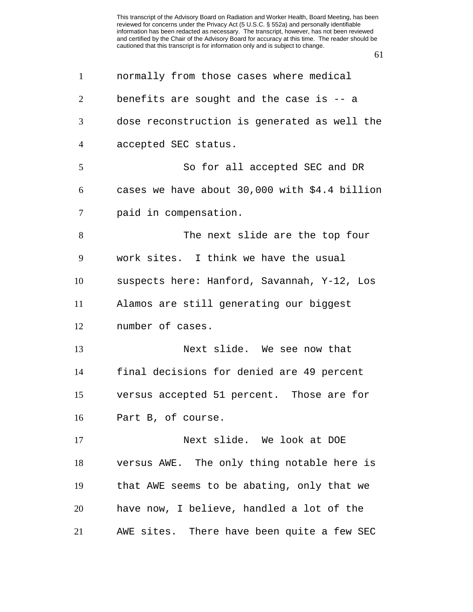normally from those cases where medical benefits are sought and the case is -- a dose reconstruction is generated as well the accepted SEC status. So for all accepted SEC and DR cases we have about 30,000 with \$4.4 billion paid in compensation. The next slide are the top four work sites. I think we have the usual suspects here: Hanford, Savannah, Y-12, Los Alamos are still generating our biggest number of cases. Next slide. We see now that final decisions for denied are 49 percent versus accepted 51 percent. Those are for Part B, of course. Next slide. We look at DOE versus AWE. The only thing notable here is that AWE seems to be abating, only that we have now, I believe, handled a lot of the

AWE sites. There have been quite a few SEC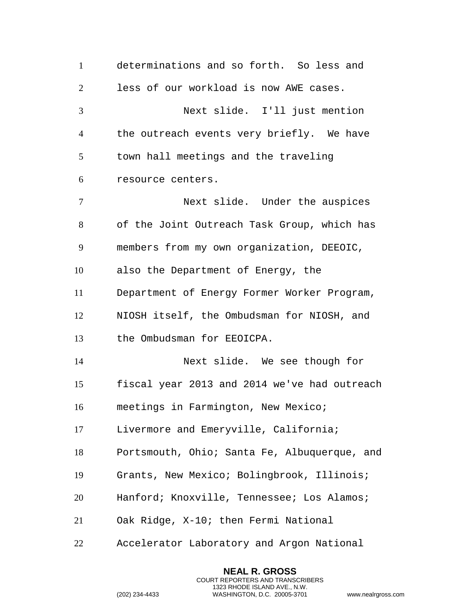determinations and so forth. So less and less of our workload is now AWE cases. Next slide. I'll just mention the outreach events very briefly. We have town hall meetings and the traveling resource centers. Next slide. Under the auspices of the Joint Outreach Task Group, which has members from my own organization, DEEOIC, also the Department of Energy, the Department of Energy Former Worker Program, NIOSH itself, the Ombudsman for NIOSH, and the Ombudsman for EEOICPA. Next slide. We see though for fiscal year 2013 and 2014 we've had outreach meetings in Farmington, New Mexico; Livermore and Emeryville, California; Portsmouth, Ohio; Santa Fe, Albuquerque, and Grants, New Mexico; Bolingbrook, Illinois; Hanford; Knoxville, Tennessee; Los Alamos; Oak Ridge, X-10; then Fermi National Accelerator Laboratory and Argon National

> **NEAL R. GROSS** COURT REPORTERS AND TRANSCRIBERS 1323 RHODE ISLAND AVE., N.W.

```
(202) 234-4433 WASHINGTON, D.C. 20005-3701 www.nealrgross.com
```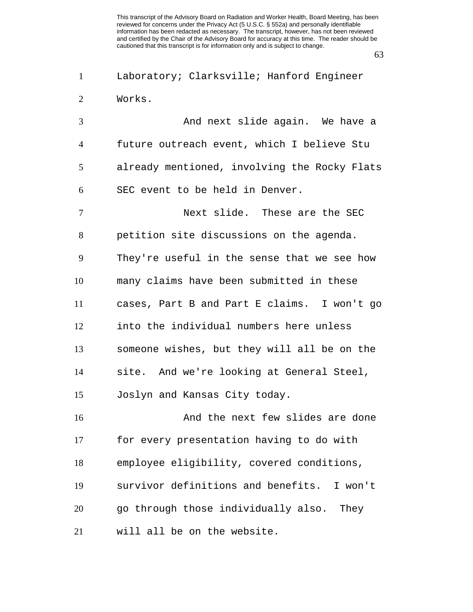Laboratory; Clarksville; Hanford Engineer Works.

 And next slide again. We have a future outreach event, which I believe Stu already mentioned, involving the Rocky Flats SEC event to be held in Denver.

 Next slide. These are the SEC petition site discussions on the agenda. They're useful in the sense that we see how many claims have been submitted in these cases, Part B and Part E claims. I won't go into the individual numbers here unless someone wishes, but they will all be on the site. And we're looking at General Steel, Joslyn and Kansas City today.

 And the next few slides are done for every presentation having to do with employee eligibility, covered conditions, survivor definitions and benefits. I won't go through those individually also. They will all be on the website.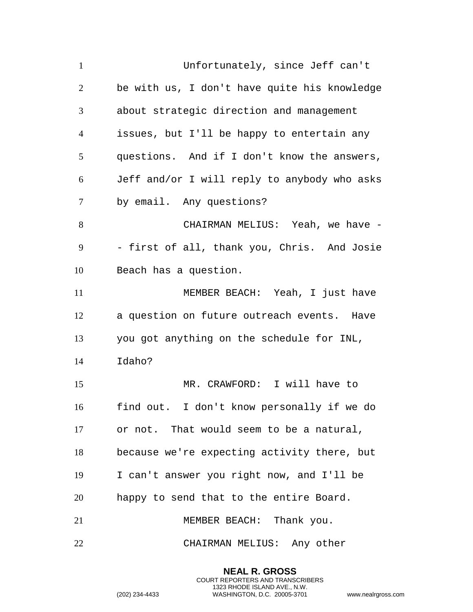Unfortunately, since Jeff can't be with us, I don't have quite his knowledge about strategic direction and management issues, but I'll be happy to entertain any questions. And if I don't know the answers, Jeff and/or I will reply to anybody who asks by email. Any questions? CHAIRMAN MELIUS: Yeah, we have - - first of all, thank you, Chris. And Josie Beach has a question. MEMBER BEACH: Yeah, I just have a question on future outreach events. Have you got anything on the schedule for INL, Idaho? MR. CRAWFORD: I will have to find out. I don't know personally if we do or not. That would seem to be a natural, because we're expecting activity there, but I can't answer you right now, and I'll be happy to send that to the entire Board. 21 MEMBER BEACH: Thank you. CHAIRMAN MELIUS: Any other

> **NEAL R. GROSS** COURT REPORTERS AND TRANSCRIBERS 1323 RHODE ISLAND AVE., N.W.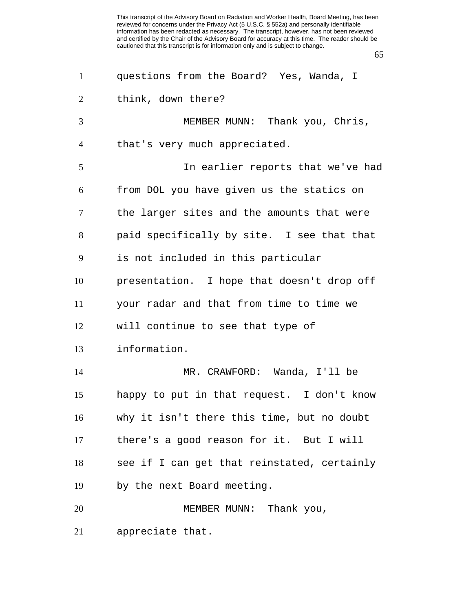| $\mathbf{1}$   | questions from the Board? Yes, Wanda, I     |
|----------------|---------------------------------------------|
| 2              | think, down there?                          |
| 3              | MEMBER MUNN: Thank you, Chris,              |
| $\overline{4}$ | that's very much appreciated.               |
| 5              | In earlier reports that we've had           |
| 6              | from DOL you have given us the statics on   |
| $\tau$         | the larger sites and the amounts that were  |
| 8              | paid specifically by site. I see that that  |
| 9              | is not included in this particular          |
| 10             | presentation. I hope that doesn't drop off  |
| 11             | your radar and that from time to time we    |
| 12             | will continue to see that type of           |
| 13             | information.                                |
| 14             | MR. CRAWFORD: Wanda, I'll be                |
| 15             | happy to put in that request. I don't know  |
| 16             | why it isn't there this time, but no doubt  |
| 17             | there's a good reason for it. But I will    |
| 18             | see if I can get that reinstated, certainly |
| 19             | by the next Board meeting.                  |
| 20             | MEMBER MUNN: Thank you,                     |
| 21             | appreciate that.                            |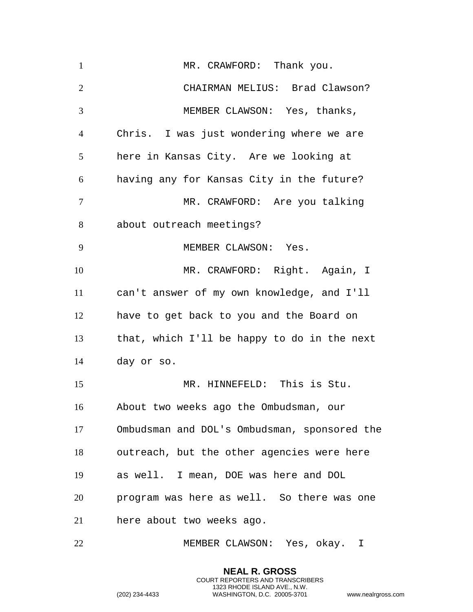1 MR. CRAWFORD: Thank you. CHAIRMAN MELIUS: Brad Clawson? MEMBER CLAWSON: Yes, thanks, Chris. I was just wondering where we are here in Kansas City. Are we looking at having any for Kansas City in the future? MR. CRAWFORD: Are you talking about outreach meetings? MEMBER CLAWSON: Yes. MR. CRAWFORD: Right. Again, I can't answer of my own knowledge, and I'll have to get back to you and the Board on that, which I'll be happy to do in the next day or so. MR. HINNEFELD: This is Stu. About two weeks ago the Ombudsman, our Ombudsman and DOL's Ombudsman, sponsored the outreach, but the other agencies were here as well. I mean, DOE was here and DOL program was here as well. So there was one here about two weeks ago.

MEMBER CLAWSON: Yes, okay. I

**NEAL R. GROSS** COURT REPORTERS AND TRANSCRIBERS 1323 RHODE ISLAND AVE., N.W.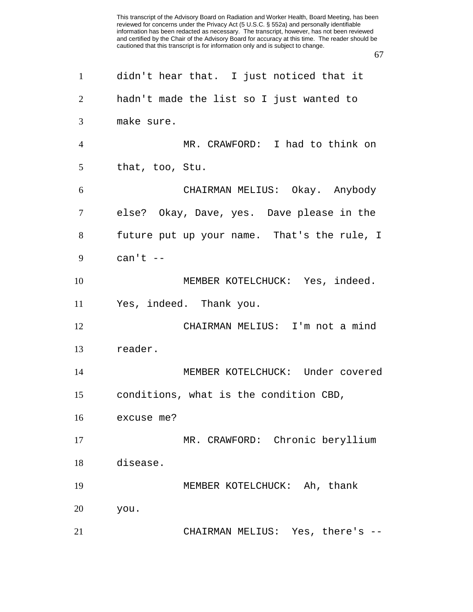| $\mathbf{1}$   | didn't hear that. I just noticed that it    |
|----------------|---------------------------------------------|
| $\overline{2}$ | hadn't made the list so I just wanted to    |
| 3              | make sure.                                  |
| $\overline{4}$ | MR. CRAWFORD: I had to think on             |
| 5              | that, too, Stu.                             |
| 6              | CHAIRMAN MELIUS: Okay. Anybody              |
| 7              | else? Okay, Dave, yes. Dave please in the   |
| 8              | future put up your name. That's the rule, I |
| 9              | can't $--$                                  |
| 10             | MEMBER KOTELCHUCK: Yes, indeed.             |
| 11             | Yes, indeed. Thank you.                     |
| 12             | CHAIRMAN MELIUS: I'm not a mind             |
| 13             | reader.                                     |
| 14             | MEMBER KOTELCHUCK: Under covered            |
| 15             | conditions, what is the condition CBD,      |
| 16             | excuse me?                                  |
| 17             | MR. CRAWFORD: Chronic beryllium             |
| 18             | disease.                                    |
| 19             | MEMBER KOTELCHUCK: Ah, thank                |
| 20             | you.                                        |
| 21             | CHAIRMAN MELIUS: Yes, there's               |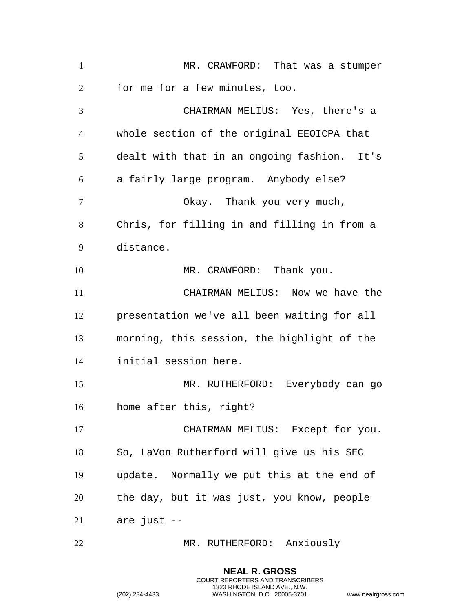MR. CRAWFORD: That was a stumper for me for a few minutes, too. CHAIRMAN MELIUS: Yes, there's a whole section of the original EEOICPA that dealt with that in an ongoing fashion. It's a fairly large program. Anybody else? Okay. Thank you very much, Chris, for filling in and filling in from a distance. 10 MR. CRAWFORD: Thank you. CHAIRMAN MELIUS: Now we have the presentation we've all been waiting for all morning, this session, the highlight of the initial session here. MR. RUTHERFORD: Everybody can go home after this, right? CHAIRMAN MELIUS: Except for you. So, LaVon Rutherford will give us his SEC update. Normally we put this at the end of the day, but it was just, you know, people are just -- 22 MR. RUTHERFORD: Anxiously

> **NEAL R. GROSS** COURT REPORTERS AND TRANSCRIBERS 1323 RHODE ISLAND AVE., N.W.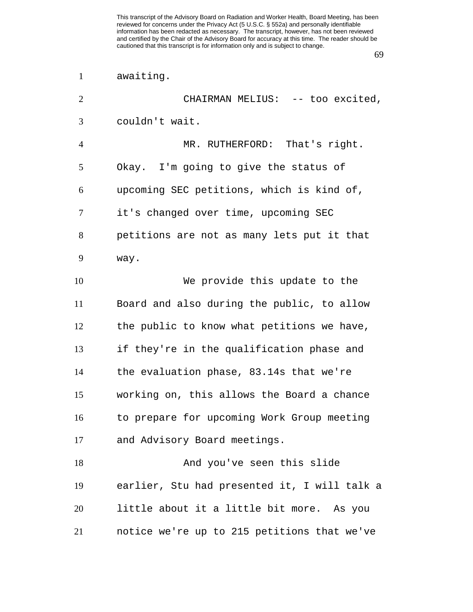awaiting.

| $\overline{2}$ | CHAIRMAN MELIUS: -- too excited,             |
|----------------|----------------------------------------------|
| 3              | couldn't wait.                               |
| $\overline{4}$ | MR. RUTHERFORD: That's right.                |
| 5              | Okay. I'm going to give the status of        |
| 6              | upcoming SEC petitions, which is kind of,    |
| 7              | it's changed over time, upcoming SEC         |
| 8              | petitions are not as many lets put it that   |
| 9              | way.                                         |
| 10             | We provide this update to the                |
| 11             | Board and also during the public, to allow   |
| 12             | the public to know what petitions we have,   |
| 13             | if they're in the qualification phase and    |
| 14             | the evaluation phase, 83.14s that we're      |
| 15             | working on, this allows the Board a chance   |
| 16             | to prepare for upcoming Work Group meeting   |
| 17             | and Advisory Board meetings.                 |
| 18             | And you've seen this slide                   |
| 19             | earlier, Stu had presented it, I will talk a |
| 20             | little about it a little bit more. As you    |
| 21             | notice we're up to 215 petitions that we've  |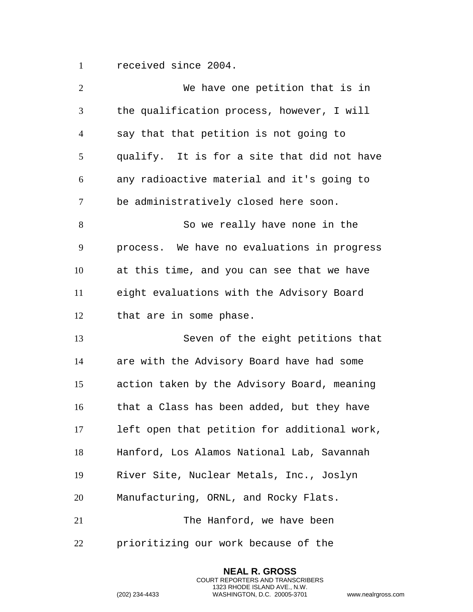received since 2004.

| $\overline{2}$ | We have one petition that is in              |
|----------------|----------------------------------------------|
| 3              | the qualification process, however, I will   |
| $\overline{4}$ | say that that petition is not going to       |
| 5              | qualify. It is for a site that did not have  |
| 6              | any radioactive material and it's going to   |
| 7              | be administratively closed here soon.        |
| 8              | So we really have none in the                |
| 9              | process. We have no evaluations in progress  |
| 10             | at this time, and you can see that we have   |
| 11             | eight evaluations with the Advisory Board    |
| 12             | that are in some phase.                      |
| 13             | Seven of the eight petitions that            |
| 14             | are with the Advisory Board have had some    |
| 15             | action taken by the Advisory Board, meaning  |
| 16             | that a Class has been added, but they have   |
| 17             | left open that petition for additional work, |
| 18             | Hanford, Los Alamos National Lab, Savannah   |
| 19             | River Site, Nuclear Metals, Inc., Joslyn     |
| 20             | Manufacturing, ORNL, and Rocky Flats.        |
| 21             | The Hanford, we have been                    |
| 22             | prioritizing our work because of the         |

**NEAL R. GROSS** COURT REPORTERS AND TRANSCRIBERS 1323 RHODE ISLAND AVE., N.W.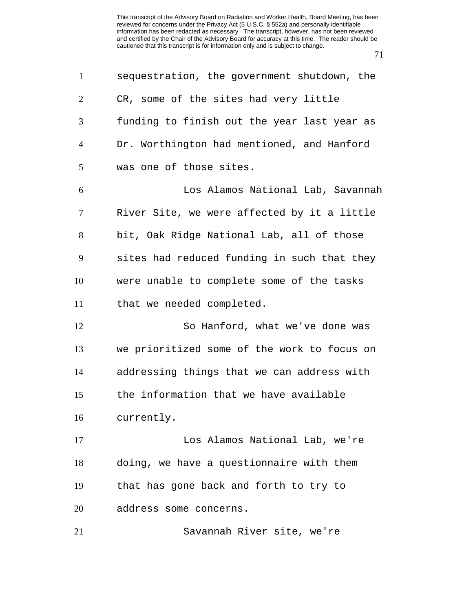| $\mathbf{1}$   | sequestration, the government shutdown, the |
|----------------|---------------------------------------------|
| 2              | CR, some of the sites had very little       |
| 3              | funding to finish out the year last year as |
| $\overline{4}$ | Dr. Worthington had mentioned, and Hanford  |
| 5              | was one of those sites.                     |
| 6              | Los Alamos National Lab, Savannah           |
| 7              | River Site, we were affected by it a little |
| 8              | bit, Oak Ridge National Lab, all of those   |
| 9              | sites had reduced funding in such that they |
| 10             | were unable to complete some of the tasks   |
| 11             | that we needed completed.                   |
| 12             | So Hanford, what we've done was             |
| 13             | we prioritized some of the work to focus on |
| 14             | addressing things that we can address with  |
| 15             | the information that we have available      |
| 16             | currently.                                  |
| 17             | Los Alamos National Lab, we're              |
| 18             | doing, we have a questionnaire with them    |
| 19             | that has gone back and forth to try to      |
| 20             | address some concerns.                      |
| 21             | Savannah River site, we're                  |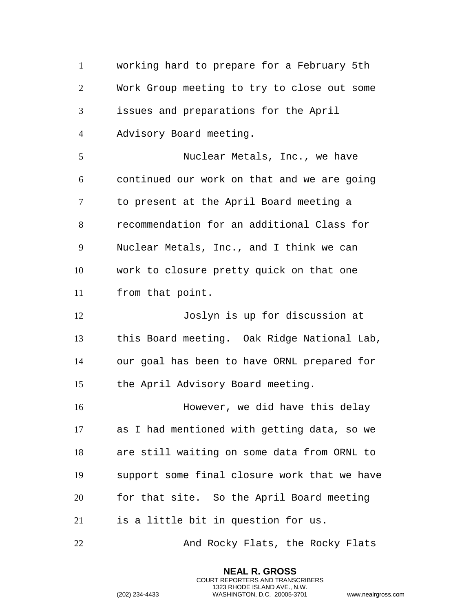working hard to prepare for a February 5th Work Group meeting to try to close out some issues and preparations for the April Advisory Board meeting.

 Nuclear Metals, Inc., we have continued our work on that and we are going to present at the April Board meeting a recommendation for an additional Class for Nuclear Metals, Inc., and I think we can work to closure pretty quick on that one from that point.

 Joslyn is up for discussion at this Board meeting. Oak Ridge National Lab, our goal has been to have ORNL prepared for the April Advisory Board meeting.

 However, we did have this delay as I had mentioned with getting data, so we are still waiting on some data from ORNL to support some final closure work that we have for that site. So the April Board meeting is a little bit in question for us.

22 And Rocky Flats, the Rocky Flats

**NEAL R. GROSS** COURT REPORTERS AND TRANSCRIBERS 1323 RHODE ISLAND AVE., N.W.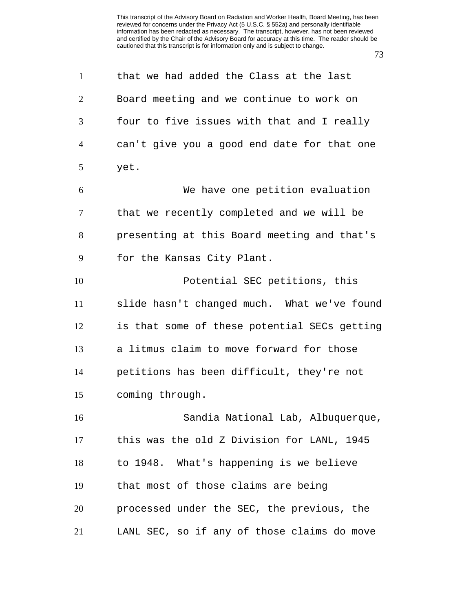| $\mathbf{1}$   | that we had added the Class at the last      |
|----------------|----------------------------------------------|
| $\overline{2}$ | Board meeting and we continue to work on     |
| 3              | four to five issues with that and I really   |
| 4              | can't give you a good end date for that one  |
| 5              | yet.                                         |
| 6              | We have one petition evaluation              |
| 7              | that we recently completed and we will be    |
| 8              | presenting at this Board meeting and that's  |
| 9              | for the Kansas City Plant.                   |
| 10             | Potential SEC petitions, this                |
| 11             | slide hasn't changed much. What we've found  |
| 12             | is that some of these potential SECs getting |
| 13             | a litmus claim to move forward for those     |
| 14             | petitions has been difficult, they're not    |
| 15             | coming through.                              |
| 16             | Sandia National Lab, Albuquerque,            |
| 17             | this was the old Z Division for LANL, 1945   |
| 18             | to 1948. What's happening is we believe      |
| 19             | that most of those claims are being          |
| 20             | processed under the SEC, the previous, the   |
| 21             | LANL SEC, so if any of those claims do move  |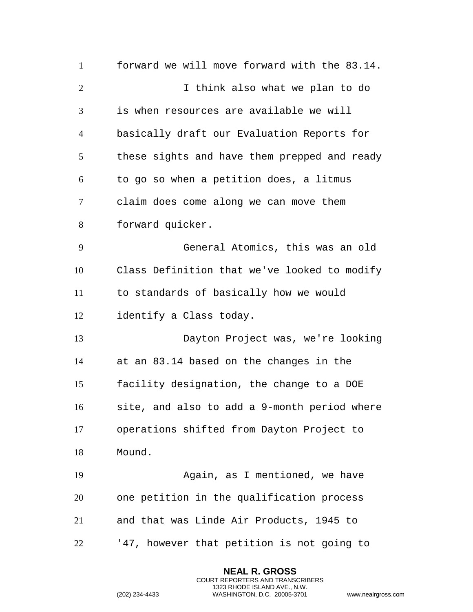forward we will move forward with the 83.14. I think also what we plan to do is when resources are available we will basically draft our Evaluation Reports for these sights and have them prepped and ready to go so when a petition does, a litmus claim does come along we can move them forward quicker. General Atomics, this was an old Class Definition that we've looked to modify to standards of basically how we would identify a Class today. Dayton Project was, we're looking at an 83.14 based on the changes in the facility designation, the change to a DOE site, and also to add a 9-month period where operations shifted from Dayton Project to Mound. Again, as I mentioned, we have one petition in the qualification process and that was Linde Air Products, 1945 to '47, however that petition is not going to

> **NEAL R. GROSS** COURT REPORTERS AND TRANSCRIBERS 1323 RHODE ISLAND AVE., N.W.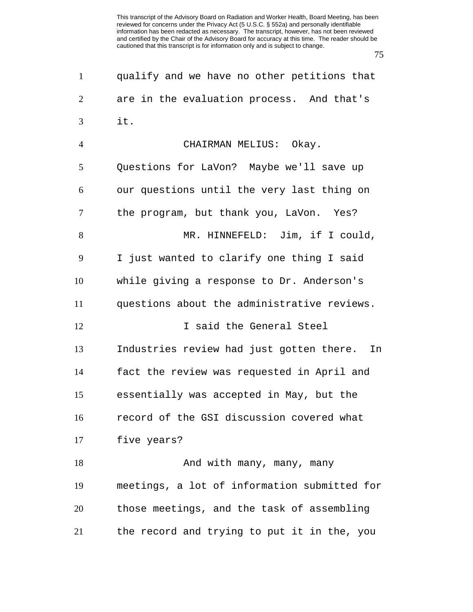qualify and we have no other petitions that are in the evaluation process. And that's it. CHAIRMAN MELIUS: Okay. Questions for LaVon? Maybe we'll save up our questions until the very last thing on the program, but thank you, LaVon. Yes? 8 MR. HINNEFELD: Jim, if I could, I just wanted to clarify one thing I said while giving a response to Dr. Anderson's questions about the administrative reviews. 12 I said the General Steel Industries review had just gotten there. In fact the review was requested in April and essentially was accepted in May, but the record of the GSI discussion covered what five years? 18 And with many, many, many meetings, a lot of information submitted for those meetings, and the task of assembling the record and trying to put it in the, you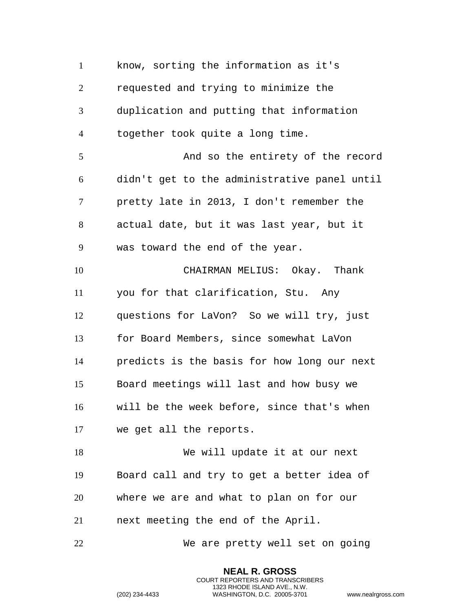know, sorting the information as it's requested and trying to minimize the duplication and putting that information together took quite a long time. And so the entirety of the record didn't get to the administrative panel until pretty late in 2013, I don't remember the actual date, but it was last year, but it was toward the end of the year. CHAIRMAN MELIUS: Okay. Thank you for that clarification, Stu. Any questions for LaVon? So we will try, just for Board Members, since somewhat LaVon predicts is the basis for how long our next Board meetings will last and how busy we will be the week before, since that's when we get all the reports. We will update it at our next Board call and try to get a better idea of where we are and what to plan on for our next meeting the end of the April. We are pretty well set on going

> **NEAL R. GROSS** COURT REPORTERS AND TRANSCRIBERS 1323 RHODE ISLAND AVE., N.W.

```
(202) 234-4433 WASHINGTON, D.C. 20005-3701 www.nealrgross.com
```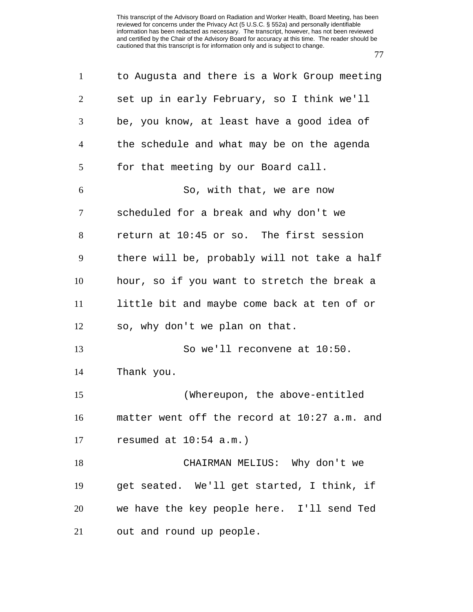| $\mathbf{1}$   | to Augusta and there is a Work Group meeting |
|----------------|----------------------------------------------|
| $\overline{2}$ | set up in early February, so I think we'll   |
| 3              | be, you know, at least have a good idea of   |
| $\overline{4}$ | the schedule and what may be on the agenda   |
| 5              | for that meeting by our Board call.          |
| 6              | So, with that, we are now                    |
| $\tau$         | scheduled for a break and why don't we       |
| 8              | return at 10:45 or so. The first session     |
| 9              | there will be, probably will not take a half |
| 10             | hour, so if you want to stretch the break a  |
| 11             | little bit and maybe come back at ten of or  |
| 12             | so, why don't we plan on that.               |
| 13             | So we'll reconvene at 10:50.                 |
| 14             | Thank you.                                   |
| 15             | (Whereupon, the above-entitled               |
| 16             | matter went off the record at 10:27 a.m. and |
| 17             | resumed at 10:54 a.m.)                       |
| 18             | CHAIRMAN MELIUS: Why don't we                |
| 19             | get seated. We'll get started, I think, if   |
| 20             | we have the key people here. I'll send Ted   |
| 21             | out and round up people.                     |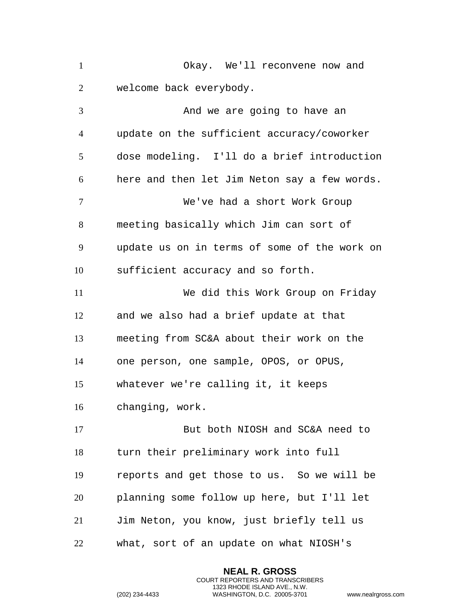Okay. We'll reconvene now and welcome back everybody. And we are going to have an update on the sufficient accuracy/coworker dose modeling. I'll do a brief introduction here and then let Jim Neton say a few words. We've had a short Work Group meeting basically which Jim can sort of update us on in terms of some of the work on sufficient accuracy and so forth. We did this Work Group on Friday and we also had a brief update at that meeting from SC&A about their work on the

one person, one sample, OPOS, or OPUS,

whatever we're calling it, it keeps

changing, work.

17 But both NIOSH and SC&A need to turn their preliminary work into full reports and get those to us. So we will be planning some follow up here, but I'll let Jim Neton, you know, just briefly tell us what, sort of an update on what NIOSH's

> **NEAL R. GROSS** COURT REPORTERS AND TRANSCRIBERS 1323 RHODE ISLAND AVE., N.W.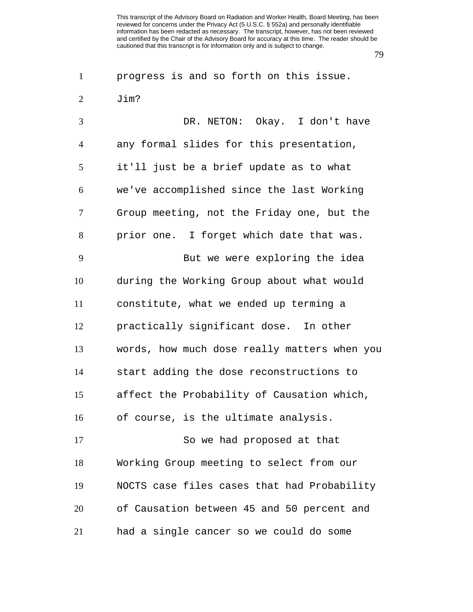progress is and so forth on this issue. Jim?

 DR. NETON: Okay. I don't have any formal slides for this presentation, it'll just be a brief update as to what we've accomplished since the last Working Group meeting, not the Friday one, but the prior one. I forget which date that was. But we were exploring the idea during the Working Group about what would constitute, what we ended up terming a practically significant dose. In other words, how much dose really matters when you start adding the dose reconstructions to affect the Probability of Causation which, of course, is the ultimate analysis. So we had proposed at that Working Group meeting to select from our NOCTS case files cases that had Probability of Causation between 45 and 50 percent and had a single cancer so we could do some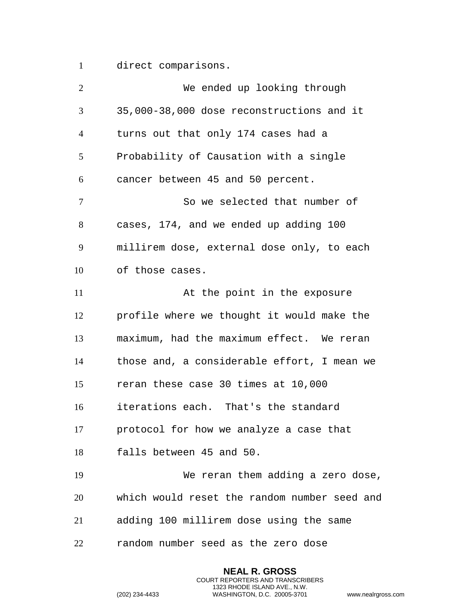direct comparisons.

| 2                        | We ended up looking through                  |
|--------------------------|----------------------------------------------|
| 3                        | 35,000-38,000 dose reconstructions and it    |
| $\overline{4}$           | turns out that only 174 cases had a          |
| 5                        | Probability of Causation with a single       |
| 6                        | cancer between 45 and 50 percent.            |
| $\overline{\mathcal{L}}$ | So we selected that number of                |
| 8                        | cases, 174, and we ended up adding 100       |
| 9                        | millirem dose, external dose only, to each   |
| 10                       | of those cases.                              |
| 11                       | At the point in the exposure                 |
| 12                       | profile where we thought it would make the   |
| 13                       | maximum, had the maximum effect. We reran    |
| 14                       | those and, a considerable effort, I mean we  |
| 15                       | reran these case 30 times at 10,000          |
| 16                       | iterations each. That's the standard         |
| 17                       | protocol for how we analyze a case that      |
| 18                       | falls between 45 and 50.                     |
| 19                       | We reran them adding a zero dose,            |
| 20                       | which would reset the random number seed and |
| 21                       | adding 100 millirem dose using the same      |
| 22                       | random number seed as the zero dose          |

**NEAL R. GROSS** COURT REPORTERS AND TRANSCRIBERS 1323 RHODE ISLAND AVE., N.W.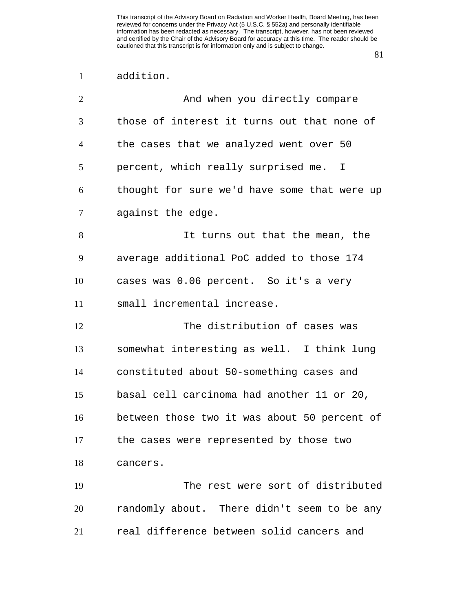| addition. |
|-----------|
|           |

| $\overline{2}$ | And when you directly compare                |
|----------------|----------------------------------------------|
| 3              | those of interest it turns out that none of  |
| 4              | the cases that we analyzed went over 50      |
| 5              | percent, which really surprised me. I        |
| 6              | thought for sure we'd have some that were up |
| 7              | against the edge.                            |
| 8              | It turns out that the mean, the              |
| 9              | average additional PoC added to those 174    |
| 10             | cases was 0.06 percent. So it's a very       |
| 11             | small incremental increase.                  |
| 12             | The distribution of cases was                |
| 13             | somewhat interesting as well. I think lung   |
| 14             | constituted about 50-something cases and     |
| 15             | basal cell carcinoma had another 11 or 20,   |
| 16             | between those two it was about 50 percent of |
| 17             | the cases were represented by those two      |
| 18             | cancers.                                     |
| 19             | The rest were sort of distributed            |
| 20             | randomly about. There didn't seem to be any  |
| 21             | real difference between solid cancers and    |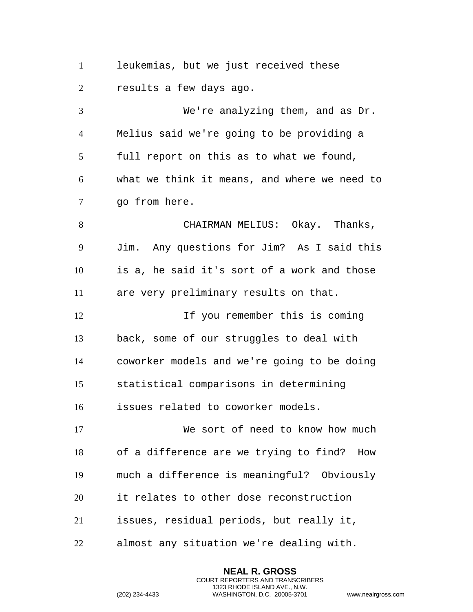leukemias, but we just received these results a few days ago.

 We're analyzing them, and as Dr. Melius said we're going to be providing a full report on this as to what we found, what we think it means, and where we need to go from here. 8 CHAIRMAN MELIUS: Okay. Thanks, Jim. Any questions for Jim? As I said this is a, he said it's sort of a work and those are very preliminary results on that. If you remember this is coming back, some of our struggles to deal with coworker models and we're going to be doing statistical comparisons in determining issues related to coworker models. We sort of need to know how much of a difference are we trying to find? How much a difference is meaningful? Obviously it relates to other dose reconstruction issues, residual periods, but really it,

almost any situation we're dealing with.

**NEAL R. GROSS** COURT REPORTERS AND TRANSCRIBERS 1323 RHODE ISLAND AVE., N.W.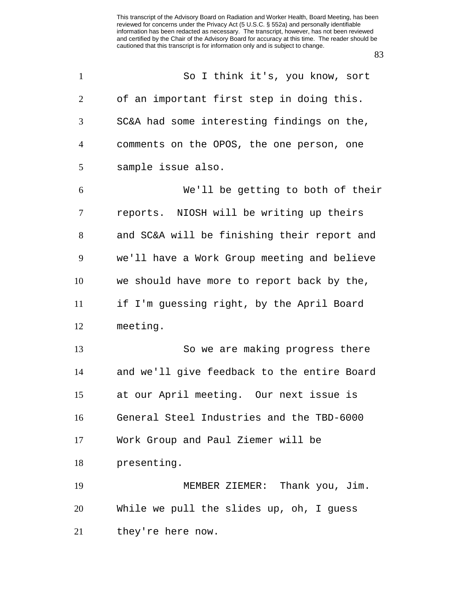| $\mathbf{1}$   | So I think it's, you know, sort             |
|----------------|---------------------------------------------|
| 2              | of an important first step in doing this.   |
| 3              | SC&A had some interesting findings on the,  |
| $\overline{4}$ | comments on the OPOS, the one person, one   |
| 5              | sample issue also.                          |
| 6              | We'll be getting to both of their           |
| $\tau$         | reports. NIOSH will be writing up theirs    |
| 8              | and SC&A will be finishing their report and |
| 9              | we'll have a Work Group meeting and believe |
| 10             | we should have more to report back by the,  |
| 11             | if I'm guessing right, by the April Board   |
| 12             | meeting.                                    |
| 13             | So we are making progress there             |
| 14             | and we'll give feedback to the entire Board |
| 15             | at our April meeting. Our next issue is     |
| 16             | General Steel Industries and the TBD-6000   |
| 17             | Work Group and Paul Ziemer will be          |
| 18             | presenting.                                 |
| 19             | MEMBER ZIEMER: Thank you, Jim.              |
| 20             | While we pull the slides up, oh, I guess    |
| 21             | they're here now.                           |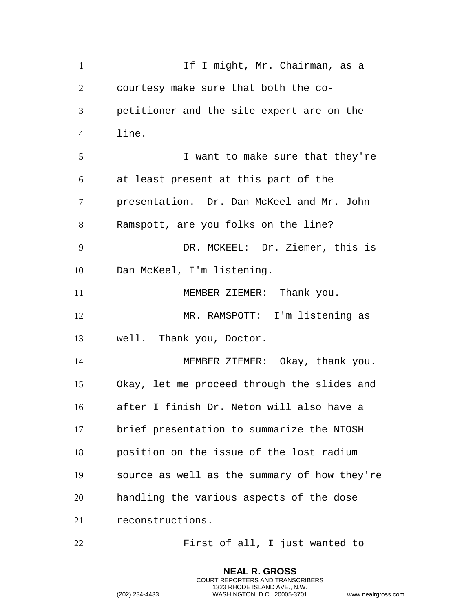1 If I might, Mr. Chairman, as a courtesy make sure that both the co- petitioner and the site expert are on the line. I want to make sure that they're at least present at this part of the presentation. Dr. Dan McKeel and Mr. John Ramspott, are you folks on the line? DR. MCKEEL: Dr. Ziemer, this is Dan McKeel, I'm listening. 11 MEMBER ZIEMER: Thank you. MR. RAMSPOTT: I'm listening as well. Thank you, Doctor. MEMBER ZIEMER: Okay, thank you. Okay, let me proceed through the slides and after I finish Dr. Neton will also have a brief presentation to summarize the NIOSH position on the issue of the lost radium source as well as the summary of how they're handling the various aspects of the dose reconstructions. First of all, I just wanted to

> **NEAL R. GROSS** COURT REPORTERS AND TRANSCRIBERS 1323 RHODE ISLAND AVE., N.W.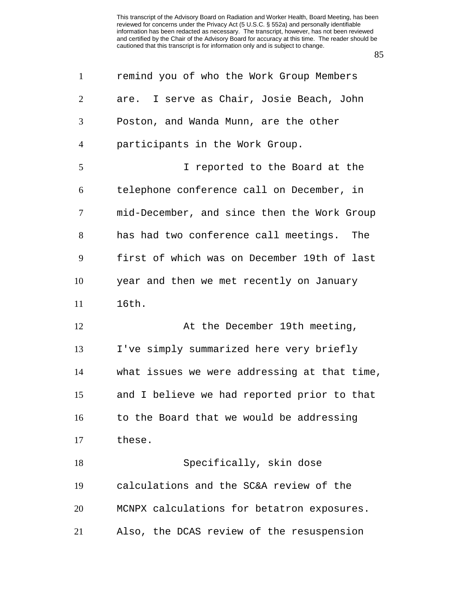| $\mathbf{1}$   | remind you of who the Work Group Members     |
|----------------|----------------------------------------------|
| $\overline{2}$ | are. I serve as Chair, Josie Beach, John     |
| 3              | Poston, and Wanda Munn, are the other        |
| $\overline{4}$ | participants in the Work Group.              |
| 5              | I reported to the Board at the               |
| 6              | telephone conference call on December, in    |
| $\tau$         | mid-December, and since then the Work Group  |
| 8              | has had two conference call meetings. The    |
| 9              | first of which was on December 19th of last  |
| 10             | year and then we met recently on January     |
| 11             | 16th.                                        |
| 12             | At the December 19th meeting,                |
| 13             | I've simply summarized here very briefly     |
| 14             | what issues we were addressing at that time, |
| 15             | and I believe we had reported prior to that  |
| 16             | to the Board that we would be addressing     |
| 17             | these.                                       |
| 18             | Specifically, skin dose                      |
| 19             | calculations and the SC&A review of the      |
| 20             | MCNPX calculations for betatron exposures.   |
| 21             | Also, the DCAS review of the resuspension    |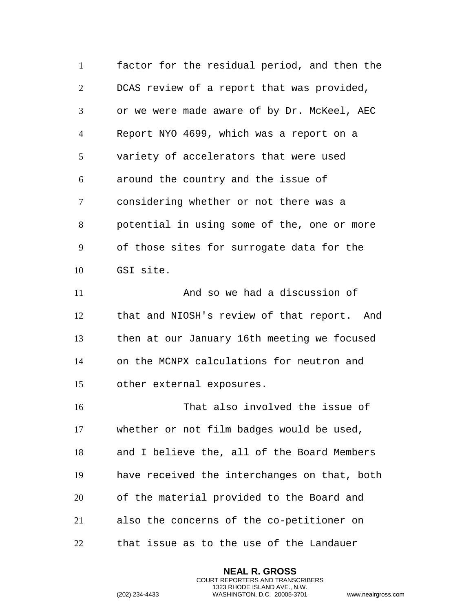factor for the residual period, and then the DCAS review of a report that was provided, or we were made aware of by Dr. McKeel, AEC Report NYO 4699, which was a report on a variety of accelerators that were used around the country and the issue of considering whether or not there was a potential in using some of the, one or more of those sites for surrogate data for the GSI site. And so we had a discussion of

 that and NIOSH's review of that report. And then at our January 16th meeting we focused on the MCNPX calculations for neutron and other external exposures.

 That also involved the issue of whether or not film badges would be used, and I believe the, all of the Board Members have received the interchanges on that, both of the material provided to the Board and also the concerns of the co-petitioner on that issue as to the use of the Landauer

> **NEAL R. GROSS** COURT REPORTERS AND TRANSCRIBERS 1323 RHODE ISLAND AVE., N.W.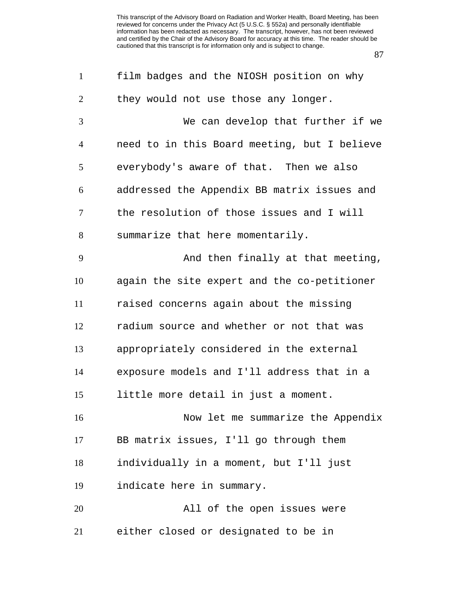| $\mathbf{1}$   | film badges and the NIOSH position on why    |
|----------------|----------------------------------------------|
| $\overline{2}$ | they would not use those any longer.         |
| 3              | We can develop that further if we            |
| $\overline{4}$ | need to in this Board meeting, but I believe |
| 5              | everybody's aware of that. Then we also      |
| 6              | addressed the Appendix BB matrix issues and  |
| 7              | the resolution of those issues and I will    |
| 8              | summarize that here momentarily.             |
| 9              | And then finally at that meeting,            |
| 10             | again the site expert and the co-petitioner  |
| 11             | raised concerns again about the missing      |
| 12             | radium source and whether or not that was    |
| 13             | appropriately considered in the external     |
| 14             | exposure models and I'll address that in a   |
| 15             | little more detail in just a moment.         |
| 16             | Now let me summarize the Appendix            |
| 17             | BB matrix issues, I'll go through them       |
| 18             | individually in a moment, but I'll just      |
| 19             | indicate here in summary.                    |
| 20             | All of the open issues were                  |
| 21             | either closed or designated to be in         |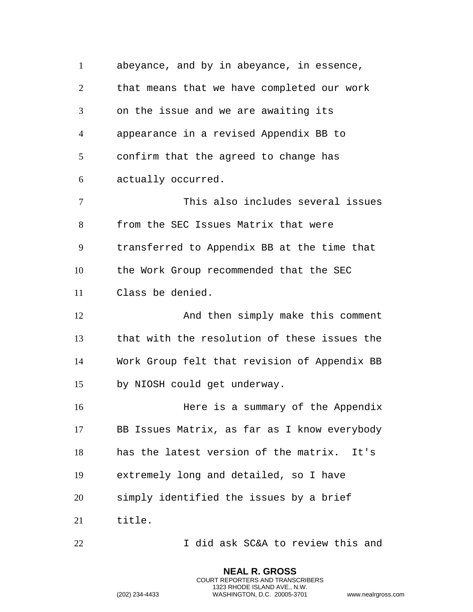abeyance, and by in abeyance, in essence, that means that we have completed our work on the issue and we are awaiting its appearance in a revised Appendix BB to confirm that the agreed to change has actually occurred. This also includes several issues from the SEC Issues Matrix that were transferred to Appendix BB at the time that the Work Group recommended that the SEC Class be denied. 12 And then simply make this comment that with the resolution of these issues the Work Group felt that revision of Appendix BB by NIOSH could get underway. Here is a summary of the Appendix BB Issues Matrix, as far as I know everybody has the latest version of the matrix. It's extremely long and detailed, so I have simply identified the issues by a brief title. I did ask SC&A to review this and

> **NEAL R. GROSS** COURT REPORTERS AND TRANSCRIBERS 1323 RHODE ISLAND AVE., N.W.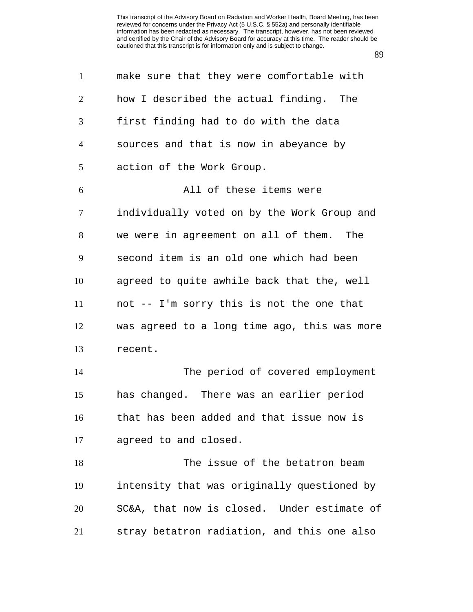| $\mathbf{1}$   | make sure that they were comfortable with    |
|----------------|----------------------------------------------|
| 2              | how I described the actual finding. The      |
| 3              | first finding had to do with the data        |
| $\overline{4}$ | sources and that is now in abeyance by       |
| 5              | action of the Work Group.                    |
| 6              | All of these items were                      |
| $\tau$         | individually voted on by the Work Group and  |
| 8              | we were in agreement on all of them. The     |
| 9              | second item is an old one which had been     |
| 10             | agreed to quite awhile back that the, well   |
| 11             | not -- I'm sorry this is not the one that    |
| 12             | was agreed to a long time ago, this was more |
| 13             | recent.                                      |
| 14             | The period of covered employment             |
| 15             | has changed. There was an earlier period     |
| 16             | that has been added and that issue now is    |
| 17             | agreed to and closed.                        |
| 18             | The issue of the betatron beam               |
| 19             | intensity that was originally questioned by  |
| 20             | SC&A, that now is closed. Under estimate of  |
| 21             | stray betatron radiation, and this one also  |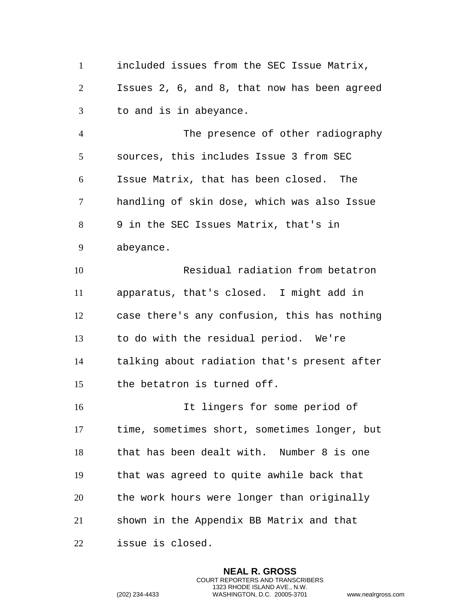included issues from the SEC Issue Matrix, Issues 2, 6, and 8, that now has been agreed to and is in abeyance. The presence of other radiography sources, this includes Issue 3 from SEC Issue Matrix, that has been closed. The handling of skin dose, which was also Issue 9 in the SEC Issues Matrix, that's in abeyance. Residual radiation from betatron apparatus, that's closed. I might add in case there's any confusion, this has nothing to do with the residual period. We're talking about radiation that's present after the betatron is turned off. It lingers for some period of time, sometimes short, sometimes longer, but that has been dealt with. Number 8 is one that was agreed to quite awhile back that the work hours were longer than originally shown in the Appendix BB Matrix and that issue is closed.

> **NEAL R. GROSS** COURT REPORTERS AND TRANSCRIBERS 1323 RHODE ISLAND AVE., N.W.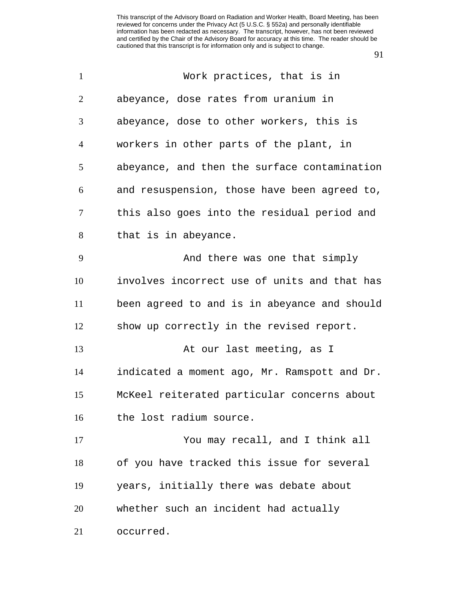| $\mathbf{1}$   | Work practices, that is in                   |
|----------------|----------------------------------------------|
| $\overline{2}$ | abeyance, dose rates from uranium in         |
| 3              | abeyance, dose to other workers, this is     |
| 4              | workers in other parts of the plant, in      |
| 5              | abeyance, and then the surface contamination |
| 6              | and resuspension, those have been agreed to, |
| 7              | this also goes into the residual period and  |
| 8              | that is in abeyance.                         |
| 9              | And there was one that simply                |
| 10             | involves incorrect use of units and that has |
| 11             | been agreed to and is in abeyance and should |
| 12             | show up correctly in the revised report.     |
| 13             | At our last meeting, as I                    |
| 14             | indicated a moment ago, Mr. Ramspott and Dr. |
| 15             | McKeel reiterated particular concerns about  |
| 16             | the lost radium source.                      |
| 17             | You may recall, and I think all              |
| 18             | of you have tracked this issue for several   |
| 19             | years, initially there was debate about      |
| 20             | whether such an incident had actually        |
| 21             | occurred.                                    |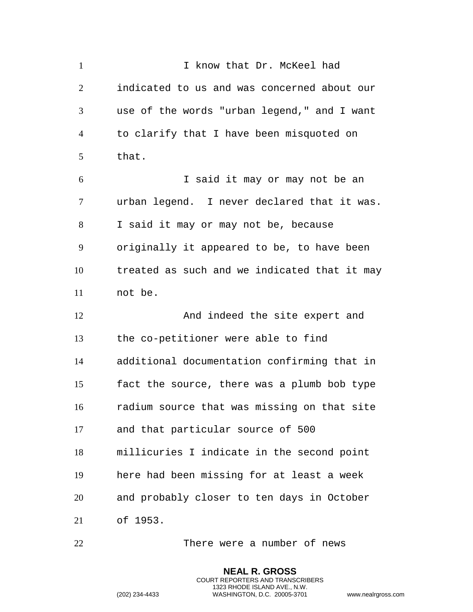1 I know that Dr. McKeel had indicated to us and was concerned about our use of the words "urban legend," and I want to clarify that I have been misquoted on that. I said it may or may not be an urban legend. I never declared that it was. I said it may or may not be, because originally it appeared to be, to have been treated as such and we indicated that it may not be. And indeed the site expert and the co-petitioner were able to find additional documentation confirming that in fact the source, there was a plumb bob type radium source that was missing on that site and that particular source of 500 millicuries I indicate in the second point here had been missing for at least a week and probably closer to ten days in October of 1953.

There were a number of news

**NEAL R. GROSS** COURT REPORTERS AND TRANSCRIBERS 1323 RHODE ISLAND AVE., N.W.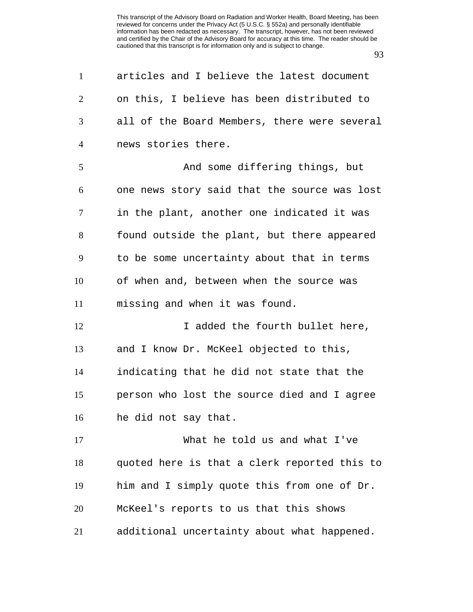| $\mathbf{1}$   | articles and I believe the latest document   |
|----------------|----------------------------------------------|
| $\overline{2}$ | on this, I believe has been distributed to   |
| 3              | all of the Board Members, there were several |
| $\overline{4}$ | news stories there.                          |
| 5              | And some differing things, but               |
| 6              | one news story said that the source was lost |
| $\tau$         | in the plant, another one indicated it was   |
| 8              | found outside the plant, but there appeared  |
| 9              | to be some uncertainty about that in terms   |
| 10             | of when and, between when the source was     |
| 11             | missing and when it was found.               |
| 12             | I added the fourth bullet here,              |
| 13             | and I know Dr. McKeel objected to this,      |
| 14             | indicating that he did not state that the    |
| 15             | person who lost the source died and I agree  |
| 16             | he did not say that.                         |
| 17             | What he told us and what I've                |
| 18             | quoted here is that a clerk reported this to |
| 19             | him and I simply quote this from one of Dr.  |
| 20             | McKeel's reports to us that this shows       |
| 21             | additional uncertainty about what happened.  |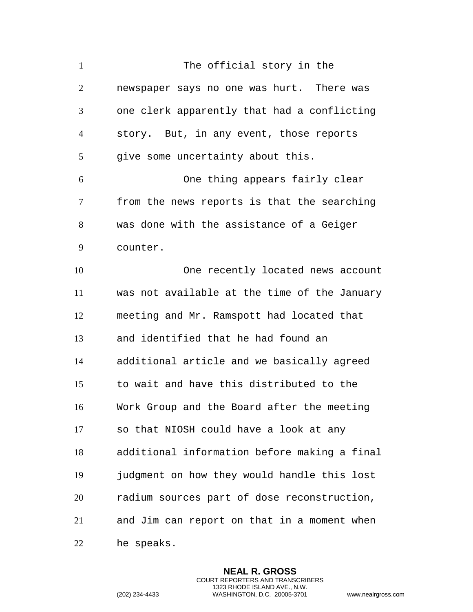1 The official story in the newspaper says no one was hurt. There was one clerk apparently that had a conflicting story. But, in any event, those reports 5 give some uncertainty about this. One thing appears fairly clear from the news reports is that the searching was done with the assistance of a Geiger counter. One recently located news account was not available at the time of the January meeting and Mr. Ramspott had located that and identified that he had found an additional article and we basically agreed to wait and have this distributed to the Work Group and the Board after the meeting so that NIOSH could have a look at any additional information before making a final judgment on how they would handle this lost radium sources part of dose reconstruction, and Jim can report on that in a moment when he speaks.

> **NEAL R. GROSS** COURT REPORTERS AND TRANSCRIBERS 1323 RHODE ISLAND AVE., N.W.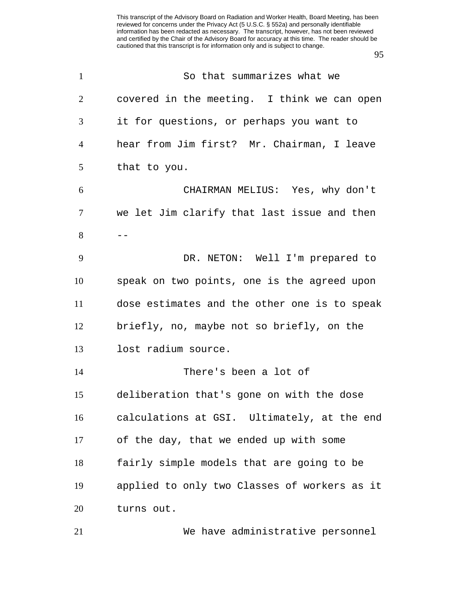| $\mathbf{1}$   | So that summarizes what we                   |
|----------------|----------------------------------------------|
| $\overline{2}$ | covered in the meeting. I think we can open  |
| 3              | it for questions, or perhaps you want to     |
| 4              | hear from Jim first? Mr. Chairman, I leave   |
| 5              | that to you.                                 |
| 6              | CHAIRMAN MELIUS: Yes, why don't              |
| 7              | we let Jim clarify that last issue and then  |
| 8              |                                              |
| 9              | DR. NETON: Well I'm prepared to              |
| 10             | speak on two points, one is the agreed upon  |
| 11             | dose estimates and the other one is to speak |
| 12             | briefly, no, maybe not so briefly, on the    |
| 13             | lost radium source.                          |
| 14             | There's been a lot of                        |
| 15             | deliberation that's gone on with the dose    |
| 16             | calculations at GSI. Ultimately, at the end  |
| 17             | of the day, that we ended up with some       |
| 18             | fairly simple models that are going to be    |
| 19             | applied to only two Classes of workers as it |
| 20             | turns out.                                   |
| 21             | We have administrative personnel             |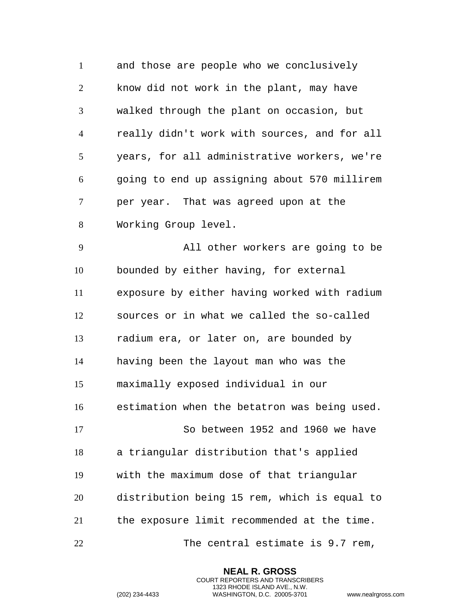and those are people who we conclusively know did not work in the plant, may have walked through the plant on occasion, but really didn't work with sources, and for all years, for all administrative workers, we're going to end up assigning about 570 millirem per year. That was agreed upon at the Working Group level.

 All other workers are going to be bounded by either having, for external exposure by either having worked with radium sources or in what we called the so-called radium era, or later on, are bounded by having been the layout man who was the maximally exposed individual in our estimation when the betatron was being used. So between 1952 and 1960 we have a triangular distribution that's applied with the maximum dose of that triangular distribution being 15 rem, which is equal to the exposure limit recommended at the time. The central estimate is 9.7 rem,

> **NEAL R. GROSS** COURT REPORTERS AND TRANSCRIBERS 1323 RHODE ISLAND AVE., N.W.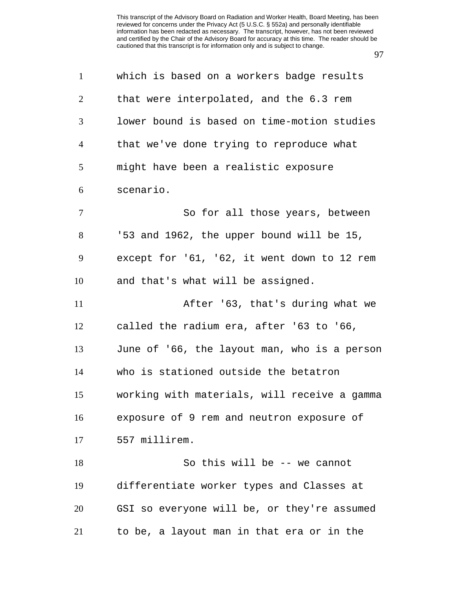| $\mathbf{1}$   | which is based on a workers badge results    |
|----------------|----------------------------------------------|
| 2              | that were interpolated, and the 6.3 rem      |
| 3              | lower bound is based on time-motion studies  |
| $\overline{4}$ | that we've done trying to reproduce what     |
| 5              | might have been a realistic exposure         |
| 6              | scenario.                                    |
| $\tau$         | So for all those years, between              |
| 8              | '53 and 1962, the upper bound will be 15,    |
| 9              | except for '61, '62, it went down to 12 rem  |
| 10             | and that's what will be assigned.            |
| 11             | After '63, that's during what we             |
| 12             | called the radium era, after '63 to '66,     |
| 13             | June of '66, the layout man, who is a person |
| 14             | who is stationed outside the betatron        |
| 15             | working with materials, will receive a gamma |
| 16             | exposure of 9 rem and neutron exposure of    |
| 17             | 557 millirem.                                |
| 18             | So this will be -- we cannot                 |
| 19             | differentiate worker types and Classes at    |
| 20             | GSI so everyone will be, or they're assumed  |
| 21             | to be, a layout man in that era or in the    |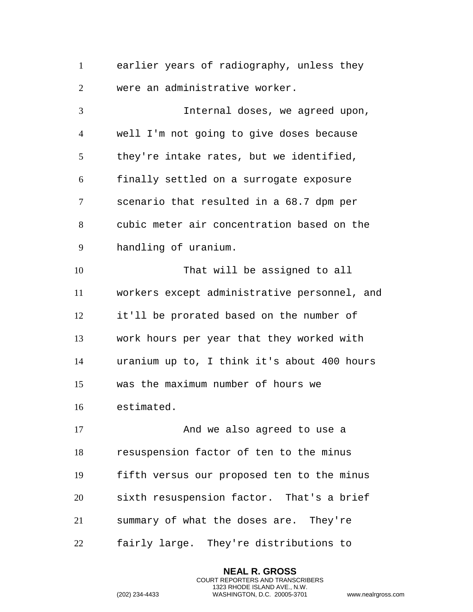earlier years of radiography, unless they were an administrative worker.

 Internal doses, we agreed upon, well I'm not going to give doses because they're intake rates, but we identified, finally settled on a surrogate exposure scenario that resulted in a 68.7 dpm per cubic meter air concentration based on the handling of uranium. That will be assigned to all workers except administrative personnel, and it'll be prorated based on the number of work hours per year that they worked with uranium up to, I think it's about 400 hours was the maximum number of hours we estimated. 17 And we also agreed to use a

 resuspension factor of ten to the minus fifth versus our proposed ten to the minus sixth resuspension factor. That's a brief summary of what the doses are. They're fairly large. They're distributions to

> **NEAL R. GROSS** COURT REPORTERS AND TRANSCRIBERS 1323 RHODE ISLAND AVE., N.W.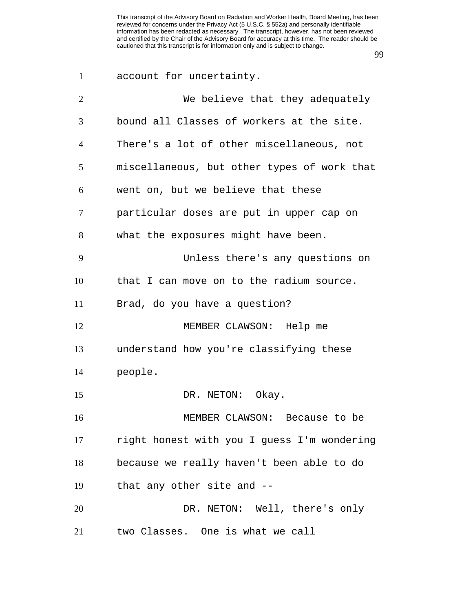| $\mathbf{1}$   | account for uncertainty.                    |
|----------------|---------------------------------------------|
| $\overline{2}$ | We believe that they adequately             |
| 3              | bound all Classes of workers at the site.   |
| 4              | There's a lot of other miscellaneous, not   |
| 5              | miscellaneous, but other types of work that |
| 6              | went on, but we believe that these          |
| 7              | particular doses are put in upper cap on    |
| 8              | what the exposures might have been.         |
| 9              | Unless there's any questions on             |
| 10             | that I can move on to the radium source.    |
| 11             | Brad, do you have a question?               |
| 12             | MEMBER CLAWSON: Help me                     |
| 13             | understand how you're classifying these     |
| 14             | people.                                     |
| 15             | DR. NETON: Okay.                            |
| 16             | MEMBER CLAWSON: Because to be               |
| 17             | right honest with you I guess I'm wondering |
| 18             | because we really haven't been able to do   |
| 19             | that any other site and --                  |
| 20             | DR. NETON: Well, there's only               |
| 21             | two Classes. One is what we call            |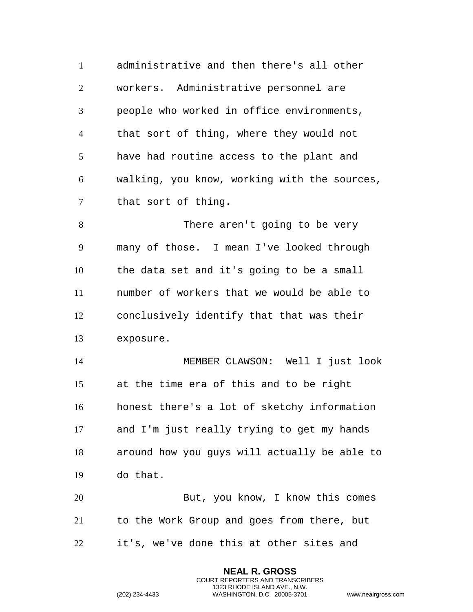administrative and then there's all other workers. Administrative personnel are people who worked in office environments, that sort of thing, where they would not have had routine access to the plant and walking, you know, working with the sources, that sort of thing.

 There aren't going to be very many of those. I mean I've looked through the data set and it's going to be a small number of workers that we would be able to conclusively identify that that was their exposure.

 MEMBER CLAWSON: Well I just look at the time era of this and to be right honest there's a lot of sketchy information and I'm just really trying to get my hands around how you guys will actually be able to do that.

 But, you know, I know this comes to the Work Group and goes from there, but it's, we've done this at other sites and

> **NEAL R. GROSS** COURT REPORTERS AND TRANSCRIBERS 1323 RHODE ISLAND AVE., N.W.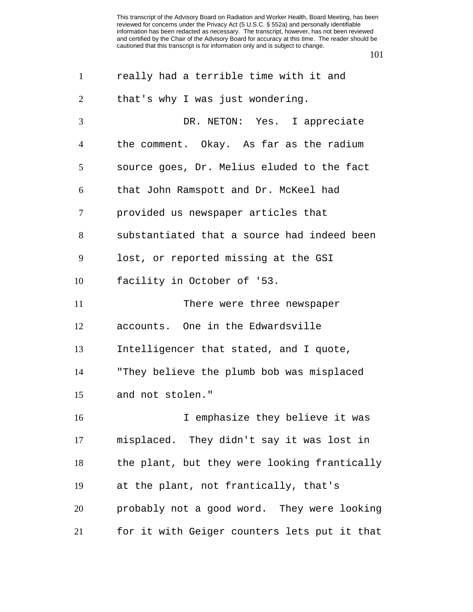| $\mathbf{1}$   | really had a terrible time with it and       |
|----------------|----------------------------------------------|
| $\overline{2}$ | that's why I was just wondering.             |
| $\overline{3}$ | DR. NETON: Yes. I appreciate                 |
| $\overline{4}$ | the comment. Okay. As far as the radium      |
| 5              | source goes, Dr. Melius eluded to the fact   |
| 6              | that John Ramspott and Dr. McKeel had        |
| $\overline{7}$ | provided us newspaper articles that          |
| 8              | substantiated that a source had indeed been  |
| 9              | lost, or reported missing at the GSI         |
| 10             | facility in October of '53.                  |
| 11             | There were three newspaper                   |
| 12             | accounts. One in the Edwardsville            |
| 13             | Intelligencer that stated, and I quote,      |
| 14             | "They believe the plumb bob was misplaced    |
| 15             | and not stolen."                             |
| 16             | I emphasize they believe it was              |
| 17             | misplaced. They didn't say it was lost in    |
| 18             | the plant, but they were looking frantically |
| 19             | at the plant, not frantically, that's        |
| 20             | probably not a good word. They were looking  |
| 21             | for it with Geiger counters lets put it that |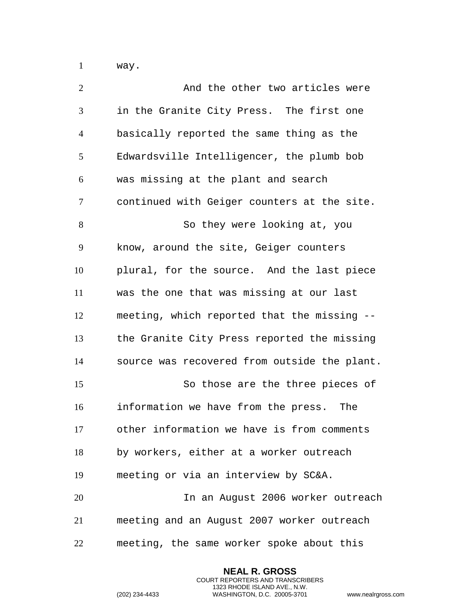way.

| $\overline{2}$ | And the other two articles were              |
|----------------|----------------------------------------------|
| 3              | in the Granite City Press. The first one     |
| $\overline{4}$ | basically reported the same thing as the     |
| 5              | Edwardsville Intelligencer, the plumb bob    |
| 6              | was missing at the plant and search          |
| $\tau$         | continued with Geiger counters at the site.  |
| 8              | So they were looking at, you                 |
| 9              | know, around the site, Geiger counters       |
| 10             | plural, for the source. And the last piece   |
| 11             | was the one that was missing at our last     |
| 12             | meeting, which reported that the missing --  |
| 13             | the Granite City Press reported the missing  |
| 14             | source was recovered from outside the plant. |
| 15             | So those are the three pieces of             |
| 16             | information we have from the press.<br>The   |
| 17             | other information we have is from comments   |
| 18             | by workers, either at a worker outreach      |
| 19             | meeting or via an interview by SC&A.         |
| 20             | In an August 2006 worker outreach            |
| 21             | meeting and an August 2007 worker outreach   |
| 22             | meeting, the same worker spoke about this    |

**NEAL R. GROSS** COURT REPORTERS AND TRANSCRIBERS 1323 RHODE ISLAND AVE., N.W.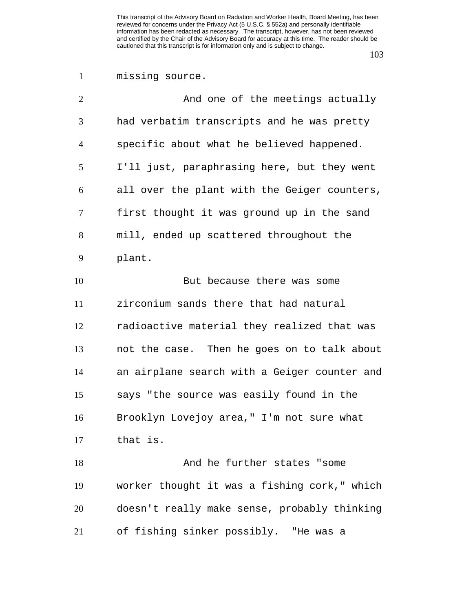## missing source.

| $\overline{2}$ | And one of the meetings actually             |
|----------------|----------------------------------------------|
| 3              | had verbatim transcripts and he was pretty   |
| $\overline{4}$ | specific about what he believed happened.    |
| 5              | I'll just, paraphrasing here, but they went  |
| 6              | all over the plant with the Geiger counters, |
| 7              | first thought it was ground up in the sand   |
| 8              | mill, ended up scattered throughout the      |
| 9              | plant.                                       |
| 10             | But because there was some                   |
| 11             | zirconium sands there that had natural       |
| 12             | radioactive material they realized that was  |
| 13             | not the case. Then he goes on to talk about  |
| 14             | an airplane search with a Geiger counter and |
| 15             | says "the source was easily found in the     |
| 16             | Brooklyn Lovejoy area," I'm not sure what    |
| 17             | that is.                                     |
| 18             | And he further states "some                  |
| 19             | worker thought it was a fishing cork," which |
| 20             | doesn't really make sense, probably thinking |
| 21             | of fishing sinker possibly. "He was a        |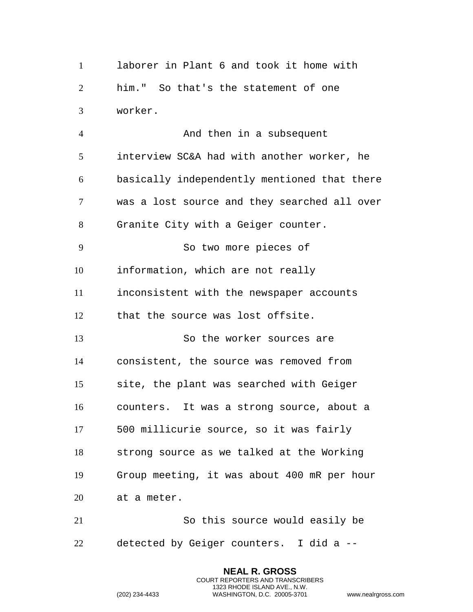laborer in Plant 6 and took it home with him." So that's the statement of one worker.

4 And then in a subsequent interview SC&A had with another worker, he basically independently mentioned that there was a lost source and they searched all over Granite City with a Geiger counter. So two more pieces of information, which are not really inconsistent with the newspaper accounts that the source was lost offsite. So the worker sources are consistent, the source was removed from site, the plant was searched with Geiger counters. It was a strong source, about a 500 millicurie source, so it was fairly strong source as we talked at the Working Group meeting, it was about 400 mR per hour at a meter. So this source would easily be

detected by Geiger counters. I did a --

**NEAL R. GROSS** COURT REPORTERS AND TRANSCRIBERS 1323 RHODE ISLAND AVE., N.W.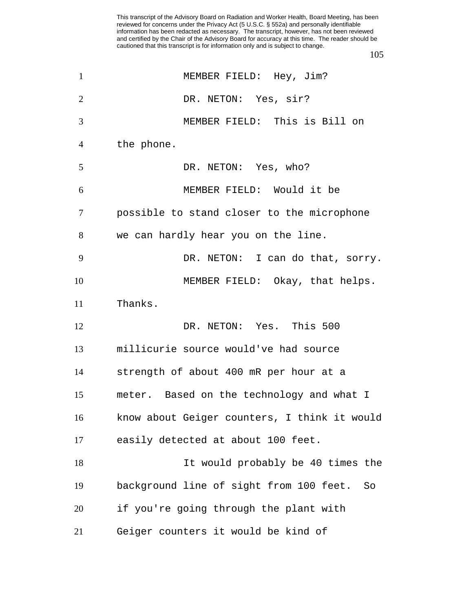| $\mathbf{1}$   | MEMBER FIELD: Hey, Jim?                       |
|----------------|-----------------------------------------------|
| $\overline{2}$ | DR. NETON: Yes, sir?                          |
| 3              | MEMBER FIELD: This is Bill on                 |
| 4              | the phone.                                    |
| 5              | DR. NETON: Yes, who?                          |
| 6              | MEMBER FIELD: Would it be                     |
| 7              | possible to stand closer to the microphone    |
| 8              | we can hardly hear you on the line.           |
| 9              | DR. NETON: I can do that, sorry.              |
| 10             | MEMBER FIELD: Okay, that helps.               |
| 11             | Thanks.                                       |
| 12             | DR. NETON: Yes. This 500                      |
| 13             | millicurie source would've had source         |
| 14             | strength of about 400 mR per hour at a        |
| 15             | meter. Based on the technology and what I     |
| 16             | know about Geiger counters, I think it would  |
| 17             | easily detected at about 100 feet.            |
| 18             | It would probably be 40 times the             |
| 19             | background line of sight from 100 feet.<br>So |
| 20             | if you're going through the plant with        |
| 21             | Geiger counters it would be kind of           |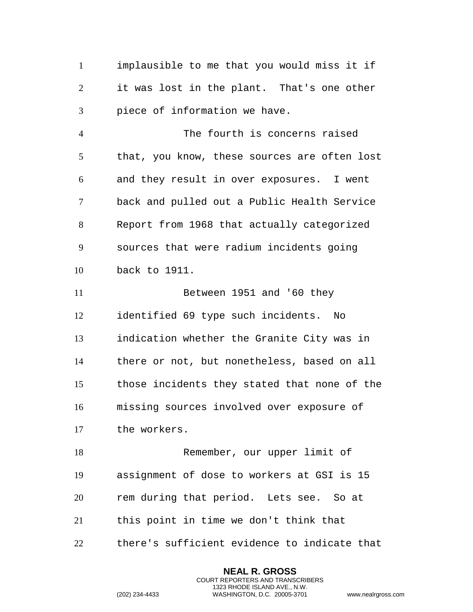implausible to me that you would miss it if it was lost in the plant. That's one other piece of information we have.

 The fourth is concerns raised that, you know, these sources are often lost and they result in over exposures. I went back and pulled out a Public Health Service Report from 1968 that actually categorized sources that were radium incidents going back to 1911.

 Between 1951 and '60 they identified 69 type such incidents. No indication whether the Granite City was in there or not, but nonetheless, based on all those incidents they stated that none of the missing sources involved over exposure of the workers.

 Remember, our upper limit of assignment of dose to workers at GSI is 15 rem during that period. Lets see. So at this point in time we don't think that

there's sufficient evidence to indicate that

**NEAL R. GROSS** COURT REPORTERS AND TRANSCRIBERS 1323 RHODE ISLAND AVE., N.W.

```
(202) 234-4433 WASHINGTON, D.C. 20005-3701 www.nealrgross.com
```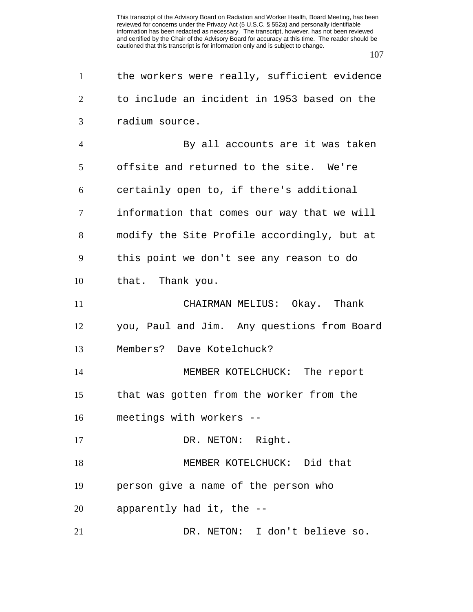| $\mathbf{1}$   | the workers were really, sufficient evidence |
|----------------|----------------------------------------------|
| 2              | to include an incident in 1953 based on the  |
| 3              | radium source.                               |
| $\overline{4}$ | By all accounts are it was taken             |
| 5              | offsite and returned to the site. We're      |
| 6              | certainly open to, if there's additional     |
| 7              | information that comes our way that we will  |
| 8              | modify the Site Profile accordingly, but at  |
| 9              | this point we don't see any reason to do     |
| 10             | that. Thank you.                             |
| 11             | CHAIRMAN MELIUS: Okay. Thank                 |
| 12             | you, Paul and Jim. Any questions from Board  |
| 13             | Members? Dave Kotelchuck?                    |
| 14             | MEMBER KOTELCHUCK: The report                |
| 15             | that was gotten from the worker from the     |
| 16             | meetings with workers --                     |
| 17             | DR. NETON: Right.                            |
| 18             | MEMBER KOTELCHUCK: Did that                  |
| 19             | person give a name of the person who         |
| 20             | apparently had it, the --                    |
| 21             | DR. NETON: I don't believe so.               |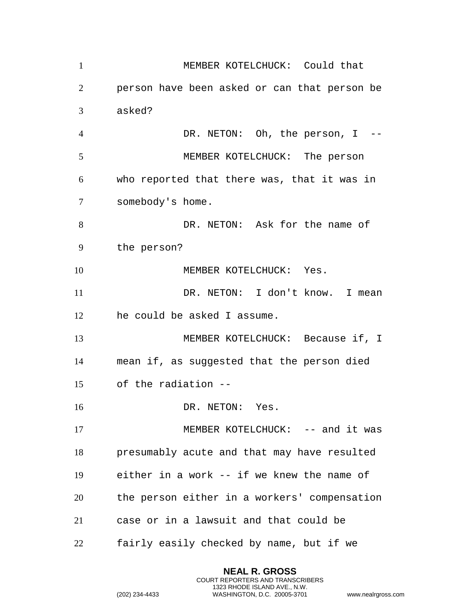| $\mathbf{1}$   | MEMBER KOTELCHUCK: Could that                |
|----------------|----------------------------------------------|
| 2              | person have been asked or can that person be |
| 3              | asked?                                       |
| $\overline{4}$ | DR. NETON: Oh, the person, $I$ --            |
| 5              | MEMBER KOTELCHUCK: The person                |
| 6              | who reported that there was, that it was in  |
| $\tau$         | somebody's home.                             |
| 8              | DR. NETON: Ask for the name of               |
| 9              | the person?                                  |
| 10             | MEMBER KOTELCHUCK: Yes.                      |
| 11             | DR. NETON: I don't know. I mean              |
| 12             | he could be asked I assume.                  |
| 13             | MEMBER KOTELCHUCK: Because if, I             |
| 14             | mean if, as suggested that the person died   |
| 15             | of the radiation --                          |
| 16             | DR. NETON: Yes.                              |
| 17             | MEMBER KOTELCHUCK: -- and it was             |
| 18             | presumably acute and that may have resulted  |
| 19             | either in a work -- if we knew the name of   |
| 20             | the person either in a workers' compensation |
| 21             | case or in a lawsuit and that could be       |
| 22             | fairly easily checked by name, but if we     |

**NEAL R. GROSS** COURT REPORTERS AND TRANSCRIBERS 1323 RHODE ISLAND AVE., N.W.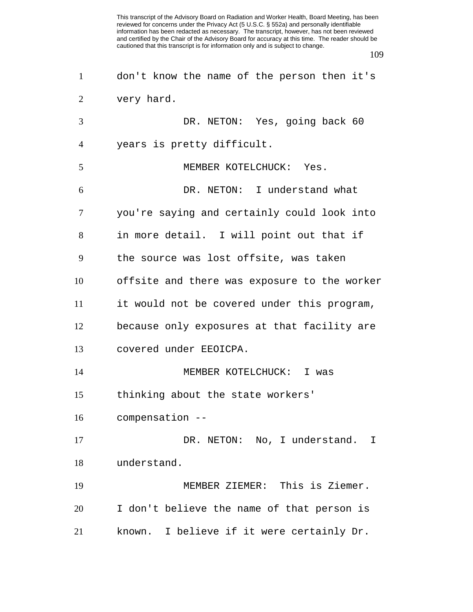| $\mathbf{1}$   | don't know the name of the person then it's  |
|----------------|----------------------------------------------|
| 2              | very hard.                                   |
| 3              | DR. NETON: Yes, going back 60                |
| $\overline{4}$ | years is pretty difficult.                   |
| 5              | MEMBER KOTELCHUCK: Yes.                      |
| 6              | DR. NETON: I understand what                 |
| $\tau$         | you're saying and certainly could look into  |
| 8              | in more detail. I will point out that if     |
| 9              | the source was lost offsite, was taken       |
| 10             | offsite and there was exposure to the worker |
| 11             | it would not be covered under this program,  |
| 12             | because only exposures at that facility are  |
| 13             | covered under EEOICPA.                       |
| 14             | MEMBER KOTELCHUCK: I was                     |
| 15             | thinking about the state workers'            |
| 16             | compensation --                              |
| 17             | DR. NETON: No, I understand. I               |
| 18             | understand.                                  |
| 19             | MEMBER ZIEMER: This is Ziemer.               |
| 20             | I don't believe the name of that person is   |
| 21             | known. I believe if it were certainly Dr.    |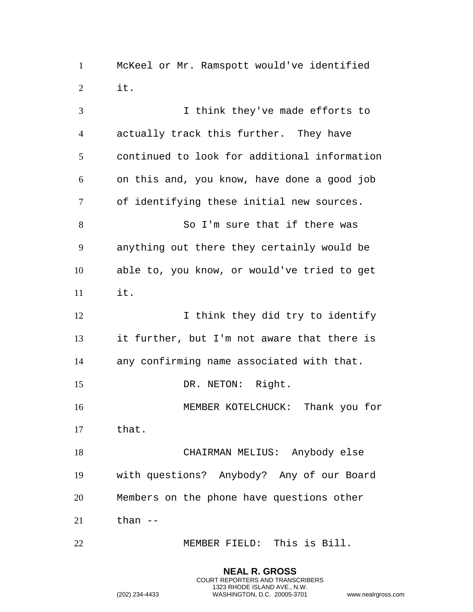McKeel or Mr. Ramspott would've identified it.

 I think they've made efforts to actually track this further. They have continued to look for additional information on this and, you know, have done a good job of identifying these initial new sources. So I'm sure that if there was anything out there they certainly would be able to, you know, or would've tried to get it. 12 I think they did try to identify it further, but I'm not aware that there is any confirming name associated with that. 15 DR. NETON: Right. MEMBER KOTELCHUCK: Thank you for that. CHAIRMAN MELIUS: Anybody else with questions? Anybody? Any of our Board Members on the phone have questions other than  $-$ MEMBER FIELD: This is Bill.

> **NEAL R. GROSS** COURT REPORTERS AND TRANSCRIBERS 1323 RHODE ISLAND AVE., N.W.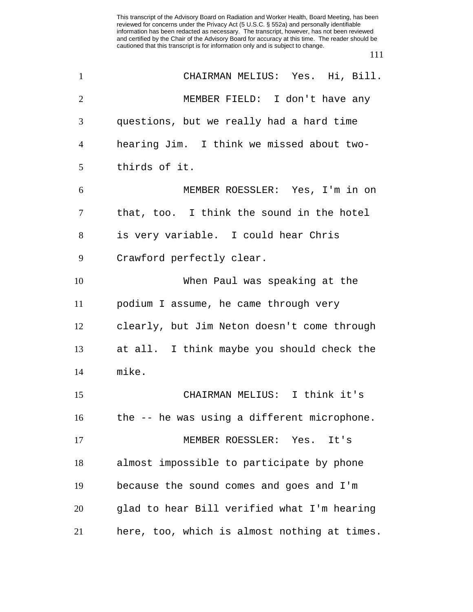| $\mathbf{1}$   | CHAIRMAN MELIUS: Yes. Hi, Bill.              |
|----------------|----------------------------------------------|
| $\overline{2}$ | MEMBER FIELD: I don't have any               |
| 3              | questions, but we really had a hard time     |
| 4              | hearing Jim. I think we missed about two-    |
| 5              | thirds of it.                                |
| 6              | MEMBER ROESSLER: Yes, I'm in on              |
| 7              | that, too. I think the sound in the hotel    |
| 8              | is very variable. I could hear Chris         |
| 9              | Crawford perfectly clear.                    |
| 10             | When Paul was speaking at the                |
| 11             | podium I assume, he came through very        |
| 12             | clearly, but Jim Neton doesn't come through  |
| 13             | at all. I think maybe you should check the   |
| 14             | mike.                                        |
| 15             | CHAIRMAN MELIUS: I think it's                |
| 16             | the -- he was using a different microphone.  |
| 17             | MEMBER ROESSLER: Yes.<br>It's                |
| 18             | almost impossible to participate by phone    |
| 19             | because the sound comes and goes and I'm     |
| 20             | glad to hear Bill verified what I'm hearing  |
| 21             | here, too, which is almost nothing at times. |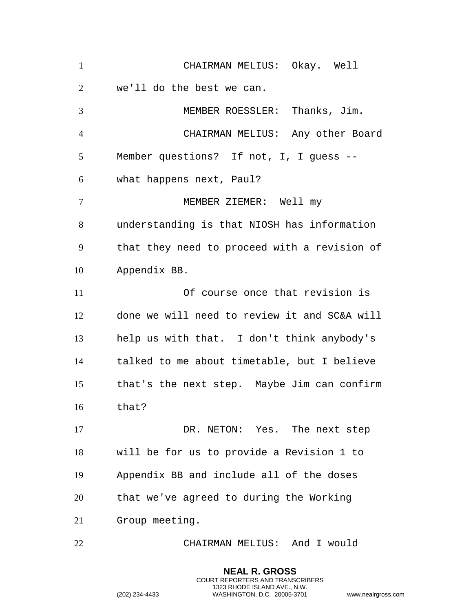| $\mathbf{1}$    | CHAIRMAN MELIUS: Okay. Well                  |
|-----------------|----------------------------------------------|
| $\overline{2}$  | we'll do the best we can.                    |
| 3               | MEMBER ROESSLER: Thanks, Jim.                |
| $\overline{4}$  | CHAIRMAN MELIUS: Any other Board             |
| 5               | Member questions? If not, I, I guess --      |
| 6               | what happens next, Paul?                     |
| $7\phantom{.0}$ | MEMBER ZIEMER: Well my                       |
| 8               | understanding is that NIOSH has information  |
| 9               | that they need to proceed with a revision of |
| 10              | Appendix BB.                                 |
| 11              | Of course once that revision is              |
| 12              | done we will need to review it and SC&A will |
| 13              | help us with that. I don't think anybody's   |
| 14              | talked to me about timetable, but I believe  |
| 15              | that's the next step. Maybe Jim can confirm  |
| 16              | that?                                        |
| 17              | DR. NETON: Yes. The next step                |
| 18              | will be for us to provide a Revision 1 to    |
| 19              | Appendix BB and include all of the doses     |
| 20              | that we've agreed to during the Working      |
| 21              | Group meeting.                               |
| 22              | CHAIRMAN MELIUS: And I would                 |

**NEAL R. GROSS** COURT REPORTERS AND TRANSCRIBERS 1323 RHODE ISLAND AVE., N.W.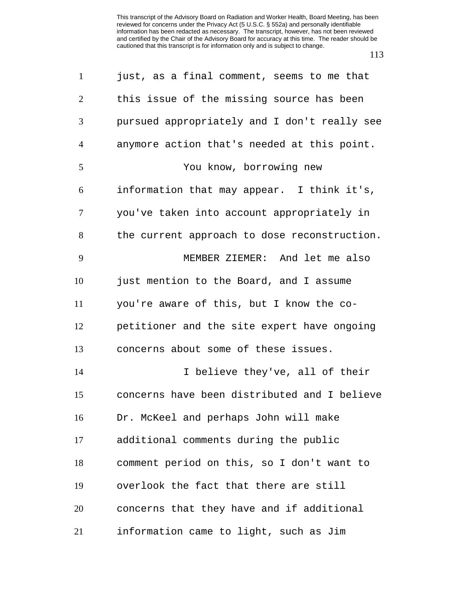| $\mathbf{1}$   | just, as a final comment, seems to me that   |
|----------------|----------------------------------------------|
| $\overline{2}$ | this issue of the missing source has been    |
| 3              | pursued appropriately and I don't really see |
| $\overline{4}$ | anymore action that's needed at this point.  |
| 5              | You know, borrowing new                      |
| 6              | information that may appear. I think it's,   |
| 7              | you've taken into account appropriately in   |
| 8              | the current approach to dose reconstruction. |
| 9              | MEMBER ZIEMER: And let me also               |
| 10             | just mention to the Board, and I assume      |
| 11             | you're aware of this, but I know the co-     |
| 12             | petitioner and the site expert have ongoing  |
| 13             | concerns about some of these issues.         |
| 14             | I believe they've, all of their              |
| 15             | concerns have been distributed and I believe |
| 16             | Dr. McKeel and perhaps John will make        |
| 17             | additional comments during the public        |
| 18             | comment period on this, so I don't want to   |
| 19             | overlook the fact that there are still       |
| 20             | concerns that they have and if additional    |
| 21             | information came to light, such as Jim       |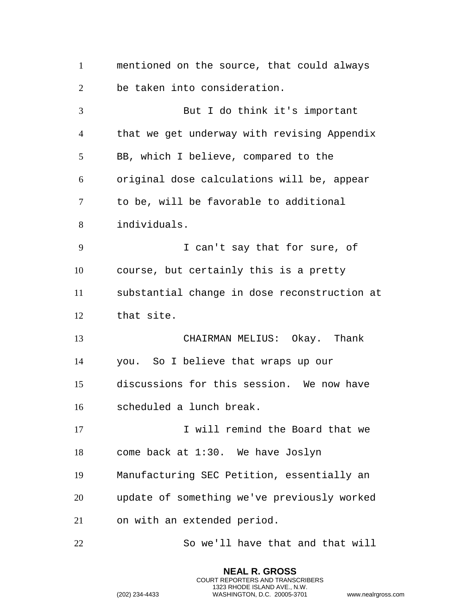mentioned on the source, that could always be taken into consideration. But I do think it's important that we get underway with revising Appendix BB, which I believe, compared to the original dose calculations will be, appear to be, will be favorable to additional individuals. I can't say that for sure, of course, but certainly this is a pretty substantial change in dose reconstruction at that site. CHAIRMAN MELIUS: Okay. Thank you. So I believe that wraps up our discussions for this session. We now have scheduled a lunch break. 17 I will remind the Board that we come back at 1:30. We have Joslyn Manufacturing SEC Petition, essentially an update of something we've previously worked on with an extended period. So we'll have that and that will

> **NEAL R. GROSS** COURT REPORTERS AND TRANSCRIBERS 1323 RHODE ISLAND AVE., N.W.

```
(202) 234-4433 WASHINGTON, D.C. 20005-3701 www.nealrgross.com
```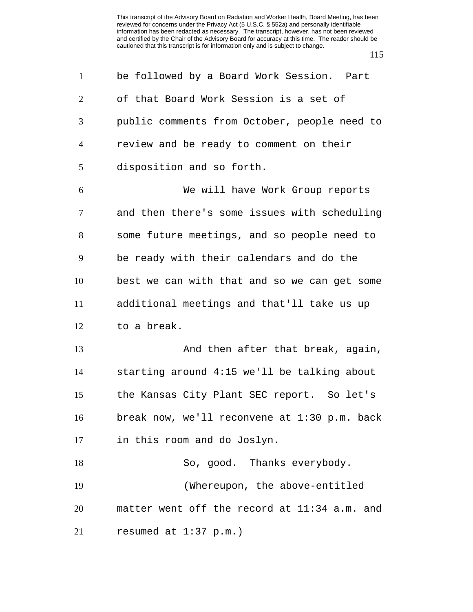| $\mathbf{1}$   | be followed by a Board Work Session. Part      |
|----------------|------------------------------------------------|
| $\overline{2}$ | of that Board Work Session is a set of         |
| 3              | public comments from October, people need to   |
| $\overline{4}$ | review and be ready to comment on their        |
| 5              | disposition and so forth.                      |
| 6              | We will have Work Group reports                |
| $\tau$         | and then there's some issues with scheduling   |
| 8              | some future meetings, and so people need to    |
| 9              | be ready with their calendars and do the       |
| 10             | best we can with that and so we can get some   |
| 11             | additional meetings and that'll take us up     |
| 12             | to a break.                                    |
| 13             | And then after that break, again,              |
| 14             | starting around 4:15 we'll be talking about    |
| 15             | the Kansas City Plant SEC report. So let's     |
| 16             | break now, we'll reconvene at $1:30$ p.m. back |
| 17             | in this room and do Joslyn.                    |
| 18             | So, good. Thanks everybody.                    |
| 19             | (Whereupon, the above-entitled                 |
| 20             | matter went off the record at 11:34 a.m. and   |
| 21             | resumed at 1:37 p.m.)                          |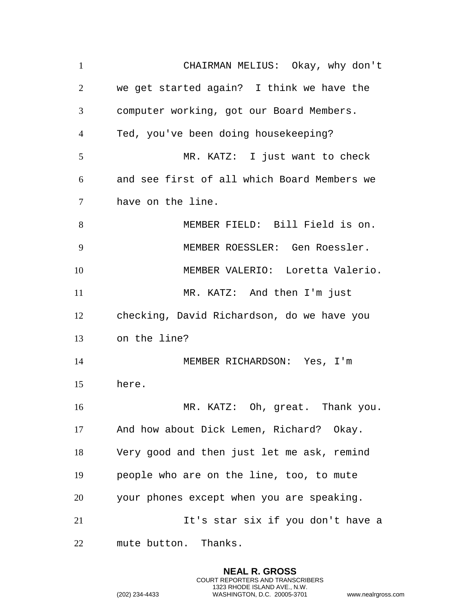CHAIRMAN MELIUS: Okay, why don't we get started again? I think we have the computer working, got our Board Members. Ted, you've been doing housekeeping? MR. KATZ: I just want to check and see first of all which Board Members we have on the line. MEMBER FIELD: Bill Field is on. MEMBER ROESSLER: Gen Roessler. MEMBER VALERIO: Loretta Valerio. MR. KATZ: And then I'm just checking, David Richardson, do we have you on the line? 14 MEMBER RICHARDSON: Yes, I'm here. MR. KATZ: Oh, great. Thank you. And how about Dick Lemen, Richard? Okay. Very good and then just let me ask, remind people who are on the line, too, to mute your phones except when you are speaking. 21 11's star six if you don't have a mute button. Thanks.

> **NEAL R. GROSS** COURT REPORTERS AND TRANSCRIBERS 1323 RHODE ISLAND AVE., N.W.

```
(202) 234-4433 WASHINGTON, D.C. 20005-3701 www.nealrgross.com
```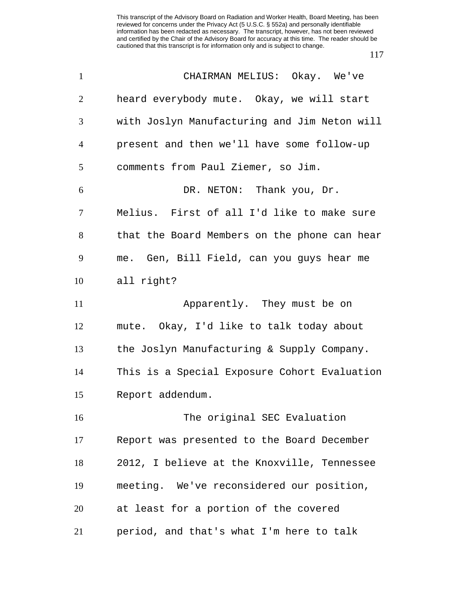| $\mathbf{1}$   | CHAIRMAN MELIUS: Okay. We've                 |
|----------------|----------------------------------------------|
| $\overline{2}$ | heard everybody mute. Okay, we will start    |
| 3              | with Joslyn Manufacturing and Jim Neton will |
| $\overline{4}$ | present and then we'll have some follow-up   |
| 5              | comments from Paul Ziemer, so Jim.           |
| 6              | DR. NETON: Thank you, Dr.                    |
| $\tau$         | Melius. First of all I'd like to make sure   |
| 8              | that the Board Members on the phone can hear |
| 9              | me. Gen, Bill Field, can you guys hear me    |
| 10             | all right?                                   |
| 11             | Apparently. They must be on                  |
| 12             | mute. Okay, I'd like to talk today about     |
| 13             | the Joslyn Manufacturing & Supply Company.   |
| 14             | This is a Special Exposure Cohort Evaluation |
| 15             | Report addendum.                             |
| 16             | The original SEC Evaluation                  |
| 17             | Report was presented to the Board December   |
| 18             | 2012, I believe at the Knoxville, Tennessee  |
| 19             | meeting. We've reconsidered our position,    |
| 20             | at least for a portion of the covered        |
| 21             | period, and that's what I'm here to talk     |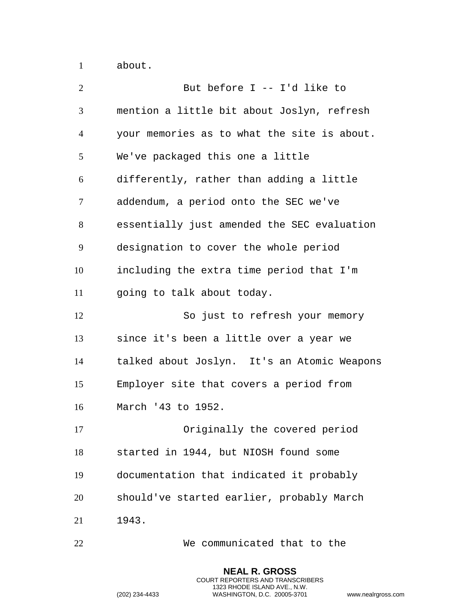about.

| $\overline{2}$ | But before I -- I'd like to                 |
|----------------|---------------------------------------------|
| 3              | mention a little bit about Joslyn, refresh  |
| $\overline{4}$ | your memories as to what the site is about. |
| 5              | We've packaged this one a little            |
| 6              | differently, rather than adding a little    |
| $\tau$         | addendum, a period onto the SEC we've       |
| 8              | essentially just amended the SEC evaluation |
| 9              | designation to cover the whole period       |
| 10             | including the extra time period that I'm    |
| 11             | going to talk about today.                  |
| 12             | So just to refresh your memory              |
| 13             | since it's been a little over a year we     |
| 14             | talked about Joslyn. It's an Atomic Weapons |
| 15             | Employer site that covers a period from     |
| 16             | March '43 to 1952.                          |
| 17             | Originally the covered period               |
| 18             | started in 1944, but NIOSH found some       |
| 19             | documentation that indicated it probably    |
| 20             | should've started earlier, probably March   |
| 21             | 1943.                                       |
| 22             | We communicated that to the                 |

**NEAL R. GROSS** COURT REPORTERS AND TRANSCRIBERS 1323 RHODE ISLAND AVE., N.W.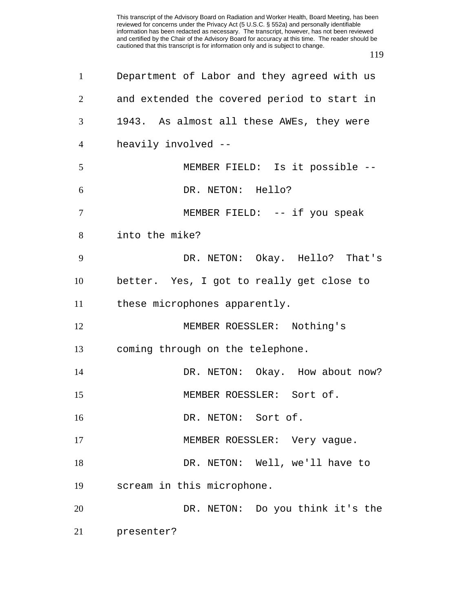| $\mathbf{1}$   | Department of Labor and they agreed with us |
|----------------|---------------------------------------------|
| $\overline{2}$ | and extended the covered period to start in |
| 3              | 1943. As almost all these AWEs, they were   |
| $\overline{4}$ | heavily involved --                         |
| 5              | MEMBER FIELD: Is it possible --             |
| 6              | DR. NETON: Hello?                           |
| $\overline{7}$ | MEMBER FIELD: -- if you speak               |
| 8              | into the mike?                              |
| 9              | DR. NETON: Okay. Hello? That's              |
| 10             | better. Yes, I got to really get close to   |
| 11             | these microphones apparently.               |
| 12             | MEMBER ROESSLER: Nothing's                  |
| 13             | coming through on the telephone.            |
| 14             | DR. NETON: Okay. How about now?             |
| 15             | MEMBER ROESSLER: Sort of.                   |
| 16             | DR. NETON: Sort of.                         |
| 17             | MEMBER ROESSLER: Very vague.                |
| 18             | DR. NETON: Well, we'll have to              |
| 19             | scream in this microphone.                  |
| 20             | DR. NETON: Do you think it's the            |
| 21             | presenter?                                  |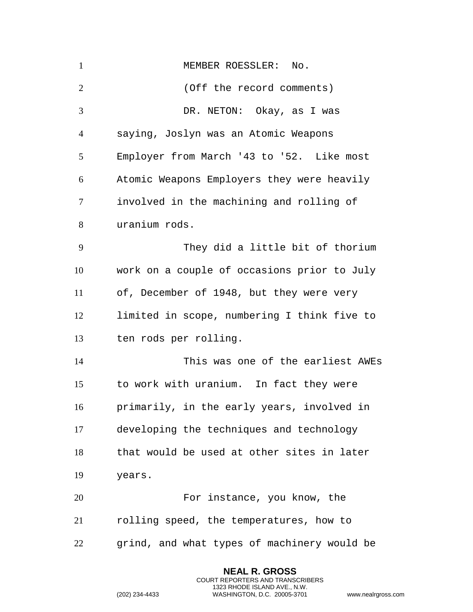| $\mathbf{1}$   | MEMBER ROESSLER: No.                        |
|----------------|---------------------------------------------|
| $\overline{2}$ | (Off the record comments)                   |
| 3              | DR. NETON: Okay, as I was                   |
| $\overline{4}$ | saying, Joslyn was an Atomic Weapons        |
| 5              | Employer from March '43 to '52. Like most   |
| 6              | Atomic Weapons Employers they were heavily  |
| 7              | involved in the machining and rolling of    |
| 8              | uranium rods.                               |
| 9              | They did a little bit of thorium            |
| 10             | work on a couple of occasions prior to July |
| 11             | of, December of 1948, but they were very    |
| 12             | limited in scope, numbering I think five to |
| 13             | ten rods per rolling.                       |
| 14             | This was one of the earliest AWEs           |
| 15             | to work with uranium. In fact they were     |
| 16             | primarily, in the early years, involved in  |
| 17             | developing the techniques and technology    |
| 18             | that would be used at other sites in later  |
| 19             | years.                                      |
| 20             | For instance, you know, the                 |
| 21             | rolling speed, the temperatures, how to     |
| 22             | grind, and what types of machinery would be |

**NEAL R. GROSS** COURT REPORTERS AND TRANSCRIBERS 1323 RHODE ISLAND AVE., N.W.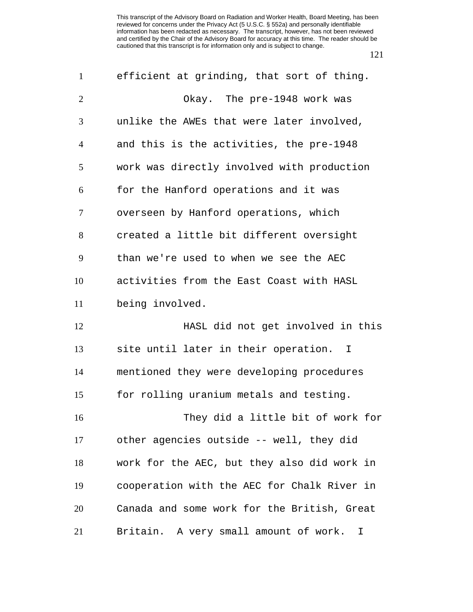| $\mathbf{1}$   | efficient at grinding, that sort of thing.  |
|----------------|---------------------------------------------|
| $\overline{2}$ | Okay. The pre-1948 work was                 |
| 3              | unlike the AWEs that were later involved,   |
| 4              | and this is the activities, the pre-1948    |
| 5              | work was directly involved with production  |
| 6              | for the Hanford operations and it was       |
| 7              | overseen by Hanford operations, which       |
| 8              | created a little bit different oversight    |
| 9              | than we're used to when we see the AEC      |
| 10             | activities from the East Coast with HASL    |
| 11             | being involved.                             |
| 12             | HASL did not get involved in this           |
| 13             | site until later in their operation. I      |
| 14             | mentioned they were developing procedures   |
| 15             | for rolling uranium metals and testing.     |
| 16             | They did a little bit of work for           |
| 17             | other agencies outside -- well, they did    |
| 18             | work for the AEC, but they also did work in |
| 19             | cooperation with the AEC for Chalk River in |
| 20             | Canada and some work for the British, Great |
| 21             | Britain. A very small amount of work.<br>I  |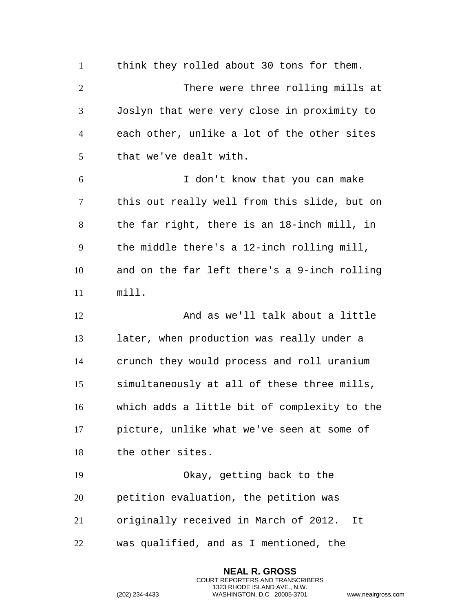1 think they rolled about 30 tons for them. There were three rolling mills at Joslyn that were very close in proximity to each other, unlike a lot of the other sites that we've dealt with. I don't know that you can make this out really well from this slide, but on the far right, there is an 18-inch mill, in the middle there's a 12-inch rolling mill, and on the far left there's a 9-inch rolling mill. And as we'll talk about a little later, when production was really under a crunch they would process and roll uranium simultaneously at all of these three mills, which adds a little bit of complexity to the picture, unlike what we've seen at some of the other sites. Okay, getting back to the petition evaluation, the petition was originally received in March of 2012. It was qualified, and as I mentioned, the

> **NEAL R. GROSS** COURT REPORTERS AND TRANSCRIBERS 1323 RHODE ISLAND AVE., N.W.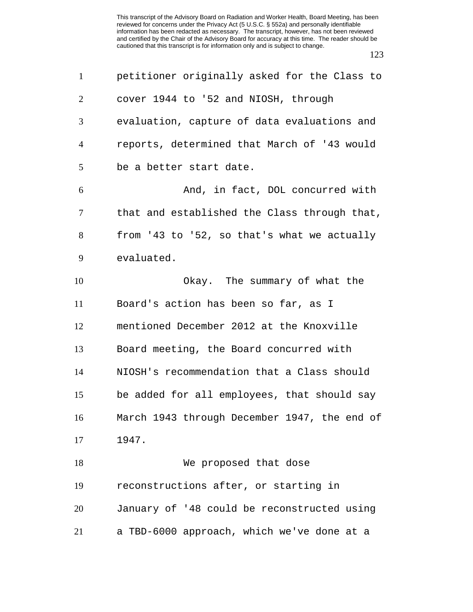| $\mathbf{1}$   | petitioner originally asked for the Class to |
|----------------|----------------------------------------------|
| $\overline{2}$ | cover 1944 to '52 and NIOSH, through         |
| 3              | evaluation, capture of data evaluations and  |
| 4              | reports, determined that March of '43 would  |
| 5              | be a better start date.                      |
| 6              | And, in fact, DOL concurred with             |
| $\tau$         | that and established the Class through that, |
| 8              | from '43 to '52, so that's what we actually  |
| 9              | evaluated.                                   |
| 10             | Okay. The summary of what the                |
| 11             | Board's action has been so far, as I         |
| 12             | mentioned December 2012 at the Knoxville     |
| 13             | Board meeting, the Board concurred with      |
| 14             | NIOSH's recommendation that a Class should   |
| 15             | be added for all employees, that should say  |
| 16             | March 1943 through December 1947, the end of |
| 17             | 1947.                                        |
| 18             | We proposed that dose                        |
| 19             | reconstructions after, or starting in        |
| 20             | January of '48 could be reconstructed using  |
| 21             | a TBD-6000 approach, which we've done at a   |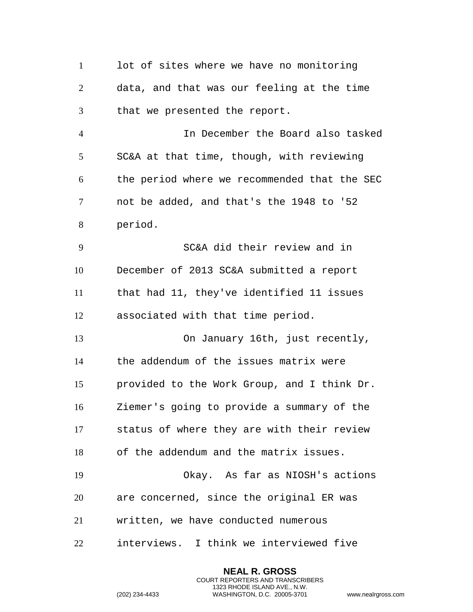lot of sites where we have no monitoring data, and that was our feeling at the time that we presented the report. In December the Board also tasked SC&A at that time, though, with reviewing the period where we recommended that the SEC not be added, and that's the 1948 to '52 period. SC&A did their review and in December of 2013 SC&A submitted a report that had 11, they've identified 11 issues associated with that time period. On January 16th, just recently, the addendum of the issues matrix were provided to the Work Group, and I think Dr. Ziemer's going to provide a summary of the status of where they are with their review of the addendum and the matrix issues. Okay. As far as NIOSH's actions are concerned, since the original ER was written, we have conducted numerous interviews. I think we interviewed five

> **NEAL R. GROSS** COURT REPORTERS AND TRANSCRIBERS 1323 RHODE ISLAND AVE., N.W.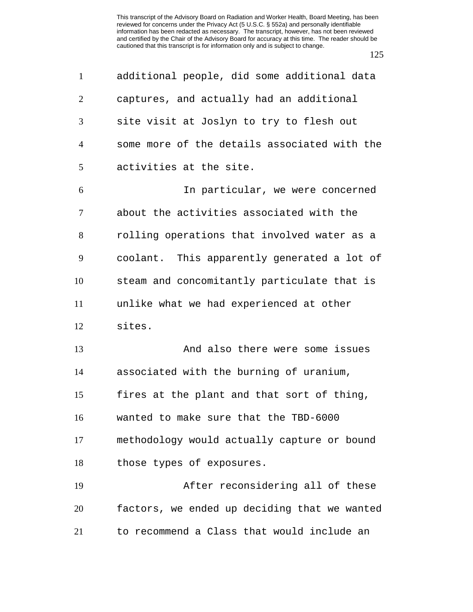| $\mathbf{1}$   | additional people, did some additional data  |
|----------------|----------------------------------------------|
| $\overline{2}$ | captures, and actually had an additional     |
| 3              | site visit at Joslyn to try to flesh out     |
| $\overline{4}$ | some more of the details associated with the |
| 5              | activities at the site.                      |
| 6              | In particular, we were concerned             |
| $\tau$         | about the activities associated with the     |
| 8              | rolling operations that involved water as a  |
| 9              | coolant. This apparently generated a lot of  |
| 10             | steam and concomitantly particulate that is  |
| 11             | unlike what we had experienced at other      |
| 12             | sites.                                       |
| 13             | And also there were some issues              |
| 14             | associated with the burning of uranium,      |
| 15             | fires at the plant and that sort of thing,   |
| 16             | wanted to make sure that the TBD-6000        |
| 17             | methodology would actually capture or bound  |
| 18             | those types of exposures.                    |
| 19             | After reconsidering all of these             |
| 20             | factors, we ended up deciding that we wanted |
| 21             | to recommend a Class that would include an   |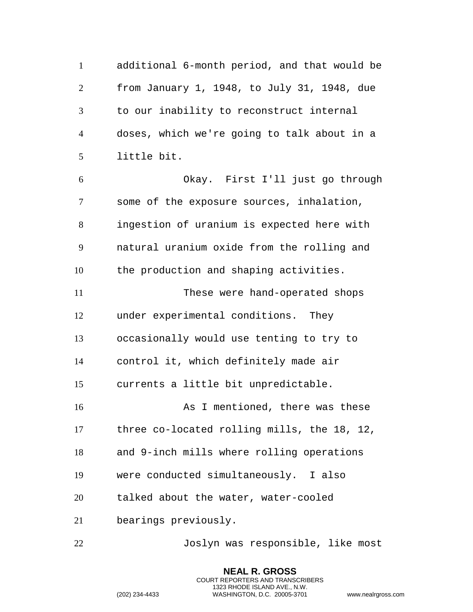additional 6-month period, and that would be from January 1, 1948, to July 31, 1948, due to our inability to reconstruct internal doses, which we're going to talk about in a little bit. Okay. First I'll just go through some of the exposure sources, inhalation, ingestion of uranium is expected here with natural uranium oxide from the rolling and the production and shaping activities. These were hand-operated shops under experimental conditions. They occasionally would use tenting to try to control it, which definitely made air currents a little bit unpredictable. 16 As I mentioned, there was these three co-located rolling mills, the 18, 12, and 9-inch mills where rolling operations were conducted simultaneously. I also talked about the water, water-cooled bearings previously.

Joslyn was responsible, like most

**NEAL R. GROSS** COURT REPORTERS AND TRANSCRIBERS 1323 RHODE ISLAND AVE., N.W.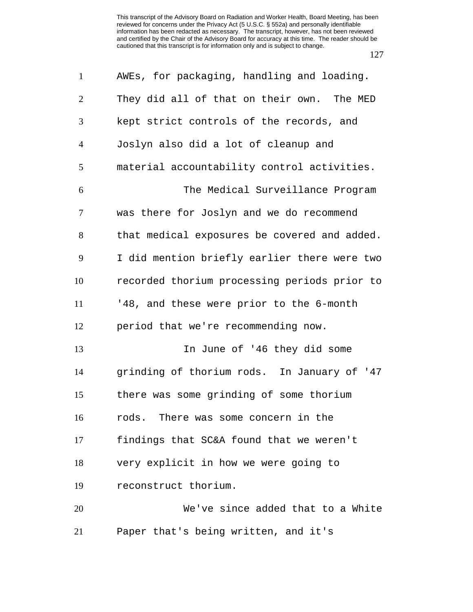| $\mathbf{1}$   | AWEs, for packaging, handling and loading.   |
|----------------|----------------------------------------------|
| $\overline{2}$ | They did all of that on their own. The MED   |
| 3              | kept strict controls of the records, and     |
| $\overline{4}$ | Joslyn also did a lot of cleanup and         |
| 5              | material accountability control activities.  |
| 6              | The Medical Surveillance Program             |
| $\overline{7}$ | was there for Joslyn and we do recommend     |
| 8              | that medical exposures be covered and added. |
| 9              | I did mention briefly earlier there were two |
| 10             | recorded thorium processing periods prior to |
| 11             | '48, and these were prior to the 6-month     |
| 12             | period that we're recommending now.          |
| 13             | In June of '46 they did some                 |
| 14             | grinding of thorium rods. In January of '47  |
| 15             | there was some grinding of some thorium      |
| 16             | rods. There was some concern in the          |
| 17             | findings that SC&A found that we weren't     |
| 18             | very explicit in how we were going to        |
| 19             | reconstruct thorium.                         |
| 20             | We've since added that to a White            |
| 21             | Paper that's being written, and it's         |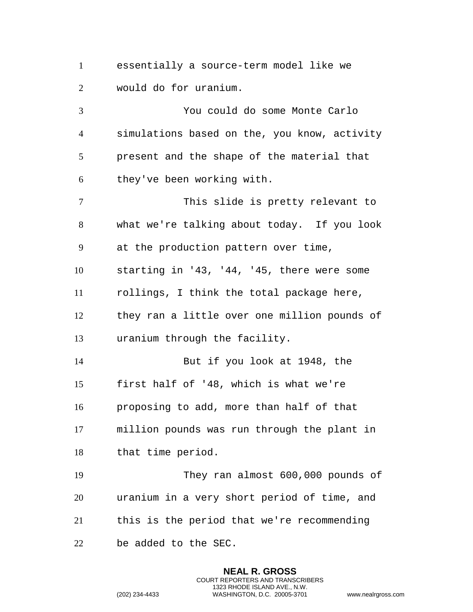essentially a source-term model like we would do for uranium.

 You could do some Monte Carlo simulations based on the, you know, activity present and the shape of the material that they've been working with. This slide is pretty relevant to what we're talking about today. If you look at the production pattern over time, starting in '43, '44, '45, there were some rollings, I think the total package here, they ran a little over one million pounds of uranium through the facility. But if you look at 1948, the first half of '48, which is what we're proposing to add, more than half of that million pounds was run through the plant in that time period. They ran almost 600,000 pounds of uranium in a very short period of time, and this is the period that we're recommending

**NEAL R. GROSS** COURT REPORTERS AND TRANSCRIBERS 1323 RHODE ISLAND AVE., N.W.

be added to the SEC.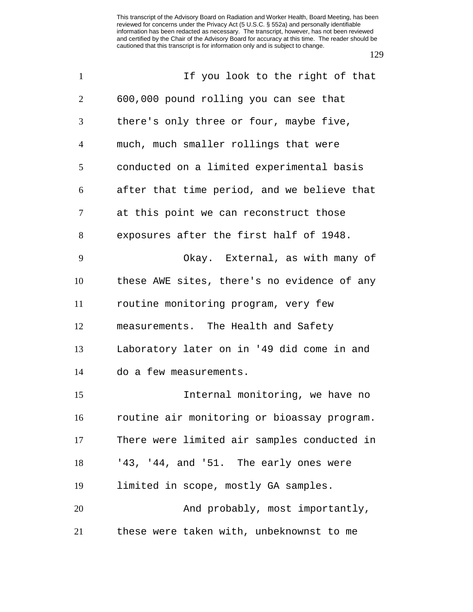| $\mathbf{1}$   | If you look to the right of that            |
|----------------|---------------------------------------------|
| $\overline{2}$ | 600,000 pound rolling you can see that      |
| 3              | there's only three or four, maybe five,     |
| $\overline{4}$ | much, much smaller rollings that were       |
| 5              | conducted on a limited experimental basis   |
| 6              | after that time period, and we believe that |
| $\tau$         | at this point we can reconstruct those      |
| 8              | exposures after the first half of 1948.     |
| 9              | Okay. External, as with many of             |
| 10             | these AWE sites, there's no evidence of any |
| 11             | routine monitoring program, very few        |
| 12             | measurements. The Health and Safety         |
| 13             | Laboratory later on in '49 did come in and  |
| 14             | do a few measurements.                      |
| 15             | Internal monitoring, we have no             |
| 16             | routine air monitoring or bioassay program. |
| 17             | There were limited air samples conducted in |
| 18             | '43, '44, and '51. The early ones were      |
| 19             | limited in scope, mostly GA samples.        |
| 20             | And probably, most importantly,             |
| 21             | these were taken with, unbeknownst to me    |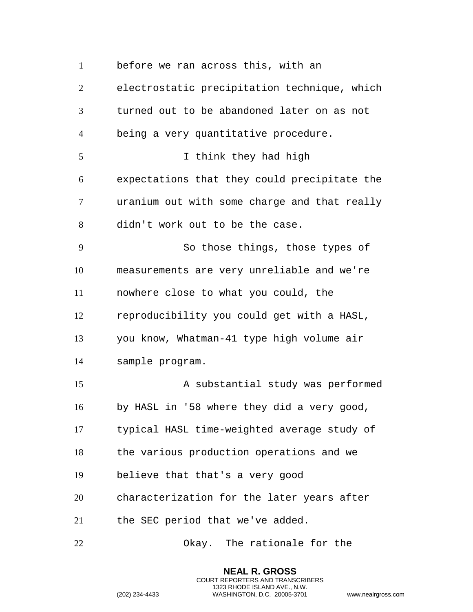before we ran across this, with an electrostatic precipitation technique, which turned out to be abandoned later on as not being a very quantitative procedure. I think they had high expectations that they could precipitate the uranium out with some charge and that really didn't work out to be the case. So those things, those types of measurements are very unreliable and we're nowhere close to what you could, the reproducibility you could get with a HASL, you know, Whatman-41 type high volume air sample program. A substantial study was performed by HASL in '58 where they did a very good, typical HASL time-weighted average study of the various production operations and we believe that that's a very good characterization for the later years after the SEC period that we've added. Okay. The rationale for the

> **NEAL R. GROSS** COURT REPORTERS AND TRANSCRIBERS 1323 RHODE ISLAND AVE., N.W.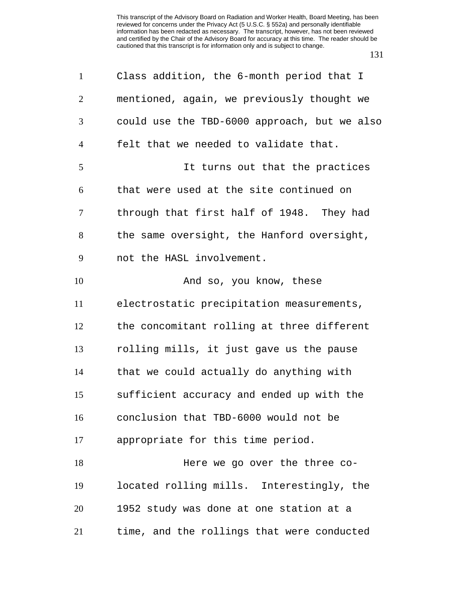| $\mathbf{1}$   | Class addition, the 6-month period that I    |
|----------------|----------------------------------------------|
| $\overline{2}$ | mentioned, again, we previously thought we   |
| 3              | could use the TBD-6000 approach, but we also |
| $\overline{4}$ | felt that we needed to validate that.        |
| 5              | It turns out that the practices              |
| 6              | that were used at the site continued on      |
| $\tau$         | through that first half of 1948. They had    |
| 8              | the same oversight, the Hanford oversight,   |
| 9              | not the HASL involvement.                    |
| 10             | And so, you know, these                      |
| 11             | electrostatic precipitation measurements,    |
| 12             | the concomitant rolling at three different   |
| 13             | rolling mills, it just gave us the pause     |
| 14             | that we could actually do anything with      |
| 15             | sufficient accuracy and ended up with the    |
| 16             | conclusion that TBD-6000 would not be        |
| 17             | appropriate for this time period.            |
| 18             | Here we go over the three co-                |
| 19             | located rolling mills. Interestingly, the    |
| 20             | 1952 study was done at one station at a      |
| 21             | time, and the rollings that were conducted   |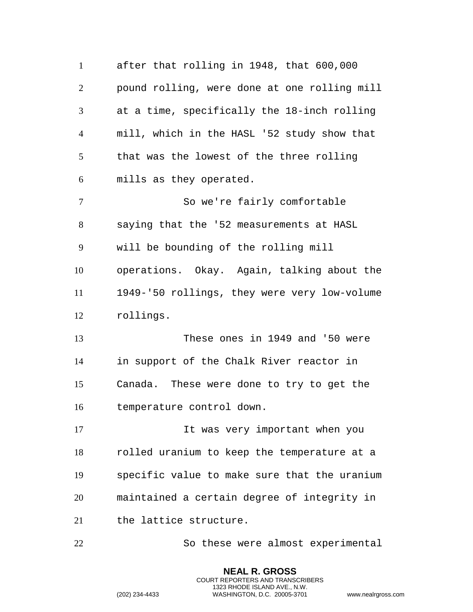after that rolling in 1948, that 600,000 pound rolling, were done at one rolling mill at a time, specifically the 18-inch rolling mill, which in the HASL '52 study show that that was the lowest of the three rolling mills as they operated. So we're fairly comfortable saying that the '52 measurements at HASL will be bounding of the rolling mill operations. Okay. Again, talking about the 1949-'50 rollings, they were very low-volume rollings. These ones in 1949 and '50 were in support of the Chalk River reactor in Canada. These were done to try to get the temperature control down. 17 11 It was very important when you rolled uranium to keep the temperature at a specific value to make sure that the uranium maintained a certain degree of integrity in the lattice structure. So these were almost experimental

> **NEAL R. GROSS** COURT REPORTERS AND TRANSCRIBERS 1323 RHODE ISLAND AVE., N.W.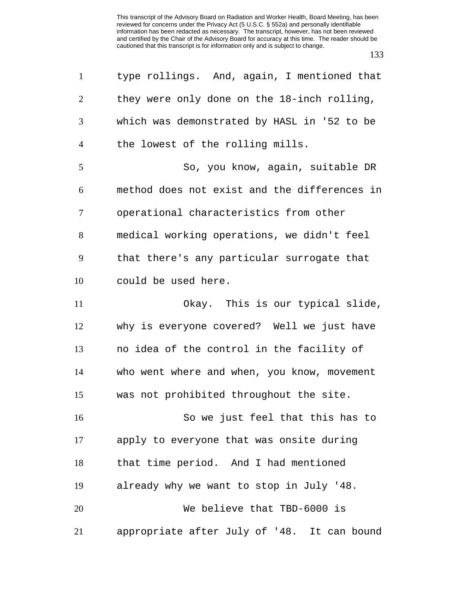| $\mathbf{1}$   | type rollings. And, again, I mentioned that  |
|----------------|----------------------------------------------|
| $\overline{2}$ | they were only done on the 18-inch rolling,  |
| 3              | which was demonstrated by HASL in '52 to be  |
| 4              | the lowest of the rolling mills.             |
| 5              | So, you know, again, suitable DR             |
| 6              | method does not exist and the differences in |
| $\tau$         | operational characteristics from other       |
| 8              | medical working operations, we didn't feel   |
| 9              | that there's any particular surrogate that   |
| 10             | could be used here.                          |
| 11             | Okay. This is our typical slide,             |
| 12             | why is everyone covered? Well we just have   |
| 13             | no idea of the control in the facility of    |
| 14             | who went where and when, you know, movement  |
| 15             | was not prohibited throughout the site.      |
| 16             | So we just feel that this has to             |
| 17             | apply to everyone that was onsite during     |
| 18             | that time period. And I had mentioned        |
| 19             | already why we want to stop in July '48.     |
| 20             | We believe that TBD-6000 is                  |
| 21             | appropriate after July of '48. It can bound  |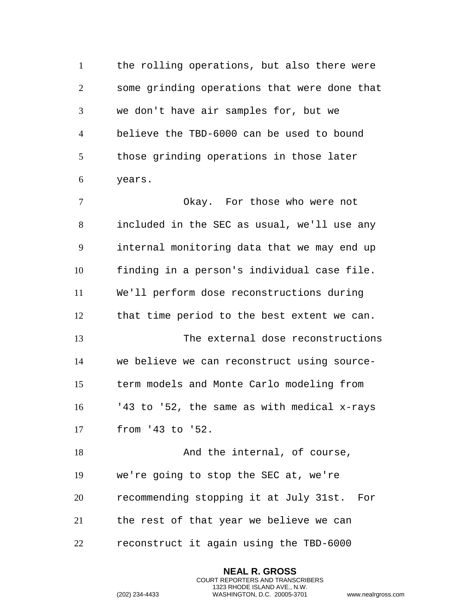the rolling operations, but also there were some grinding operations that were done that we don't have air samples for, but we believe the TBD-6000 can be used to bound those grinding operations in those later years.

 Okay. For those who were not included in the SEC as usual, we'll use any internal monitoring data that we may end up finding in a person's individual case file. We'll perform dose reconstructions during that time period to the best extent we can. The external dose reconstructions we believe we can reconstruct using source- term models and Monte Carlo modeling from '43 to '52, the same as with medical x-rays from '43 to '52. 18 And the internal, of course, we're going to stop the SEC at, we're recommending stopping it at July 31st. For

the rest of that year we believe we can

reconstruct it again using the TBD-6000

**NEAL R. GROSS** COURT REPORTERS AND TRANSCRIBERS 1323 RHODE ISLAND AVE., N.W.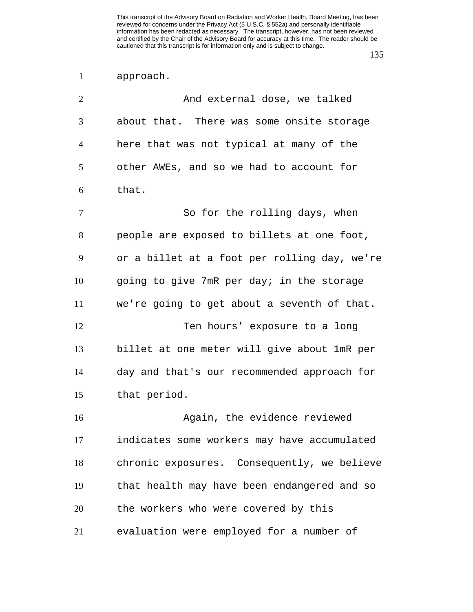## approach.

| $\overline{2}$ | And external dose, we talked                 |
|----------------|----------------------------------------------|
| 3              | about that. There was some onsite storage    |
| $\overline{4}$ | here that was not typical at many of the     |
| 5              | other AWEs, and so we had to account for     |
| 6              | that.                                        |
| $\tau$         | So for the rolling days, when                |
| 8              | people are exposed to billets at one foot,   |
| 9              | or a billet at a foot per rolling day, we're |
| 10             | going to give 7mR per day; in the storage    |
| 11             | we're going to get about a seventh of that.  |
| 12             | Ten hours' exposure to a long                |
| 13             | billet at one meter will give about 1mR per  |
| 14             | day and that's our recommended approach for  |
| 15             | that period.                                 |
| 16             | Again, the evidence reviewed                 |
| 17             | indicates some workers may have accumulated  |
| 18             | chronic exposures. Consequently, we believe  |
| 19             | that health may have been endangered and so  |
| 20             | the workers who were covered by this         |
| 21             | evaluation were employed for a number of     |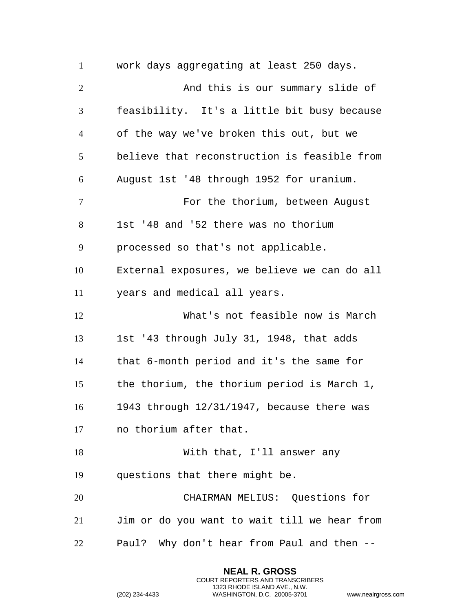work days aggregating at least 250 days. 2 And this is our summary slide of feasibility. It's a little bit busy because of the way we've broken this out, but we believe that reconstruction is feasible from August 1st '48 through 1952 for uranium. For the thorium, between August 1st '48 and '52 there was no thorium processed so that's not applicable. External exposures, we believe we can do all years and medical all years. What's not feasible now is March 1st '43 through July 31, 1948, that adds that 6-month period and it's the same for the thorium, the thorium period is March 1, 1943 through 12/31/1947, because there was no thorium after that. With that, I'll answer any questions that there might be. CHAIRMAN MELIUS: Questions for Jim or do you want to wait till we hear from Paul? Why don't hear from Paul and then --

> **NEAL R. GROSS** COURT REPORTERS AND TRANSCRIBERS 1323 RHODE ISLAND AVE., N.W.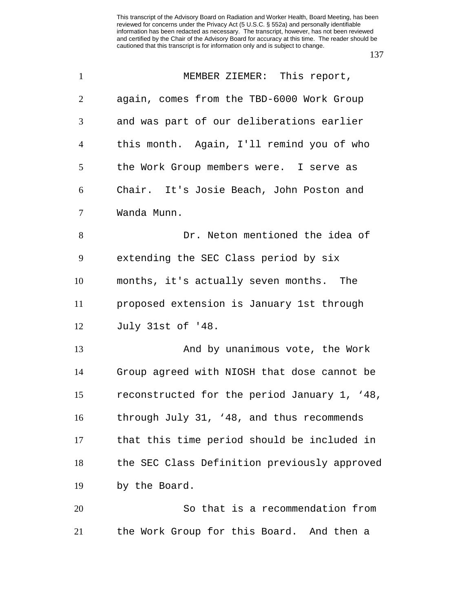| $\mathbf{1}$   | MEMBER ZIEMER: This report,                  |
|----------------|----------------------------------------------|
| $\overline{2}$ | again, comes from the TBD-6000 Work Group    |
| 3              | and was part of our deliberations earlier    |
| $\overline{4}$ | this month. Again, I'll remind you of who    |
| 5              | the Work Group members were. I serve as      |
| 6              | Chair. It's Josie Beach, John Poston and     |
| $\overline{7}$ | Wanda Munn.                                  |
| 8              | Dr. Neton mentioned the idea of              |
| 9              | extending the SEC Class period by six        |
| 10             | months, it's actually seven months. The      |
| 11             | proposed extension is January 1st through    |
| 12             | July 31st of '48.                            |
| 13             | And by unanimous vote, the Work              |
| 14             | Group agreed with NIOSH that dose cannot be  |
| 15             | reconstructed for the period January 1, '48, |
| 16             | through July 31, '48, and thus recommends    |
| 17             | that this time period should be included in  |
| 18             | the SEC Class Definition previously approved |
| 19             | by the Board.                                |
| 20             | So that is a recommendation from             |
| 21             | the Work Group for this Board. And then a    |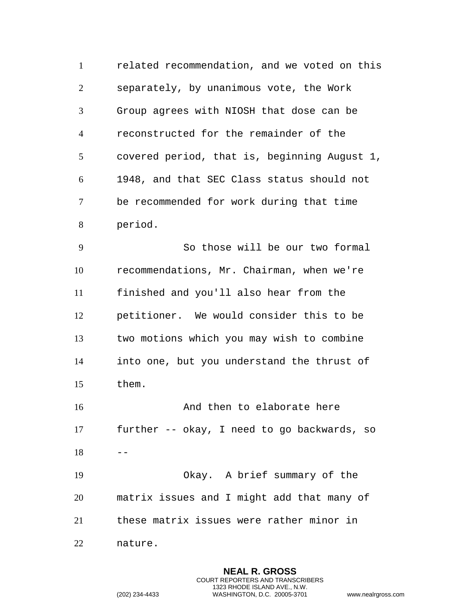related recommendation, and we voted on this separately, by unanimous vote, the Work Group agrees with NIOSH that dose can be reconstructed for the remainder of the covered period, that is, beginning August 1, 1948, and that SEC Class status should not be recommended for work during that time period.

 So those will be our two formal recommendations, Mr. Chairman, when we're finished and you'll also hear from the petitioner. We would consider this to be two motions which you may wish to combine into one, but you understand the thrust of them.

16 And then to elaborate here further -- okay, I need to go backwards, so  $18 - -$ Okay. A brief summary of the

 matrix issues and I might add that many of these matrix issues were rather minor in

nature.

**NEAL R. GROSS** COURT REPORTERS AND TRANSCRIBERS 1323 RHODE ISLAND AVE., N.W. (202) 234-4433 WASHINGTON, D.C. 20005-3701 www.nealrgross.com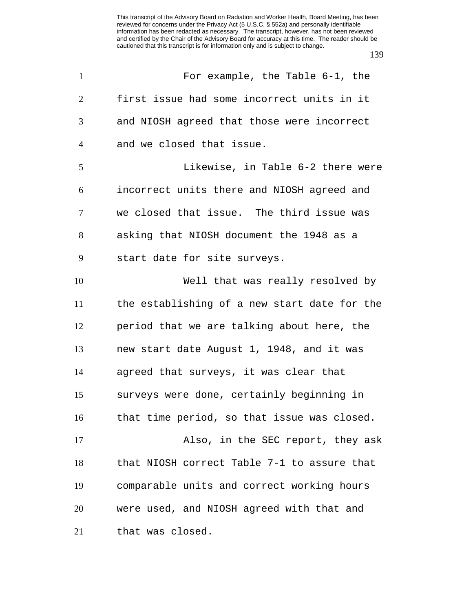| $\mathbf{1}$   | For example, the Table 6-1, the              |
|----------------|----------------------------------------------|
| $\overline{2}$ | first issue had some incorrect units in it   |
| 3              | and NIOSH agreed that those were incorrect   |
| $\overline{4}$ | and we closed that issue.                    |
| 5              | Likewise, in Table 6-2 there were            |
| 6              | incorrect units there and NIOSH agreed and   |
| $\overline{7}$ | we closed that issue. The third issue was    |
| 8              | asking that NIOSH document the 1948 as a     |
| 9              | start date for site surveys.                 |
| 10             | Well that was really resolved by             |
| 11             | the establishing of a new start date for the |
| 12             | period that we are talking about here, the   |
| 13             | new start date August 1, 1948, and it was    |
| 14             | agreed that surveys, it was clear that       |
| 15             | surveys were done, certainly beginning in    |
| 16             | that time period, so that issue was closed.  |
| 17             | Also, in the SEC report, they ask            |
| 18             | that NIOSH correct Table 7-1 to assure that  |
| 19             | comparable units and correct working hours   |
| 20             | were used, and NIOSH agreed with that and    |
| 21             | that was closed.                             |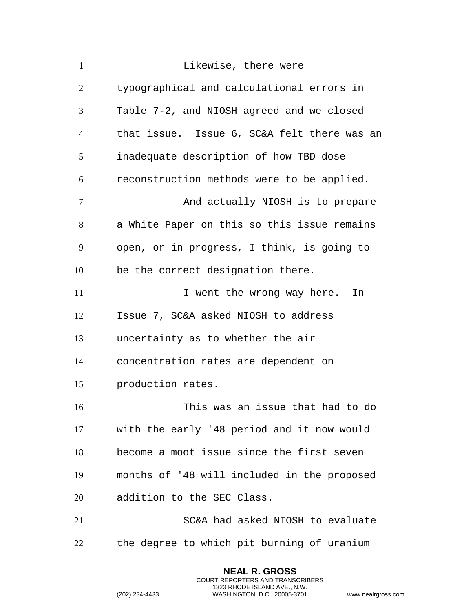| $\mathbf{1}$   | Likewise, there were                        |
|----------------|---------------------------------------------|
| $\overline{2}$ | typographical and calculational errors in   |
| 3              | Table 7-2, and NIOSH agreed and we closed   |
| $\overline{4}$ | that issue. Issue 6, SC&A felt there was an |
| 5              | inadequate description of how TBD dose      |
| 6              | reconstruction methods were to be applied.  |
| $\overline{7}$ | And actually NIOSH is to prepare            |
| 8              | a White Paper on this so this issue remains |
| 9              | open, or in progress, I think, is going to  |
| 10             | be the correct designation there.           |
| 11             | I went the wrong way here.<br>In            |
| 12             | Issue 7, SC&A asked NIOSH to address        |
| 13             | uncertainty as to whether the air           |
| 14             | concentration rates are dependent on        |
| 15             | production rates.                           |
| 16             | This was an issue that had to do            |
| 17             | with the early '48 period and it now would  |
| 18             | become a moot issue since the first seven   |
| 19             | months of '48 will included in the proposed |
| 20             | addition to the SEC Class.                  |
| 21             | SC&A had asked NIOSH to evaluate            |
| 22             | the degree to which pit burning of uranium  |

**NEAL R. GROSS** COURT REPORTERS AND TRANSCRIBERS 1323 RHODE ISLAND AVE., N.W.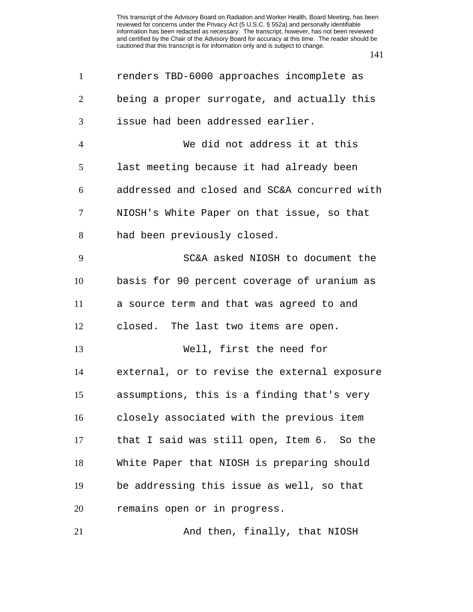| $\mathbf{1}$   | renders TBD-6000 approaches incomplete as    |
|----------------|----------------------------------------------|
| $\overline{2}$ | being a proper surrogate, and actually this  |
| 3              | issue had been addressed earlier.            |
| $\overline{4}$ | We did not address it at this                |
| 5              | last meeting because it had already been     |
| 6              | addressed and closed and SC&A concurred with |
| 7              | NIOSH's White Paper on that issue, so that   |
| 8              | had been previously closed.                  |
| 9              | SC&A asked NIOSH to document the             |
| 10             | basis for 90 percent coverage of uranium as  |
| 11             | a source term and that was agreed to and     |
| 12             | closed. The last two items are open.         |
| 13             | Well, first the need for                     |
| 14             | external, or to revise the external exposure |
| 15             | assumptions, this is a finding that's very   |
| 16             | closely associated with the previous item    |
| 17             | that I said was still open, Item 6. So the   |
| 18             | White Paper that NIOSH is preparing should   |
| 19             | be addressing this issue as well, so that    |
| 20             | remains open or in progress.                 |
| 21             | And then, finally, that NIOSH                |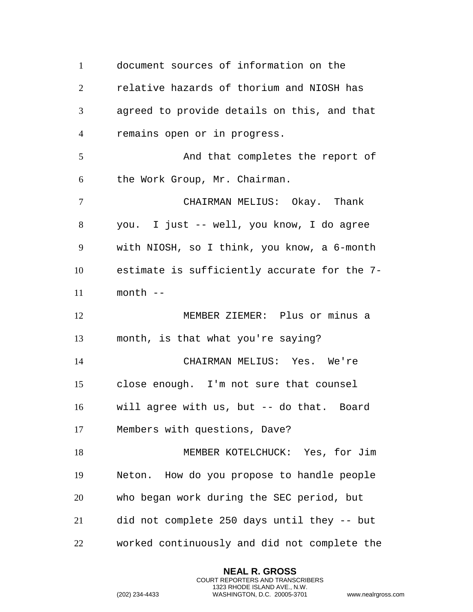document sources of information on the relative hazards of thorium and NIOSH has agreed to provide details on this, and that remains open or in progress. 5 And that completes the report of the Work Group, Mr. Chairman. CHAIRMAN MELIUS: Okay. Thank you. I just -- well, you know, I do agree with NIOSH, so I think, you know, a 6-month estimate is sufficiently accurate for the 7- month -- MEMBER ZIEMER: Plus or minus a month, is that what you're saying? CHAIRMAN MELIUS: Yes. We're close enough. I'm not sure that counsel will agree with us, but -- do that. Board Members with questions, Dave? MEMBER KOTELCHUCK: Yes, for Jim Neton. How do you propose to handle people who began work during the SEC period, but did not complete 250 days until they -- but worked continuously and did not complete the

> **NEAL R. GROSS** COURT REPORTERS AND TRANSCRIBERS 1323 RHODE ISLAND AVE., N.W.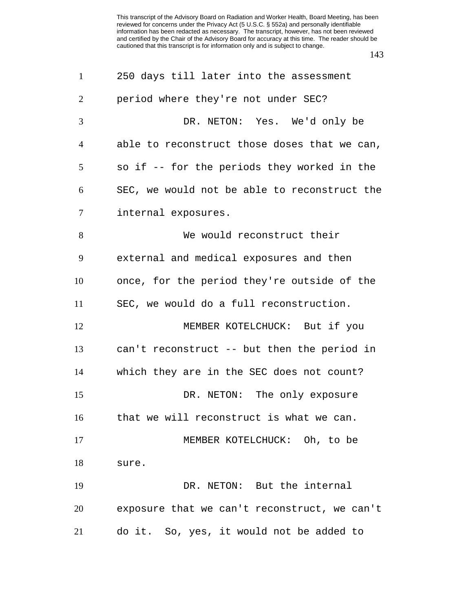| $\mathbf{1}$   | 250 days till later into the assessment      |
|----------------|----------------------------------------------|
| $\overline{2}$ | period where they're not under SEC?          |
| 3              | DR. NETON: Yes. We'd only be                 |
| $\overline{4}$ | able to reconstruct those doses that we can, |
| 5              | so if -- for the periods they worked in the  |
| 6              | SEC, we would not be able to reconstruct the |
| $\tau$         | internal exposures.                          |
| 8              | We would reconstruct their                   |
| 9              | external and medical exposures and then      |
| 10             | once, for the period they're outside of the  |
| 11             | SEC, we would do a full reconstruction.      |
| 12             | MEMBER KOTELCHUCK: But if you                |
| 13             | can't reconstruct -- but then the period in  |
| 14             | which they are in the SEC does not count?    |
| 15             | DR. NETON: The only exposure                 |
| 16             | that we will reconstruct is what we can.     |
| 17             | MEMBER KOTELCHUCK: Oh, to be                 |
| 18             | sure.                                        |
| 19             | DR. NETON: But the internal                  |
| 20             | exposure that we can't reconstruct, we can't |
| 21             | do it. So, yes, it would not be added to     |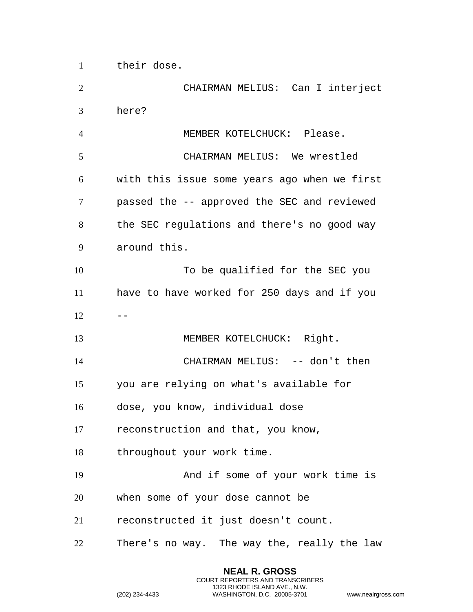their dose.

 CHAIRMAN MELIUS: Can I interject here? MEMBER KOTELCHUCK: Please. CHAIRMAN MELIUS: We wrestled with this issue some years ago when we first passed the -- approved the SEC and reviewed the SEC regulations and there's no good way around this. 10 To be qualified for the SEC you have to have worked for 250 days and if you  $12 - -$ 13 MEMBER KOTELCHUCK: Right. CHAIRMAN MELIUS: -- don't then you are relying on what's available for dose, you know, individual dose reconstruction and that, you know, throughout your work time. And if some of your work time is when some of your dose cannot be reconstructed it just doesn't count. There's no way. The way the, really the law

> **NEAL R. GROSS** COURT REPORTERS AND TRANSCRIBERS 1323 RHODE ISLAND AVE., N.W.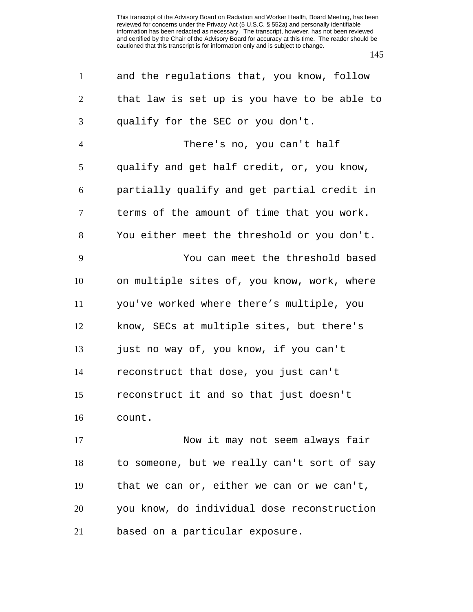| $\mathbf{1}$   | and the regulations that, you know, follow   |
|----------------|----------------------------------------------|
| $\overline{2}$ | that law is set up is you have to be able to |
| 3              | qualify for the SEC or you don't.            |
| $\overline{4}$ | There's no, you can't half                   |
| 5              | qualify and get half credit, or, you know,   |
| 6              | partially qualify and get partial credit in  |
| 7              | terms of the amount of time that you work.   |
| 8              | You either meet the threshold or you don't.  |
| 9              | You can meet the threshold based             |
| 10             | on multiple sites of, you know, work, where  |
| 11             | you've worked where there's multiple, you    |
| 12             | know, SECs at multiple sites, but there's    |
| 13             | just no way of, you know, if you can't       |
| 14             | reconstruct that dose, you just can't        |
| 15             | reconstruct it and so that just doesn't      |
| 16             | count.                                       |
| 17             | Now it may not seem always fair              |
| 18             | to someone, but we really can't sort of say  |
| 19             | that we can or, either we can or we can't,   |
| 20             | you know, do individual dose reconstruction  |
| 21             | based on a particular exposure.              |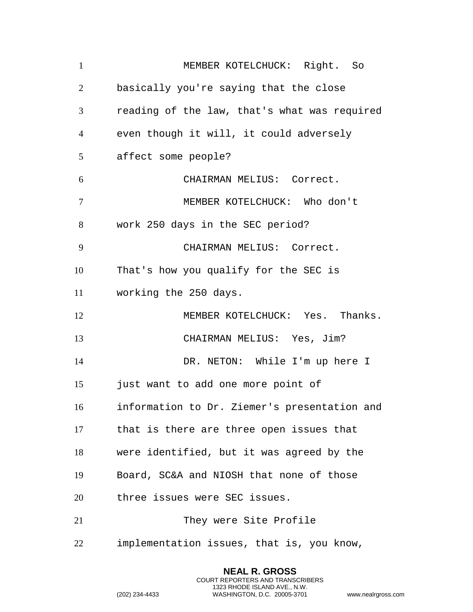1 MEMBER KOTELCHUCK: Right. So basically you're saying that the close reading of the law, that's what was required even though it will, it could adversely affect some people? CHAIRMAN MELIUS: Correct. MEMBER KOTELCHUCK: Who don't work 250 days in the SEC period? CHAIRMAN MELIUS: Correct. That's how you qualify for the SEC is working the 250 days. MEMBER KOTELCHUCK: Yes. Thanks. CHAIRMAN MELIUS: Yes, Jim? DR. NETON: While I'm up here I just want to add one more point of information to Dr. Ziemer's presentation and that is there are three open issues that were identified, but it was agreed by the Board, SC&A and NIOSH that none of those three issues were SEC issues. They were Site Profile implementation issues, that is, you know,

> **NEAL R. GROSS** COURT REPORTERS AND TRANSCRIBERS 1323 RHODE ISLAND AVE., N.W.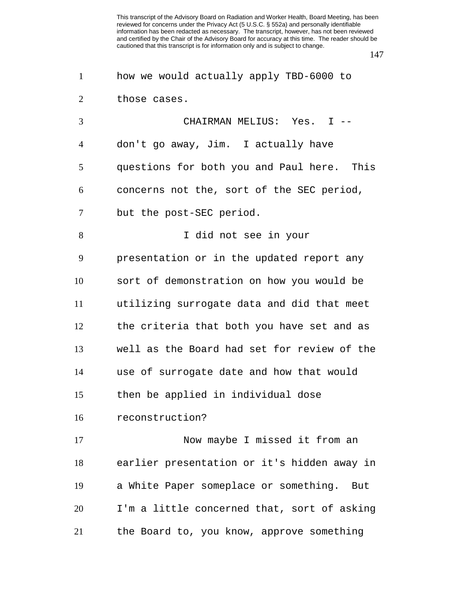| $\mathbf{1}$   | how we would actually apply TBD-6000 to     |
|----------------|---------------------------------------------|
| $\overline{2}$ | those cases.                                |
| 3              | CHAIRMAN MELIUS: Yes. I --                  |
| $\overline{4}$ | don't go away, Jim. I actually have         |
| 5              | questions for both you and Paul here. This  |
| 6              | concerns not the, sort of the SEC period,   |
| 7              | but the post-SEC period.                    |
| 8              | I did not see in your                       |
| 9              | presentation or in the updated report any   |
| 10             | sort of demonstration on how you would be   |
| 11             | utilizing surrogate data and did that meet  |
| 12             | the criteria that both you have set and as  |
| 13             | well as the Board had set for review of the |
| 14             | use of surrogate date and how that would    |
| 15             | then be applied in individual dose          |
| 16             | reconstruction?                             |
| 17             | Now maybe I missed it from an               |
| 18             | earlier presentation or it's hidden away in |
| 19             | a White Paper someplace or something. But   |
| 20             | I'm a little concerned that, sort of asking |
| 21             | the Board to, you know, approve something   |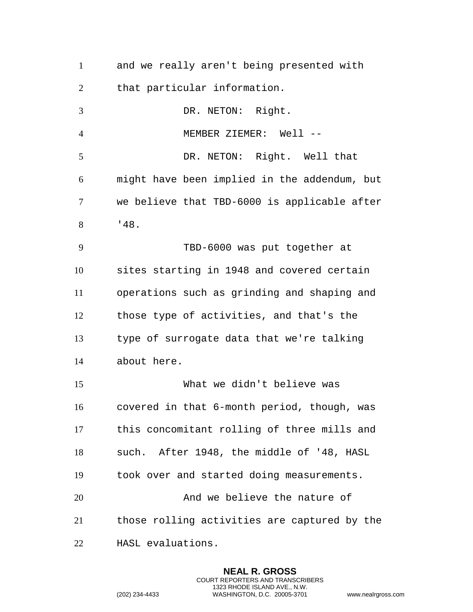| $\mathbf{1}$   | and we really aren't being presented with    |
|----------------|----------------------------------------------|
| $\overline{2}$ | that particular information.                 |
| 3              | DR. NETON: Right.                            |
| $\overline{4}$ | MEMBER ZIEMER: Well --                       |
| 5              | DR. NETON: Right. Well that                  |
| 6              | might have been implied in the addendum, but |
| 7              | we believe that TBD-6000 is applicable after |
| 8              | '48.                                         |
| 9              | TBD-6000 was put together at                 |
| 10             | sites starting in 1948 and covered certain   |
| 11             | operations such as grinding and shaping and  |
| 12             | those type of activities, and that's the     |
| 13             | type of surrogate data that we're talking    |
| 14             | about here.                                  |
| 15             | What we didn't believe was                   |
| 16             | covered in that 6-month period, though, was  |
| 17             | this concomitant rolling of three mills and  |
| 18             | such. After 1948, the middle of '48, HASL    |
| 19             | took over and started doing measurements.    |
| 20             | And we believe the nature of                 |
| 21             | those rolling activities are captured by the |
| 22             | HASL evaluations.                            |

**NEAL R. GROSS** COURT REPORTERS AND TRANSCRIBERS 1323 RHODE ISLAND AVE., N.W.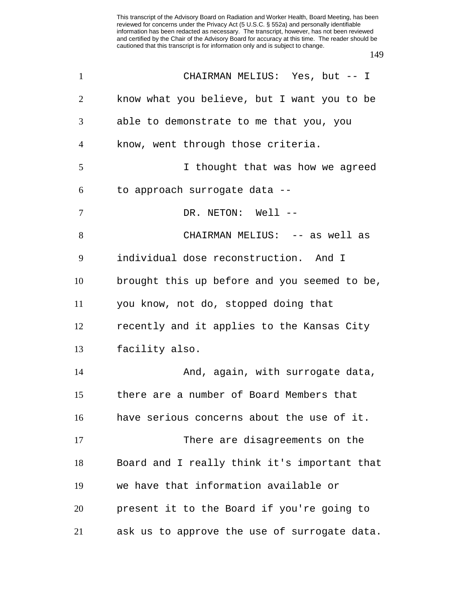| $\mathbf{1}$   | CHAIRMAN MELIUS: Yes, but -- I               |
|----------------|----------------------------------------------|
| 2              | know what you believe, but I want you to be  |
| 3              | able to demonstrate to me that you, you      |
| $\overline{4}$ | know, went through those criteria.           |
| 5              | I thought that was how we agreed             |
| 6              | to approach surrogate data --                |
| $\tau$         | DR. NETON: Well --                           |
| 8              | CHAIRMAN MELIUS: -- as well as               |
| 9              | individual dose reconstruction. And I        |
| 10             | brought this up before and you seemed to be, |
| 11             | you know, not do, stopped doing that         |
| 12             | recently and it applies to the Kansas City   |
| 13             | facility also.                               |
| 14             | And, again, with surrogate data,             |
| 15             | there are a number of Board Members that     |
| 16             | have serious concerns about the use of it.   |
| 17             | There are disagreements on the               |
| 18             | Board and I really think it's important that |
| 19             | we have that information available or        |
| 20             | present it to the Board if you're going to   |
| 21             | ask us to approve the use of surrogate data. |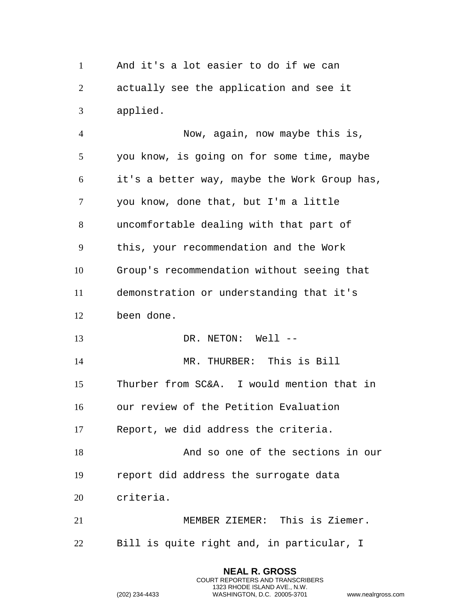And it's a lot easier to do if we can actually see the application and see it applied.

 Now, again, now maybe this is, you know, is going on for some time, maybe it's a better way, maybe the Work Group has, you know, done that, but I'm a little uncomfortable dealing with that part of this, your recommendation and the Work Group's recommendation without seeing that demonstration or understanding that it's been done. 13 DR. NETON: Well -- MR. THURBER: This is Bill Thurber from SC&A. I would mention that in our review of the Petition Evaluation Report, we did address the criteria. And so one of the sections in our report did address the surrogate data criteria. MEMBER ZIEMER: This is Ziemer. Bill is quite right and, in particular, I

> **NEAL R. GROSS** COURT REPORTERS AND TRANSCRIBERS 1323 RHODE ISLAND AVE., N.W.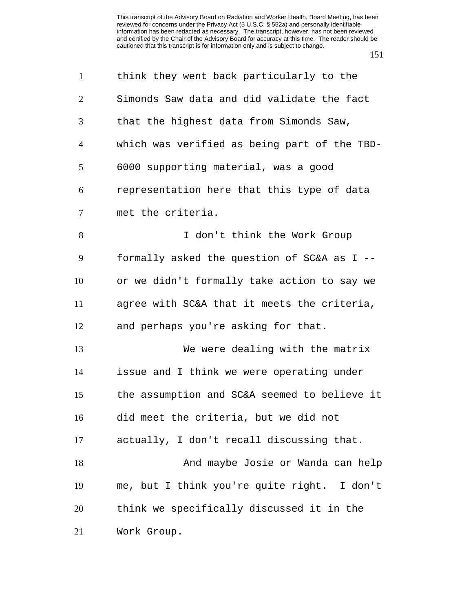| $\mathbf{1}$   | think they went back particularly to the     |
|----------------|----------------------------------------------|
| $\overline{2}$ | Simonds Saw data and did validate the fact   |
| 3              | that the highest data from Simonds Saw,      |
| 4              | which was verified as being part of the TBD- |
| 5              | 6000 supporting material, was a good         |
| 6              | representation here that this type of data   |
| 7              | met the criteria.                            |
| 8              | I don't think the Work Group                 |
| 9              | formally asked the question of SC&A as I --  |
| 10             | or we didn't formally take action to say we  |
| 11             | agree with SC&A that it meets the criteria,  |
| 12             | and perhaps you're asking for that.          |
| 13             | We were dealing with the matrix              |
| 14             | issue and I think we were operating under    |
| 15             | the assumption and SC&A seemed to believe it |
| 16             | did meet the criteria, but we did not        |
| 17             | actually, I don't recall discussing that.    |
| 18             | And maybe Josie or Wanda can help            |
| 19             | me, but I think you're quite right. I don't  |
| 20             | think we specifically discussed it in the    |
| 21             | Work Group.                                  |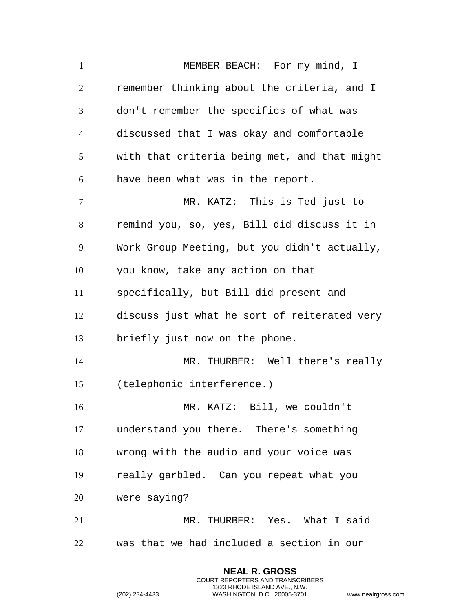1 MEMBER BEACH: For my mind, I remember thinking about the criteria, and I don't remember the specifics of what was discussed that I was okay and comfortable with that criteria being met, and that might have been what was in the report. MR. KATZ: This is Ted just to remind you, so, yes, Bill did discuss it in Work Group Meeting, but you didn't actually, you know, take any action on that specifically, but Bill did present and discuss just what he sort of reiterated very briefly just now on the phone. MR. THURBER: Well there's really (telephonic interference.) MR. KATZ: Bill, we couldn't understand you there. There's something wrong with the audio and your voice was really garbled. Can you repeat what you were saying? MR. THURBER: Yes. What I said was that we had included a section in our

> **NEAL R. GROSS** COURT REPORTERS AND TRANSCRIBERS 1323 RHODE ISLAND AVE., N.W.

```
(202) 234-4433 WASHINGTON, D.C. 20005-3701 www.nealrgross.com
```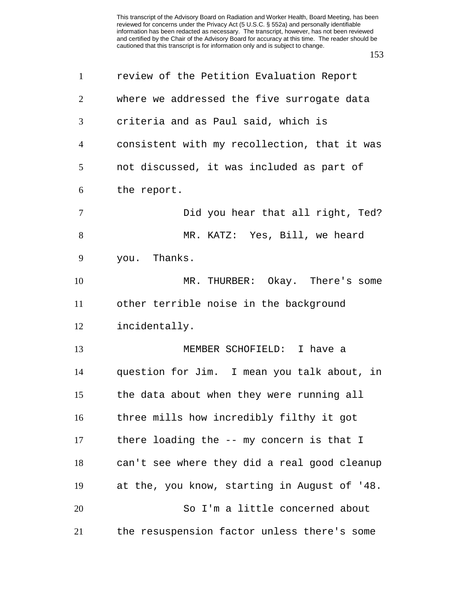| $\mathbf{1}$ | review of the Petition Evaluation Report     |
|--------------|----------------------------------------------|
| 2            | where we addressed the five surrogate data   |
| 3            | criteria and as Paul said, which is          |
| 4            | consistent with my recollection, that it was |
| 5            | not discussed, it was included as part of    |
| 6            | the report.                                  |
| $\tau$       | Did you hear that all right, Ted?            |
| 8            | MR. KATZ: Yes, Bill, we heard                |
| 9            | you. Thanks.                                 |
| 10           | MR. THURBER: Okay. There's some              |
| 11           | other terrible noise in the background       |
| 12           | incidentally.                                |
| 13           | MEMBER SCHOFIELD: I have a                   |
| 14           | question for Jim. I mean you talk about, in  |
| 15           | the data about when they were running all    |
| 16           | three mills how incredibly filthy it got     |
| 17           | there loading the -- my concern is that I    |
| 18           | can't see where they did a real good cleanup |
| 19           | at the, you know, starting in August of '48. |
| 20           | So I'm a little concerned about              |
| 21           | the resuspension factor unless there's some  |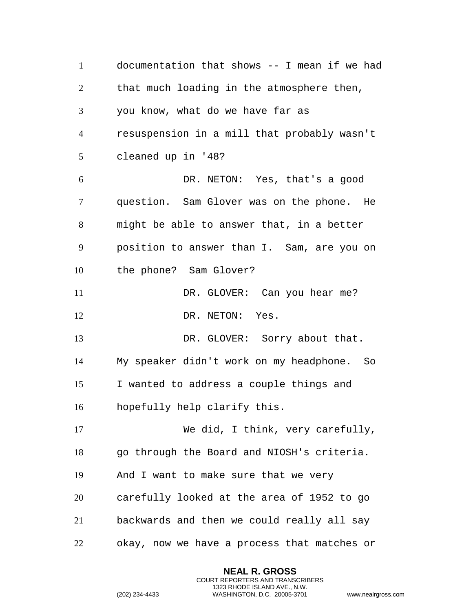documentation that shows -- I mean if we had that much loading in the atmosphere then, you know, what do we have far as resuspension in a mill that probably wasn't cleaned up in '48? DR. NETON: Yes, that's a good question. Sam Glover was on the phone. He might be able to answer that, in a better position to answer than I. Sam, are you on the phone? Sam Glover? 11 DR. GLOVER: Can you hear me? 12 DR. NETON: Yes. 13 DR. GLOVER: Sorry about that. My speaker didn't work on my headphone. So I wanted to address a couple things and hopefully help clarify this. We did, I think, very carefully, go through the Board and NIOSH's criteria. And I want to make sure that we very carefully looked at the area of 1952 to go backwards and then we could really all say okay, now we have a process that matches or

> **NEAL R. GROSS** COURT REPORTERS AND TRANSCRIBERS 1323 RHODE ISLAND AVE., N.W.

```
(202) 234-4433 WASHINGTON, D.C. 20005-3701 www.nealrgross.com
```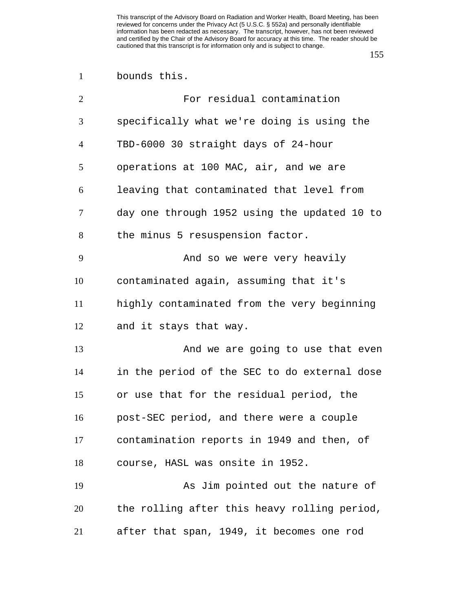| $\overline{2}$ | For residual contamination                   |
|----------------|----------------------------------------------|
| 3              | specifically what we're doing is using the   |
| $\overline{4}$ | TBD-6000 30 straight days of 24-hour         |
| 5              | operations at 100 MAC, air, and we are       |
| 6              | leaving that contaminated that level from    |
| 7              | day one through 1952 using the updated 10 to |
| 8              | the minus 5 resuspension factor.             |
| 9              | And so we were very heavily                  |
| 10             | contaminated again, assuming that it's       |
| 11             | highly contaminated from the very beginning  |
| 12             | and it stays that way.                       |
| 13             | And we are going to use that even            |
| 14             | in the period of the SEC to do external dose |
| 15             | or use that for the residual period, the     |
| 16             | post-SEC period, and there were a couple     |
| 17             | contamination reports in 1949 and then, of   |
| 18             | course, HASL was onsite in 1952.             |
| 19             | As Jim pointed out the nature of             |
| 20             | the rolling after this heavy rolling period, |
| 21             | after that span, 1949, it becomes one rod    |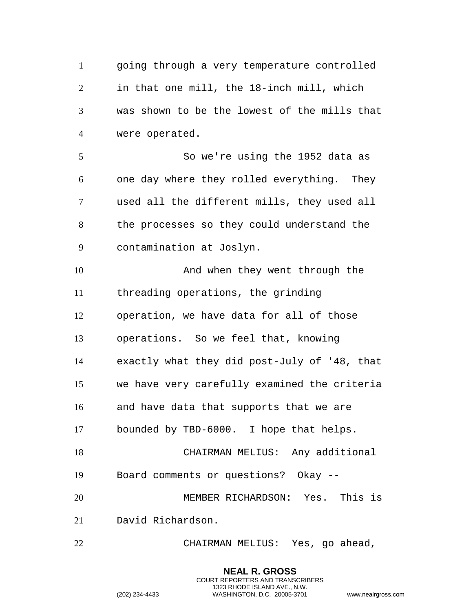going through a very temperature controlled in that one mill, the 18-inch mill, which was shown to be the lowest of the mills that were operated. So we're using the 1952 data as

 one day where they rolled everything. They used all the different mills, they used all the processes so they could understand the contamination at Joslyn.

 And when they went through the threading operations, the grinding operation, we have data for all of those operations. So we feel that, knowing exactly what they did post-July of '48, that we have very carefully examined the criteria and have data that supports that we are bounded by TBD-6000. I hope that helps. CHAIRMAN MELIUS: Any additional Board comments or questions? Okay -- MEMBER RICHARDSON: Yes. This is David Richardson.

CHAIRMAN MELIUS: Yes, go ahead,

**NEAL R. GROSS** COURT REPORTERS AND TRANSCRIBERS 1323 RHODE ISLAND AVE., N.W.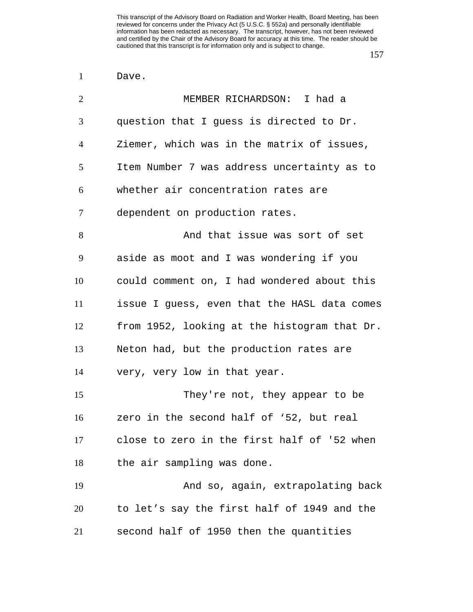Dave.

| $\overline{2}$ | MEMBER RICHARDSON: I had a                   |
|----------------|----------------------------------------------|
| 3              | question that I guess is directed to Dr.     |
| $\overline{4}$ | Ziemer, which was in the matrix of issues,   |
| 5              | Item Number 7 was address uncertainty as to  |
| 6              | whether air concentration rates are          |
| 7              | dependent on production rates.               |
| 8              | And that issue was sort of set               |
| 9              | aside as moot and I was wondering if you     |
| 10             | could comment on, I had wondered about this  |
| 11             | issue I guess, even that the HASL data comes |
| 12             | from 1952, looking at the histogram that Dr. |
| 13             | Neton had, but the production rates are      |
| 14             | very, very low in that year.                 |
| 15             | They're not, they appear to be               |
| 16             | zero in the second half of '52, but real     |
| 17             | close to zero in the first half of '52 when  |
| 18             | the air sampling was done.                   |
| 19             | And so, again, extrapolating back            |
| 20             | to let's say the first half of 1949 and the  |
| 21             | second half of 1950 then the quantities      |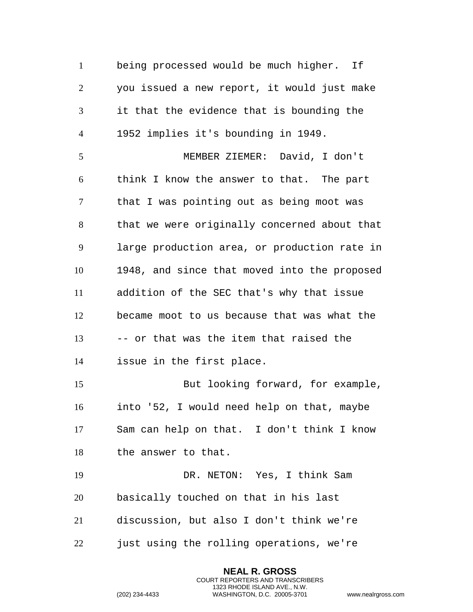being processed would be much higher. If you issued a new report, it would just make it that the evidence that is bounding the 1952 implies it's bounding in 1949. MEMBER ZIEMER: David, I don't think I know the answer to that. The part that I was pointing out as being moot was that we were originally concerned about that large production area, or production rate in 1948, and since that moved into the proposed addition of the SEC that's why that issue became moot to us because that was what the -- or that was the item that raised the issue in the first place. But looking forward, for example, into '52, I would need help on that, maybe Sam can help on that. I don't think I know the answer to that. DR. NETON: Yes, I think Sam basically touched on that in his last discussion, but also I don't think we're just using the rolling operations, we're

> **NEAL R. GROSS** COURT REPORTERS AND TRANSCRIBERS 1323 RHODE ISLAND AVE., N.W.

```
(202) 234-4433 WASHINGTON, D.C. 20005-3701 www.nealrgross.com
```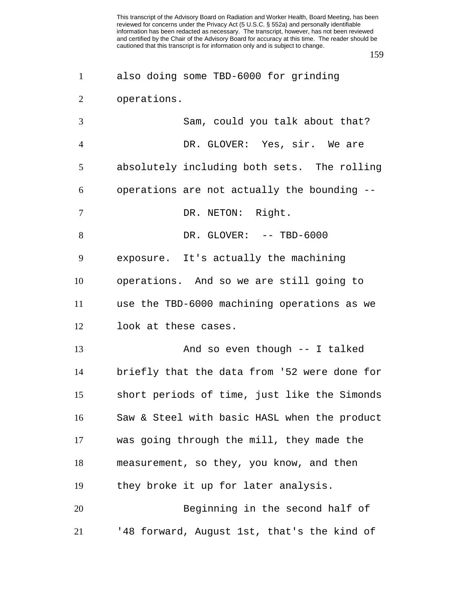also doing some TBD-6000 for grinding operations.

| 3              | Sam, could you talk about that?              |
|----------------|----------------------------------------------|
| $\overline{4}$ | DR. GLOVER: Yes, sir. We are                 |
| 5              | absolutely including both sets. The rolling  |
| 6              | operations are not actually the bounding --  |
| 7              | DR. NETON: Right.                            |
| 8              | DR. GLOVER: -- TBD-6000                      |
| 9              | exposure. It's actually the machining        |
| 10             | operations. And so we are still going to     |
| 11             | use the TBD-6000 machining operations as we  |
| 12             | look at these cases.                         |
| 13             | And so even though -- I talked               |
| 14             | briefly that the data from '52 were done for |
| 15             | short periods of time, just like the Simonds |
| 16             | Saw & Steel with basic HASL when the product |
| 17             | was going through the mill, they made the    |
| 18             | measurement, so they, you know, and then     |
| 19             | they broke it up for later analysis.         |
| 20             | Beginning in the second half of              |
| 21             | '48 forward, August 1st, that's the kind of  |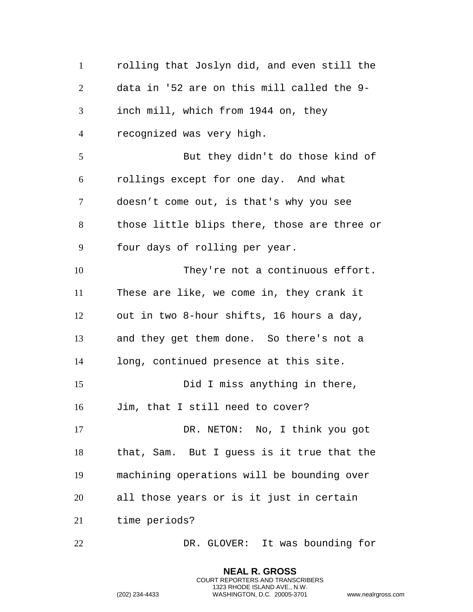rolling that Joslyn did, and even still the data in '52 are on this mill called the 9- inch mill, which from 1944 on, they recognized was very high. But they didn't do those kind of rollings except for one day. And what doesn't come out, is that's why you see those little blips there, those are three or four days of rolling per year. They're not a continuous effort. These are like, we come in, they crank it out in two 8-hour shifts, 16 hours a day, and they get them done. So there's not a long, continued presence at this site. 15 Did I miss anything in there, Jim, that I still need to cover? DR. NETON: No, I think you got that, Sam. But I guess is it true that the machining operations will be bounding over all those years or is it just in certain time periods? DR. GLOVER: It was bounding for

> **NEAL R. GROSS** COURT REPORTERS AND TRANSCRIBERS 1323 RHODE ISLAND AVE., N.W.

```
(202) 234-4433 WASHINGTON, D.C. 20005-3701 www.nealrgross.com
```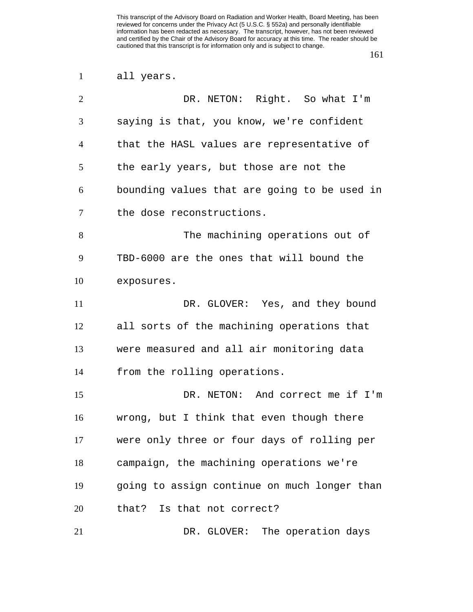| all years. |  |
|------------|--|
|------------|--|

| $\overline{2}$ | DR. NETON: Right. So what I'm                |
|----------------|----------------------------------------------|
| 3              | saying is that, you know, we're confident    |
| $\overline{4}$ | that the HASL values are representative of   |
| 5              | the early years, but those are not the       |
| 6              | bounding values that are going to be used in |
| 7              | the dose reconstructions.                    |
| 8              | The machining operations out of              |
| 9              | TBD-6000 are the ones that will bound the    |
| 10             | exposures.                                   |
| 11             | DR. GLOVER: Yes, and they bound              |
| 12             | all sorts of the machining operations that   |
| 13             | were measured and all air monitoring data    |
| 14             | from the rolling operations.                 |
| 15             | DR. NETON: And correct me if I'm             |
| 16             | wrong, but I think that even though there    |
| 17             | were only three or four days of rolling per  |
| 18             | campaign, the machining operations we're     |
| 19             | going to assign continue on much longer than |
| 20             | that? Is that not correct?                   |
| 21             | DR. GLOVER: The operation days               |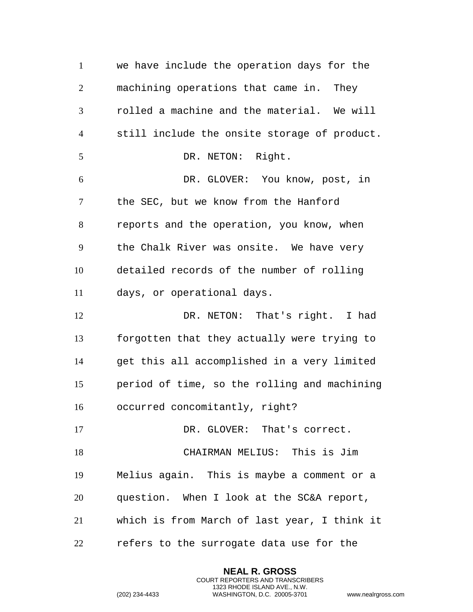we have include the operation days for the machining operations that came in. They rolled a machine and the material. We will still include the onsite storage of product. 5 DR. NETON: Right. DR. GLOVER: You know, post, in the SEC, but we know from the Hanford reports and the operation, you know, when the Chalk River was onsite. We have very detailed records of the number of rolling days, or operational days. DR. NETON: That's right. I had forgotten that they actually were trying to get this all accomplished in a very limited period of time, so the rolling and machining occurred concomitantly, right? 17 DR. GLOVER: That's correct. CHAIRMAN MELIUS: This is Jim Melius again. This is maybe a comment or a question. When I look at the SC&A report, which is from March of last year, I think it refers to the surrogate data use for the

> **NEAL R. GROSS** COURT REPORTERS AND TRANSCRIBERS 1323 RHODE ISLAND AVE., N.W.

```
(202) 234-4433 WASHINGTON, D.C. 20005-3701 www.nealrgross.com
```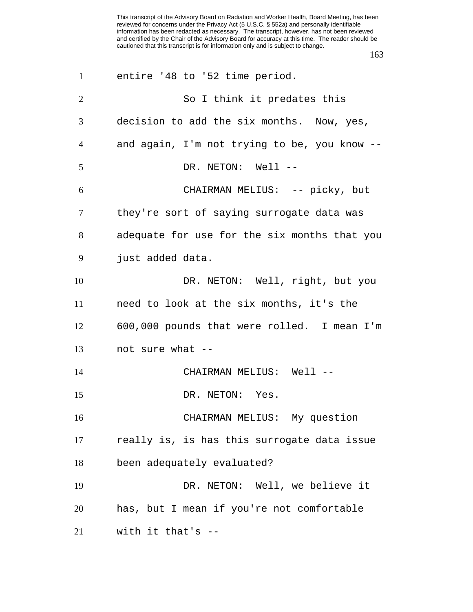| $\mathbf{1}$   | entire '48 to '52 time period.               |
|----------------|----------------------------------------------|
| $\overline{2}$ | So I think it predates this                  |
| 3              | decision to add the six months. Now, yes,    |
| $\overline{4}$ | and again, I'm not trying to be, you know -- |
| 5              | DR. NETON: Well --                           |
| 6              | CHAIRMAN MELIUS: -- picky, but               |
| $\tau$         | they're sort of saying surrogate data was    |
| $8\phantom{1}$ | adequate for use for the six months that you |
| 9              | just added data.                             |
| 10             | DR. NETON: Well, right, but you              |
| 11             | need to look at the six months, it's the     |
| 12             | 600,000 pounds that were rolled. I mean I'm  |
| 13             | not sure what --                             |
| 14             | CHAIRMAN MELIUS: Well --                     |
| 15             | DR. NETON: Yes.                              |
| 16             | CHAIRMAN MELIUS: My question                 |
| 17             | really is, is has this surrogate data issue  |
| 18             | been adequately evaluated?                   |
| 19             | DR. NETON: Well, we believe it               |
| 20             | has, but I mean if you're not comfortable    |
| 21             | with it that's $-$                           |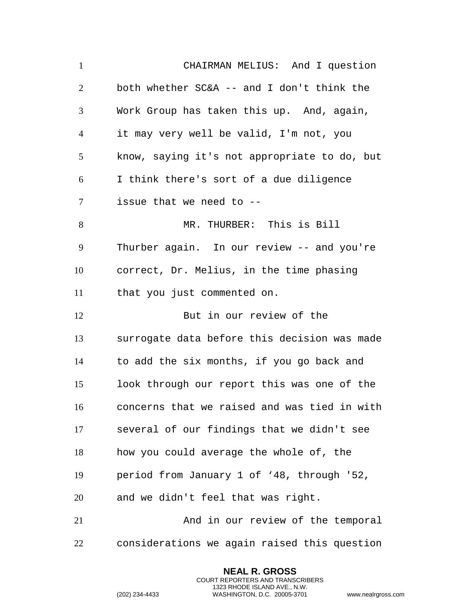CHAIRMAN MELIUS: And I question both whether SC&A -- and I don't think the Work Group has taken this up. And, again, it may very well be valid, I'm not, you know, saying it's not appropriate to do, but I think there's sort of a due diligence issue that we need to -- MR. THURBER: This is Bill Thurber again. In our review -- and you're correct, Dr. Melius, in the time phasing that you just commented on. But in our review of the surrogate data before this decision was made to add the six months, if you go back and look through our report this was one of the concerns that we raised and was tied in with several of our findings that we didn't see how you could average the whole of, the period from January 1 of '48, through '52, and we didn't feel that was right. And in our review of the temporal considerations we again raised this question

> **NEAL R. GROSS** COURT REPORTERS AND TRANSCRIBERS 1323 RHODE ISLAND AVE., N.W.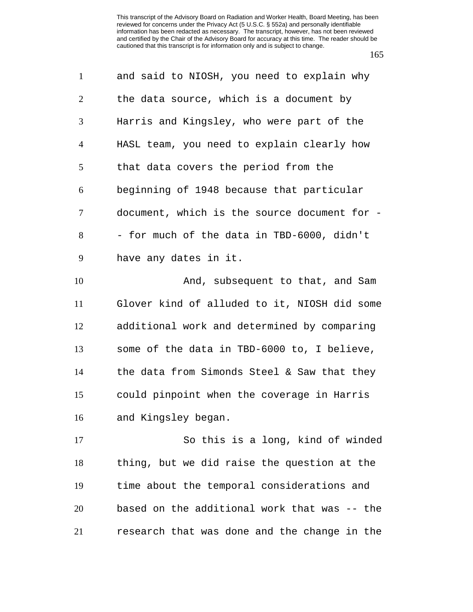| $\mathbf{1}$                     | and said to NIOSH, you need to explain why   |
|----------------------------------|----------------------------------------------|
| $\overline{2}$                   | the data source, which is a document by      |
| 3                                | Harris and Kingsley, who were part of the    |
| $\overline{4}$                   | HASL team, you need to explain clearly how   |
| 5                                | that data covers the period from the         |
| 6                                | beginning of 1948 because that particular    |
| $\tau$                           | document, which is the source document for - |
| 8                                | - for much of the data in TBD-6000, didn't   |
| 9                                | have any dates in it.                        |
| 10                               | And, subsequent to that, and Sam             |
|                                  |                                              |
|                                  | Glover kind of alluded to it, NIOSH did some |
|                                  | additional work and determined by comparing  |
|                                  | some of the data in TBD-6000 to, I believe,  |
|                                  | the data from Simonds Steel & Saw that they  |
|                                  | could pinpoint when the coverage in Harris   |
| 11<br>12<br>13<br>14<br>15<br>16 | and Kingsley began.                          |
| 17                               | So this is a long, kind of winded            |

 time about the temporal considerations and based on the additional work that was -- the research that was done and the change in the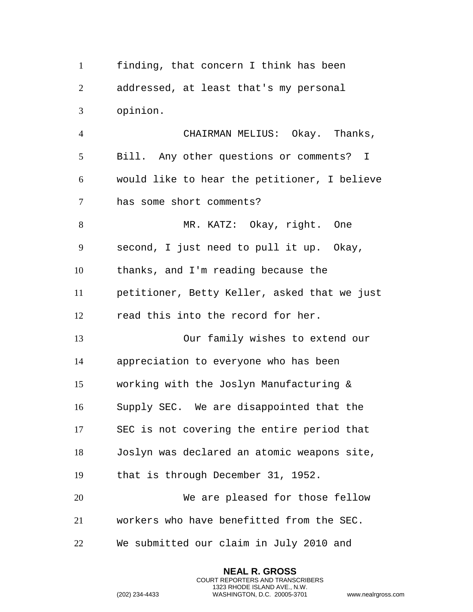finding, that concern I think has been addressed, at least that's my personal opinion.

 CHAIRMAN MELIUS: Okay. Thanks, Bill. Any other questions or comments? I would like to hear the petitioner, I believe has some short comments?

 MR. KATZ: Okay, right. One second, I just need to pull it up. Okay, thanks, and I'm reading because the petitioner, Betty Keller, asked that we just read this into the record for her.

 Our family wishes to extend our appreciation to everyone who has been working with the Joslyn Manufacturing & Supply SEC. We are disappointed that the SEC is not covering the entire period that Joslyn was declared an atomic weapons site, that is through December 31, 1952. We are pleased for those fellow

workers who have benefitted from the SEC.

**NEAL R. GROSS** COURT REPORTERS AND TRANSCRIBERS 1323 RHODE ISLAND AVE., N.W.

We submitted our claim in July 2010 and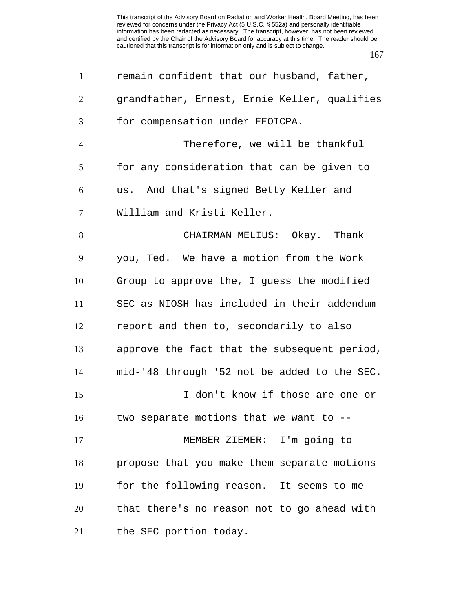| $\mathbf{1}$   | remain confident that our husband, father,   |
|----------------|----------------------------------------------|
| $\overline{2}$ | grandfather, Ernest, Ernie Keller, qualifies |
| 3              | for compensation under EEOICPA.              |
| $\overline{4}$ | Therefore, we will be thankful               |
| 5              | for any consideration that can be given to   |
| 6              | us. And that's signed Betty Keller and       |
| 7              | William and Kristi Keller.                   |
| 8              | CHAIRMAN MELIUS: Okay. Thank                 |
| 9              | you, Ted. We have a motion from the Work     |
| 10             | Group to approve the, I guess the modified   |
| 11             | SEC as NIOSH has included in their addendum  |
| 12             | report and then to, secondarily to also      |
| 13             | approve the fact that the subsequent period, |
| 14             | mid-'48 through '52 not be added to the SEC. |
| 15             | I don't know if those are one or             |
| 16             | two separate motions that we want to --      |
| 17             | MEMBER ZIEMER: I'm going to                  |
| 18             | propose that you make them separate motions  |
| 19             | for the following reason. It seems to me     |
| 20             | that there's no reason not to go ahead with  |
| 21             | the SEC portion today.                       |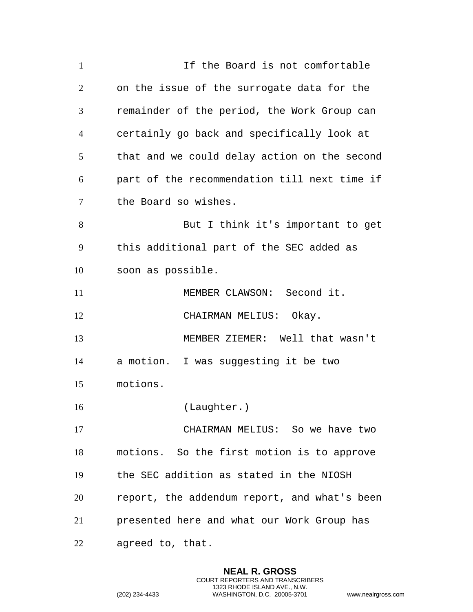| $\mathbf{1}$   | If the Board is not comfortable              |
|----------------|----------------------------------------------|
| $\overline{2}$ | on the issue of the surrogate data for the   |
| 3              | remainder of the period, the Work Group can  |
| $\overline{4}$ | certainly go back and specifically look at   |
| 5              | that and we could delay action on the second |
| 6              | part of the recommendation till next time if |
| $\tau$         | the Board so wishes.                         |
| 8              | But I think it's important to get            |
| 9              | this additional part of the SEC added as     |
| 10             | soon as possible.                            |
| 11             | MEMBER CLAWSON: Second it.                   |
| 12             | CHAIRMAN MELIUS: Okay.                       |
| 13             | MEMBER ZIEMER: Well that wasn't              |
| 14             | a motion. I was suggesting it be two         |
| 15             | motions.                                     |
| 16             | (Laughter.)                                  |
| 17             | CHAIRMAN MELIUS: So we have two              |
| 18             | motions. So the first motion is to approve   |
| 19             | the SEC addition as stated in the NIOSH      |
| 20             | report, the addendum report, and what's been |
| 21             | presented here and what our Work Group has   |
| 22             | agreed to, that.                             |

**NEAL R. GROSS** COURT REPORTERS AND TRANSCRIBERS 1323 RHODE ISLAND AVE., N.W.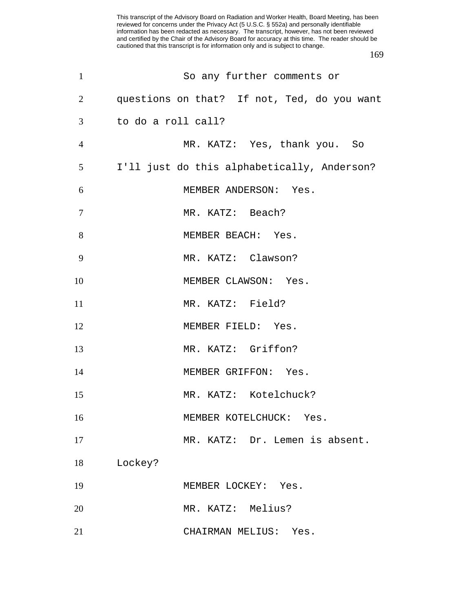| $\mathbf{1}$   | So any further comments or                  |
|----------------|---------------------------------------------|
| 2              | questions on that? If not, Ted, do you want |
| 3              | to do a roll call?                          |
| $\overline{4}$ | MR. KATZ: Yes, thank you. So                |
| 5              | I'll just do this alphabetically, Anderson? |
| 6              | MEMBER ANDERSON: Yes.                       |
| 7              | MR. KATZ: Beach?                            |
| 8              | MEMBER BEACH: Yes.                          |
| 9              | MR. KATZ: Clawson?                          |
| 10             | MEMBER CLAWSON: Yes.                        |
| 11             | MR. KATZ: Field?                            |
| 12             | MEMBER FIELD: Yes.                          |
| 13             | MR. KATZ: Griffon?                          |
| 14             | MEMBER GRIFFON: Yes.                        |
| 15             | MR. KATZ: Kotelchuck?                       |
| 16             | MEMBER KOTELCHUCK: Yes.                     |
| 17             | MR. KATZ: Dr. Lemen is absent.              |
| 18             | Lockey?                                     |
| 19             | MEMBER LOCKEY: Yes.                         |
| 20             | MR. KATZ: Melius?                           |
| 21             | CHAIRMAN MELIUS: Yes.                       |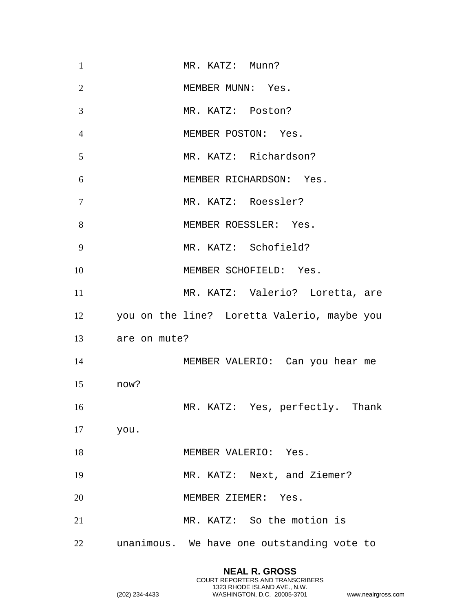| $\mathbf{1}$   |              | MR. KATZ: Munn?                                |
|----------------|--------------|------------------------------------------------|
| $\overline{2}$ |              | MEMBER MUNN: Yes.                              |
| 3              |              | MR. KATZ: Poston?                              |
| $\overline{4}$ |              | MEMBER POSTON: Yes.                            |
| 5              |              | MR. KATZ: Richardson?                          |
| 6              |              | MEMBER RICHARDSON: Yes.                        |
| $\overline{7}$ |              | MR. KATZ: Roessler?                            |
| 8              |              | MEMBER ROESSLER: Yes.                          |
| 9              |              | MR. KATZ: Schofield?                           |
| 10             |              | MEMBER SCHOFIELD: Yes.                         |
| 11             |              | MR. KATZ: Valerio? Loretta, are                |
|                |              |                                                |
|                |              | 12 you on the line? Loretta Valerio, maybe you |
| 13             | are on mute? |                                                |
| 14             |              | MEMBER VALERIO: Can you hear me                |
| 15             | now?         |                                                |
| 16             |              | MR. KATZ: Yes, perfectly. Thank                |
| 17             | you.         |                                                |
| 18             |              | MEMBER VALERIO: Yes.                           |
| 19             |              | MR. KATZ: Next, and Ziemer?                    |
| 20             |              | MEMBER ZIEMER: Yes.                            |
| 21             |              | MR. KATZ: So the motion is                     |

**NEAL R. GROSS** COURT REPORTERS AND TRANSCRIBERS 1323 RHODE ISLAND AVE., N.W.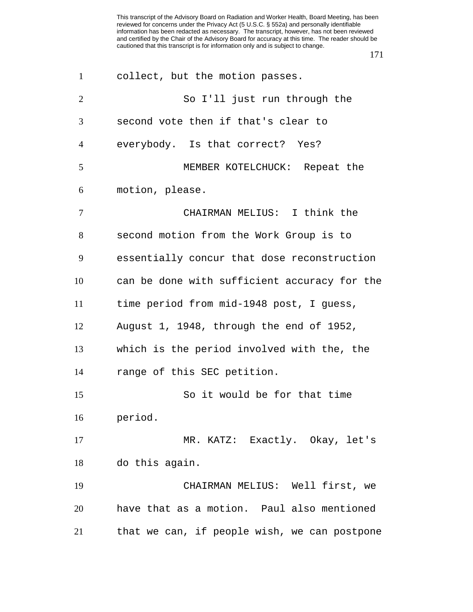| $\mathbf{1}$   | collect, but the motion passes.              |
|----------------|----------------------------------------------|
| $\overline{2}$ | So I'll just run through the                 |
| 3              | second vote then if that's clear to          |
| $\overline{4}$ | everybody. Is that correct? Yes?             |
| 5              | MEMBER KOTELCHUCK: Repeat the                |
| 6              | motion, please.                              |
| $\overline{7}$ | CHAIRMAN MELIUS: I think the                 |
| 8              | second motion from the Work Group is to      |
| 9              | essentially concur that dose reconstruction  |
| 10             | can be done with sufficient accuracy for the |
| 11             | time period from mid-1948 post, I guess,     |
| 12             | August 1, 1948, through the end of 1952,     |
| 13             | which is the period involved with the, the   |
| 14             | range of this SEC petition.                  |
| 15             | So it would be for that time                 |
| 16             | period.                                      |
| 17             | MR. KATZ: Exactly. Okay, let's               |
| 18             | do this again.                               |
| 19             | CHAIRMAN MELIUS: Well first, we              |
| 20             | have that as a motion. Paul also mentioned   |
| 21             | that we can, if people wish, we can postpone |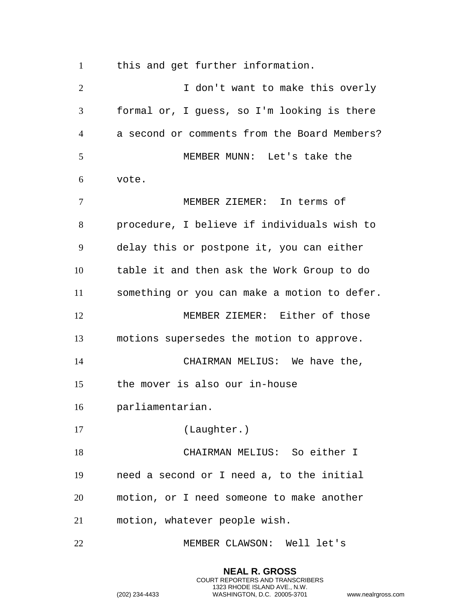this and get further information.

2 1 don't want to make this overly formal or, I guess, so I'm looking is there a second or comments from the Board Members? MEMBER MUNN: Let's take the vote. MEMBER ZIEMER: In terms of procedure, I believe if individuals wish to delay this or postpone it, you can either table it and then ask the Work Group to do something or you can make a motion to defer. MEMBER ZIEMER: Either of those motions supersedes the motion to approve. CHAIRMAN MELIUS: We have the, the mover is also our in-house parliamentarian. (Laughter.) CHAIRMAN MELIUS: So either I need a second or I need a, to the initial motion, or I need someone to make another motion, whatever people wish. MEMBER CLAWSON: Well let's

> **NEAL R. GROSS** COURT REPORTERS AND TRANSCRIBERS 1323 RHODE ISLAND AVE., N.W.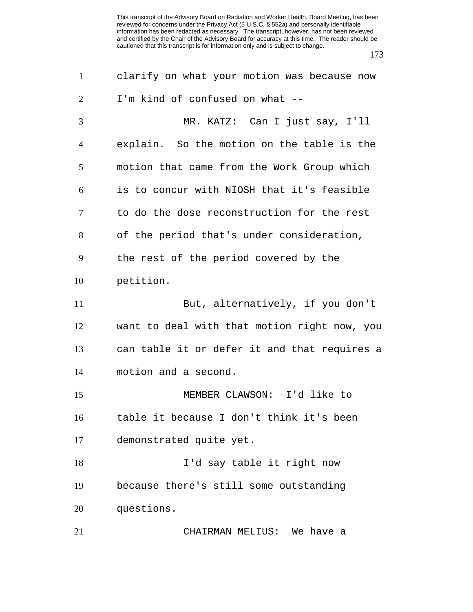| $\mathbf{1}$   | clarify on what your motion was because now  |
|----------------|----------------------------------------------|
| $\overline{2}$ | I'm kind of confused on what --              |
| 3              | MR. KATZ: Can I just say, I'll               |
| $\overline{4}$ | explain. So the motion on the table is the   |
| 5              | motion that came from the Work Group which   |
| 6              | is to concur with NIOSH that it's feasible   |
| 7              | to do the dose reconstruction for the rest   |
| 8              | of the period that's under consideration,    |
| 9              | the rest of the period covered by the        |
| 10             | petition.                                    |
| 11             | But, alternatively, if you don't             |
| 12             | want to deal with that motion right now, you |
| 13             | can table it or defer it and that requires a |
| 14             | motion and a second.                         |
| 15             | MEMBER CLAWSON: I'd like to                  |
| 16             | table it because I don't think it's been     |
| 17             | demonstrated quite yet.                      |
| 18             | I'd say table it right now                   |
| 19             | because there's still some outstanding       |
| 20             | questions.                                   |
| 21             | CHAIRMAN MELIUS: We have a                   |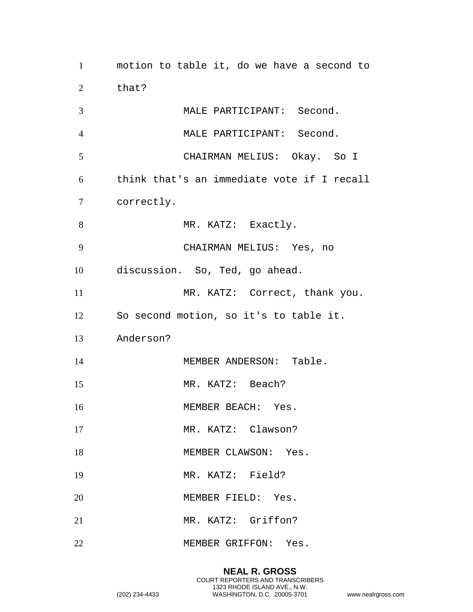motion to table it, do we have a second to that? MALE PARTICIPANT: Second. MALE PARTICIPANT: Second. CHAIRMAN MELIUS: Okay. So I think that's an immediate vote if I recall correctly. 8 MR. KATZ: Exactly. CHAIRMAN MELIUS: Yes, no discussion. So, Ted, go ahead. 11 MR. KATZ: Correct, thank you. So second motion, so it's to table it. Anderson? 14 MEMBER ANDERSON: Table. MR. KATZ: Beach? 16 MEMBER BEACH: Yes. 17 MR. KATZ: Clawson? 18 MEMBER CLAWSON: Yes. MR. KATZ: Field? MEMBER FIELD: Yes. MR. KATZ: Griffon? MEMBER GRIFFON: Yes.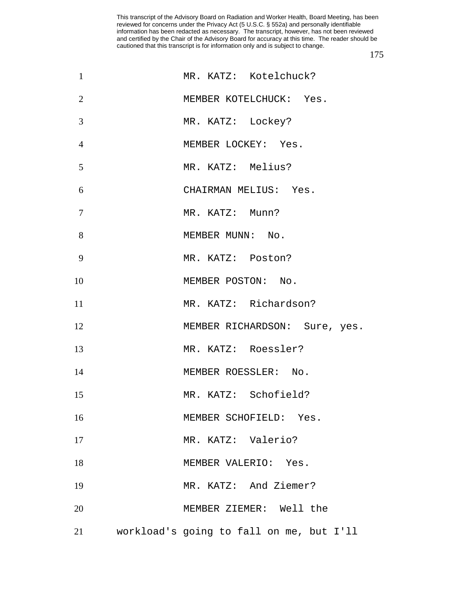| $\mathbf{1}$   | MR. KATZ: Kotelchuck?                    |
|----------------|------------------------------------------|
| $\overline{2}$ | MEMBER KOTELCHUCK: Yes.                  |
| 3              | MR. KATZ: Lockey?                        |
| $\overline{4}$ | MEMBER LOCKEY: Yes.                      |
| 5              | MR. KATZ: Melius?                        |
| 6              | CHAIRMAN MELIUS: Yes.                    |
| 7              | MR. KATZ: Munn?                          |
| 8              | MEMBER MUNN: No.                         |
| 9              | MR. KATZ: Poston?                        |
| 10             | MEMBER POSTON: No.                       |
| 11             | MR. KATZ: Richardson?                    |
| 12             | MEMBER RICHARDSON: Sure, yes.            |
| 13             | MR. KATZ: Roessler?                      |
| 14             | MEMBER ROESSLER: No.                     |
| 15             | MR. KATZ: Schofield?                     |
| 16             | MEMBER SCHOFIELD: Yes.                   |
| 17             | MR. KATZ: Valerio?                       |
| 18             | MEMBER VALERIO: Yes.                     |
| 19             | MR. KATZ: And Ziemer?                    |
| 20             | MEMBER ZIEMER: Well the                  |
| 21             | workload's going to fall on me, but I'll |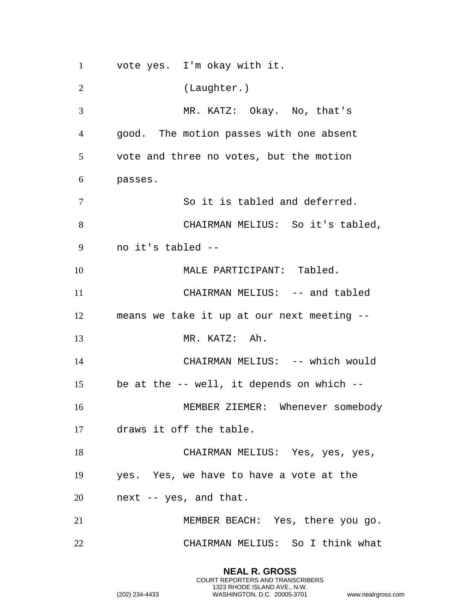vote yes. I'm okay with it. (Laughter.) MR. KATZ: Okay. No, that's good. The motion passes with one absent vote and three no votes, but the motion passes. So it is tabled and deferred. CHAIRMAN MELIUS: So it's tabled, no it's tabled -- 10 MALE PARTICIPANT: Tabled. 11 CHAIRMAN MELIUS: -- and tabled means we take it up at our next meeting -- MR. KATZ: Ah. CHAIRMAN MELIUS: -- which would be at the -- well, it depends on which -- MEMBER ZIEMER: Whenever somebody draws it off the table. CHAIRMAN MELIUS: Yes, yes, yes, yes. Yes, we have to have a vote at the next -- yes, and that. MEMBER BEACH: Yes, there you go. CHAIRMAN MELIUS: So I think what

> **NEAL R. GROSS** COURT REPORTERS AND TRANSCRIBERS 1323 RHODE ISLAND AVE., N.W.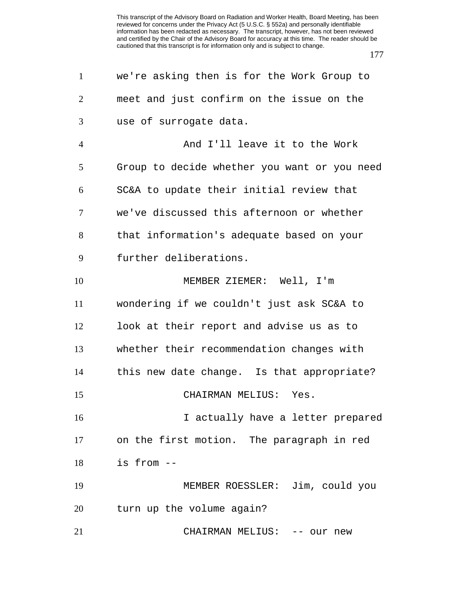| $\mathbf{1}$   | we're asking then is for the Work Group to   |
|----------------|----------------------------------------------|
| $\overline{2}$ | meet and just confirm on the issue on the    |
| 3              | use of surrogate data.                       |
| $\overline{4}$ | And I'll leave it to the Work                |
| 5              | Group to decide whether you want or you need |
| 6              | SC&A to update their initial review that     |
| 7              | we've discussed this afternoon or whether    |
| 8              | that information's adequate based on your    |
| 9              | further deliberations.                       |
| 10             | MEMBER ZIEMER: Well, I'm                     |
| 11             | wondering if we couldn't just ask SC&A to    |
| 12             | look at their report and advise us as to     |
| 13             | whether their recommendation changes with    |
| 14             | this new date change. Is that appropriate?   |
| 15             | CHAIRMAN MELIUS: Yes.                        |
| 16             | I actually have a letter prepared            |
| 17             | on the first motion. The paragraph in red    |
| 18             | is from --                                   |
| 19             | MEMBER ROESSLER: Jim, could you              |
| 20             | turn up the volume again?                    |
| 21             | CHAIRMAN MELIUS: -- our new                  |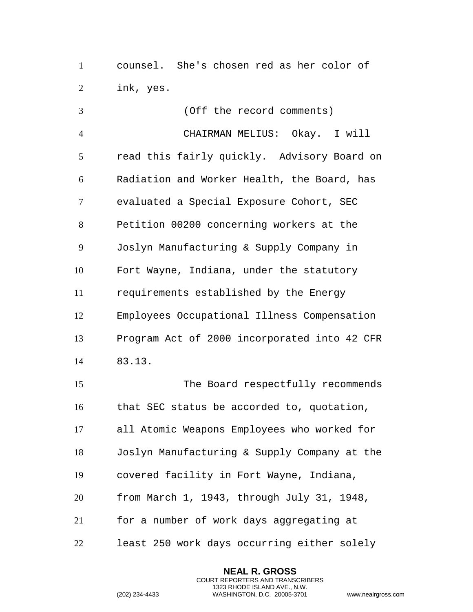counsel. She's chosen red as her color of ink, yes.

 (Off the record comments) CHAIRMAN MELIUS: Okay. I will read this fairly quickly. Advisory Board on Radiation and Worker Health, the Board, has evaluated a Special Exposure Cohort, SEC Petition 00200 concerning workers at the Joslyn Manufacturing & Supply Company in Fort Wayne, Indiana, under the statutory requirements established by the Energy Employees Occupational Illness Compensation Program Act of 2000 incorporated into 42 CFR 83.13. The Board respectfully recommends that SEC status be accorded to, quotation, all Atomic Weapons Employees who worked for Joslyn Manufacturing & Supply Company at the covered facility in Fort Wayne, Indiana, from March 1, 1943, through July 31, 1948, for a number of work days aggregating at least 250 work days occurring either solely

> **NEAL R. GROSS** COURT REPORTERS AND TRANSCRIBERS 1323 RHODE ISLAND AVE., N.W.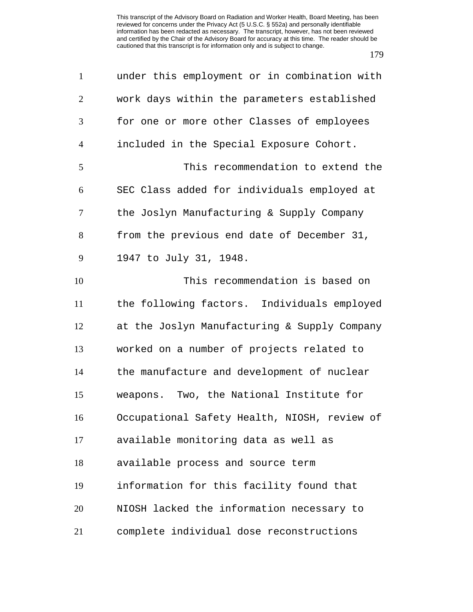| $\mathbf{1}$   | under this employment or in combination with |
|----------------|----------------------------------------------|
| $\mathbf{2}$   | work days within the parameters established  |
| 3              | for one or more other Classes of employees   |
| $\overline{4}$ | included in the Special Exposure Cohort.     |
| 5              | This recommendation to extend the            |
| 6              | SEC Class added for individuals employed at  |
| 7              | the Joslyn Manufacturing & Supply Company    |
| 8              | from the previous end date of December 31,   |
| 9              | 1947 to July 31, 1948.                       |
| 10             | This recommendation is based on              |
| 11             | the following factors. Individuals employed  |
| 12             | at the Joslyn Manufacturing & Supply Company |
| 13             | worked on a number of projects related to    |
| 14             | the manufacture and development of nuclear   |
| 15             | weapons. Two, the National Institute for     |
| 16             | Occupational Safety Health, NIOSH, review of |
| 17             | available monitoring data as well as         |
| 18             | available process and source term            |
| 19             | information for this facility found that     |
| 20             | NIOSH lacked the information necessary to    |
| 21             | complete individual dose reconstructions     |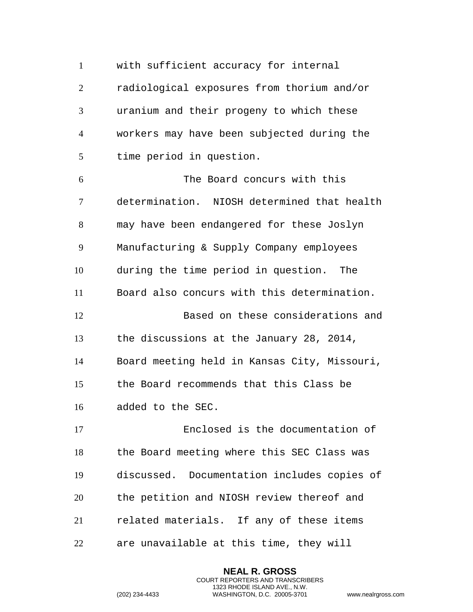with sufficient accuracy for internal radiological exposures from thorium and/or uranium and their progeny to which these workers may have been subjected during the time period in question. The Board concurs with this determination. NIOSH determined that health may have been endangered for these Joslyn Manufacturing & Supply Company employees during the time period in question. The Board also concurs with this determination. Based on these considerations and the discussions at the January 28, 2014, Board meeting held in Kansas City, Missouri, the Board recommends that this Class be added to the SEC. Enclosed is the documentation of the Board meeting where this SEC Class was discussed. Documentation includes copies of the petition and NIOSH review thereof and related materials. If any of these items

are unavailable at this time, they will

**NEAL R. GROSS** COURT REPORTERS AND TRANSCRIBERS 1323 RHODE ISLAND AVE., N.W.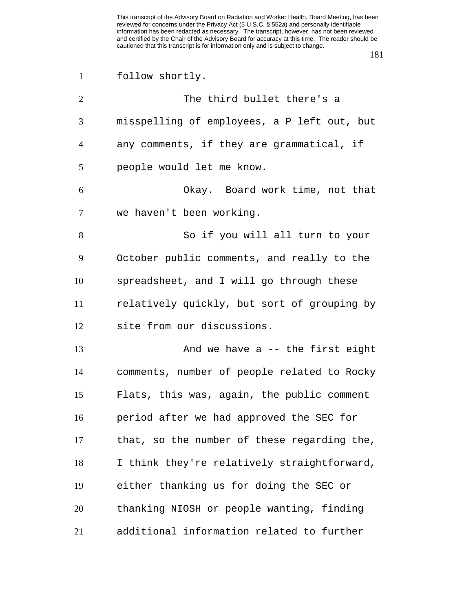| $\mathbf{1}$   | follow shortly.                             |
|----------------|---------------------------------------------|
| $\overline{2}$ | The third bullet there's a                  |
| 3              | misspelling of employees, a P left out, but |
| 4              | any comments, if they are grammatical, if   |
| 5              | people would let me know.                   |
| 6              | Okay. Board work time, not that             |
| 7              | we haven't been working.                    |
| 8              | So if you will all turn to your             |
| 9              | October public comments, and really to the  |
| 10             | spreadsheet, and I will go through these    |
| 11             | relatively quickly, but sort of grouping by |
| 12             | site from our discussions.                  |
| 13             | And we have a -- the first eight            |
| 14             | comments, number of people related to Rocky |
| 15             | Flats, this was, again, the public comment  |
| 16             | period after we had approved the SEC for    |
| 17             | that, so the number of these regarding the, |
| 18             | I think they're relatively straightforward, |
| 19             | either thanking us for doing the SEC or     |
| 20             | thanking NIOSH or people wanting, finding   |
| 21             | additional information related to further   |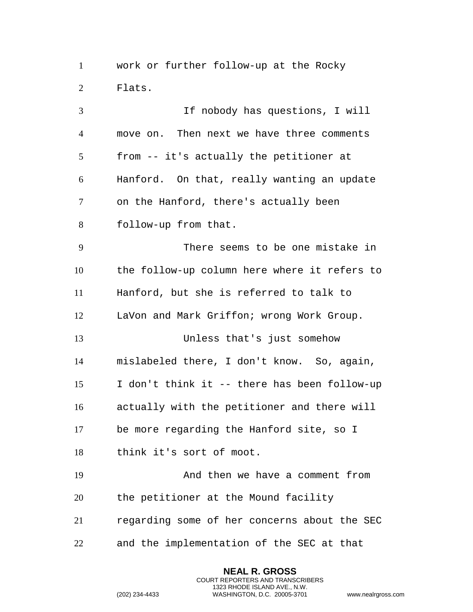work or further follow-up at the Rocky Flats.

 If nobody has questions, I will move on. Then next we have three comments from -- it's actually the petitioner at Hanford. On that, really wanting an update on the Hanford, there's actually been follow-up from that. There seems to be one mistake in the follow-up column here where it refers to Hanford, but she is referred to talk to LaVon and Mark Griffon; wrong Work Group. Unless that's just somehow mislabeled there, I don't know. So, again, I don't think it -- there has been follow-up actually with the petitioner and there will be more regarding the Hanford site, so I think it's sort of moot. And then we have a comment from the petitioner at the Mound facility regarding some of her concerns about the SEC and the implementation of the SEC at that

> **NEAL R. GROSS** COURT REPORTERS AND TRANSCRIBERS 1323 RHODE ISLAND AVE., N.W.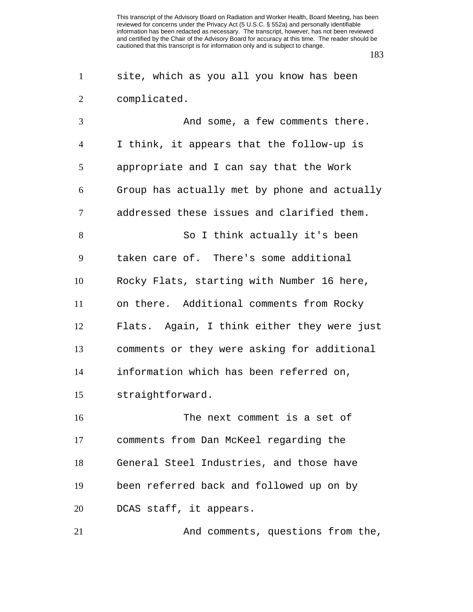|                | site, which as you all you know has been     |
|----------------|----------------------------------------------|
| 2              | complicated.                                 |
| $\mathcal{R}$  | And some, a few comments there.              |
| $\overline{4}$ | I think, it appears that the follow-up is    |
| 5              | appropriate and I can say that the Work      |
| 6              | Group has actually met by phone and actually |

addressed these issues and clarified them.

8 So I think actually it's been taken care of. There's some additional Rocky Flats, starting with Number 16 here, on there. Additional comments from Rocky Flats. Again, I think either they were just comments or they were asking for additional information which has been referred on,

straightforward.

 The next comment is a set of comments from Dan McKeel regarding the General Steel Industries, and those have been referred back and followed up on by DCAS staff, it appears.

21 And comments, questions from the,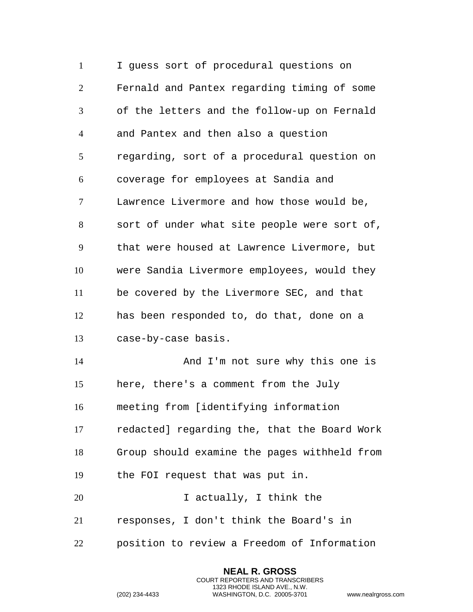I guess sort of procedural questions on Fernald and Pantex regarding timing of some of the letters and the follow-up on Fernald and Pantex and then also a question regarding, sort of a procedural question on coverage for employees at Sandia and Lawrence Livermore and how those would be, sort of under what site people were sort of, that were housed at Lawrence Livermore, but were Sandia Livermore employees, would they be covered by the Livermore SEC, and that has been responded to, do that, done on a case-by-case basis. And I'm not sure why this one is here, there's a comment from the July meeting from [identifying information redacted] regarding the, that the Board Work Group should examine the pages withheld from the FOI request that was put in. I actually, I think the responses, I don't think the Board's in position to review a Freedom of Information

> **NEAL R. GROSS** COURT REPORTERS AND TRANSCRIBERS 1323 RHODE ISLAND AVE., N.W.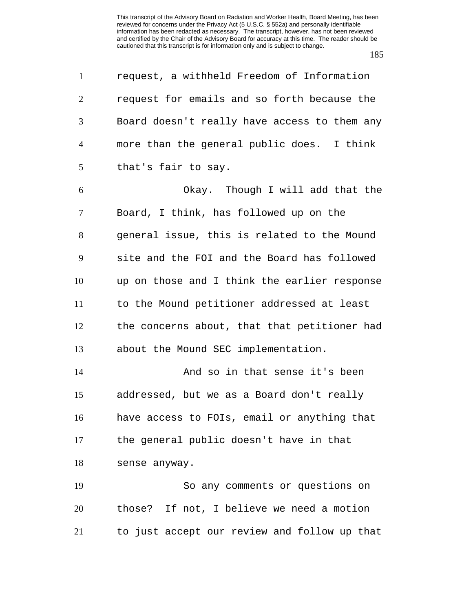request, a withheld Freedom of Information request for emails and so forth because the Board doesn't really have access to them any more than the general public does. I think that's fair to say.

 Okay. Though I will add that the Board, I think, has followed up on the general issue, this is related to the Mound site and the FOI and the Board has followed up on those and I think the earlier response to the Mound petitioner addressed at least the concerns about, that that petitioner had about the Mound SEC implementation.

 And so in that sense it's been addressed, but we as a Board don't really have access to FOIs, email or anything that the general public doesn't have in that sense anyway.

 So any comments or questions on those? If not, I believe we need a motion to just accept our review and follow up that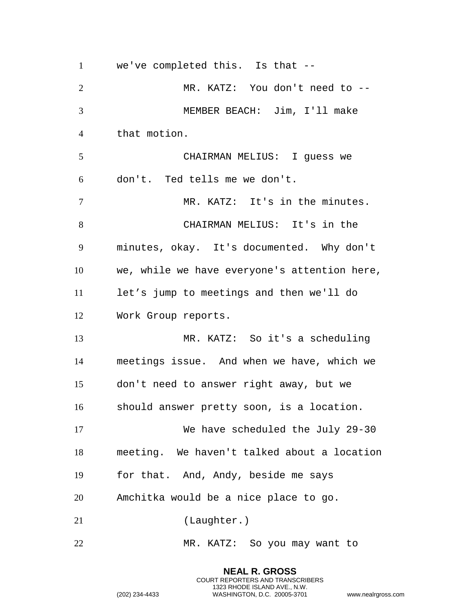we've completed this. Is that -- MR. KATZ: You don't need to -- MEMBER BEACH: Jim, I'll make that motion. CHAIRMAN MELIUS: I guess we don't. Ted tells me we don't. MR. KATZ: It's in the minutes. CHAIRMAN MELIUS: It's in the minutes, okay. It's documented. Why don't we, while we have everyone's attention here, let's jump to meetings and then we'll do Work Group reports. MR. KATZ: So it's a scheduling meetings issue. And when we have, which we don't need to answer right away, but we should answer pretty soon, is a location. We have scheduled the July 29-30 meeting. We haven't talked about a location for that. And, Andy, beside me says Amchitka would be a nice place to go. (Laughter.) MR. KATZ: So you may want to

> **NEAL R. GROSS** COURT REPORTERS AND TRANSCRIBERS 1323 RHODE ISLAND AVE., N.W.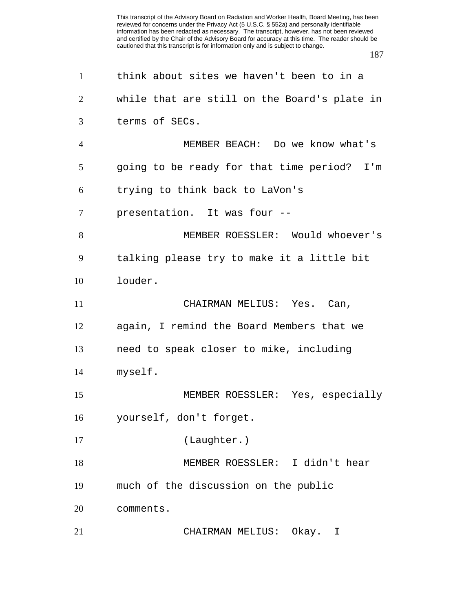| $\mathbf{1}$   | think about sites we haven't been to in a    |
|----------------|----------------------------------------------|
| 2              | while that are still on the Board's plate in |
| 3              | terms of SECs.                               |
| $\overline{4}$ | MEMBER BEACH: Do we know what's              |
| 5              | going to be ready for that time period? I'm  |
| 6              | trying to think back to LaVon's              |
| $\tau$         | presentation. It was four --                 |
| 8              | MEMBER ROESSLER: Would whoever's             |
| 9              | talking please try to make it a little bit   |
| 10             | louder.                                      |
| 11             | CHAIRMAN MELIUS: Yes. Can,                   |
| 12             | again, I remind the Board Members that we    |
| 13             | need to speak closer to mike, including      |
| 14             | myself.                                      |
| 15             | MEMBER ROESSLER: Yes, especially             |
| 16             | yourself, don't forget.                      |
| 17             | (Laughter.)                                  |
| 18             | MEMBER ROESSLER: I didn't hear               |
| 19             | much of the discussion on the public         |
| 20             | comments.                                    |
| 21             | CHAIRMAN MELIUS:<br>Okay.<br>I               |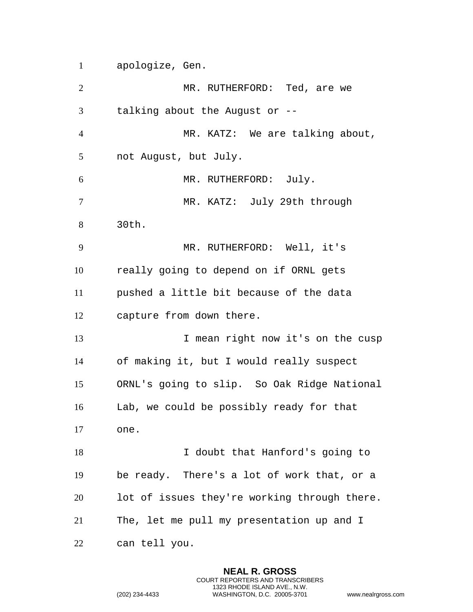apologize, Gen.

2 MR. RUTHERFORD: Ted, are we talking about the August or -- MR. KATZ: We are talking about, not August, but July. MR. RUTHERFORD: July. MR. KATZ: July 29th through 30th. MR. RUTHERFORD: Well, it's really going to depend on if ORNL gets pushed a little bit because of the data capture from down there. 13 I mean right now it's on the cusp of making it, but I would really suspect ORNL's going to slip. So Oak Ridge National Lab, we could be possibly ready for that one. I doubt that Hanford's going to be ready. There's a lot of work that, or a lot of issues they're working through there. The, let me pull my presentation up and I can tell you.

> **NEAL R. GROSS** COURT REPORTERS AND TRANSCRIBERS 1323 RHODE ISLAND AVE., N.W.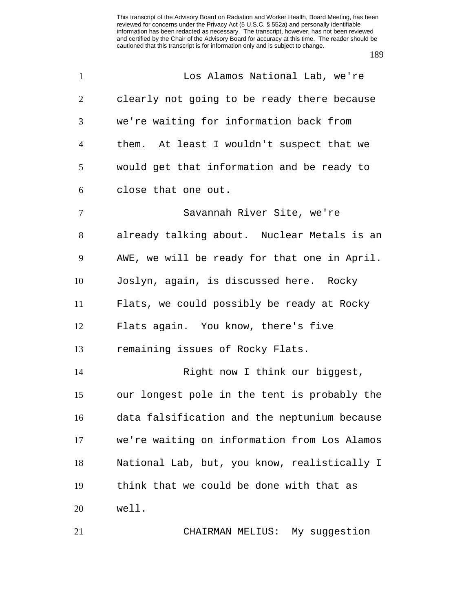| $\mathbf{1}$   | Los Alamos National Lab, we're               |
|----------------|----------------------------------------------|
| $\overline{2}$ | clearly not going to be ready there because  |
| 3              | we're waiting for information back from      |
| $\overline{4}$ | them. At least I wouldn't suspect that we    |
| 5              | would get that information and be ready to   |
| 6              | close that one out.                          |
| 7              | Savannah River Site, we're                   |
| 8              | already talking about. Nuclear Metals is an  |
| 9              | AWE, we will be ready for that one in April. |
| 10             | Joslyn, again, is discussed here. Rocky      |
| 11             | Flats, we could possibly be ready at Rocky   |
| 12             | Flats again. You know, there's five          |
| 13             | remaining issues of Rocky Flats.             |
| 14             | Right now I think our biggest,               |
| 15             | our longest pole in the tent is probably the |
| 16             | data falsification and the neptunium because |
| 17             | we're waiting on information from Los Alamos |
| 18             | National Lab, but, you know, realistically I |
| 19             | think that we could be done with that as     |
| 20             | well.                                        |
| 21             | CHAIRMAN MELIUS: My suggestion               |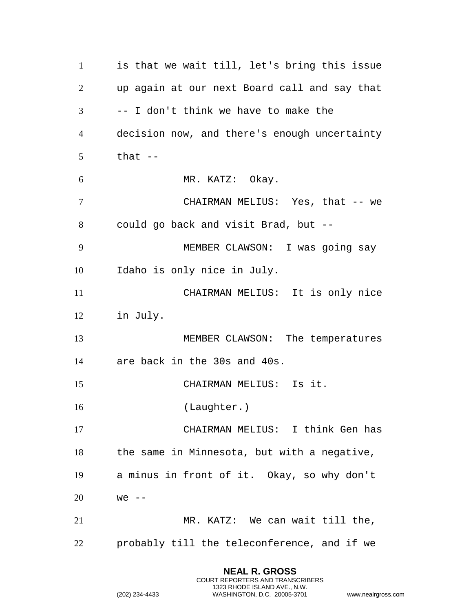is that we wait till, let's bring this issue up again at our next Board call and say that -- I don't think we have to make the decision now, and there's enough uncertainty that  $-$  MR. KATZ: Okay. CHAIRMAN MELIUS: Yes, that -- we could go back and visit Brad, but -- MEMBER CLAWSON: I was going say Idaho is only nice in July. CHAIRMAN MELIUS: It is only nice in July. MEMBER CLAWSON: The temperatures are back in the 30s and 40s. CHAIRMAN MELIUS: Is it. 16 (Laughter.) CHAIRMAN MELIUS: I think Gen has the same in Minnesota, but with a negative, a minus in front of it. Okay, so why don't we -- MR. KATZ: We can wait till the, probably till the teleconference, and if we

> **NEAL R. GROSS** COURT REPORTERS AND TRANSCRIBERS 1323 RHODE ISLAND AVE., N.W.

```
(202) 234-4433 WASHINGTON, D.C. 20005-3701 www.nealrgross.com
```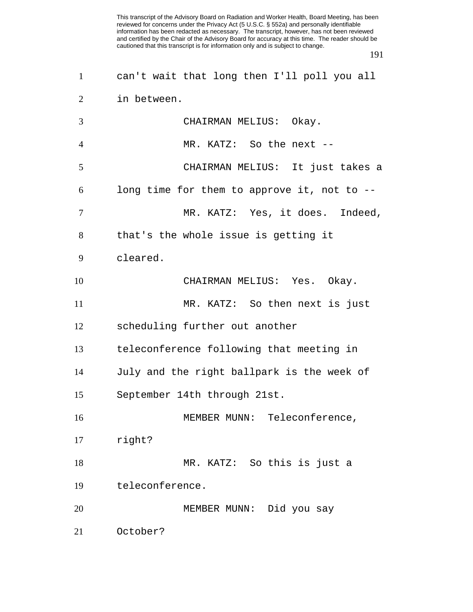| $\mathbf{1}$   | can't wait that long then I'll poll you all |
|----------------|---------------------------------------------|
| $\overline{2}$ | in between.                                 |
| 3              | CHAIRMAN MELIUS: Okay.                      |
| $\overline{4}$ | MR. KATZ: So the next --                    |
| 5              | CHAIRMAN MELIUS: It just takes a            |
| 6              | long time for them to approve it, not to -- |
| 7              | MR. KATZ: Yes, it does. Indeed,             |
| 8              | that's the whole issue is getting it        |
| 9              | cleared.                                    |
| 10             | CHAIRMAN MELIUS: Yes. Okay.                 |
| 11             | MR. KATZ: So then next is just              |
| 12             | scheduling further out another              |
| 13             | teleconference following that meeting in    |
| 14             | July and the right ballpark is the week of  |
| 15             | September 14th through 21st.                |
| 16             | MEMBER MUNN: Teleconference,                |
| 17             | right?                                      |
| 18             | MR. KATZ: So this is just a                 |
| 19             | teleconference.                             |
| 20             | MEMBER MUNN: Did you say                    |
| 21             | October?                                    |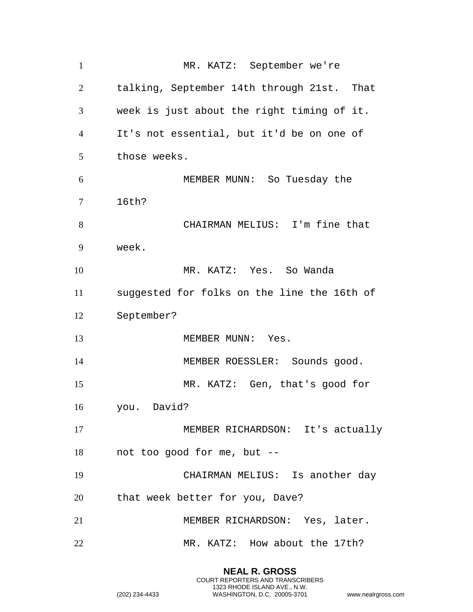MR. KATZ: September we're talking, September 14th through 21st. That week is just about the right timing of it. It's not essential, but it'd be on one of those weeks. MEMBER MUNN: So Tuesday the 16th? CHAIRMAN MELIUS: I'm fine that week. MR. KATZ: Yes. So Wanda suggested for folks on the line the 16th of September? 13 MEMBER MUNN: Yes. 14 MEMBER ROESSLER: Sounds good. MR. KATZ: Gen, that's good for you. David? MEMBER RICHARDSON: It's actually not too good for me, but -- CHAIRMAN MELIUS: Is another day that week better for you, Dave? MEMBER RICHARDSON: Yes, later. MR. KATZ: How about the 17th?

> **NEAL R. GROSS** COURT REPORTERS AND TRANSCRIBERS 1323 RHODE ISLAND AVE., N.W.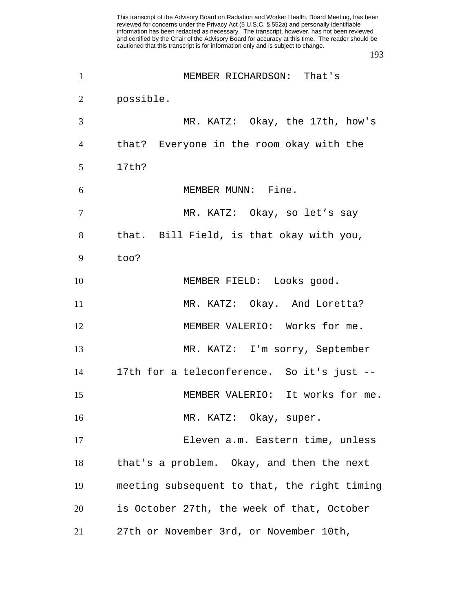| $\mathbf{1}$   | MEMBER RICHARDSON: That's                    |
|----------------|----------------------------------------------|
| $\overline{2}$ | possible.                                    |
| 3              | MR. KATZ: Okay, the 17th, how's              |
| 4              | that? Everyone in the room okay with the     |
| 5              | 17th?                                        |
| 6              | MEMBER MUNN: Fine.                           |
| 7              | MR. KATZ: Okay, so let's say                 |
| 8              | that. Bill Field, is that okay with you,     |
| 9              | too?                                         |
| 10             | MEMBER FIELD: Looks good.                    |
| 11             | MR. KATZ: Okay. And Loretta?                 |
| 12             | MEMBER VALERIO: Works for me.                |
| 13             | MR. KATZ: I'm sorry, September               |
| 14             | 17th for a teleconference. So it's just --   |
| 15             | MEMBER VALERIO: It works for me.             |
| 16             | MR. KATZ: Okay, super.                       |
| 17             | Eleven a.m. Eastern time, unless             |
| 18             | that's a problem. Okay, and then the next    |
| 19             | meeting subsequent to that, the right timing |
| 20             | is October 27th, the week of that, October   |
| 21             | 27th or November 3rd, or November 10th,      |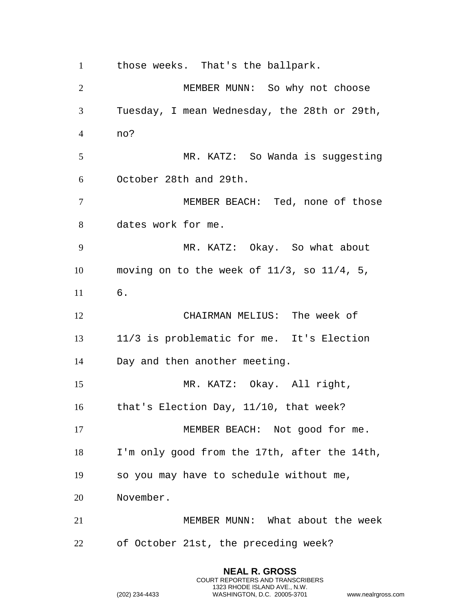those weeks. That's the ballpark.

 MEMBER MUNN: So why not choose Tuesday, I mean Wednesday, the 28th or 29th, no? MR. KATZ: So Wanda is suggesting October 28th and 29th. MEMBER BEACH: Ted, none of those dates work for me. MR. KATZ: Okay. So what about moving on to the week of 11/3, so 11/4, 5, 6. CHAIRMAN MELIUS: The week of 11/3 is problematic for me. It's Election Day and then another meeting. MR. KATZ: Okay. All right, that's Election Day, 11/10, that week? 17 MEMBER BEACH: Not good for me. I'm only good from the 17th, after the 14th, so you may have to schedule without me, November. MEMBER MUNN: What about the week of October 21st, the preceding week?

> **NEAL R. GROSS** COURT REPORTERS AND TRANSCRIBERS 1323 RHODE ISLAND AVE., N.W.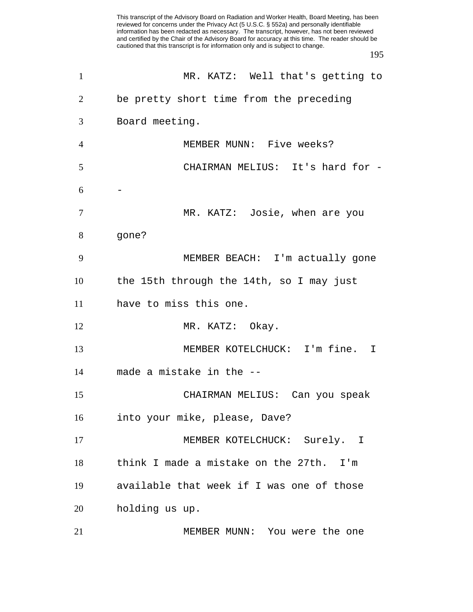This transcript of the Advisory Board on Radiation and Worker Health, Board Meeting, has been reviewed for concerns under the Privacy Act (5 U.S.C. § 552a) and personally identifiable information has been redacted as necessary. The transcript, however, has not been reviewed and certified by the Chair of the Advisory Board for accuracy at this time. The reader should be cautioned that this transcript is for information only and is subject to change. MR. KATZ: Well that's getting to be pretty short time from the preceding Board meeting. MEMBER MUNN: Five weeks? CHAIRMAN MELIUS: It's hard for - - MR. KATZ: Josie, when are you gone? MEMBER BEACH: I'm actually gone the 15th through the 14th, so I may just have to miss this one. 12 MR. KATZ: Okay. MEMBER KOTELCHUCK: I'm fine. I made a mistake in the -- CHAIRMAN MELIUS: Can you speak into your mike, please, Dave? 17 MEMBER KOTELCHUCK: Surely. I think I made a mistake on the 27th. I'm available that week if I was one of those holding us up. MEMBER MUNN: You were the one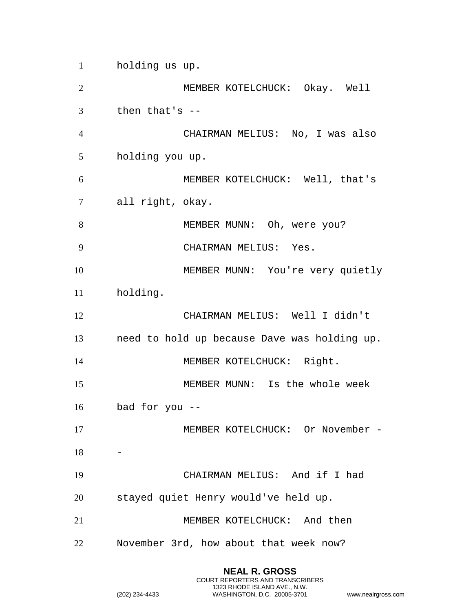holding us up. MEMBER KOTELCHUCK: Okay. Well then that's -- CHAIRMAN MELIUS: No, I was also holding you up. MEMBER KOTELCHUCK: Well, that's all right, okay. MEMBER MUNN: Oh, were you? CHAIRMAN MELIUS: Yes. MEMBER MUNN: You're very quietly holding. CHAIRMAN MELIUS: Well I didn't need to hold up because Dave was holding up. 14 MEMBER KOTELCHUCK: Right. MEMBER MUNN: Is the whole week bad for you -- 17 MEMBER KOTELCHUCK: Or November - CHAIRMAN MELIUS: And if I had stayed quiet Henry would've held up. MEMBER KOTELCHUCK: And then November 3rd, how about that week now?

> **NEAL R. GROSS** COURT REPORTERS AND TRANSCRIBERS 1323 RHODE ISLAND AVE., N.W.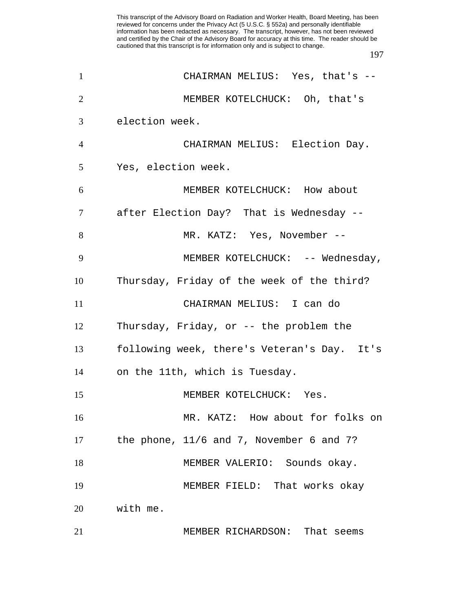| $\mathbf{1}$   | CHAIRMAN MELIUS: Yes, that's --             |
|----------------|---------------------------------------------|
| $\overline{2}$ | MEMBER KOTELCHUCK: Oh, that's               |
| 3              | election week.                              |
| $\overline{4}$ | CHAIRMAN MELIUS: Election Day.              |
| 5              | Yes, election week.                         |
| 6              | MEMBER KOTELCHUCK: How about                |
| 7              | after Election Day? That is Wednesday --    |
| 8              | MR. KATZ: Yes, November --                  |
| 9              | MEMBER KOTELCHUCK: -- Wednesday,            |
| 10             | Thursday, Friday of the week of the third?  |
| 11             | CHAIRMAN MELIUS: I can do                   |
| 12             | Thursday, Friday, or -- the problem the     |
| 13             | following week, there's Veteran's Day. It's |
| 14             | on the 11th, which is Tuesday.              |
| 15             | MEMBER KOTELCHUCK: Yes.                     |
| 16             | MR. KATZ: How about for folks on            |
| 17             | the phone, 11/6 and 7, November 6 and 7?    |
| 18             | MEMBER VALERIO: Sounds okay.                |
| 19             | MEMBER FIELD: That works okay               |
| 20             | with me.                                    |
| 21             | MEMBER RICHARDSON: That seems               |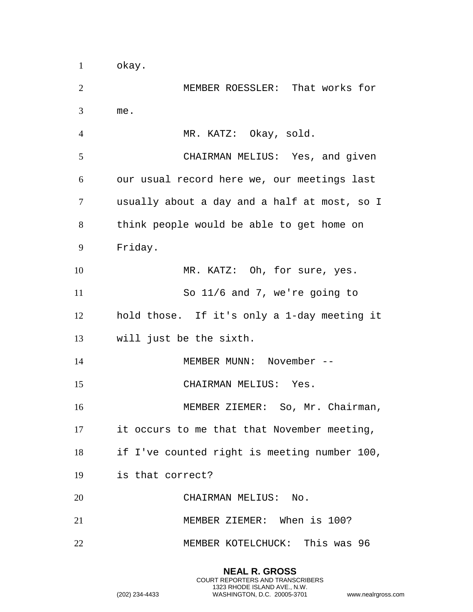MEMBER ROESSLER: That works for me. MR. KATZ: Okay, sold. CHAIRMAN MELIUS: Yes, and given our usual record here we, our meetings last usually about a day and a half at most, so I think people would be able to get home on Friday. 10 MR. KATZ: Oh, for sure, yes. So 11/6 and 7, we're going to hold those. If it's only a 1-day meeting it will just be the sixth. MEMBER MUNN: November -- CHAIRMAN MELIUS: Yes. MEMBER ZIEMER: So, Mr. Chairman, it occurs to me that that November meeting, if I've counted right is meeting number 100, is that correct? CHAIRMAN MELIUS: No. MEMBER ZIEMER: When is 100? MEMBER KOTELCHUCK: This was 96

> **NEAL R. GROSS** COURT REPORTERS AND TRANSCRIBERS 1323 RHODE ISLAND AVE., N.W.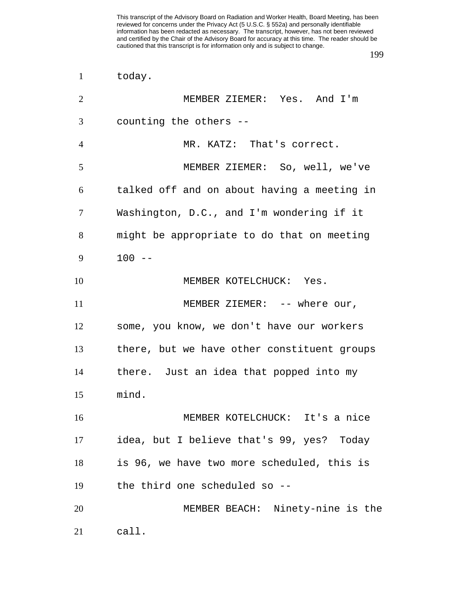| $\mathbf{1}$   | today.                                      |
|----------------|---------------------------------------------|
| $\overline{2}$ | MEMBER ZIEMER: Yes. And I'm                 |
| 3              | counting the others --                      |
| $\overline{4}$ | MR. KATZ: That's correct.                   |
| 5              | MEMBER ZIEMER: So, well, we've              |
| 6              | talked off and on about having a meeting in |
| $\tau$         | Washington, D.C., and I'm wondering if it   |
| 8              | might be appropriate to do that on meeting  |
| 9              | $100 - -$                                   |
| 10             | MEMBER KOTELCHUCK: Yes.                     |
| 11             | MEMBER ZIEMER: -- where our,                |
| 12             | some, you know, we don't have our workers   |
| 13             | there, but we have other constituent groups |
| 14             | there. Just an idea that popped into my     |
| 15             | mind.                                       |
| 16             | MEMBER KOTELCHUCK: It's a nice              |
| 17             | idea, but I believe that's 99, yes? Today   |
| 18             | is 96, we have two more scheduled, this is  |
| 19             | the third one scheduled so --               |
| 20             | MEMBER BEACH: Ninety-nine is the            |
| 21             | call.                                       |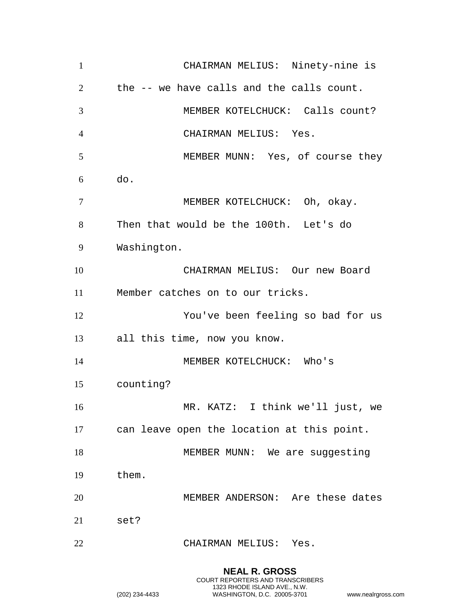| $\mathbf{1}$   | CHAIRMAN MELIUS: Ninety-nine is            |
|----------------|--------------------------------------------|
| 2              | the -- we have calls and the calls count.  |
| 3              | MEMBER KOTELCHUCK: Calls count?            |
| $\overline{4}$ | CHAIRMAN MELIUS: Yes.                      |
| 5              | MEMBER MUNN: Yes, of course they           |
| 6              | do.                                        |
| $\overline{7}$ | MEMBER KOTELCHUCK: Oh, okay.               |
| 8              | Then that would be the 100th. Let's do     |
| 9              | Washington.                                |
| 10             | CHAIRMAN MELIUS: Our new Board             |
| 11             | Member catches on to our tricks.           |
| 12             | You've been feeling so bad for us          |
| 13             | all this time, now you know.               |
| 14             | MEMBER KOTELCHUCK: Who's                   |
| 15             | counting?                                  |
| 16             | MR. KATZ: I think we'll just, we           |
| 17             | can leave open the location at this point. |
| 18             | MEMBER MUNN: We are suggesting             |
| 19             | them.                                      |
| 20             | MEMBER ANDERSON: Are these dates           |
| 21             | set?                                       |
| 22             | CHAIRMAN MELIUS: Yes.                      |

**NEAL R. GROSS** COURT REPORTERS AND TRANSCRIBERS 1323 RHODE ISLAND AVE., N.W. (202) 234-4433 WASHINGTON, D.C. 20005-3701 www.nealrgross.com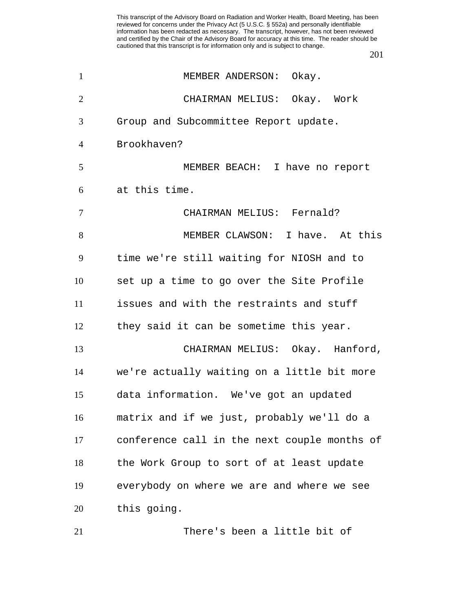| $\mathbf{1}$   | MEMBER ANDERSON: Okay.                       |
|----------------|----------------------------------------------|
| $\overline{2}$ | CHAIRMAN MELIUS: Okay. Work                  |
| 3              | Group and Subcommittee Report update.        |
| $\overline{4}$ | Brookhaven?                                  |
| 5              | MEMBER BEACH: I have no report               |
| 6              | at this time.                                |
| 7              | CHAIRMAN MELIUS: Fernald?                    |
| 8              | MEMBER CLAWSON: I have. At this              |
| 9              | time we're still waiting for NIOSH and to    |
| 10             | set up a time to go over the Site Profile    |
| 11             | issues and with the restraints and stuff     |
| 12             | they said it can be sometime this year.      |
| 13             | CHAIRMAN MELIUS: Okay. Hanford,              |
| 14             | we're actually waiting on a little bit more  |
| 15             | data information. We've got an updated       |
| 16             | matrix and if we just, probably we'll do a   |
| 17             | conference call in the next couple months of |
| 18             | the Work Group to sort of at least update    |
| 19             | everybody on where we are and where we see   |
| 20             | this going.                                  |
| 21             | There's been a little bit of                 |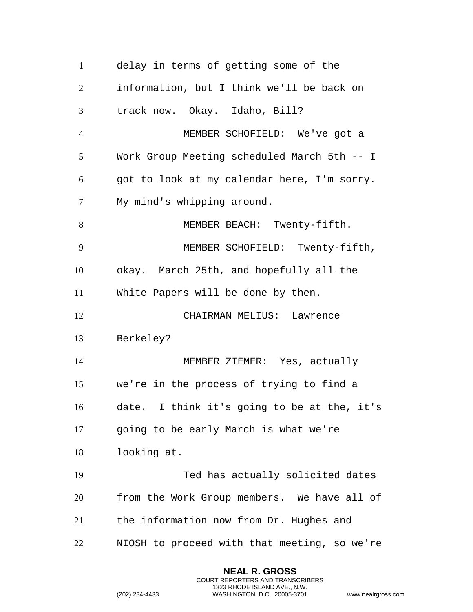| $\mathbf{1}$   | delay in terms of getting some of the                                                |
|----------------|--------------------------------------------------------------------------------------|
| $\overline{2}$ | information, but I think we'll be back on                                            |
| 3              | track now. Okay. Idaho, Bill?                                                        |
| $\overline{4}$ | MEMBER SCHOFIELD: We've got a                                                        |
| 5              | Work Group Meeting scheduled March 5th -- I                                          |
| 6              | got to look at my calendar here, I'm sorry.                                          |
| $\overline{7}$ | My mind's whipping around.                                                           |
| 8              | MEMBER BEACH: Twenty-fifth.                                                          |
| 9              | MEMBER SCHOFIELD: Twenty-fifth,                                                      |
| 10             | okay. March 25th, and hopefully all the                                              |
| 11             | White Papers will be done by then.                                                   |
| 12             | CHAIRMAN MELIUS: Lawrence                                                            |
| 13             | Berkeley?                                                                            |
|                |                                                                                      |
| 14             | MEMBER ZIEMER: Yes, actually                                                         |
| 15             | we're in the process of trying to find a                                             |
| 16             |                                                                                      |
| 17             | date. I think it's going to be at the, it's<br>going to be early March is what we're |
| 18             | looking at.                                                                          |
| 19             | Ted has actually solicited dates                                                     |
| 20             | from the Work Group members. We have all of                                          |
| 21             | the information now from Dr. Hughes and                                              |

**NEAL R. GROSS** COURT REPORTERS AND TRANSCRIBERS 1323 RHODE ISLAND AVE., N.W.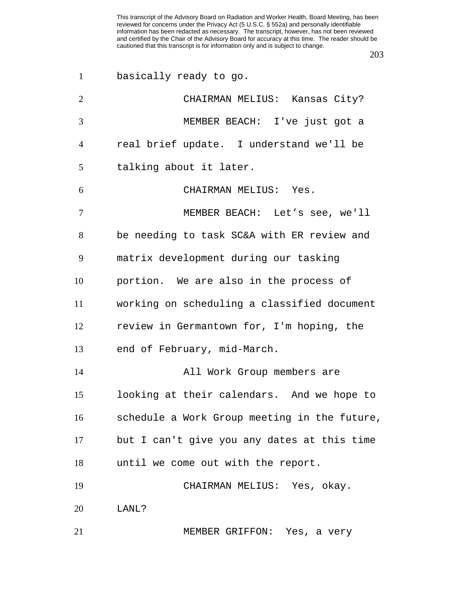| $\mathbf{1}$   | basically ready to go.                       |
|----------------|----------------------------------------------|
| $\overline{2}$ | CHAIRMAN MELIUS: Kansas City?                |
| 3              | MEMBER BEACH: I've just got a                |
| $\overline{4}$ | real brief update. I understand we'll be     |
| 5              | talking about it later.                      |
| 6              | CHAIRMAN MELIUS: Yes.                        |
| 7              | MEMBER BEACH: Let's see, we'll               |
| 8              | be needing to task SC&A with ER review and   |
| 9              | matrix development during our tasking        |
| 10             | portion. We are also in the process of       |
| 11             | working on scheduling a classified document  |
| 12             | review in Germantown for, I'm hoping, the    |
| 13             | end of February, mid-March.                  |
| 14             | All Work Group members are                   |
| 15             | looking at their calendars. And we hope to   |
| 16             | schedule a Work Group meeting in the future, |
| 17             | but I can't give you any dates at this time  |
| 18             | until we come out with the report.           |
| 19             | CHAIRMAN MELIUS: Yes, okay.                  |
| 20             | LANL?                                        |
| 21             | MEMBER GRIFFON: Yes, a very                  |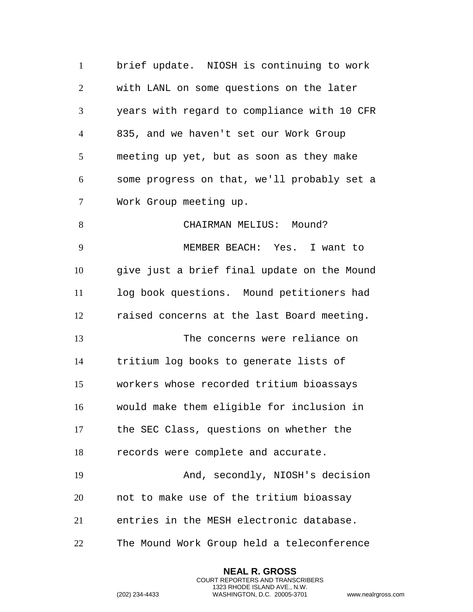brief update. NIOSH is continuing to work with LANL on some questions on the later years with regard to compliance with 10 CFR 835, and we haven't set our Work Group meeting up yet, but as soon as they make some progress on that, we'll probably set a Work Group meeting up. 8 CHAIRMAN MELIUS: Mound? MEMBER BEACH: Yes. I want to give just a brief final update on the Mound log book questions. Mound petitioners had raised concerns at the last Board meeting. The concerns were reliance on tritium log books to generate lists of workers whose recorded tritium bioassays would make them eligible for inclusion in the SEC Class, questions on whether the records were complete and accurate. And, secondly, NIOSH's decision not to make use of the tritium bioassay entries in the MESH electronic database. The Mound Work Group held a teleconference

> **NEAL R. GROSS** COURT REPORTERS AND TRANSCRIBERS 1323 RHODE ISLAND AVE., N.W.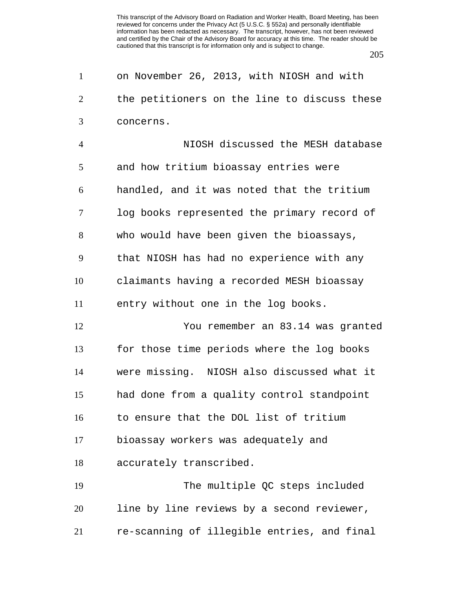on November 26, 2013, with NIOSH and with the petitioners on the line to discuss these concerns.

 NIOSH discussed the MESH database and how tritium bioassay entries were handled, and it was noted that the tritium log books represented the primary record of who would have been given the bioassays, that NIOSH has had no experience with any claimants having a recorded MESH bioassay entry without one in the log books. You remember an 83.14 was granted for those time periods where the log books were missing. NIOSH also discussed what it had done from a quality control standpoint to ensure that the DOL list of tritium bioassay workers was adequately and accurately transcribed. The multiple QC steps included

 line by line reviews by a second reviewer, re-scanning of illegible entries, and final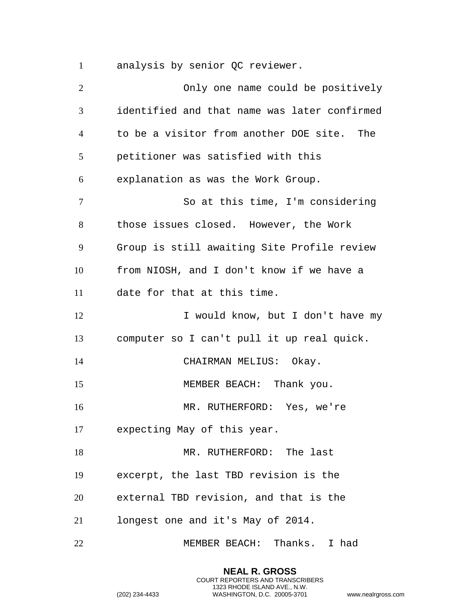analysis by senior QC reviewer.

 Only one name could be positively identified and that name was later confirmed to be a visitor from another DOE site. The petitioner was satisfied with this explanation as was the Work Group. 7 So at this time, I'm considering those issues closed. However, the Work Group is still awaiting Site Profile review from NIOSH, and I don't know if we have a date for that at this time. 12 I would know, but I don't have my computer so I can't pull it up real quick. 14 CHAIRMAN MELIUS: Okay. 15 MEMBER BEACH: Thank you. MR. RUTHERFORD: Yes, we're expecting May of this year. 18 MR. RUTHERFORD: The last excerpt, the last TBD revision is the external TBD revision, and that is the longest one and it's May of 2014. MEMBER BEACH: Thanks. I had

> **NEAL R. GROSS** COURT REPORTERS AND TRANSCRIBERS 1323 RHODE ISLAND AVE., N.W.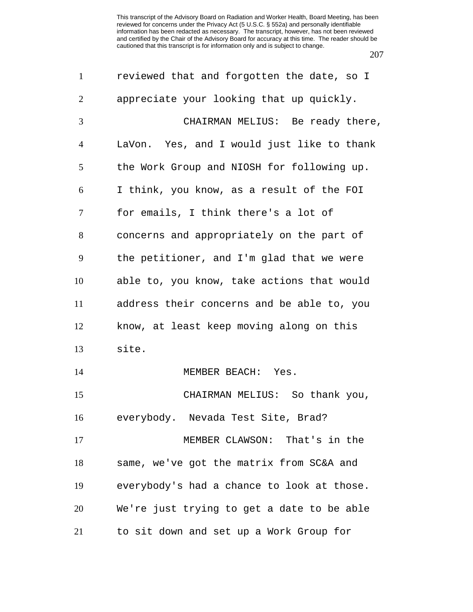| $\mathbf{1}$   | reviewed that and forgotten the date, so I |
|----------------|--------------------------------------------|
| $\overline{2}$ | appreciate your looking that up quickly.   |
| 3              | CHAIRMAN MELIUS: Be ready there,           |
| $\overline{4}$ | LaVon. Yes, and I would just like to thank |
| 5              | the Work Group and NIOSH for following up. |
| 6              | I think, you know, as a result of the FOI  |
| 7              | for emails, I think there's a lot of       |
| 8              | concerns and appropriately on the part of  |
| 9              | the petitioner, and I'm glad that we were  |
| 10             | able to, you know, take actions that would |
| 11             | address their concerns and be able to, you |
| 12             | know, at least keep moving along on this   |
| 13             | site.                                      |
| 14             | MEMBER BEACH: Yes.                         |
| 15             | CHAIRMAN MELIUS: So thank you,             |
| 16             | everybody. Nevada Test Site, Brad?         |
| 17             | MEMBER CLAWSON: That's in the              |
| 18             | same, we've got the matrix from SC&A and   |
| 19             | everybody's had a chance to look at those. |
| 20             | We're just trying to get a date to be able |
| 21             | to sit down and set up a Work Group for    |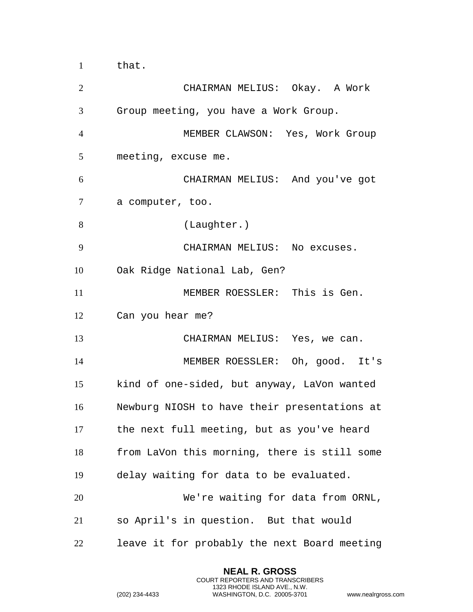that.

| $\overline{2}$ | CHAIRMAN MELIUS: Okay. A Work                |
|----------------|----------------------------------------------|
| 3              | Group meeting, you have a Work Group.        |
| $\overline{4}$ | MEMBER CLAWSON: Yes, Work Group              |
| 5              | meeting, excuse me.                          |
| 6              | CHAIRMAN MELIUS: And you've got              |
| 7              | a computer, too.                             |
| 8              | (Laughter.)                                  |
| 9              | CHAIRMAN MELIUS: No excuses.                 |
| 10             | Oak Ridge National Lab, Gen?                 |
| 11             | MEMBER ROESSLER: This is Gen.                |
| 12             | Can you hear me?                             |
| 13             | CHAIRMAN MELIUS: Yes, we can.                |
| 14             | MEMBER ROESSLER: Oh, good. It's              |
| 15             | kind of one-sided, but anyway, LaVon wanted  |
| 16             | Newburg NIOSH to have their presentations at |
| 17             | the next full meeting, but as you've heard   |
| 18             | from LaVon this morning, there is still some |
| 19             | delay waiting for data to be evaluated.      |
| 20             | We're waiting for data from ORNL,            |
| 21             | so April's in question. But that would       |
| 22             | leave it for probably the next Board meeting |

**NEAL R. GROSS** COURT REPORTERS AND TRANSCRIBERS 1323 RHODE ISLAND AVE., N.W.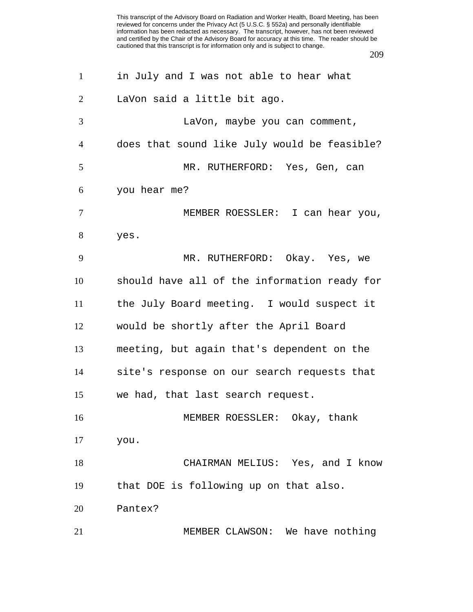| $\mathbf{1}$   | in July and I was not able to hear what      |
|----------------|----------------------------------------------|
| 2              | LaVon said a little bit ago.                 |
| 3              | LaVon, maybe you can comment,                |
| $\overline{4}$ | does that sound like July would be feasible? |
| 5              | MR. RUTHERFORD: Yes, Gen, can                |
| 6              | you hear me?                                 |
| $\tau$         | MEMBER ROESSLER: I can hear you,             |
| 8              | yes.                                         |
| 9              | MR. RUTHERFORD: Okay. Yes, we                |
| 10             | should have all of the information ready for |
| 11             | the July Board meeting. I would suspect it   |
| 12             | would be shortly after the April Board       |
| 13             | meeting, but again that's dependent on the   |
| 14             | site's response on our search requests that  |
| 15             | we had, that last search request.            |
| 16             | MEMBER ROESSLER: Okay, thank                 |
| 17             | you.                                         |
| 18             | CHAIRMAN MELIUS: Yes, and I know             |
| 19             | that DOE is following up on that also.       |
| 20             | Pantex?                                      |
| 21             | MEMBER CLAWSON: We have nothing              |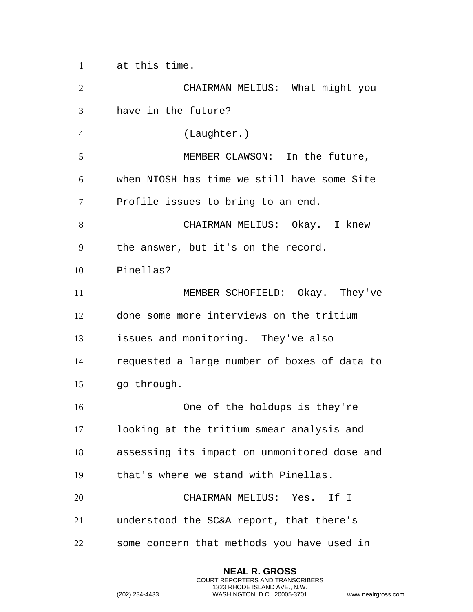at this time.

 CHAIRMAN MELIUS: What might you have in the future? (Laughter.) MEMBER CLAWSON: In the future, when NIOSH has time we still have some Site Profile issues to bring to an end. CHAIRMAN MELIUS: Okay. I knew the answer, but it's on the record. Pinellas? MEMBER SCHOFIELD: Okay. They've done some more interviews on the tritium issues and monitoring. They've also requested a large number of boxes of data to go through. One of the holdups is they're looking at the tritium smear analysis and assessing its impact on unmonitored dose and that's where we stand with Pinellas. CHAIRMAN MELIUS: Yes. If I understood the SC&A report, that there's some concern that methods you have used in

> **NEAL R. GROSS** COURT REPORTERS AND TRANSCRIBERS 1323 RHODE ISLAND AVE., N.W.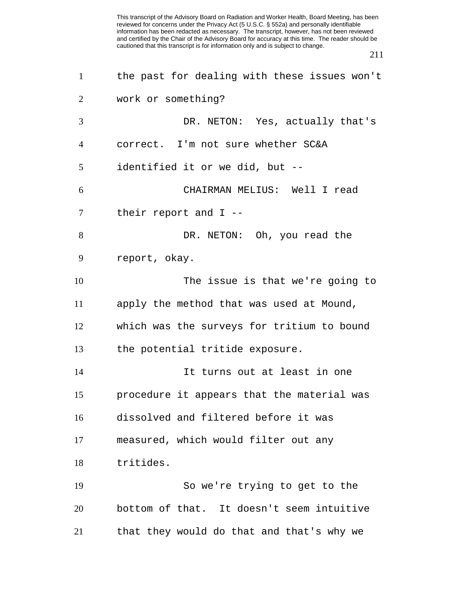| $\mathbf{1}$   | the past for dealing with these issues won't |
|----------------|----------------------------------------------|
| 2              | work or something?                           |
| 3              | DR. NETON: Yes, actually that's              |
| $\overline{4}$ | correct. I'm not sure whether SC&A           |
| 5              | identified it or we did, but --              |
| 6              | CHAIRMAN MELIUS: Well I read                 |
| $\tau$         | their report and $I$ --                      |
| 8              | DR. NETON: Oh, you read the                  |
| 9              | report, okay.                                |
| 10             | The issue is that we're going to             |
| 11             | apply the method that was used at Mound,     |
| 12             | which was the surveys for tritium to bound   |
| 13             | the potential tritide exposure.              |
| 14             | It turns out at least in one                 |
| 15             | procedure it appears that the material was   |
| 16             | dissolved and filtered before it was         |
| 17             | measured, which would filter out any         |
| 18             | tritides.                                    |
| 19             | So we're trying to get to the                |
| 20             | bottom of that. It doesn't seem intuitive    |
| 21             | that they would do that and that's why we    |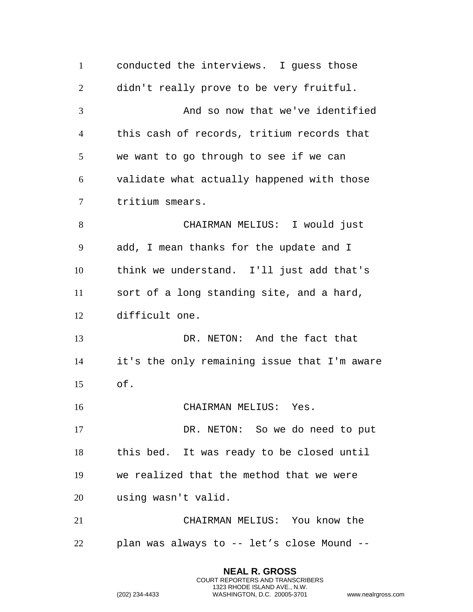conducted the interviews. I guess those didn't really prove to be very fruitful. And so now that we've identified this cash of records, tritium records that we want to go through to see if we can validate what actually happened with those tritium smears. CHAIRMAN MELIUS: I would just add, I mean thanks for the update and I think we understand. I'll just add that's sort of a long standing site, and a hard, difficult one. DR. NETON: And the fact that it's the only remaining issue that I'm aware of. CHAIRMAN MELIUS: Yes. DR. NETON: So we do need to put this bed. It was ready to be closed until we realized that the method that we were using wasn't valid. CHAIRMAN MELIUS: You know the plan was always to -- let's close Mound --

> **NEAL R. GROSS** COURT REPORTERS AND TRANSCRIBERS 1323 RHODE ISLAND AVE., N.W.

```
(202) 234-4433 WASHINGTON, D.C. 20005-3701 www.nealrgross.com
```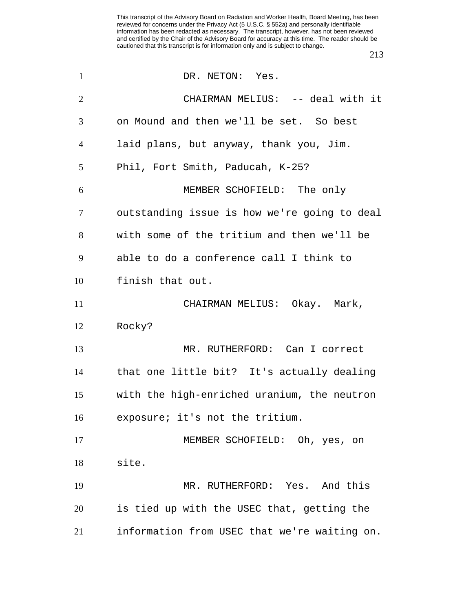| $\mathbf{1}$   | DR. NETON: Yes.                              |
|----------------|----------------------------------------------|
| $\overline{2}$ | CHAIRMAN MELIUS: -- deal with it             |
| 3              | on Mound and then we'll be set. So best      |
| $\overline{4}$ | laid plans, but anyway, thank you, Jim.      |
| 5              | Phil, Fort Smith, Paducah, K-25?             |
| 6              | MEMBER SCHOFIELD: The only                   |
| 7              | outstanding issue is how we're going to deal |
| 8              | with some of the tritium and then we'll be   |
| 9              | able to do a conference call I think to      |
| 10             | finish that out.                             |
| 11             | CHAIRMAN MELIUS: Okay. Mark,                 |
| 12             | Rocky?                                       |
| 13             | MR. RUTHERFORD: Can I correct                |
| 14             | that one little bit? It's actually dealing   |
| 15             | with the high-enriched uranium, the neutron  |
| 16             | exposure; it's not the tritium.              |
| 17             | MEMBER SCHOFIELD: Oh, yes, on                |
| 18             | site.                                        |
| 19             | MR. RUTHERFORD: Yes. And this                |
| 20             | is tied up with the USEC that, getting the   |
| 21             | information from USEC that we're waiting on. |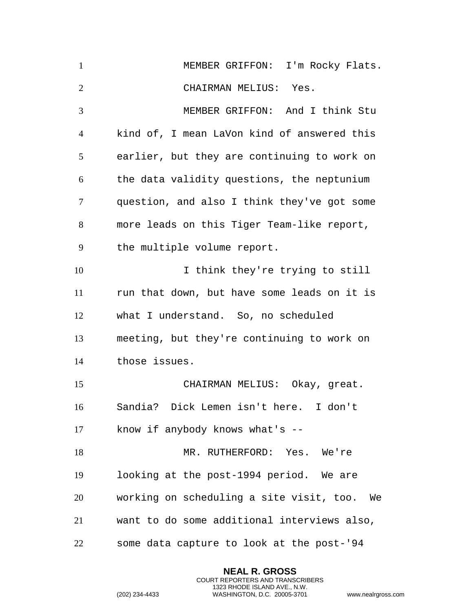MEMBER GRIFFON: I'm Rocky Flats. CHAIRMAN MELIUS: Yes. MEMBER GRIFFON: And I think Stu kind of, I mean LaVon kind of answered this earlier, but they are continuing to work on the data validity questions, the neptunium question, and also I think they've got some more leads on this Tiger Team-like report, the multiple volume report. I think they're trying to still run that down, but have some leads on it is what I understand. So, no scheduled meeting, but they're continuing to work on those issues. CHAIRMAN MELIUS: Okay, great. Sandia? Dick Lemen isn't here. I don't know if anybody knows what's -- MR. RUTHERFORD: Yes. We're looking at the post-1994 period. We are working on scheduling a site visit, too. We want to do some additional interviews also, some data capture to look at the post-'94

> **NEAL R. GROSS** COURT REPORTERS AND TRANSCRIBERS 1323 RHODE ISLAND AVE., N.W.

```
(202) 234-4433 WASHINGTON, D.C. 20005-3701 www.nealrgross.com
```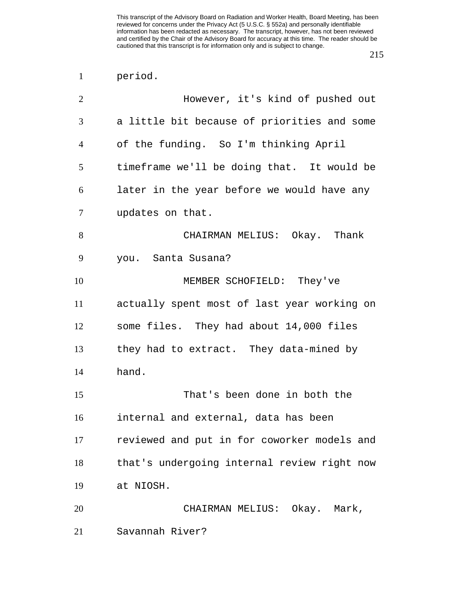period.

| $\overline{2}$ | However, it's kind of pushed out            |
|----------------|---------------------------------------------|
| 3              | a little bit because of priorities and some |
| $\overline{4}$ | of the funding. So I'm thinking April       |
| 5              | timeframe we'll be doing that. It would be  |
| 6              | later in the year before we would have any  |
| 7              | updates on that.                            |
| 8              | CHAIRMAN MELIUS: Okay. Thank                |
| 9              | you. Santa Susana?                          |
| 10             | MEMBER SCHOFIELD: They've                   |
| 11             | actually spent most of last year working on |
| 12             | some files. They had about 14,000 files     |
| 13             | they had to extract. They data-mined by     |
| 14             | hand.                                       |
| 15             | That's been done in both the                |
| 16             | internal and external, data has been        |
| 17             | reviewed and put in for coworker models and |
| 18             | that's undergoing internal review right now |
| 19             | at NIOSH.                                   |
| 20             | CHAIRMAN MELIUS: Okay. Mark,                |
| 21             | Savannah River?                             |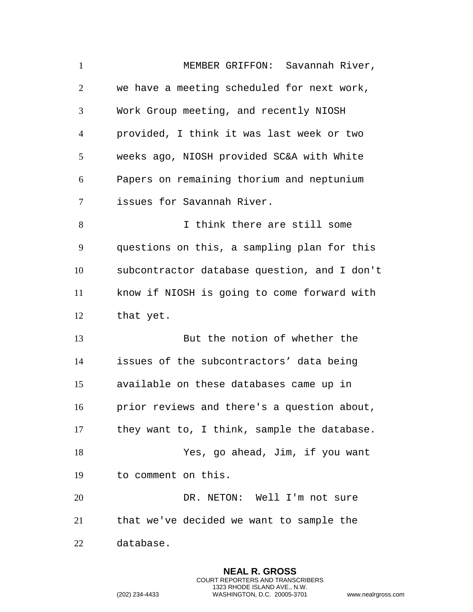MEMBER GRIFFON: Savannah River, we have a meeting scheduled for next work, Work Group meeting, and recently NIOSH provided, I think it was last week or two weeks ago, NIOSH provided SC&A with White Papers on remaining thorium and neptunium issues for Savannah River. I think there are still some questions on this, a sampling plan for this subcontractor database question, and I don't know if NIOSH is going to come forward with that yet. But the notion of whether the issues of the subcontractors' data being available on these databases came up in prior reviews and there's a question about, they want to, I think, sample the database. Yes, go ahead, Jim, if you want to comment on this. DR. NETON: Well I'm not sure that we've decided we want to sample the database.

> **NEAL R. GROSS** COURT REPORTERS AND TRANSCRIBERS 1323 RHODE ISLAND AVE., N.W.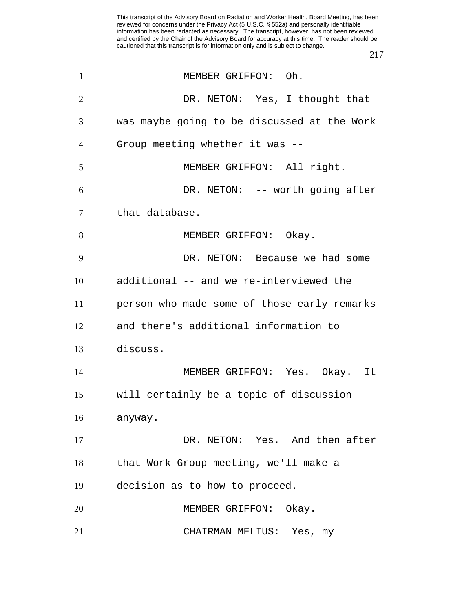| $\mathbf{1}$   | MEMBER GRIFFON: Oh.                         |
|----------------|---------------------------------------------|
| $\overline{2}$ | DR. NETON: Yes, I thought that              |
| 3              | was maybe going to be discussed at the Work |
| 4              | Group meeting whether it was --             |
| 5              | MEMBER GRIFFON: All right.                  |
| 6              | DR. NETON: -- worth going after             |
| 7              | that database.                              |
| 8              | MEMBER GRIFFON: Okay.                       |
| 9              | DR. NETON: Because we had some              |
| 10             | additional -- and we re-interviewed the     |
| 11             | person who made some of those early remarks |
| 12             | and there's additional information to       |
| 13             | discuss.                                    |
| 14             | MEMBER GRIFFON: Yes. Okay. It               |
| 15             | will certainly be a topic of discussion     |
| 16             | anyway.                                     |
| 17             | DR. NETON: Yes. And then after              |
| 18             | that Work Group meeting, we'll make a       |
| 19             | decision as to how to proceed.              |
| 20             | MEMBER GRIFFON: Okay.                       |
| 21             | CHAIRMAN MELIUS: Yes, my                    |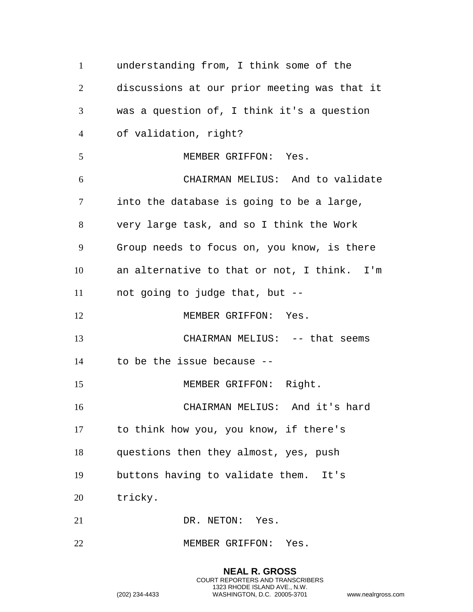understanding from, I think some of the discussions at our prior meeting was that it was a question of, I think it's a question of validation, right? MEMBER GRIFFON: Yes. CHAIRMAN MELIUS: And to validate into the database is going to be a large, very large task, and so I think the Work Group needs to focus on, you know, is there an alternative to that or not, I think. I'm not going to judge that, but -- 12 MEMBER GRIFFON: Yes. CHAIRMAN MELIUS: -- that seems to be the issue because -- 15 MEMBER GRIFFON: Right. CHAIRMAN MELIUS: And it's hard to think how you, you know, if there's questions then they almost, yes, push buttons having to validate them. It's tricky. 21 DR. NETON: Yes. 22 MEMBER GRIFFON: Yes.

> **NEAL R. GROSS** COURT REPORTERS AND TRANSCRIBERS 1323 RHODE ISLAND AVE., N.W. (202) 234-4433 WASHINGTON, D.C. 20005-3701 www.nealrgross.com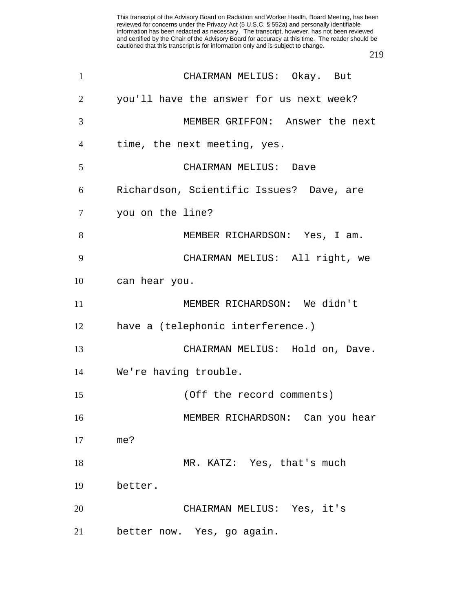| $\mathbf{1}$   | CHAIRMAN MELIUS: Okay. But               |
|----------------|------------------------------------------|
| 2              | you'll have the answer for us next week? |
| 3              | MEMBER GRIFFON: Answer the next          |
| $\overline{4}$ | time, the next meeting, yes.             |
| 5              | CHAIRMAN MELIUS: Dave                    |
| 6              | Richardson, Scientific Issues? Dave, are |
| $\tau$         | you on the line?                         |
| 8              | MEMBER RICHARDSON: Yes, I am.            |
| 9              | CHAIRMAN MELIUS: All right, we           |
| 10             | can hear you.                            |
| 11             | MEMBER RICHARDSON: We didn't             |
| 12             | have a (telephonic interference.)        |
| 13             | CHAIRMAN MELIUS: Hold on, Dave.          |
| 14             | We're having trouble.                    |
| 15             | (Off the record comments)                |
| 16             | MEMBER RICHARDSON: Can you hear          |
| 17             | me?                                      |
| 18             | MR. KATZ: Yes, that's much               |
| 19             | better.                                  |
| 20             | CHAIRMAN MELIUS: Yes, it's               |
| 21             | better now. Yes, go again.               |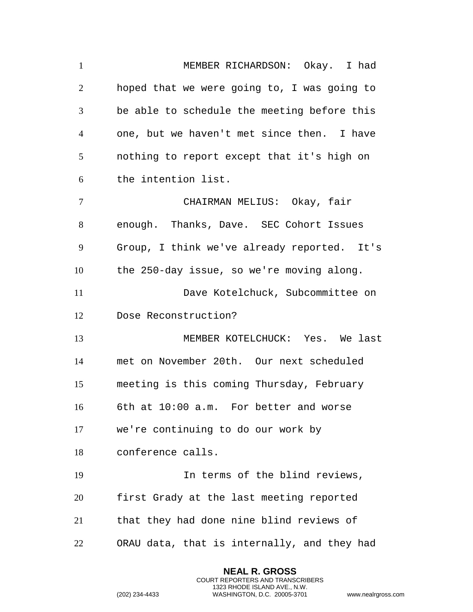MEMBER RICHARDSON: Okay. I had hoped that we were going to, I was going to be able to schedule the meeting before this one, but we haven't met since then. I have nothing to report except that it's high on the intention list. CHAIRMAN MELIUS: Okay, fair enough. Thanks, Dave. SEC Cohort Issues Group, I think we've already reported. It's the 250-day issue, so we're moving along. Dave Kotelchuck, Subcommittee on Dose Reconstruction? MEMBER KOTELCHUCK: Yes. We last met on November 20th. Our next scheduled meeting is this coming Thursday, February 6th at 10:00 a.m. For better and worse we're continuing to do our work by conference calls. In terms of the blind reviews, first Grady at the last meeting reported that they had done nine blind reviews of ORAU data, that is internally, and they had

> **NEAL R. GROSS** COURT REPORTERS AND TRANSCRIBERS 1323 RHODE ISLAND AVE., N.W.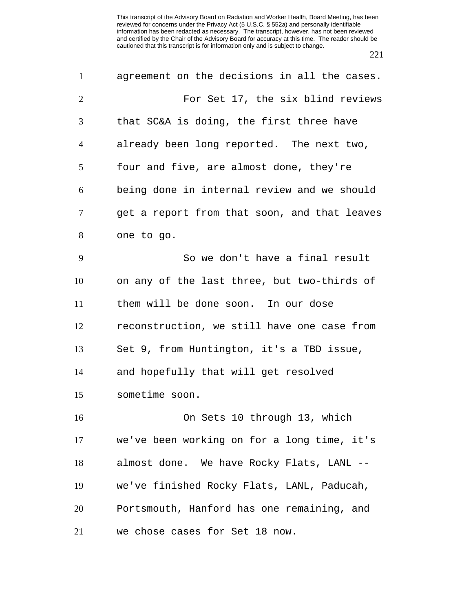| $\mathbf{1}$   | agreement on the decisions in all the cases. |
|----------------|----------------------------------------------|
| $\overline{2}$ | For Set 17, the six blind reviews            |
| 3              | that SC&A is doing, the first three have     |
| $\overline{4}$ | already been long reported. The next two,    |
| 5              | four and five, are almost done, they're      |
| 6              | being done in internal review and we should  |
| $\tau$         | get a report from that soon, and that leaves |
| 8              | one to go.                                   |
| 9              | So we don't have a final result              |
| 10             | on any of the last three, but two-thirds of  |
| 11             | them will be done soon. In our dose          |
| 12             | reconstruction, we still have one case from  |
| 13             | Set 9, from Huntington, it's a TBD issue,    |
| 14             | and hopefully that will get resolved         |
| 15             | sometime soon.                               |
| 16             | On Sets 10 through 13, which                 |
| 17             | we've been working on for a long time, it's  |
| 18             | almost done. We have Rocky Flats, LANL --    |
| 19             | we've finished Rocky Flats, LANL, Paducah,   |
| 20             | Portsmouth, Hanford has one remaining, and   |
| 21             | we chose cases for Set 18 now.               |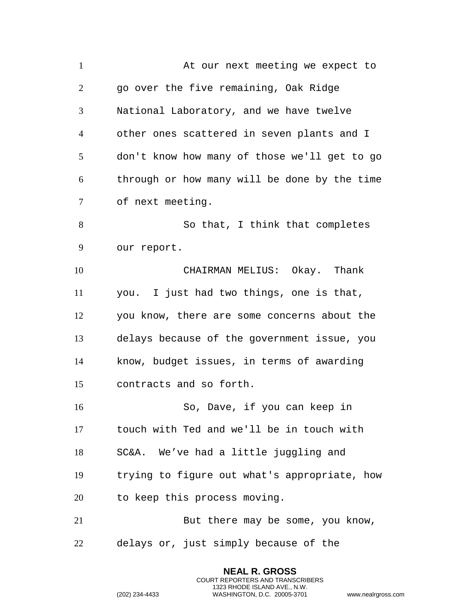1 at our next meeting we expect to go over the five remaining, Oak Ridge National Laboratory, and we have twelve other ones scattered in seven plants and I don't know how many of those we'll get to go through or how many will be done by the time of next meeting. 8 So that, I think that completes our report. CHAIRMAN MELIUS: Okay. Thank you. I just had two things, one is that, you know, there are some concerns about the delays because of the government issue, you know, budget issues, in terms of awarding contracts and so forth. So, Dave, if you can keep in touch with Ted and we'll be in touch with SC&A. We've had a little juggling and trying to figure out what's appropriate, how to keep this process moving. 21 But there may be some, you know, delays or, just simply because of the

> **NEAL R. GROSS** COURT REPORTERS AND TRANSCRIBERS 1323 RHODE ISLAND AVE., N.W.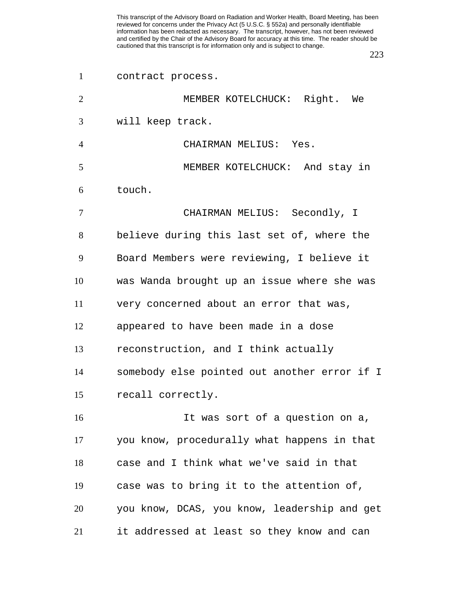contract process.

| 2              | MEMBER KOTELCHUCK: Right. We                 |
|----------------|----------------------------------------------|
| 3              | will keep track.                             |
| $\overline{4}$ | CHAIRMAN MELIUS: Yes.                        |
| 5              | MEMBER KOTELCHUCK: And stay in               |
| 6              | touch.                                       |
| $\overline{7}$ | CHAIRMAN MELIUS: Secondly, I                 |
| 8              | believe during this last set of, where the   |
| 9              | Board Members were reviewing, I believe it   |
| 10             | was Wanda brought up an issue where she was  |
| 11             | very concerned about an error that was,      |
| 12             | appeared to have been made in a dose         |
| 13             | reconstruction, and I think actually         |
| 14             | somebody else pointed out another error if I |
| 15             | recall correctly.                            |
| 16             | It was sort of a question on a,              |
| 17             | you know, procedurally what happens in that  |
| 18             | case and I think what we've said in that     |
| 19             | case was to bring it to the attention of,    |
| 20             | you know, DCAS, you know, leadership and get |
| 21             | it addressed at least so they know and can   |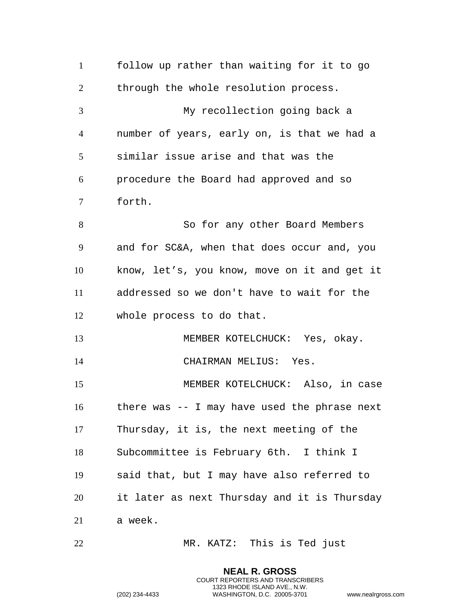follow up rather than waiting for it to go through the whole resolution process. My recollection going back a number of years, early on, is that we had a similar issue arise and that was the procedure the Board had approved and so forth. So for any other Board Members and for SC&A, when that does occur and, you know, let's, you know, move on it and get it addressed so we don't have to wait for the whole process to do that. MEMBER KOTELCHUCK: Yes, okay. CHAIRMAN MELIUS: Yes. MEMBER KOTELCHUCK: Also, in case there was -- I may have used the phrase next Thursday, it is, the next meeting of the Subcommittee is February 6th. I think I said that, but I may have also referred to it later as next Thursday and it is Thursday a week. MR. KATZ: This is Ted just

> **NEAL R. GROSS** COURT REPORTERS AND TRANSCRIBERS 1323 RHODE ISLAND AVE., N.W.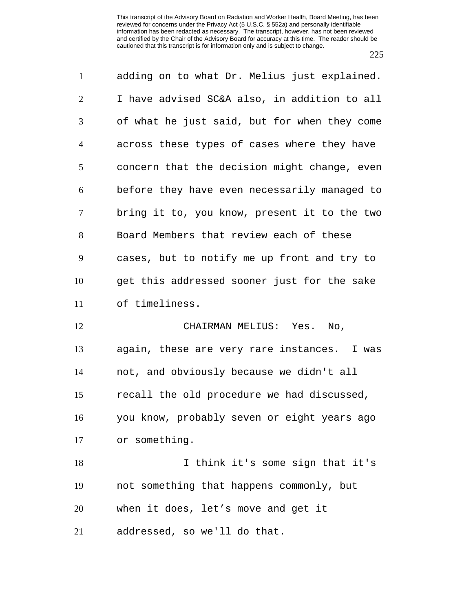| $\mathbf{1}$   | adding on to what Dr. Melius just explained. |
|----------------|----------------------------------------------|
| $\overline{2}$ | I have advised SC&A also, in addition to all |
| 3              | of what he just said, but for when they come |
| $\overline{4}$ | across these types of cases where they have  |
| 5              | concern that the decision might change, even |
| 6              | before they have even necessarily managed to |
| $\overline{7}$ | bring it to, you know, present it to the two |
| 8              | Board Members that review each of these      |
| 9              | cases, but to notify me up front and try to  |
| 10             | get this addressed sooner just for the sake  |
| 11             | of timeliness.                               |
| 12             | CHAIRMAN MELIUS: Yes. No,                    |
| 13             | again, these are very rare instances. I was  |
| 14             | not, and obviously because we didn't all     |
| 15             | recall the old procedure we had discussed,   |
| 16             | you know, probably seven or eight years ago  |
| 17             | or something.                                |
| 18             | I think it's some sign that it's             |
| 19             | not something that happens commonly, but     |
| 20             | when it does, let's move and get it          |
| 21             | addressed, so we'll do that.                 |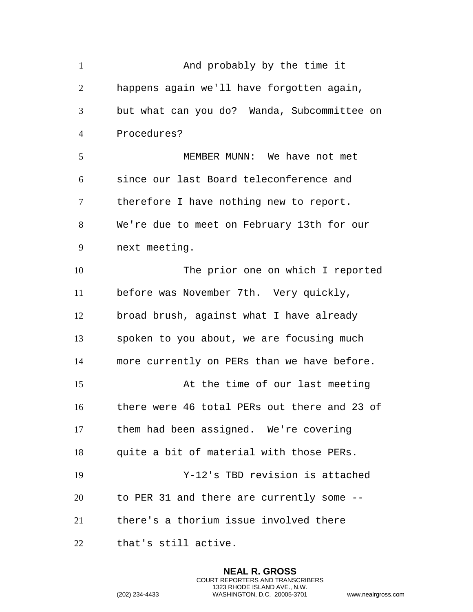| $\mathbf{1}$   | And probably by the time it                  |
|----------------|----------------------------------------------|
| 2              | happens again we'll have forgotten again,    |
| 3              | but what can you do? Wanda, Subcommittee on  |
| $\overline{4}$ | Procedures?                                  |
| 5              | MEMBER MUNN: We have not met                 |
| 6              | since our last Board teleconference and      |
| 7              | therefore I have nothing new to report.      |
| 8              | We're due to meet on February 13th for our   |
| 9              | next meeting.                                |
| 10             | The prior one on which I reported            |
| 11             | before was November 7th. Very quickly,       |
| 12             | broad brush, against what I have already     |
| 13             | spoken to you about, we are focusing much    |
| 14             | more currently on PERs than we have before.  |
| 15             | At the time of our last meeting              |
| 16             | there were 46 total PERs out there and 23 of |
| 17             | them had been assigned. We're covering       |
| 18             | quite a bit of material with those PERs.     |
| 19             | Y-12's TBD revision is attached              |
| 20             | to PER 31 and there are currently some --    |
| 21             | there's a thorium issue involved there       |
| 22             | that's still active.                         |

**NEAL R. GROSS** COURT REPORTERS AND TRANSCRIBERS 1323 RHODE ISLAND AVE., N.W.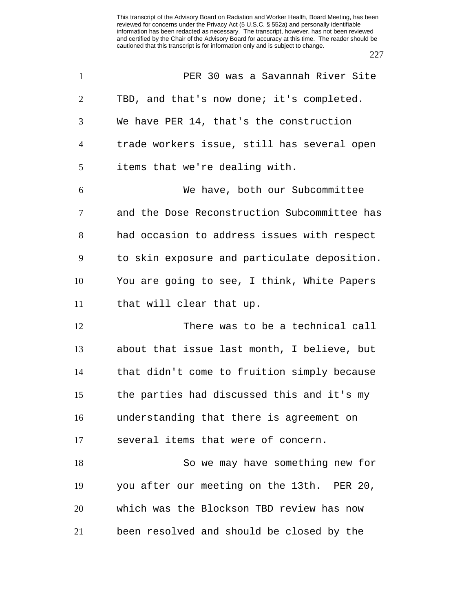| $\mathbf{1}$   | PER 30 was a Savannah River Site             |
|----------------|----------------------------------------------|
| 2              | TBD, and that's now done; it's completed.    |
| 3              | We have PER 14, that's the construction      |
| $\overline{4}$ | trade workers issue, still has several open  |
| 5              | items that we're dealing with.               |
| 6              | We have, both our Subcommittee               |
| $\tau$         | and the Dose Reconstruction Subcommittee has |
| 8              | had occasion to address issues with respect  |
| 9              | to skin exposure and particulate deposition. |
| 10             | You are going to see, I think, White Papers  |
| 11             | that will clear that up.                     |
| 12             | There was to be a technical call             |
| 13             | about that issue last month, I believe, but  |
| 14             | that didn't come to fruition simply because  |
| 15             | the parties had discussed this and it's my   |
| 16             | understanding that there is agreement on     |
| 17             | several items that were of concern.          |
| 18             | So we may have something new for             |
| 19             | you after our meeting on the 13th. PER 20,   |
| 20             | which was the Blockson TBD review has now    |
| 21             | been resolved and should be closed by the    |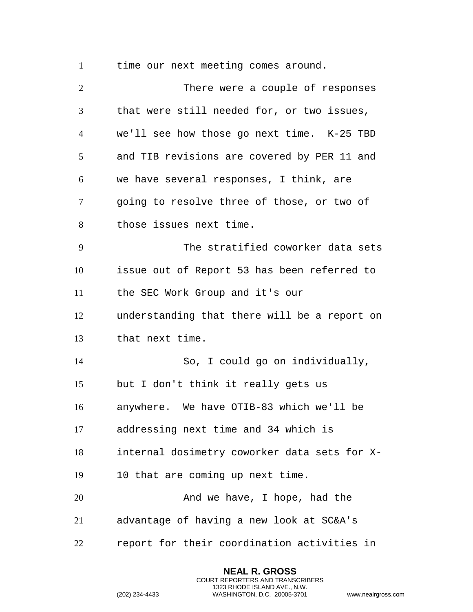time our next meeting comes around.

 There were a couple of responses that were still needed for, or two issues, we'll see how those go next time. K-25 TBD and TIB revisions are covered by PER 11 and we have several responses, I think, are going to resolve three of those, or two of those issues next time. The stratified coworker data sets issue out of Report 53 has been referred to the SEC Work Group and it's our understanding that there will be a report on that next time. So, I could go on individually, but I don't think it really gets us anywhere. We have OTIB-83 which we'll be addressing next time and 34 which is internal dosimetry coworker data sets for X- 10 that are coming up next time. 20 And we have, I hope, had the advantage of having a new look at SC&A's report for their coordination activities in

> **NEAL R. GROSS** COURT REPORTERS AND TRANSCRIBERS 1323 RHODE ISLAND AVE., N.W.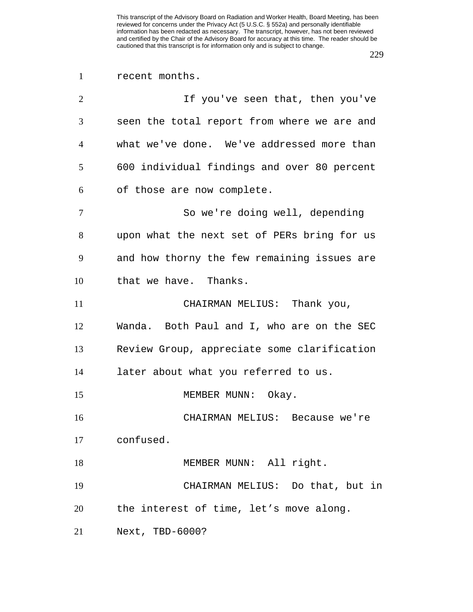## recent months.

| $\overline{2}$ | If you've seen that, then you've            |
|----------------|---------------------------------------------|
| 3              | seen the total report from where we are and |
| 4              | what we've done. We've addressed more than  |
| 5              | 600 individual findings and over 80 percent |
| 6              | of those are now complete.                  |
| $\tau$         | So we're doing well, depending              |
| 8              | upon what the next set of PERs bring for us |
| 9              | and how thorny the few remaining issues are |
| 10             | that we have. Thanks.                       |
| 11             | CHAIRMAN MELIUS: Thank you,                 |
| 12             | Wanda. Both Paul and I, who are on the SEC  |
| 13             | Review Group, appreciate some clarification |
| 14             | later about what you referred to us.        |
| 15             | MEMBER MUNN: Okay.                          |
| 16             | CHAIRMAN MELIUS: Because we're              |
| 17             | confused.                                   |
| 18             | MEMBER MUNN: All right.                     |
| 19             | CHAIRMAN MELIUS: Do that, but in            |
| 20             | the interest of time, let's move along.     |
| 21             | Next, TBD-6000?                             |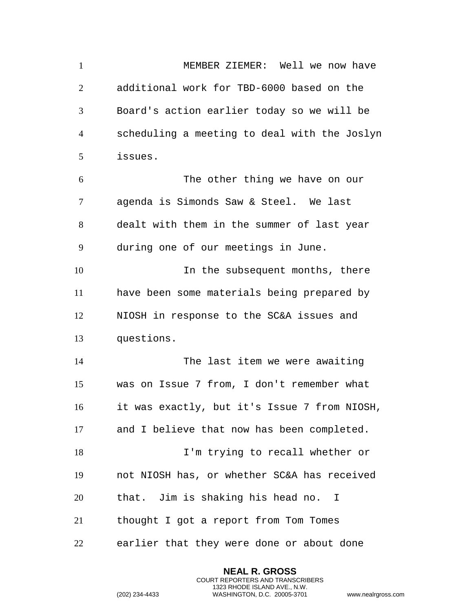MEMBER ZIEMER: Well we now have additional work for TBD-6000 based on the Board's action earlier today so we will be scheduling a meeting to deal with the Joslyn issues. The other thing we have on our agenda is Simonds Saw & Steel. We last dealt with them in the summer of last year during one of our meetings in June. 10 10 10 In the subsequent months, there have been some materials being prepared by NIOSH in response to the SC&A issues and questions. The last item we were awaiting was on Issue 7 from, I don't remember what it was exactly, but it's Issue 7 from NIOSH, and I believe that now has been completed. I'm trying to recall whether or not NIOSH has, or whether SC&A has received that. Jim is shaking his head no. I thought I got a report from Tom Tomes earlier that they were done or about done

> **NEAL R. GROSS** COURT REPORTERS AND TRANSCRIBERS 1323 RHODE ISLAND AVE., N.W.

```
(202) 234-4433 WASHINGTON, D.C. 20005-3701 www.nealrgross.com
```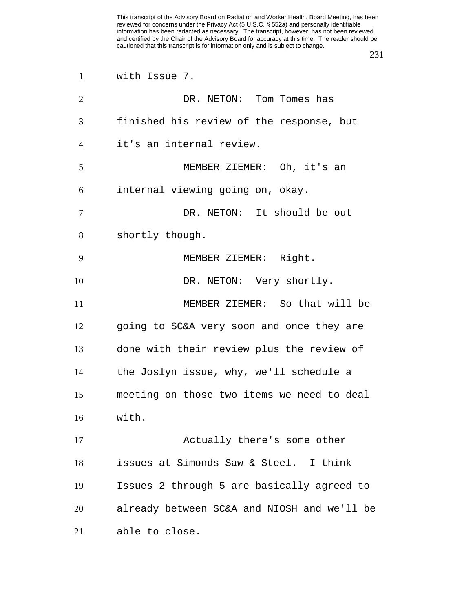| $\mathbf{1}$   | with Issue 7.                               |
|----------------|---------------------------------------------|
| $\overline{2}$ | DR. NETON: Tom Tomes has                    |
| 3              | finished his review of the response, but    |
| $\overline{4}$ | it's an internal review.                    |
| 5              | MEMBER ZIEMER: Oh, it's an                  |
| 6              | internal viewing going on, okay.            |
| 7              | DR. NETON: It should be out                 |
| 8              | shortly though.                             |
| 9              | MEMBER ZIEMER: Right.                       |
| 10             | DR. NETON: Very shortly.                    |
| 11             | MEMBER ZIEMER: So that will be              |
| 12             | going to SC&A very soon and once they are   |
| 13             | done with their review plus the review of   |
| 14             | the Joslyn issue, why, we'll schedule a     |
| 15             | meeting on those two items we need to deal  |
| 16             | with.                                       |
| 17             | Actually there's some other                 |
| 18             | issues at Simonds Saw & Steel. I think      |
| 19             | Issues 2 through 5 are basically agreed to  |
| 20             | already between SC&A and NIOSH and we'll be |
| 21             | able to close.                              |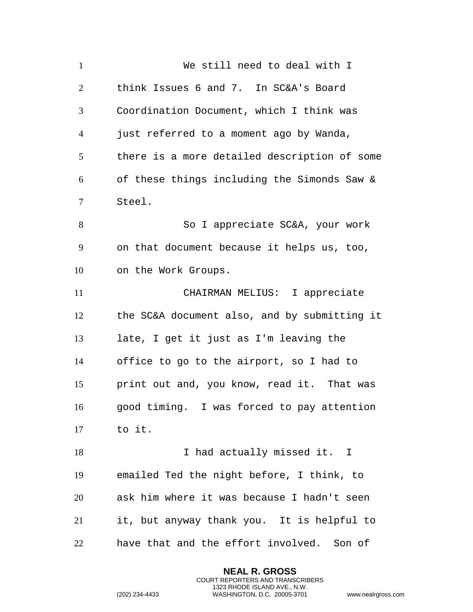| $\mathbf{1}$   | We still need to deal with I                 |
|----------------|----------------------------------------------|
| $\overline{2}$ | think Issues 6 and 7. In SC&A's Board        |
| 3              | Coordination Document, which I think was     |
| $\overline{4}$ | just referred to a moment ago by Wanda,      |
| 5              | there is a more detailed description of some |
| 6              | of these things including the Simonds Saw &  |
| 7              | Steel.                                       |
| 8              | So I appreciate SC&A, your work              |
| 9              | on that document because it helps us, too,   |
| 10             | on the Work Groups.                          |
| 11             | CHAIRMAN MELIUS: I appreciate                |
| 12             | the SC&A document also, and by submitting it |
| 13             | late, I get it just as I'm leaving the       |
| 14             | office to go to the airport, so I had to     |
| 15             | print out and, you know, read it. That was   |
| 16             | good timing. I was forced to pay attention   |
| 17             | to it.                                       |
| 18             | I had actually missed it. I                  |
| 19             | emailed Ted the night before, I think, to    |
| 20             | ask him where it was because I hadn't seen   |
| 21             | it, but anyway thank you. It is helpful to   |
| 22             | have that and the effort involved.<br>Son of |

**NEAL R. GROSS** COURT REPORTERS AND TRANSCRIBERS 1323 RHODE ISLAND AVE., N.W.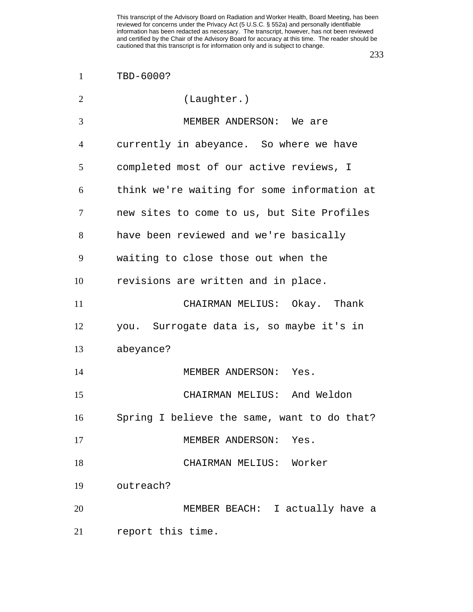| $\overline{2}$ | (Laughter.)                                 |
|----------------|---------------------------------------------|
| 3              | MEMBER ANDERSON: We are                     |
| $\overline{4}$ | currently in abeyance. So where we have     |
| 5              | completed most of our active reviews, I     |
| 6              | think we're waiting for some information at |
| 7              | new sites to come to us, but Site Profiles  |
| 8              | have been reviewed and we're basically      |
| 9              | waiting to close those out when the         |
| 10             | revisions are written and in place.         |
| 11             | CHAIRMAN MELIUS: Okay. Thank                |
| 12             | you. Surrogate data is, so maybe it's in    |
| 13             | abeyance?                                   |
| 14             | MEMBER ANDERSON: Yes.                       |
| 15             | CHAIRMAN MELIUS: And Weldon                 |
| 16             | Spring I believe the same, want to do that? |
| 17             | MEMBER ANDERSON:<br>Yes.                    |
| 18             | CHAIRMAN MELIUS: Worker                     |
| 19             | outreach?                                   |
| 20             | MEMBER BEACH: I actually have a             |
| 21             | report this time.                           |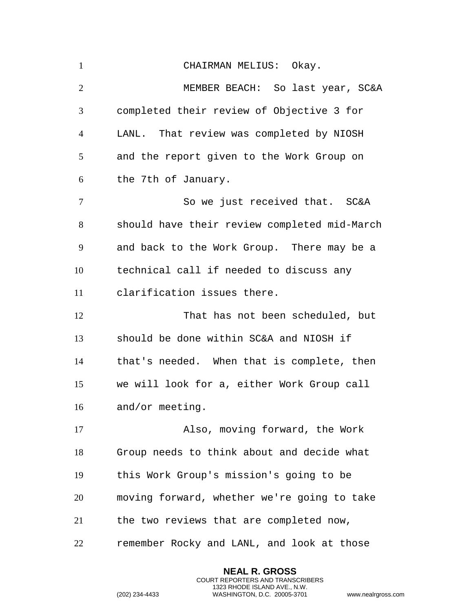| $\mathbf{1}$   | CHAIRMAN MELIUS: Okay.                       |
|----------------|----------------------------------------------|
| $\overline{2}$ | MEMBER BEACH: So last year, SC&A             |
| 3              | completed their review of Objective 3 for    |
| $\overline{4}$ | LANL. That review was completed by NIOSH     |
| 5              | and the report given to the Work Group on    |
| 6              | the 7th of January.                          |
| $\tau$         | So we just received that. SC&A               |
| 8              | should have their review completed mid-March |
| 9              | and back to the Work Group. There may be a   |
| 10             | technical call if needed to discuss any      |
| 11             | clarification issues there.                  |
| 12             | That has not been scheduled, but             |
| 13             | should be done within SC&A and NIOSH if      |
| 14             | that's needed. When that is complete, then   |
| 15             | we will look for a, either Work Group call   |
| 16             | and/or meeting.                              |
| 17             | Also, moving forward, the Work               |
| 18             | Group needs to think about and decide what   |
| 19             | this Work Group's mission's going to be      |
| 20             | moving forward, whether we're going to take  |
| 21             | the two reviews that are completed now,      |
| 22             | remember Rocky and LANL, and look at those   |

**NEAL R. GROSS** COURT REPORTERS AND TRANSCRIBERS 1323 RHODE ISLAND AVE., N.W.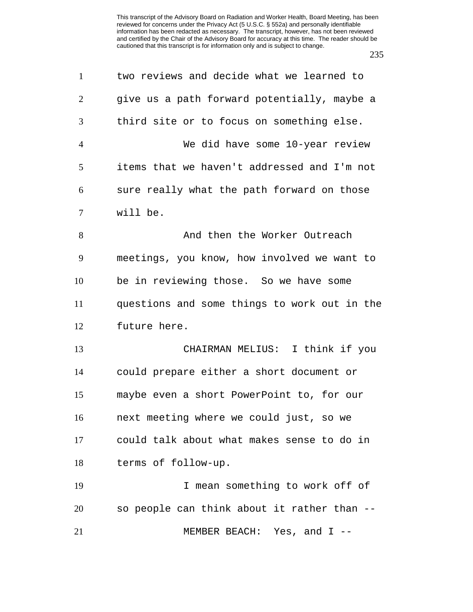| $\mathbf{1}$   | two reviews and decide what we learned to    |
|----------------|----------------------------------------------|
| $\overline{2}$ | give us a path forward potentially, maybe a  |
| 3              | third site or to focus on something else.    |
| $\overline{4}$ | We did have some 10-year review              |
| 5              | items that we haven't addressed and I'm not  |
| 6              | sure really what the path forward on those   |
| 7              | will be.                                     |
| 8              | And then the Worker Outreach                 |
| 9              | meetings, you know, how involved we want to  |
| 10             | be in reviewing those. So we have some       |
| 11             | questions and some things to work out in the |
| 12             | future here.                                 |
| 13             | CHAIRMAN MELIUS: I think if you              |
| 14             | could prepare either a short document or     |
| 15             | maybe even a short PowerPoint to, for our    |
| 16             | next meeting where we could just, so we      |
| 17             | could talk about what makes sense to do in   |
| 18             | terms of follow-up.                          |
| 19             | I mean something to work off of              |
| 20             | so people can think about it rather than --  |
| 21             | MEMBER BEACH: Yes, and $I$ --                |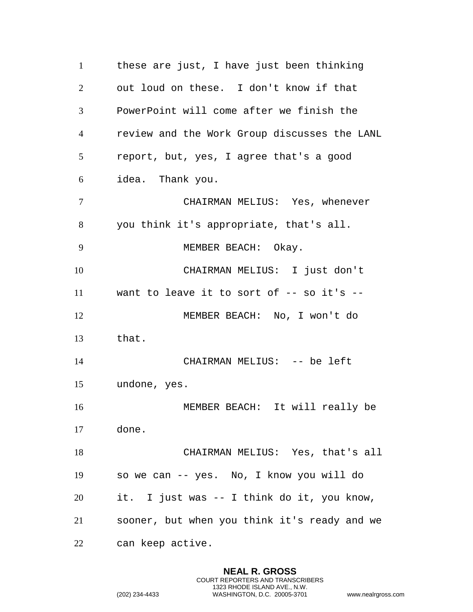these are just, I have just been thinking out loud on these. I don't know if that PowerPoint will come after we finish the review and the Work Group discusses the LANL report, but, yes, I agree that's a good idea. Thank you. CHAIRMAN MELIUS: Yes, whenever you think it's appropriate, that's all. MEMBER BEACH: Okay. CHAIRMAN MELIUS: I just don't want to leave it to sort of -- so it's -- MEMBER BEACH: No, I won't do that. 14 CHAIRMAN MELIUS: -- be left undone, yes. MEMBER BEACH: It will really be done. CHAIRMAN MELIUS: Yes, that's all so we can -- yes. No, I know you will do it. I just was -- I think do it, you know, sooner, but when you think it's ready and we can keep active.

> **NEAL R. GROSS** COURT REPORTERS AND TRANSCRIBERS 1323 RHODE ISLAND AVE., N.W.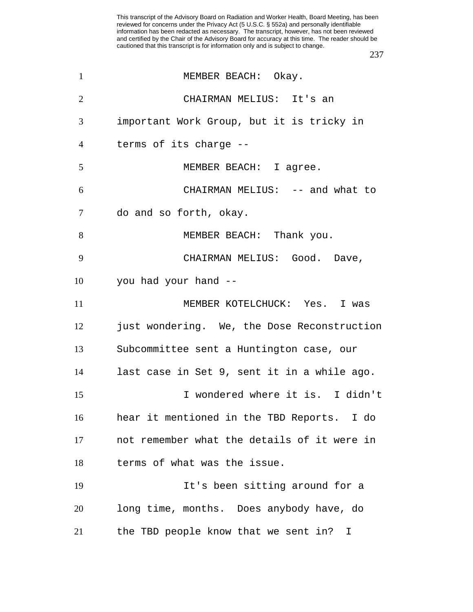| 1              | MEMBER BEACH: Okay.                         |
|----------------|---------------------------------------------|
| 2              | CHAIRMAN MELIUS: It's an                    |
| 3              | important Work Group, but it is tricky in   |
| $\overline{4}$ | terms of its charge --                      |
| 5              | MEMBER BEACH: I agree.                      |
| 6              | CHAIRMAN MELIUS: -- and what to             |
| $\tau$         | do and so forth, okay.                      |
| 8              | MEMBER BEACH: Thank you.                    |
| 9              | CHAIRMAN MELIUS: Good. Dave,                |
| 10             | you had your hand --                        |
| 11             | MEMBER KOTELCHUCK: Yes. I was               |
| 12             | just wondering. We, the Dose Reconstruction |
| 13             | Subcommittee sent a Huntington case, our    |
| 14             | last case in Set 9, sent it in a while ago. |
| 15             | I wondered where it is. I didn't            |
| 16             | hear it mentioned in the TBD Reports. I do  |
| 17             | not remember what the details of it were in |
| 18             | terms of what was the issue.                |
| 19             | It's been sitting around for a              |
| 20             | long time, months. Does anybody have, do    |
| 21             | the TBD people know that we sent in?<br>I.  |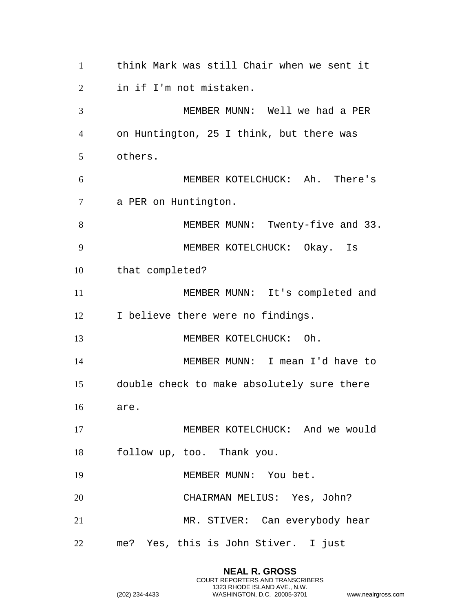think Mark was still Chair when we sent it in if I'm not mistaken. MEMBER MUNN: Well we had a PER on Huntington, 25 I think, but there was others. MEMBER KOTELCHUCK: Ah. There's a PER on Huntington. 8 MEMBER MUNN: Twenty-five and 33. MEMBER KOTELCHUCK: Okay. Is that completed? MEMBER MUNN: It's completed and 12 I believe there were no findings. 13 MEMBER KOTELCHUCK: Oh. MEMBER MUNN: I mean I'd have to double check to make absolutely sure there are. MEMBER KOTELCHUCK: And we would follow up, too. Thank you. 19 MEMBER MUNN: You bet. CHAIRMAN MELIUS: Yes, John? MR. STIVER: Can everybody hear me? Yes, this is John Stiver. I just

> **NEAL R. GROSS** COURT REPORTERS AND TRANSCRIBERS 1323 RHODE ISLAND AVE., N.W.

```
(202) 234-4433 WASHINGTON, D.C. 20005-3701 www.nealrgross.com
```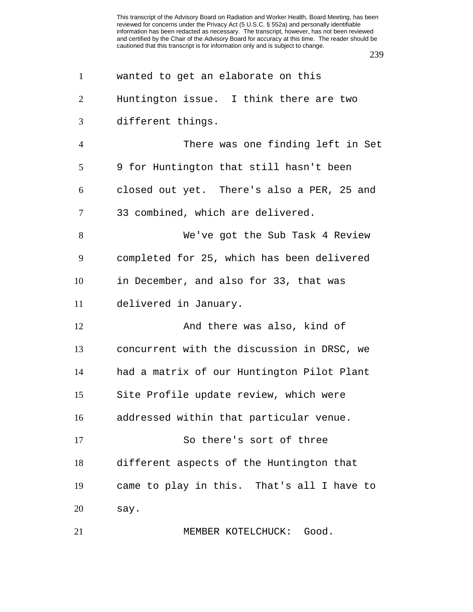| $\mathbf{1}$   | wanted to get an elaborate on this         |
|----------------|--------------------------------------------|
| $\overline{2}$ | Huntington issue. I think there are two    |
| 3              | different things.                          |
| $\overline{4}$ | There was one finding left in Set          |
| 5              | 9 for Huntington that still hasn't been    |
| 6              | closed out yet. There's also a PER, 25 and |
| 7              | 33 combined, which are delivered.          |
| 8              | We've got the Sub Task 4 Review            |
| 9              | completed for 25, which has been delivered |
| 10             | in December, and also for 33, that was     |
| 11             | delivered in January.                      |
| 12             | And there was also, kind of                |
| 13             | concurrent with the discussion in DRSC, we |
| 14             | had a matrix of our Huntington Pilot Plant |
| 15             | Site Profile update review, which were     |
| 16             | addressed within that particular venue.    |
| 17             | So there's sort of three                   |
| 18             | different aspects of the Huntington that   |
| 19             | came to play in this. That's all I have to |
| 20             | say.                                       |
| 21             | MEMBER KOTELCHUCK: Good.                   |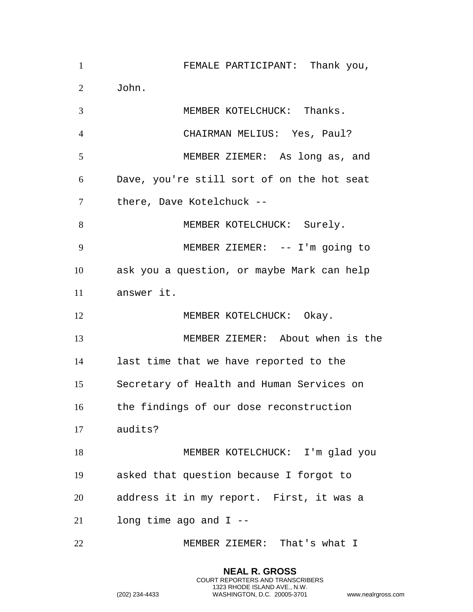| $\mathbf{1}$   | FEMALE PARTICIPANT: Thank you,             |
|----------------|--------------------------------------------|
| 2              | John.                                      |
| 3              | MEMBER KOTELCHUCK: Thanks.                 |
| $\overline{4}$ | CHAIRMAN MELIUS: Yes, Paul?                |
| 5              | MEMBER ZIEMER: As long as, and             |
| 6              | Dave, you're still sort of on the hot seat |
| $\tau$         | there, Dave Kotelchuck --                  |
| 8              | MEMBER KOTELCHUCK: Surely.                 |
| 9              | MEMBER ZIEMER: -- I'm going to             |
| 10             | ask you a question, or maybe Mark can help |
| 11             | answer it.                                 |
| 12             | MEMBER KOTELCHUCK: Okay.                   |
| 13             | MEMBER ZIEMER: About when is the           |
| 14             | last time that we have reported to the     |
| 15             | Secretary of Health and Human Services on  |
| 16             | the findings of our dose reconstruction    |
| 17             | audits?                                    |
| 18             | MEMBER KOTELCHUCK: I'm glad you            |
| 19             | asked that question because I forgot to    |
| 20             | address it in my report. First, it was a   |
| 21             | long time ago and $I$ --                   |
| 22             | MEMBER ZIEMER: That's what I               |

**NEAL R. GROSS** COURT REPORTERS AND TRANSCRIBERS 1323 RHODE ISLAND AVE., N.W.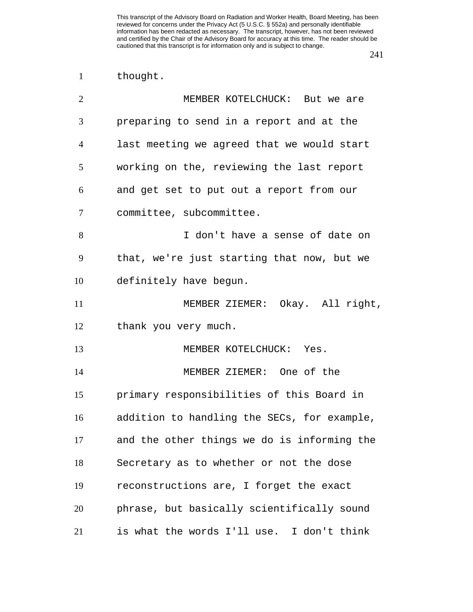thought.

| $\overline{2}$ | MEMBER KOTELCHUCK: But we are               |
|----------------|---------------------------------------------|
| 3              | preparing to send in a report and at the    |
| $\overline{4}$ | last meeting we agreed that we would start  |
| 5              | working on the, reviewing the last report   |
| 6              | and get set to put out a report from our    |
| 7              | committee, subcommittee.                    |
| 8              | I don't have a sense of date on             |
| 9              | that, we're just starting that now, but we  |
| 10             | definitely have begun.                      |
| 11             | MEMBER ZIEMER: Okay. All right,             |
| 12             | thank you very much.                        |
| 13             | MEMBER KOTELCHUCK: Yes.                     |
| 14             | MEMBER ZIEMER: One of the                   |
| 15             | primary responsibilities of this Board in   |
| 16             | addition to handling the SECs, for example, |
| 17             | and the other things we do is informing the |
| 18             | Secretary as to whether or not the dose     |
| 19             | reconstructions are, I forget the exact     |
| 20             | phrase, but basically scientifically sound  |
| 21             | is what the words I'll use. I don't think   |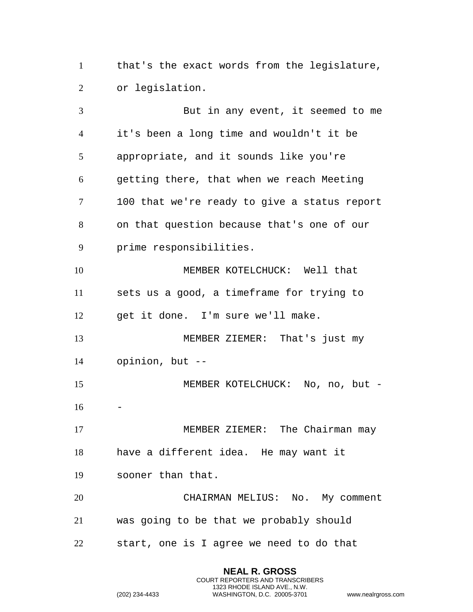that's the exact words from the legislature, or legislation.

 But in any event, it seemed to me it's been a long time and wouldn't it be appropriate, and it sounds like you're getting there, that when we reach Meeting 100 that we're ready to give a status report on that question because that's one of our prime responsibilities. MEMBER KOTELCHUCK: Well that sets us a good, a timeframe for trying to get it done. I'm sure we'll make. MEMBER ZIEMER: That's just my opinion, but -- MEMBER KOTELCHUCK: No, no, but - 17 MEMBER ZIEMER: The Chairman may have a different idea. He may want it sooner than that. CHAIRMAN MELIUS: No. My comment was going to be that we probably should start, one is I agree we need to do that

> **NEAL R. GROSS** COURT REPORTERS AND TRANSCRIBERS 1323 RHODE ISLAND AVE., N.W.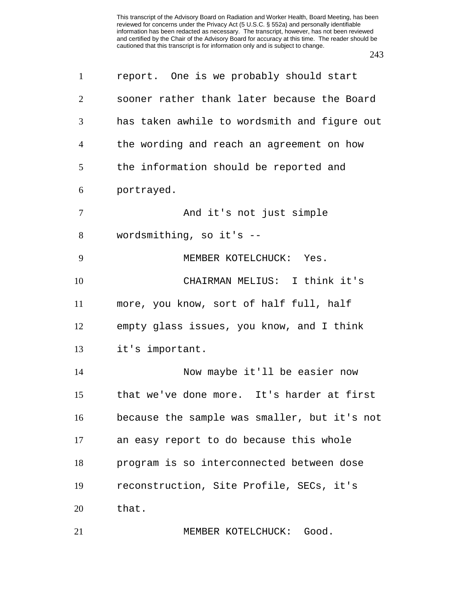| $\mathbf{1}$   | report. One is we probably should start      |
|----------------|----------------------------------------------|
| $\overline{2}$ | sooner rather thank later because the Board  |
| 3              | has taken awhile to wordsmith and figure out |
| $\overline{4}$ | the wording and reach an agreement on how    |
| 5              | the information should be reported and       |
| 6              | portrayed.                                   |
| 7              | And it's not just simple                     |
| 8              | wordsmithing, so it's --                     |
| 9              | MEMBER KOTELCHUCK: Yes.                      |
| 10             | CHAIRMAN MELIUS: I think it's                |
| 11             | more, you know, sort of half full, half      |
| 12             | empty glass issues, you know, and I think    |
| 13             | it's important.                              |
| 14             | Now maybe it'll be easier now                |
| 15             | that we've done more. It's harder at first   |
| 16             | because the sample was smaller, but it's not |
| 17             | an easy report to do because this whole      |
| 18             | program is so interconnected between dose    |
| 19             | reconstruction, Site Profile, SECs, it's     |
| 20             | that.                                        |
| 21             | MEMBER KOTELCHUCK: Good.                     |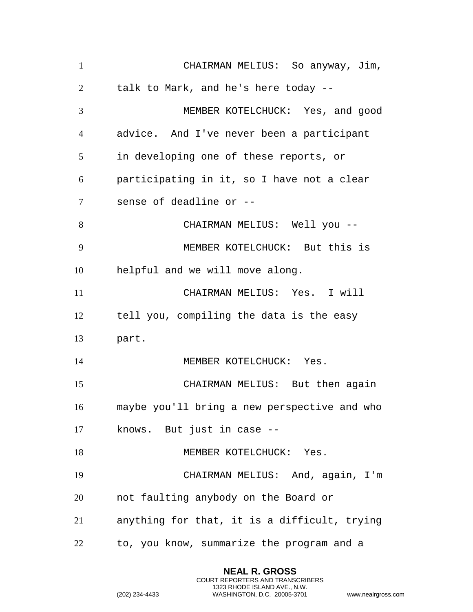CHAIRMAN MELIUS: So anyway, Jim, talk to Mark, and he's here today -- MEMBER KOTELCHUCK: Yes, and good advice. And I've never been a participant in developing one of these reports, or participating in it, so I have not a clear sense of deadline or -- CHAIRMAN MELIUS: Well you -- MEMBER KOTELCHUCK: But this is helpful and we will move along. CHAIRMAN MELIUS: Yes. I will tell you, compiling the data is the easy part. 14 MEMBER KOTELCHUCK: Yes. CHAIRMAN MELIUS: But then again maybe you'll bring a new perspective and who knows. But just in case -- 18 MEMBER KOTELCHUCK: Yes. CHAIRMAN MELIUS: And, again, I'm not faulting anybody on the Board or anything for that, it is a difficult, trying to, you know, summarize the program and a

> **NEAL R. GROSS** COURT REPORTERS AND TRANSCRIBERS 1323 RHODE ISLAND AVE., N.W.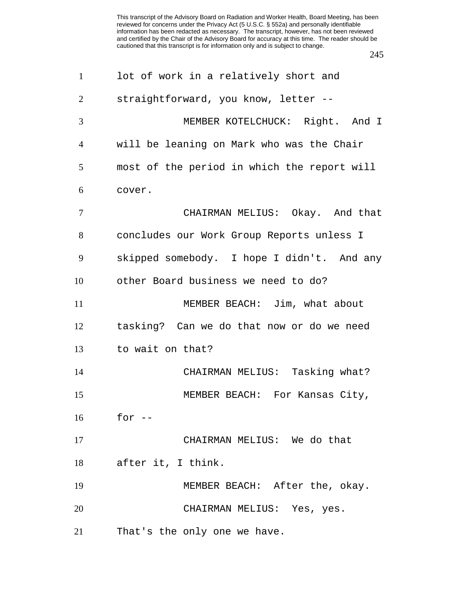| $\mathbf{1}$   | lot of work in a relatively short and       |
|----------------|---------------------------------------------|
| $\overline{2}$ | straightforward, you know, letter --        |
| 3              | MEMBER KOTELCHUCK: Right. And I             |
| $\overline{4}$ | will be leaning on Mark who was the Chair   |
| 5              | most of the period in which the report will |
| 6              | cover.                                      |
| 7              | CHAIRMAN MELIUS: Okay. And that             |
| 8              | concludes our Work Group Reports unless I   |
| 9              | skipped somebody. I hope I didn't. And any  |
| 10             | other Board business we need to do?         |
| 11             | MEMBER BEACH: Jim, what about               |
| 12             | tasking? Can we do that now or do we need   |
| 13             | to wait on that?                            |
| 14             | CHAIRMAN MELIUS: Tasking what?              |
| 15             | MEMBER BEACH: For Kansas City,              |
| 16             | for                                         |
| 17             | CHAIRMAN MELIUS: We do that                 |
| 18             | after it, I think.                          |
| 19             | MEMBER BEACH: After the, okay.              |
| 20             | CHAIRMAN MELIUS: Yes, yes.                  |
| 21             | That's the only one we have.                |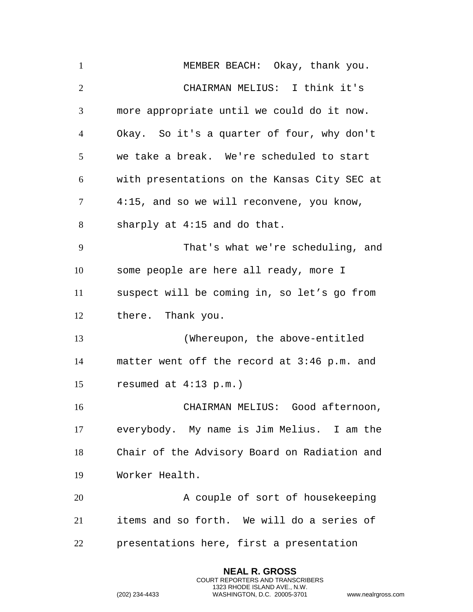| $\mathbf{1}$   | MEMBER BEACH: Okay, thank you.               |
|----------------|----------------------------------------------|
| 2              | CHAIRMAN MELIUS: I think it's                |
| 3              | more appropriate until we could do it now.   |
| $\overline{4}$ | Okay. So it's a quarter of four, why don't   |
| 5              | we take a break. We're scheduled to start    |
| 6              | with presentations on the Kansas City SEC at |
| $\tau$         | 4:15, and so we will reconvene, you know,    |
| 8              | sharply at 4:15 and do that.                 |
| 9              | That's what we're scheduling, and            |
| 10             | some people are here all ready, more I       |
| 11             | suspect will be coming in, so let's go from  |
| 12             | there. Thank you.                            |
| 13             | (Whereupon, the above-entitled               |
| 14             | matter went off the record at 3:46 p.m. and  |
| 15             | resumed at $4:13$ p.m.)                      |
| 16             | CHAIRMAN MELIUS: Good afternoon,             |
| 17             |                                              |
|                | everybody. My name is Jim Melius. I am the   |
| 18             | Chair of the Advisory Board on Radiation and |
| 19             | Worker Health.                               |
| 20             | A couple of sort of housekeeping             |
| 21             | items and so forth. We will do a series of   |

**NEAL R. GROSS** COURT REPORTERS AND TRANSCRIBERS 1323 RHODE ISLAND AVE., N.W.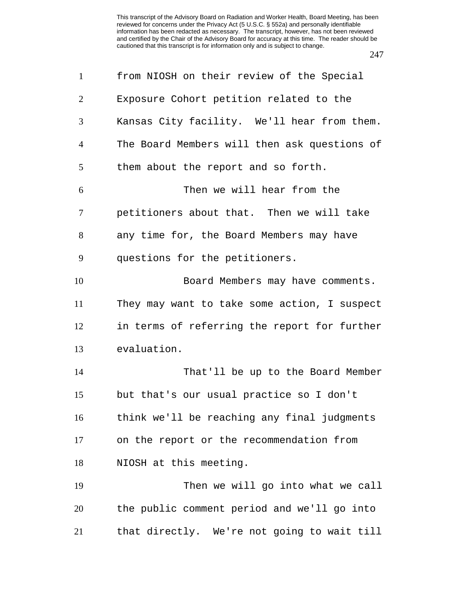| $\mathbf{1}$   | from NIOSH on their review of the Special    |
|----------------|----------------------------------------------|
| 2              | Exposure Cohort petition related to the      |
| 3              | Kansas City facility. We'll hear from them.  |
| $\overline{4}$ | The Board Members will then ask questions of |
| 5              | them about the report and so forth.          |
| 6              | Then we will hear from the                   |
| $\tau$         | petitioners about that. Then we will take    |
| 8              | any time for, the Board Members may have     |
| 9              | questions for the petitioners.               |
| 10             | Board Members may have comments.             |
| 11             | They may want to take some action, I suspect |
| 12             | in terms of referring the report for further |
| 13             | evaluation.                                  |
| 14             | That'll be up to the Board Member            |
| 15             | but that's our usual practice so I don't     |
| 16             | think we'll be reaching any final judgments  |
| 17             | on the report or the recommendation from     |
| 18             | NIOSH at this meeting.                       |
| 19             | Then we will go into what we call            |
| 20             | the public comment period and we'll go into  |
| 21             | that directly. We're not going to wait till  |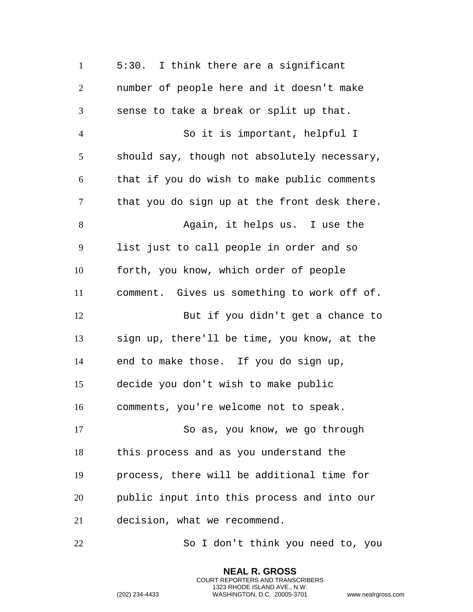5:30. I think there are a significant number of people here and it doesn't make sense to take a break or split up that. So it is important, helpful I should say, though not absolutely necessary, that if you do wish to make public comments that you do sign up at the front desk there. 8 Again, it helps us. I use the list just to call people in order and so forth, you know, which order of people comment. Gives us something to work off of. But if you didn't get a chance to sign up, there'll be time, you know, at the end to make those. If you do sign up, decide you don't wish to make public comments, you're welcome not to speak. So as, you know, we go through this process and as you understand the process, there will be additional time for public input into this process and into our decision, what we recommend. So I don't think you need to, you

> **NEAL R. GROSS** COURT REPORTERS AND TRANSCRIBERS 1323 RHODE ISLAND AVE., N.W.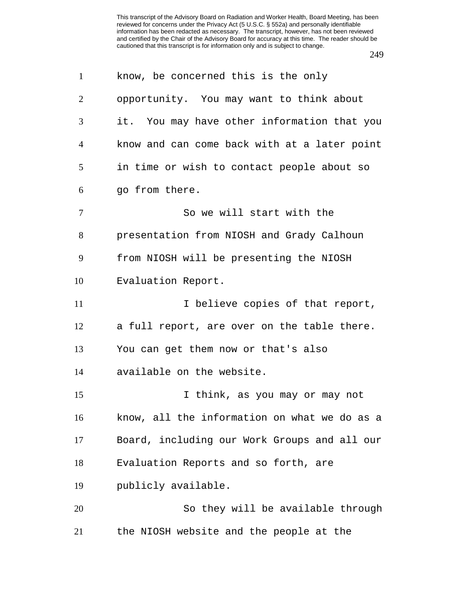| $\mathbf{1}$   | know, be concerned this is the only          |
|----------------|----------------------------------------------|
| $\overline{2}$ | opportunity. You may want to think about     |
| 3              | it. You may have other information that you  |
| $\overline{4}$ | know and can come back with at a later point |
| 5              | in time or wish to contact people about so   |
| 6              | go from there.                               |
| 7              | So we will start with the                    |
| 8              | presentation from NIOSH and Grady Calhoun    |
| 9              | from NIOSH will be presenting the NIOSH      |
| 10             | Evaluation Report.                           |
| 11             | I believe copies of that report,             |
| 12             | a full report, are over on the table there.  |
| 13             | You can get them now or that's also          |
| 14             | available on the website.                    |
| 15             | I think, as you may or may not               |
| 16             | know, all the information on what we do as a |
| 17             | Board, including our Work Groups and all our |
| 18             | Evaluation Reports and so forth, are         |
| 19             | publicly available.                          |
| 20             | So they will be available through            |
| 21             | the NIOSH website and the people at the      |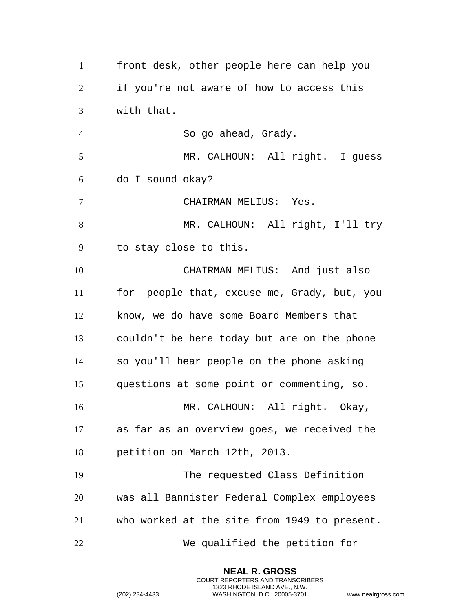front desk, other people here can help you if you're not aware of how to access this with that. So go ahead, Grady. MR. CALHOUN: All right. I guess do I sound okay? CHAIRMAN MELIUS: Yes. MR. CALHOUN: All right, I'll try to stay close to this. CHAIRMAN MELIUS: And just also for people that, excuse me, Grady, but, you know, we do have some Board Members that couldn't be here today but are on the phone so you'll hear people on the phone asking questions at some point or commenting, so. MR. CALHOUN: All right. Okay, as far as an overview goes, we received the petition on March 12th, 2013. The requested Class Definition was all Bannister Federal Complex employees who worked at the site from 1949 to present. We qualified the petition for

> **NEAL R. GROSS** COURT REPORTERS AND TRANSCRIBERS 1323 RHODE ISLAND AVE., N.W.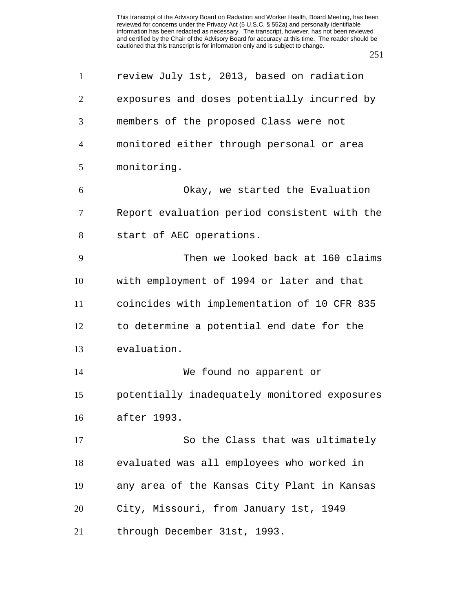| $\mathbf{1}$   | review July 1st, 2013, based on radiation    |
|----------------|----------------------------------------------|
| $\overline{2}$ | exposures and doses potentially incurred by  |
| 3              | members of the proposed Class were not       |
| $\overline{4}$ | monitored either through personal or area    |
| 5              | monitoring.                                  |
| 6              | Okay, we started the Evaluation              |
| $\overline{7}$ | Report evaluation period consistent with the |
| 8              | start of AEC operations.                     |
| 9              | Then we looked back at 160 claims            |
| 10             | with employment of 1994 or later and that    |
| 11             | coincides with implementation of 10 CFR 835  |
| 12             | to determine a potential end date for the    |
| 13             | evaluation.                                  |
| 14             | We found no apparent or                      |
| 15             | potentially inadequately monitored exposures |
| 16             | after 1993.                                  |
| 17             | So the Class that was ultimately             |
| 18             | evaluated was all employees who worked in    |
| 19             | any area of the Kansas City Plant in Kansas  |
| 20             | City, Missouri, from January 1st, 1949       |
| 21             | through December 31st, 1993.                 |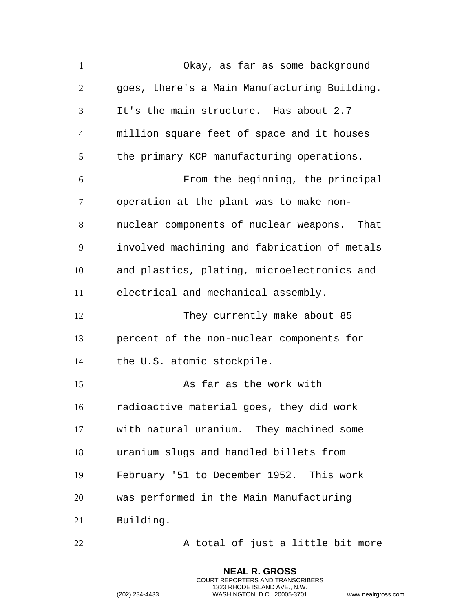Okay, as far as some background goes, there's a Main Manufacturing Building. It's the main structure. Has about 2.7 million square feet of space and it houses 5 the primary KCP manufacturing operations. From the beginning, the principal operation at the plant was to make non- nuclear components of nuclear weapons. That involved machining and fabrication of metals and plastics, plating, microelectronics and electrical and mechanical assembly. 12 They currently make about 85 percent of the non-nuclear components for the U.S. atomic stockpile. 15 As far as the work with radioactive material goes, they did work with natural uranium. They machined some uranium slugs and handled billets from February '51 to December 1952. This work was performed in the Main Manufacturing Building.

22 A total of just a little bit more

**NEAL R. GROSS** COURT REPORTERS AND TRANSCRIBERS 1323 RHODE ISLAND AVE., N.W.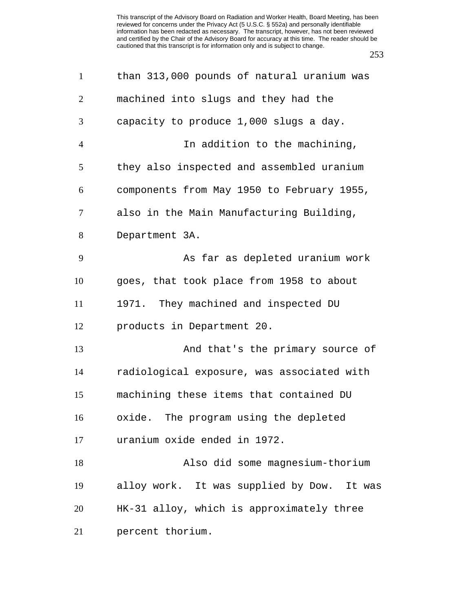| $\mathbf{1}$   | than 313,000 pounds of natural uranium was |
|----------------|--------------------------------------------|
| $\overline{2}$ | machined into slugs and they had the       |
| 3              | capacity to produce 1,000 slugs a day.     |
| $\overline{4}$ | In addition to the machining,              |
| 5              | they also inspected and assembled uranium  |
| 6              | components from May 1950 to February 1955, |
| 7              | also in the Main Manufacturing Building,   |
| 8              | Department 3A.                             |
| 9              | As far as depleted uranium work            |
| 10             | goes, that took place from 1958 to about   |
| 11             | 1971. They machined and inspected DU       |
| 12             | products in Department 20.                 |
| 13             | And that's the primary source of           |
| 14             | radiological exposure, was associated with |
| 15             | machining these items that contained DU    |
| 16             | oxide. The program using the depleted      |
| 17             | uranium oxide ended in 1972.               |
| 18             | Also did some magnesium-thorium            |
| 19             | alloy work. It was supplied by Dow. It was |
| 20             | HK-31 alloy, which is approximately three  |
| 21             | percent thorium.                           |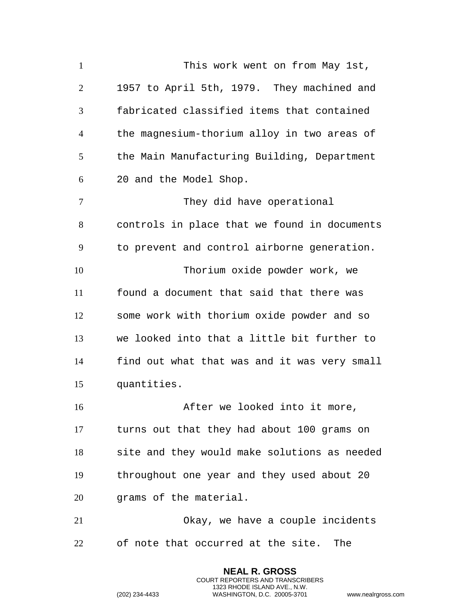This work went on from May 1st, 1957 to April 5th, 1979. They machined and fabricated classified items that contained the magnesium-thorium alloy in two areas of the Main Manufacturing Building, Department 20 and the Model Shop. 7 They did have operational controls in place that we found in documents to prevent and control airborne generation. Thorium oxide powder work, we found a document that said that there was some work with thorium oxide powder and so we looked into that a little bit further to find out what that was and it was very small quantities. After we looked into it more, turns out that they had about 100 grams on site and they would make solutions as needed throughout one year and they used about 20 grams of the material. Okay, we have a couple incidents of note that occurred at the site. The

> **NEAL R. GROSS** COURT REPORTERS AND TRANSCRIBERS 1323 RHODE ISLAND AVE., N.W.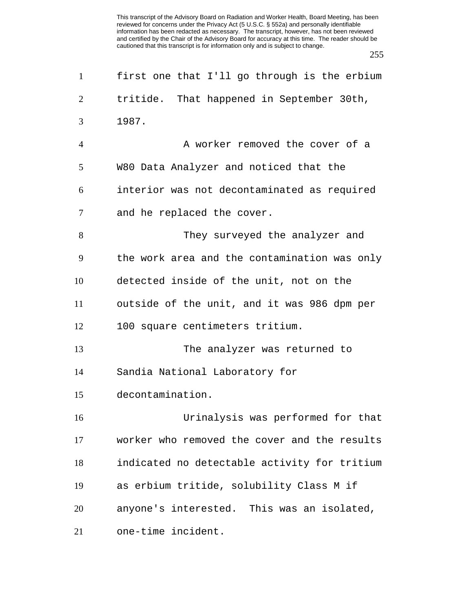| $\mathbf{1}$   | first one that I'll go through is the erbium |
|----------------|----------------------------------------------|
| $\overline{2}$ | tritide. That happened in September 30th,    |
| 3              | 1987.                                        |
| $\overline{4}$ | A worker removed the cover of a              |
| 5              | W80 Data Analyzer and noticed that the       |
| 6              | interior was not decontaminated as required  |
| 7              | and he replaced the cover.                   |
| 8              | They surveyed the analyzer and               |
| 9              | the work area and the contamination was only |
| 10             | detected inside of the unit, not on the      |
| 11             | outside of the unit, and it was 986 dpm per  |
| 12             | 100 square centimeters tritium.              |
| 13             | The analyzer was returned to                 |
| 14             | Sandia National Laboratory for               |
| 15             | decontamination.                             |
| 16             | Urinalysis was performed for that            |
| 17             | worker who removed the cover and the results |
| 18             | indicated no detectable activity for tritium |
| 19             | as erbium tritide, solubility Class M if     |
| 20             | anyone's interested. This was an isolated,   |
| 21             | one-time incident.                           |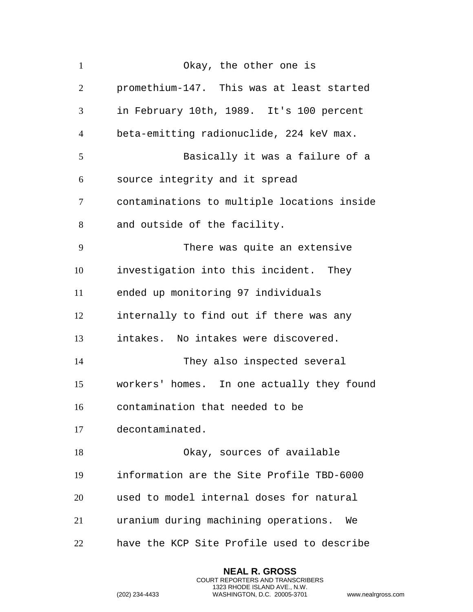| $\mathbf{1}$   | Okay, the other one is                      |
|----------------|---------------------------------------------|
| $\overline{2}$ | promethium-147. This was at least started   |
| 3              | in February 10th, 1989. It's 100 percent    |
| $\overline{4}$ | beta-emitting radionuclide, 224 keV max.    |
| 5              | Basically it was a failure of a             |
| 6              | source integrity and it spread              |
| $\tau$         | contaminations to multiple locations inside |
| 8              | and outside of the facility.                |
| 9              | There was quite an extensive                |
| 10             | investigation into this incident. They      |
| 11             | ended up monitoring 97 individuals          |
| 12             | internally to find out if there was any     |
| 13             | intakes. No intakes were discovered.        |
| 14             | They also inspected several                 |
| 15             | workers' homes. In one actually they found  |
| 16             | contamination that needed to be             |
| 17             | decontaminated.                             |
| 18             | Okay, sources of available                  |
| 19             | information are the Site Profile TBD-6000   |
| 20             | used to model internal doses for natural    |
| 21             | uranium during machining operations.<br>We  |
| 22             | have the KCP Site Profile used to describe  |

**NEAL R. GROSS** COURT REPORTERS AND TRANSCRIBERS 1323 RHODE ISLAND AVE., N.W.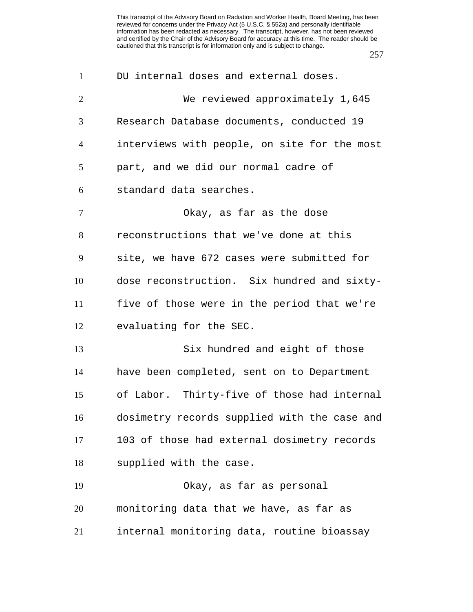| $\mathbf{1}$   | DU internal doses and external doses.        |
|----------------|----------------------------------------------|
| $\overline{2}$ | We reviewed approximately 1,645              |
| 3              | Research Database documents, conducted 19    |
| $\overline{4}$ | interviews with people, on site for the most |
| 5              | part, and we did our normal cadre of         |
| 6              | standard data searches.                      |
| $\tau$         | Okay, as far as the dose                     |
| 8              | reconstructions that we've done at this      |
| 9              | site, we have 672 cases were submitted for   |
| 10             | dose reconstruction. Six hundred and sixty-  |
| 11             | five of those were in the period that we're  |
| 12             | evaluating for the SEC.                      |
| 13             | Six hundred and eight of those               |
| 14             | have been completed, sent on to Department   |
| 15             | of Labor. Thirty-five of those had internal  |
| 16             | dosimetry records supplied with the case and |
| 17             | 103 of those had external dosimetry records  |
| 18             | supplied with the case.                      |
| 19             | Okay, as far as personal                     |
| 20             | monitoring data that we have, as far as      |
| 21             | internal monitoring data, routine bioassay   |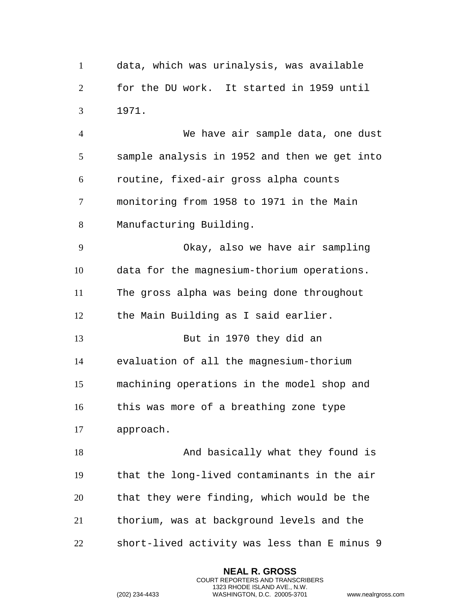data, which was urinalysis, was available for the DU work. It started in 1959 until 1971.

 We have air sample data, one dust sample analysis in 1952 and then we get into routine, fixed-air gross alpha counts monitoring from 1958 to 1971 in the Main Manufacturing Building. Okay, also we have air sampling data for the magnesium-thorium operations. The gross alpha was being done throughout the Main Building as I said earlier. But in 1970 they did an

 evaluation of all the magnesium-thorium machining operations in the model shop and this was more of a breathing zone type

approach.

18 And basically what they found is that the long-lived contaminants in the air that they were finding, which would be the thorium, was at background levels and the short-lived activity was less than E minus 9

> **NEAL R. GROSS** COURT REPORTERS AND TRANSCRIBERS 1323 RHODE ISLAND AVE., N.W.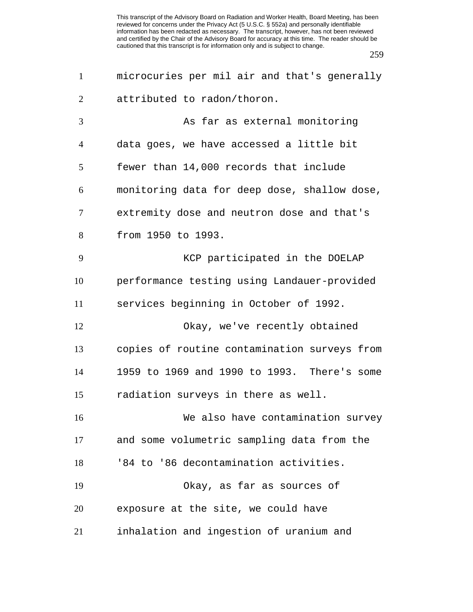| $\mathbf{1}$   | microcuries per mil air and that's generally |
|----------------|----------------------------------------------|
| $\overline{2}$ | attributed to radon/thoron.                  |
| 3              | As far as external monitoring                |
| 4              | data goes, we have accessed a little bit     |
| 5              | fewer than 14,000 records that include       |
| 6              | monitoring data for deep dose, shallow dose, |
| 7              | extremity dose and neutron dose and that's   |
| 8              | from 1950 to 1993.                           |
| 9              | KCP participated in the DOELAP               |
| 10             | performance testing using Landauer-provided  |
| 11             | services beginning in October of 1992.       |
| 12             | Okay, we've recently obtained                |
| 13             | copies of routine contamination surveys from |
| 14             | 1959 to 1969 and 1990 to 1993. There's some  |
| 15             | radiation surveys in there as well.          |
| 16             | We also have contamination survey            |
| 17             | and some volumetric sampling data from the   |
| 18             | '84 to '86 decontamination activities.       |
| 19             | Okay, as far as sources of                   |
| 20             | exposure at the site, we could have          |
| 21             | inhalation and ingestion of uranium and      |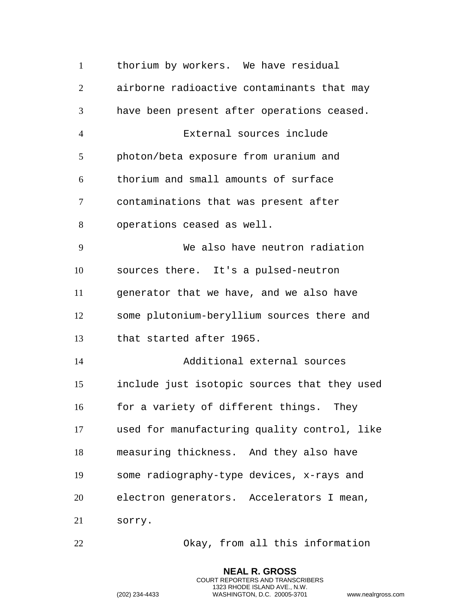| $\mathbf{1}$   | thorium by workers. We have residual         |
|----------------|----------------------------------------------|
| $\overline{2}$ | airborne radioactive contaminants that may   |
| 3              | have been present after operations ceased.   |
| $\overline{4}$ | External sources include                     |
| 5              | photon/beta exposure from uranium and        |
| 6              | thorium and small amounts of surface         |
| $\tau$         | contaminations that was present after        |
| 8              | operations ceased as well.                   |
| 9              | We also have neutron radiation               |
| 10             | sources there. It's a pulsed-neutron         |
| 11             | generator that we have, and we also have     |
| 12             | some plutonium-beryllium sources there and   |
| 13             | that started after 1965.                     |
| 14             | Additional external sources                  |
| 15             | include just isotopic sources that they used |
| 16             | for a variety of different things. They      |
| 17             | used for manufacturing quality control, like |
| 18             | measuring thickness. And they also have      |
| 19             | some radiography-type devices, x-rays and    |
| 20             | electron generators. Accelerators I mean,    |
| 21             | sorry.                                       |
|                |                                              |

Okay, from all this information

**NEAL R. GROSS** COURT REPORTERS AND TRANSCRIBERS 1323 RHODE ISLAND AVE., N.W.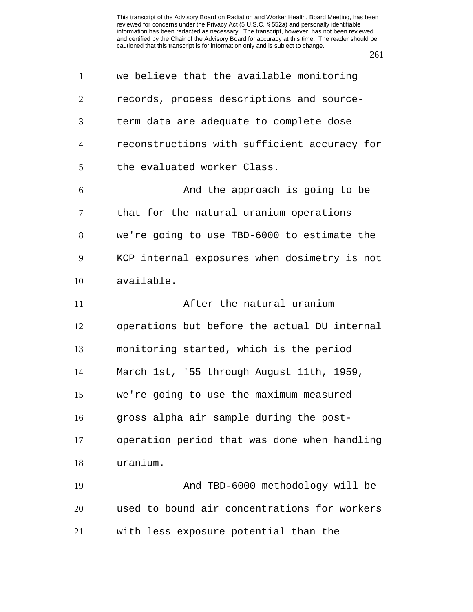| $\mathbf{1}$   | we believe that the available monitoring     |
|----------------|----------------------------------------------|
| $\overline{2}$ | records, process descriptions and source-    |
| 3              | term data are adequate to complete dose      |
| 4              | reconstructions with sufficient accuracy for |
| 5              | the evaluated worker Class.                  |
| 6              | And the approach is going to be              |
| 7              | that for the natural uranium operations      |
| 8              | we're going to use TBD-6000 to estimate the  |
| 9              | KCP internal exposures when dosimetry is not |
| 10             | available.                                   |
| 11             | After the natural uranium                    |
| 12             | operations but before the actual DU internal |
| 13             | monitoring started, which is the period      |
| 14             | March 1st, '55 through August 11th, 1959,    |
| 15             | we're going to use the maximum measured      |
| 16             | gross alpha air sample during the post-      |
| 17             | operation period that was done when handling |
| 18             | uranium.                                     |
| 19             | And TBD-6000 methodology will be             |
| 20             | used to bound air concentrations for workers |
| 21             | with less exposure potential than the        |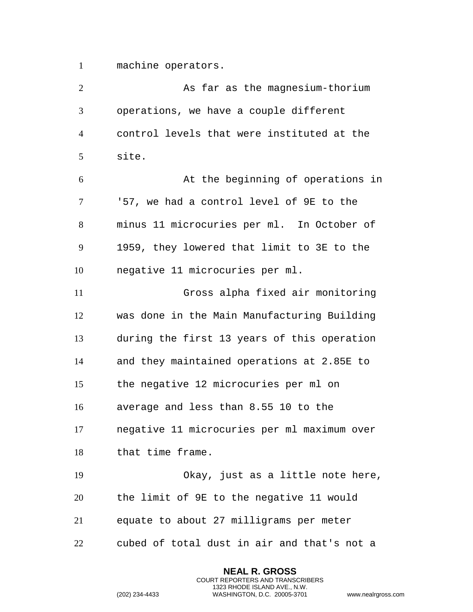machine operators.

 As far as the magnesium-thorium operations, we have a couple different control levels that were instituted at the site. At the beginning of operations in '57, we had a control level of 9E to the minus 11 microcuries per ml. In October of 1959, they lowered that limit to 3E to the negative 11 microcuries per ml. Gross alpha fixed air monitoring was done in the Main Manufacturing Building during the first 13 years of this operation and they maintained operations at 2.85E to the negative 12 microcuries per ml on average and less than 8.55 10 to the negative 11 microcuries per ml maximum over that time frame. Okay, just as a little note here, the limit of 9E to the negative 11 would equate to about 27 milligrams per meter cubed of total dust in air and that's not a

> **NEAL R. GROSS** COURT REPORTERS AND TRANSCRIBERS 1323 RHODE ISLAND AVE., N.W.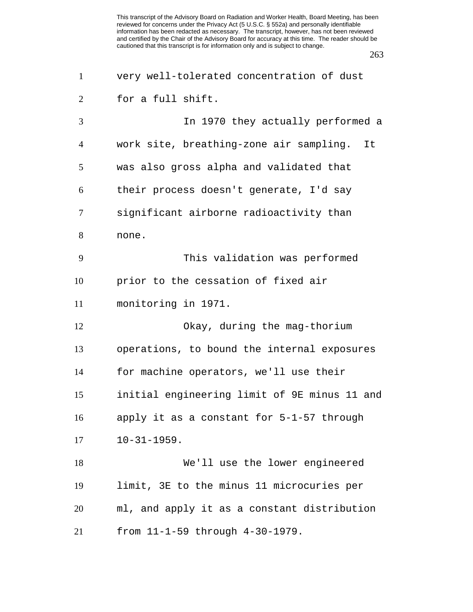| $\mathbf{1}$   | very well-tolerated concentration of dust    |
|----------------|----------------------------------------------|
| 2              | for a full shift.                            |
| 3              | In 1970 they actually performed a            |
| $\overline{4}$ | work site, breathing-zone air sampling. It   |
| 5              | was also gross alpha and validated that      |
| 6              | their process doesn't generate, I'd say      |
| 7              | significant airborne radioactivity than      |
| 8              | none.                                        |
| 9              | This validation was performed                |
| 10             | prior to the cessation of fixed air          |
| 11             | monitoring in 1971.                          |
| 12             | Okay, during the mag-thorium                 |
| 13             | operations, to bound the internal exposures  |
| 14             | for machine operators, we'll use their       |
| 15             | initial engineering limit of 9E minus 11 and |
| 16             | apply it as a constant for 5-1-57 through    |
| 17             | $10 - 31 - 1959.$                            |
| 18             | We'll use the lower engineered               |
| 19             | limit, 3E to the minus 11 microcuries per    |
| 20             | ml, and apply it as a constant distribution  |
| 21             | from 11-1-59 through 4-30-1979.              |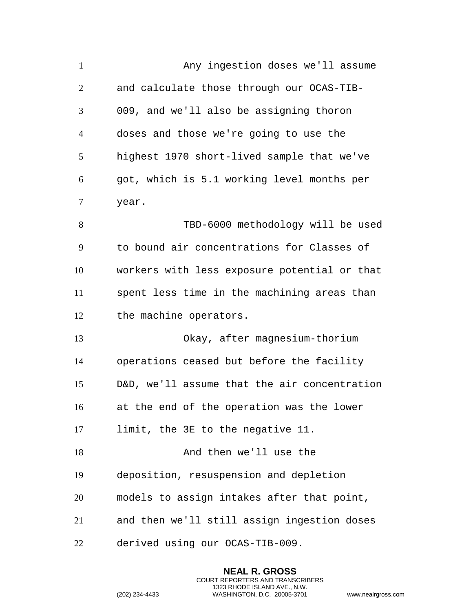| $\mathbf{1}$   | Any ingestion doses we'll assume             |
|----------------|----------------------------------------------|
| $\overline{2}$ | and calculate those through our OCAS-TIB-    |
| 3              | 009, and we'll also be assigning thoron      |
| $\overline{4}$ | doses and those we're going to use the       |
| 5              | highest 1970 short-lived sample that we've   |
| 6              | got, which is 5.1 working level months per   |
| 7              | year.                                        |
| 8              | TBD-6000 methodology will be used            |
| 9              | to bound air concentrations for Classes of   |
| 10             | workers with less exposure potential or that |
| 11             | spent less time in the machining areas than  |
| 12             | the machine operators.                       |
| 13             | Okay, after magnesium-thorium                |
| 14             | operations ceased but before the facility    |
| 15             | D&D, we'll assume that the air concentration |
| 16             | at the end of the operation was the lower    |
| 17             | limit, the 3E to the negative 11.            |
| 18             | And then we'll use the                       |
| 19             | deposition, resuspension and depletion       |
| 20             | models to assign intakes after that point,   |
| 21             | and then we'll still assign ingestion doses  |
| 22             | derived using our OCAS-TIB-009.              |

**NEAL R. GROSS** COURT REPORTERS AND TRANSCRIBERS 1323 RHODE ISLAND AVE., N.W.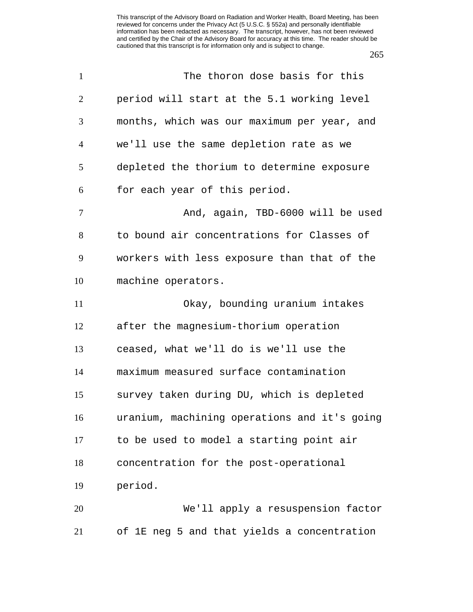| $\mathbf{1}$   | The thoron dose basis for this               |
|----------------|----------------------------------------------|
| $\overline{2}$ | period will start at the 5.1 working level   |
| 3              | months, which was our maximum per year, and  |
| $\overline{4}$ | we'll use the same depletion rate as we      |
| 5              | depleted the thorium to determine exposure   |
| 6              | for each year of this period.                |
| 7              | And, again, TBD-6000 will be used            |
| 8              | to bound air concentrations for Classes of   |
| 9              | workers with less exposure than that of the  |
| 10             | machine operators.                           |
| 11             | Okay, bounding uranium intakes               |
| 12             | after the magnesium-thorium operation        |
| 13             | ceased, what we'll do is we'll use the       |
| 14             | maximum measured surface contamination       |
| 15             | survey taken during DU, which is depleted    |
| 16             | uranium, machining operations and it's going |
| 17             | to be used to model a starting point air     |
| 18             | concentration for the post-operational       |
| 19             | period.                                      |
| 20             | We'll apply a resuspension factor            |
| 21             | of 1E neg 5 and that yields a concentration  |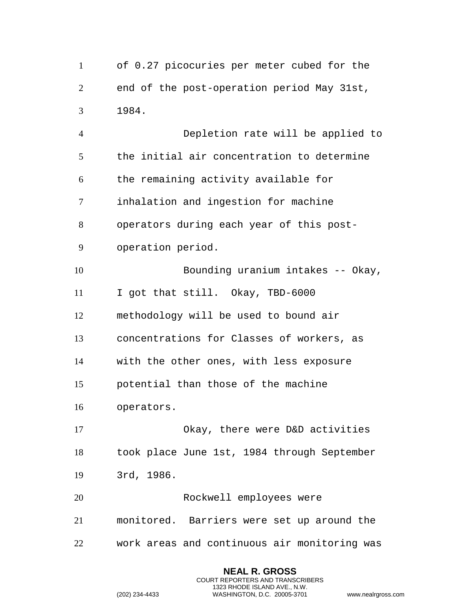of 0.27 picocuries per meter cubed for the end of the post-operation period May 31st, 1984. Depletion rate will be applied to the initial air concentration to determine the remaining activity available for inhalation and ingestion for machine operators during each year of this post- operation period. 10 Bounding uranium intakes -- Okay, I got that still. Okay, TBD-6000 methodology will be used to bound air concentrations for Classes of workers, as with the other ones, with less exposure potential than those of the machine operators. Okay, there were D&D activities took place June 1st, 1984 through September 3rd, 1986. Rockwell employees were monitored. Barriers were set up around the work areas and continuous air monitoring was

> **NEAL R. GROSS** COURT REPORTERS AND TRANSCRIBERS 1323 RHODE ISLAND AVE., N.W.

```
(202) 234-4433 WASHINGTON, D.C. 20005-3701 www.nealrgross.com
```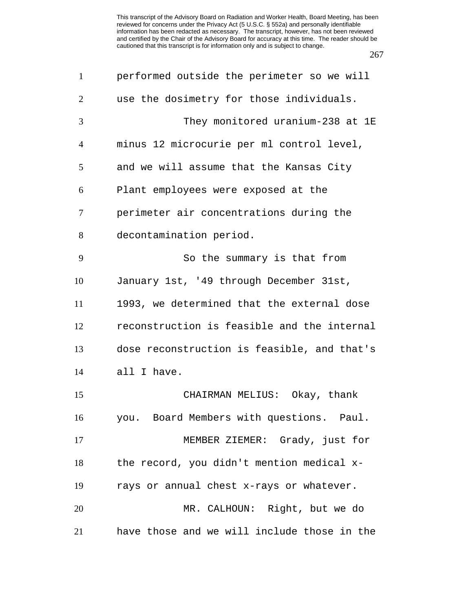| $\mathbf{1}$   | performed outside the perimeter so we will  |
|----------------|---------------------------------------------|
| $\overline{2}$ | use the dosimetry for those individuals.    |
| 3              | They monitored uranium-238 at 1E            |
| $\overline{4}$ | minus 12 microcurie per ml control level,   |
| 5              | and we will assume that the Kansas City     |
| 6              | Plant employees were exposed at the         |
| $\tau$         | perimeter air concentrations during the     |
| 8              | decontamination period.                     |
| 9              | So the summary is that from                 |
| 10             | January 1st, '49 through December 31st,     |
| 11             | 1993, we determined that the external dose  |
| 12             | reconstruction is feasible and the internal |
| 13             | dose reconstruction is feasible, and that's |
| 14             | all I have.                                 |
| 15             | CHAIRMAN MELIUS: Okay, thank                |
| 16             | you. Board Members with questions. Paul.    |
| 17             | MEMBER ZIEMER: Grady, just for              |
| 18             | the record, you didn't mention medical x-   |
| 19             | rays or annual chest x-rays or whatever.    |
| 20             | MR. CALHOUN: Right, but we do               |
| 21             | have those and we will include those in the |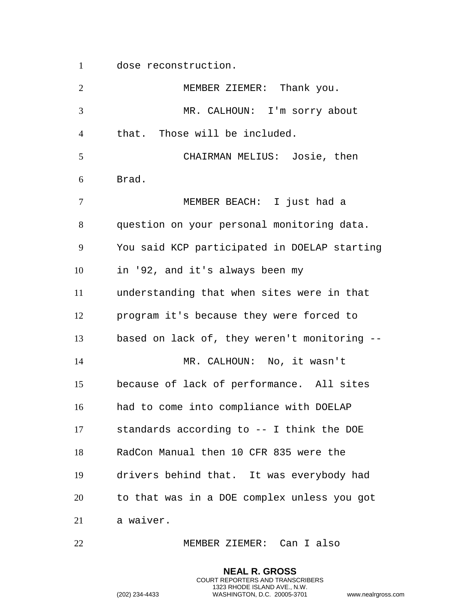dose reconstruction.

 MEMBER ZIEMER: Thank you. MR. CALHOUN: I'm sorry about that. Those will be included. CHAIRMAN MELIUS: Josie, then Brad. MEMBER BEACH: I just had a question on your personal monitoring data. You said KCP participated in DOELAP starting in '92, and it's always been my understanding that when sites were in that program it's because they were forced to based on lack of, they weren't monitoring -- MR. CALHOUN: No, it wasn't because of lack of performance. All sites had to come into compliance with DOELAP standards according to -- I think the DOE RadCon Manual then 10 CFR 835 were the drivers behind that. It was everybody had to that was in a DOE complex unless you got a waiver.

MEMBER ZIEMER: Can I also

**NEAL R. GROSS** COURT REPORTERS AND TRANSCRIBERS 1323 RHODE ISLAND AVE., N.W.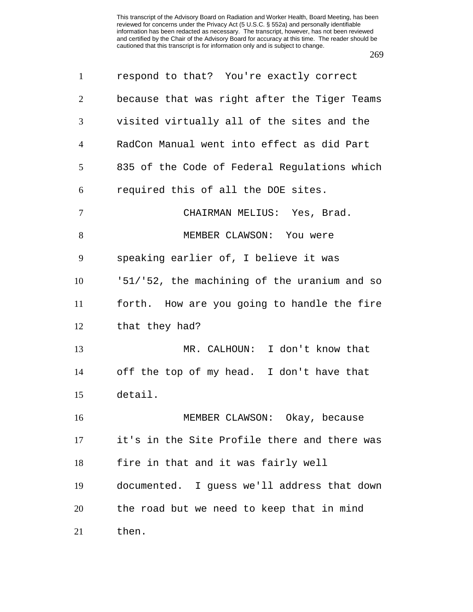| $\mathbf{1}$   | respond to that? You're exactly correct      |
|----------------|----------------------------------------------|
| 2              | because that was right after the Tiger Teams |
| 3              | visited virtually all of the sites and the   |
| $\overline{4}$ | RadCon Manual went into effect as did Part   |
| 5              | 835 of the Code of Federal Regulations which |
| 6              | required this of all the DOE sites.          |
| $\overline{7}$ | CHAIRMAN MELIUS: Yes, Brad.                  |
| 8              | MEMBER CLAWSON: You were                     |
| 9              | speaking earlier of, I believe it was        |
| 10             | '51/'52, the machining of the uranium and so |
| 11             | forth. How are you going to handle the fire  |
| 12             | that they had?                               |
| 13             | MR. CALHOUN: I don't know that               |
| 14             | off the top of my head. I don't have that    |
| 15             | detail.                                      |
| 16             | MEMBER CLAWSON: Okay, because                |
| 17             | it's in the Site Profile there and there was |
| 18             | fire in that and it was fairly well          |
| 19             | documented. I guess we'll address that down  |
| 20             | the road but we need to keep that in mind    |
| 21             | then.                                        |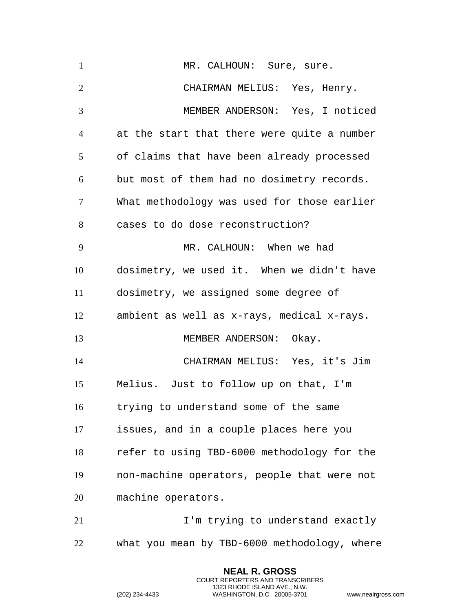| $\mathbf{1}$   | MR. CALHOUN: Sure, sure.                     |
|----------------|----------------------------------------------|
| $\overline{2}$ | CHAIRMAN MELIUS: Yes, Henry.                 |
| 3              | MEMBER ANDERSON: Yes, I noticed              |
| $\overline{4}$ | at the start that there were quite a number  |
| 5              | of claims that have been already processed   |
| 6              | but most of them had no dosimetry records.   |
| $\tau$         | What methodology was used for those earlier  |
| 8              | cases to do dose reconstruction?             |
| 9              | MR. CALHOUN: When we had                     |
| 10             | dosimetry, we used it. When we didn't have   |
| 11             | dosimetry, we assigned some degree of        |
| 12             | ambient as well as x-rays, medical x-rays.   |
| 13             | MEMBER ANDERSON: Okay.                       |
| 14             | CHAIRMAN MELIUS: Yes, it's Jim               |
| 15             | Melius. Just to follow up on that, I'm       |
| 16             | trying to understand some of the same        |
| 17             | issues, and in a couple places here you      |
| 18             | refer to using TBD-6000 methodology for the  |
| 19             | non-machine operators, people that were not  |
| 20             | machine operators.                           |
| 21             | I'm trying to understand exactly             |
| 22             | what you mean by TBD-6000 methodology, where |

**NEAL R. GROSS** COURT REPORTERS AND TRANSCRIBERS 1323 RHODE ISLAND AVE., N.W.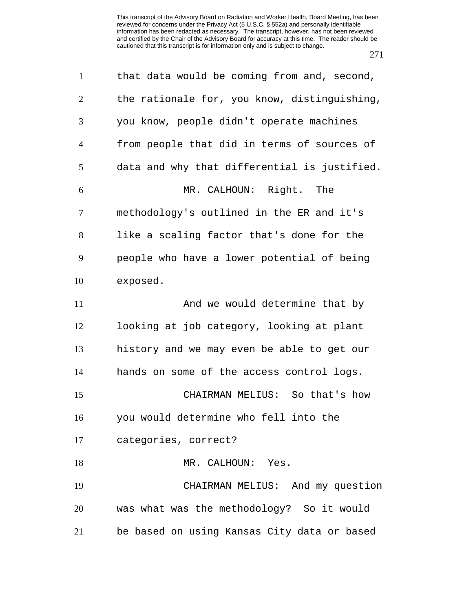| $\mathbf{1}$   | that data would be coming from and, second,  |
|----------------|----------------------------------------------|
| 2              | the rationale for, you know, distinguishing, |
| 3              | you know, people didn't operate machines     |
| $\overline{4}$ | from people that did in terms of sources of  |
| 5              | data and why that differential is justified. |
| 6              | MR. CALHOUN: Right. The                      |
| $\tau$         | methodology's outlined in the ER and it's    |
| 8              | like a scaling factor that's done for the    |
| 9              | people who have a lower potential of being   |
| 10             | exposed.                                     |
| 11             | And we would determine that by               |
| 12             | looking at job category, looking at plant    |
| 13             | history and we may even be able to get our   |
| 14             | hands on some of the access control logs.    |
| 15             | CHAIRMAN MELIUS: So that's how               |
| 16             | you would determine who fell into the        |
| 17             | categories, correct?                         |
| 18             | MR. CALHOUN: Yes.                            |
| 19             | CHAIRMAN MELIUS: And my question             |
| 20             | was what was the methodology? So it would    |
| 21             | be based on using Kansas City data or based  |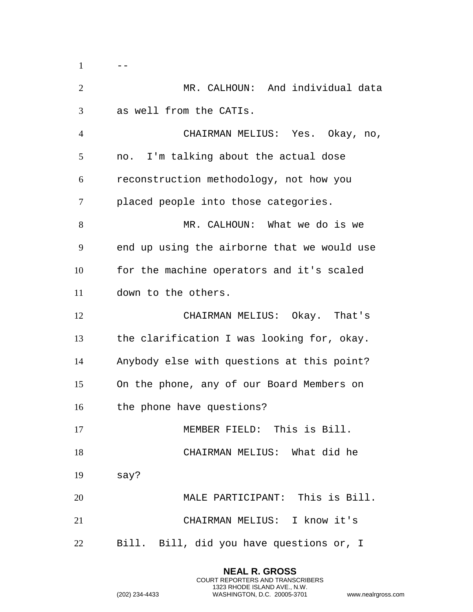| $\mathbf{1}$   |                                             |
|----------------|---------------------------------------------|
| $\overline{2}$ | MR. CALHOUN: And individual data            |
| 3              | as well from the CATIs.                     |
| $\overline{4}$ | CHAIRMAN MELIUS: Yes. Okay, no,             |
| 5              | no. I'm talking about the actual dose       |
| 6              | reconstruction methodology, not how you     |
| 7              | placed people into those categories.        |
| 8              | MR. CALHOUN: What we do is we               |
| 9              | end up using the airborne that we would use |
| 10             | for the machine operators and it's scaled   |
| 11             | down to the others.                         |
| 12             | CHAIRMAN MELIUS: Okay. That's               |
| 13             | the clarification I was looking for, okay.  |
| 14             | Anybody else with questions at this point?  |
| 15             | On the phone, any of our Board Members on   |
| 16             | the phone have questions?                   |
| 17             | MEMBER FIELD: This is Bill.                 |
| 18             | CHAIRMAN MELIUS: What did he                |
| 19             | say?                                        |
| 20             | MALE PARTICIPANT: This is Bill.             |
| 21             | CHAIRMAN MELIUS: I know it's                |
| 22             | Bill. Bill, did you have questions or, I    |

**NEAL R. GROSS** COURT REPORTERS AND TRANSCRIBERS 1323 RHODE ISLAND AVE., N.W.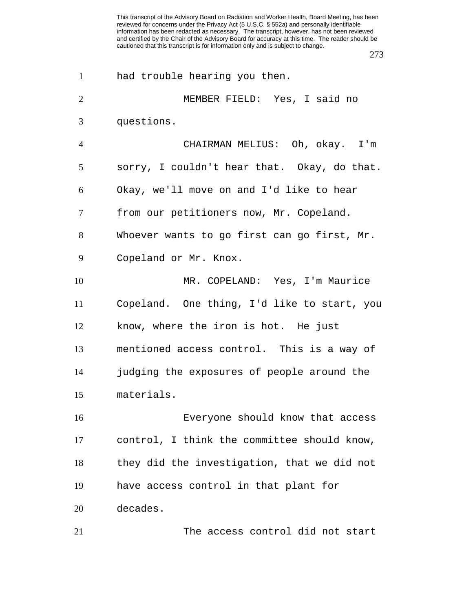| $\mathbf{1}$   | had trouble hearing you then.               |
|----------------|---------------------------------------------|
| $\overline{2}$ | MEMBER FIELD: Yes, I said no                |
| 3              | questions.                                  |
| $\overline{4}$ | CHAIRMAN MELIUS: Oh, okay. I'm              |
| 5              | sorry, I couldn't hear that. Okay, do that. |
| 6              | Okay, we'll move on and I'd like to hear    |
| 7              | from our petitioners now, Mr. Copeland.     |
| 8              | Whoever wants to go first can go first, Mr. |
| 9              | Copeland or Mr. Knox.                       |
| 10             | MR. COPELAND: Yes, I'm Maurice              |
| 11             | Copeland. One thing, I'd like to start, you |
| 12             | know, where the iron is hot. He just        |
| 13             | mentioned access control. This is a way of  |
| 14             | judging the exposures of people around the  |
| 15             | materials.                                  |
| 16             | Everyone should know that access            |
| 17             | control, I think the committee should know, |
| 18             | they did the investigation, that we did not |
| 19             | have access control in that plant for       |
| 20             | decades.                                    |
| 21             | The access control did not start            |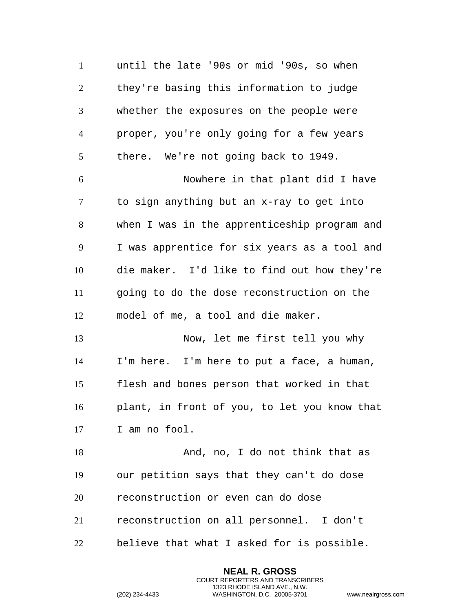until the late '90s or mid '90s, so when they're basing this information to judge whether the exposures on the people were proper, you're only going for a few years there. We're not going back to 1949. Nowhere in that plant did I have to sign anything but an x-ray to get into when I was in the apprenticeship program and I was apprentice for six years as a tool and die maker. I'd like to find out how they're going to do the dose reconstruction on the model of me, a tool and die maker. Now, let me first tell you why I'm here. I'm here to put a face, a human, flesh and bones person that worked in that plant, in front of you, to let you know that I am no fool. And, no, I do not think that as our petition says that they can't do dose reconstruction or even can do dose reconstruction on all personnel. I don't believe that what I asked for is possible.

> **NEAL R. GROSS** COURT REPORTERS AND TRANSCRIBERS 1323 RHODE ISLAND AVE., N.W.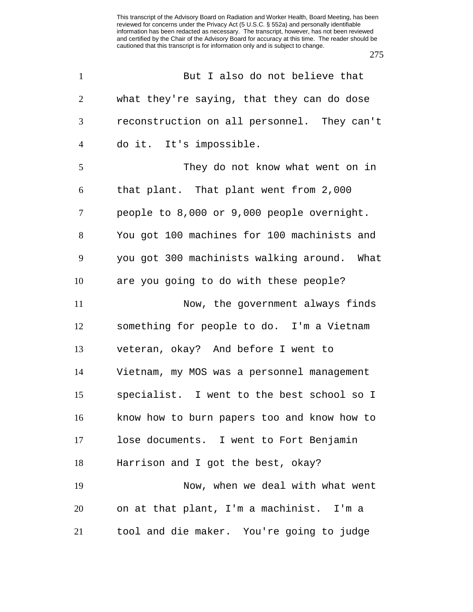| $\mathbf{1}$   | But I also do not believe that              |
|----------------|---------------------------------------------|
| $\overline{2}$ | what they're saying, that they can do dose  |
| 3              | reconstruction on all personnel. They can't |
| $\overline{4}$ | do it. It's impossible.                     |
| 5              | They do not know what went on in            |
| 6              | that plant. That plant went from 2,000      |
| 7              | people to 8,000 or 9,000 people overnight.  |
| 8              | You got 100 machines for 100 machinists and |
| 9              | you got 300 machinists walking around. What |
| 10             | are you going to do with these people?      |
| 11             | Now, the government always finds            |
| 12             | something for people to do. I'm a Vietnam   |
| 13             | veteran, okay? And before I went to         |
| 14             | Vietnam, my MOS was a personnel management  |
| 15             | specialist. I went to the best school so I  |
| 16             | know how to burn papers too and know how to |
| 17             | lose documents. I went to Fort Benjamin     |
| 18             | Harrison and I got the best, okay?          |
| 19             | Now, when we deal with what went            |
| 20             | on at that plant, I'm a machinist. I'm a    |
| 21             | tool and die maker. You're going to judge   |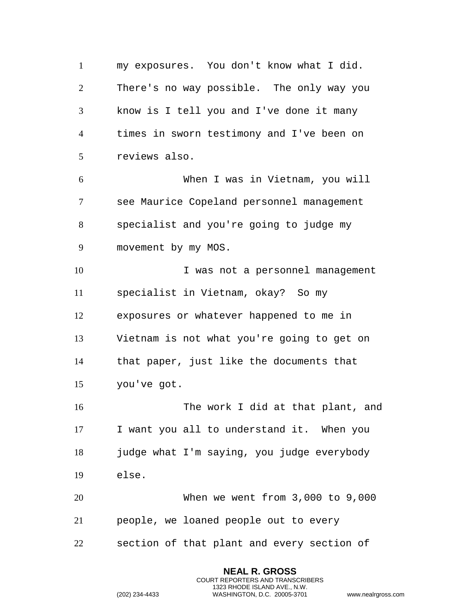my exposures. You don't know what I did. There's no way possible. The only way you know is I tell you and I've done it many times in sworn testimony and I've been on reviews also. When I was in Vietnam, you will see Maurice Copeland personnel management specialist and you're going to judge my movement by my MOS. I was not a personnel management specialist in Vietnam, okay? So my exposures or whatever happened to me in Vietnam is not what you're going to get on that paper, just like the documents that you've got. The work I did at that plant, and I want you all to understand it. When you 18 judge what I'm saying, you judge everybody else. When we went from 3,000 to 9,000 people, we loaned people out to every

section of that plant and every section of

**NEAL R. GROSS** COURT REPORTERS AND TRANSCRIBERS 1323 RHODE ISLAND AVE., N.W.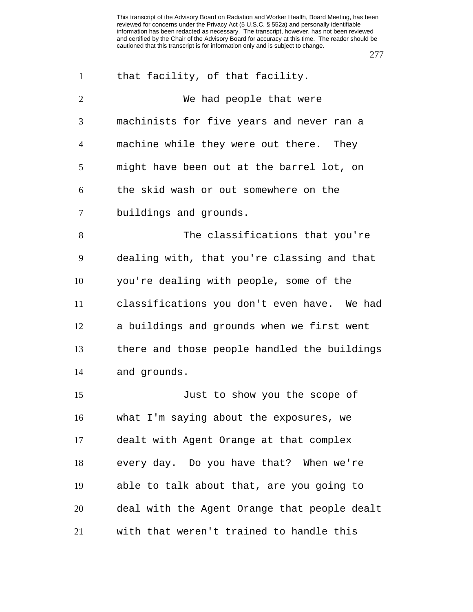| $\mathbf{1}$   | that facility, of that facility.             |
|----------------|----------------------------------------------|
| $\overline{2}$ | We had people that were                      |
| 3              | machinists for five years and never ran a    |
| $\overline{4}$ | machine while they were out there. They      |
| 5              | might have been out at the barrel lot, on    |
| 6              | the skid wash or out somewhere on the        |
| $\tau$         | buildings and grounds.                       |
| 8              | The classifications that you're              |
| 9              | dealing with, that you're classing and that  |
| 10             | you're dealing with people, some of the      |
| 11             | classifications you don't even have. We had  |
| 12             | a buildings and grounds when we first went   |
| 13             | there and those people handled the buildings |
| 14             | and grounds.                                 |
| 15             | Just to show you the scope of                |
| 16             | what I'm saying about the exposures, we      |
| 17             | dealt with Agent Orange at that complex      |
| 18             | every day. Do you have that? When we're      |
| 19             | able to talk about that, are you going to    |
| 20             | deal with the Agent Orange that people dealt |
| 21             | with that weren't trained to handle this     |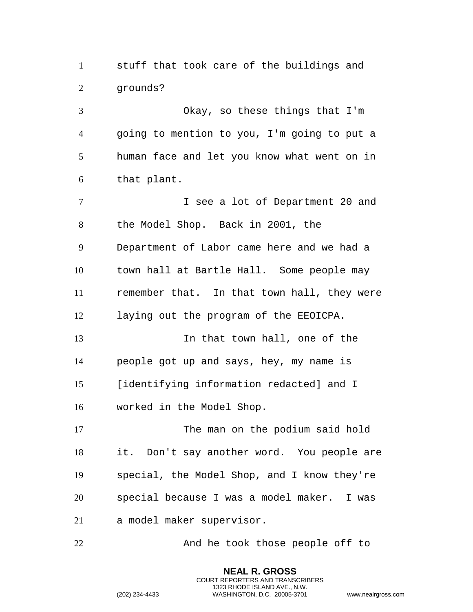stuff that took care of the buildings and grounds?

 Okay, so these things that I'm going to mention to you, I'm going to put a human face and let you know what went on in that plant.

 I see a lot of Department 20 and the Model Shop. Back in 2001, the Department of Labor came here and we had a town hall at Bartle Hall. Some people may remember that. In that town hall, they were laying out the program of the EEOICPA.

 In that town hall, one of the people got up and says, hey, my name is [identifying information redacted] and I worked in the Model Shop.

17 The man on the podium said hold it. Don't say another word. You people are special, the Model Shop, and I know they're special because I was a model maker. I was a model maker supervisor.

22 And he took those people off to

**NEAL R. GROSS** COURT REPORTERS AND TRANSCRIBERS 1323 RHODE ISLAND AVE., N.W.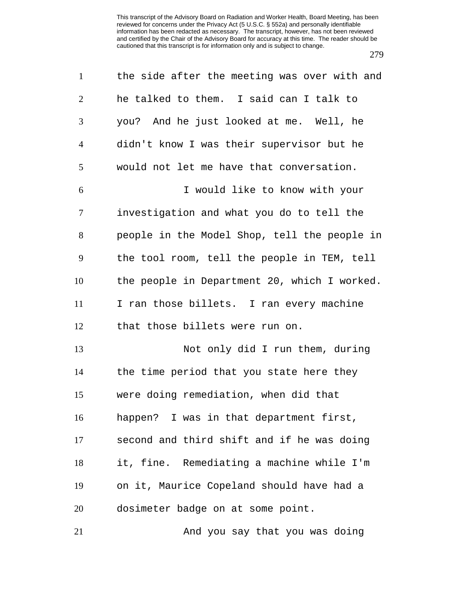| $\mathbf{1}$   | the side after the meeting was over with and |
|----------------|----------------------------------------------|
| $\mathbf{2}$   | he talked to them. I said can I talk to      |
| 3              | you? And he just looked at me. Well, he      |
| $\overline{4}$ | didn't know I was their supervisor but he    |
| 5              | would not let me have that conversation.     |
| 6              | I would like to know with your               |
| 7              | investigation and what you do to tell the    |
| 8              | people in the Model Shop, tell the people in |
| 9              | the tool room, tell the people in TEM, tell  |
| 10             | the people in Department 20, which I worked. |
| 11             | I ran those billets. I ran every machine     |
| 12             | that those billets were run on.              |
| 13             | Not only did I run them, during              |
| 14             | the time period that you state here they     |
| 15             | were doing remediation, when did that        |
| 16             | happen? I was in that department first,      |
| 17             | second and third shift and if he was doing   |
| 18             | it, fine. Remediating a machine while I'm    |
| 19             | on it, Maurice Copeland should have had a    |
| 20             | dosimeter badge on at some point.            |
| 21             | And you say that you was doing               |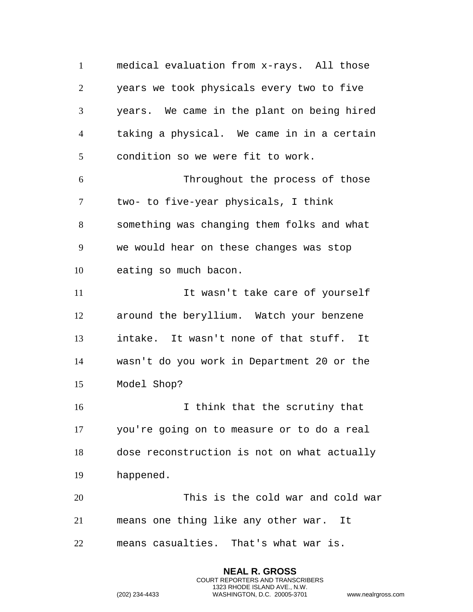medical evaluation from x-rays. All those years we took physicals every two to five years. We came in the plant on being hired taking a physical. We came in in a certain condition so we were fit to work. Throughout the process of those two- to five-year physicals, I think something was changing them folks and what we would hear on these changes was stop eating so much bacon. 11 11 It wasn't take care of yourself around the beryllium. Watch your benzene intake. It wasn't none of that stuff. It wasn't do you work in Department 20 or the Model Shop? 16 16 I think that the scrutiny that you're going on to measure or to do a real dose reconstruction is not on what actually happened. This is the cold war and cold war means one thing like any other war. It means casualties. That's what war is.

> **NEAL R. GROSS** COURT REPORTERS AND TRANSCRIBERS 1323 RHODE ISLAND AVE., N.W.

```
(202) 234-4433 WASHINGTON, D.C. 20005-3701 www.nealrgross.com
```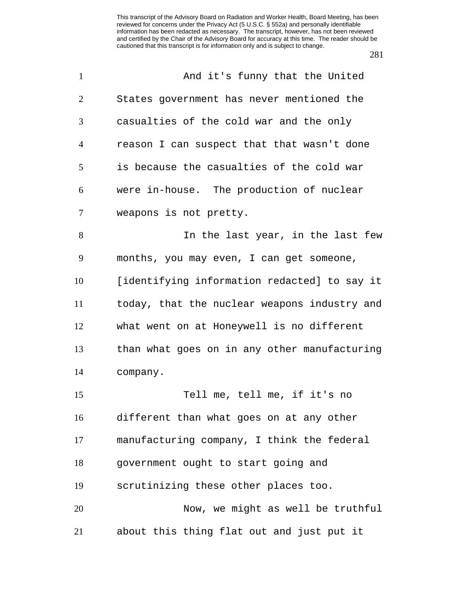| $\mathbf{1}$   | And it's funny that the United               |
|----------------|----------------------------------------------|
| $\overline{2}$ | States government has never mentioned the    |
| 3              | casualties of the cold war and the only      |
| 4              | reason I can suspect that that wasn't done   |
| 5              | is because the casualties of the cold war    |
| 6              | were in-house. The production of nuclear     |
| 7              | weapons is not pretty.                       |
| 8              | In the last year, in the last few            |
| 9              | months, you may even, I can get someone,     |
| 10             | [identifying information redacted] to say it |
| 11             | today, that the nuclear weapons industry and |
| 12             | what went on at Honeywell is no different    |
| 13             | than what goes on in any other manufacturing |
| 14             | company.                                     |
| 15             | Tell me, tell me, if it's no                 |
| 16             | different than what goes on at any other     |
| 17             | manufacturing company, I think the federal   |
| 18             | government ought to start going and          |
| 19             | scrutinizing these other places too.         |
| 20             | Now, we might as well be truthful            |
| 21             | about this thing flat out and just put it    |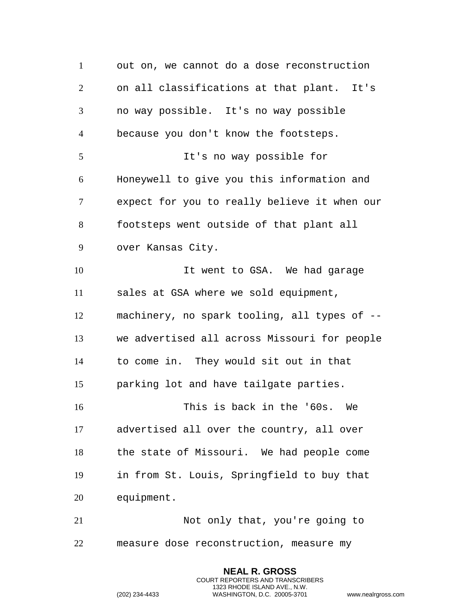out on, we cannot do a dose reconstruction on all classifications at that plant. It's no way possible. It's no way possible because you don't know the footsteps. It's no way possible for Honeywell to give you this information and expect for you to really believe it when our footsteps went outside of that plant all over Kansas City. 10 10 It went to GSA. We had garage sales at GSA where we sold equipment, machinery, no spark tooling, all types of -- we advertised all across Missouri for people to come in. They would sit out in that parking lot and have tailgate parties. This is back in the '60s. We advertised all over the country, all over the state of Missouri. We had people come in from St. Louis, Springfield to buy that equipment. Not only that, you're going to measure dose reconstruction, measure my

> **NEAL R. GROSS** COURT REPORTERS AND TRANSCRIBERS 1323 RHODE ISLAND AVE., N.W.

```
(202) 234-4433 WASHINGTON, D.C. 20005-3701 www.nealrgross.com
```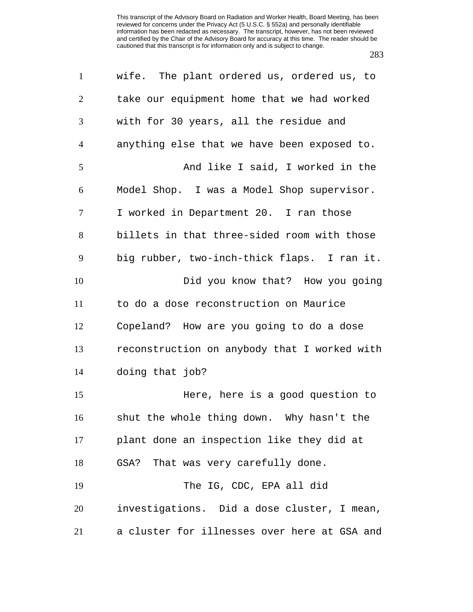| $\mathbf{1}$   | wife. The plant ordered us, ordered us, to   |
|----------------|----------------------------------------------|
| $\overline{2}$ | take our equipment home that we had worked   |
| 3              | with for 30 years, all the residue and       |
| $\overline{4}$ | anything else that we have been exposed to.  |
| 5              | And like I said, I worked in the             |
| 6              | Model Shop. I was a Model Shop supervisor.   |
| $\tau$         | I worked in Department 20. I ran those       |
| 8              | billets in that three-sided room with those  |
| 9              | big rubber, two-inch-thick flaps. I ran it.  |
| 10             | Did you know that? How you going             |
| 11             | to do a dose reconstruction on Maurice       |
| 12             | Copeland? How are you going to do a dose     |
| 13             | reconstruction on anybody that I worked with |
| 14             | doing that job?                              |
| 15             | Here, here is a good question to             |
| 16             | shut the whole thing down. Why hasn't the    |
| 17             | plant done an inspection like they did at    |
| 18             | GSA? That was very carefully done.           |
| 19             | The IG, CDC, EPA all did                     |
| 20             | investigations. Did a dose cluster, I mean,  |
| 21             | a cluster for illnesses over here at GSA and |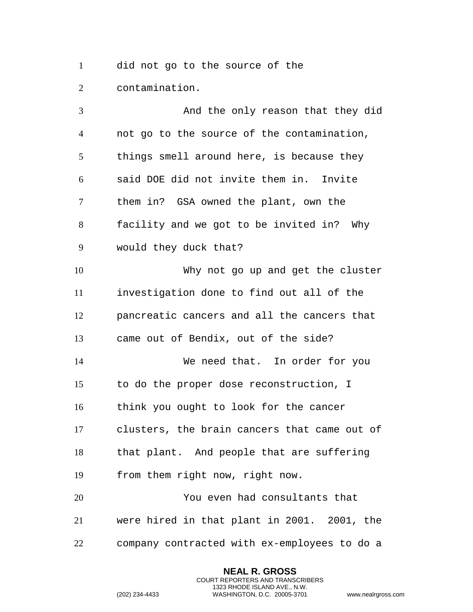did not go to the source of the contamination.

 And the only reason that they did not go to the source of the contamination, things smell around here, is because they said DOE did not invite them in. Invite them in? GSA owned the plant, own the facility and we got to be invited in? Why would they duck that? Why not go up and get the cluster investigation done to find out all of the pancreatic cancers and all the cancers that came out of Bendix, out of the side? We need that. In order for you to do the proper dose reconstruction, I think you ought to look for the cancer clusters, the brain cancers that came out of that plant. And people that are suffering from them right now, right now. You even had consultants that were hired in that plant in 2001. 2001, the company contracted with ex-employees to do a

> **NEAL R. GROSS** COURT REPORTERS AND TRANSCRIBERS 1323 RHODE ISLAND AVE., N.W.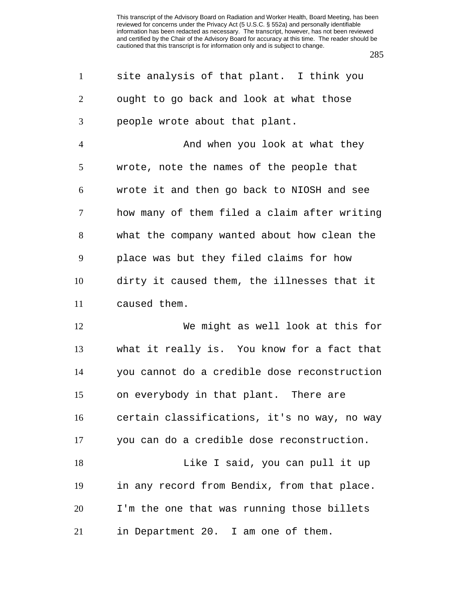| $\mathbf{1}$   | site analysis of that plant. I think you     |
|----------------|----------------------------------------------|
| $\overline{2}$ | ought to go back and look at what those      |
| 3              | people wrote about that plant.               |
| $\overline{4}$ | And when you look at what they               |
| 5              | wrote, note the names of the people that     |
| 6              | wrote it and then go back to NIOSH and see   |
| 7              | how many of them filed a claim after writing |
| 8              | what the company wanted about how clean the  |
| 9              | place was but they filed claims for how      |
| 10             | dirty it caused them, the illnesses that it  |
| 11             | caused them.                                 |
| 12             | We might as well look at this for            |
| 13             | what it really is. You know for a fact that  |
| 14             | you cannot do a credible dose reconstruction |
| 15             | on everybody in that plant. There are        |
| 16             | certain classifications, it's no way, no way |

you can do a credible dose reconstruction.

18 Like I said, you can pull it up in any record from Bendix, from that place. I'm the one that was running those billets in Department 20. I am one of them.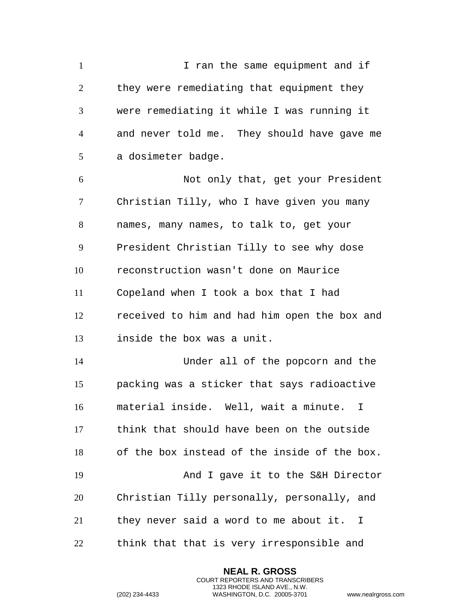I ran the same equipment and if they were remediating that equipment they were remediating it while I was running it and never told me. They should have gave me a dosimeter badge. Not only that, get your President Christian Tilly, who I have given you many names, many names, to talk to, get your President Christian Tilly to see why dose reconstruction wasn't done on Maurice Copeland when I took a box that I had received to him and had him open the box and inside the box was a unit. Under all of the popcorn and the packing was a sticker that says radioactive material inside. Well, wait a minute. I think that should have been on the outside of the box instead of the inside of the box. And I gave it to the S&H Director Christian Tilly personally, personally, and they never said a word to me about it. I think that that is very irresponsible and

> **NEAL R. GROSS** COURT REPORTERS AND TRANSCRIBERS 1323 RHODE ISLAND AVE., N.W.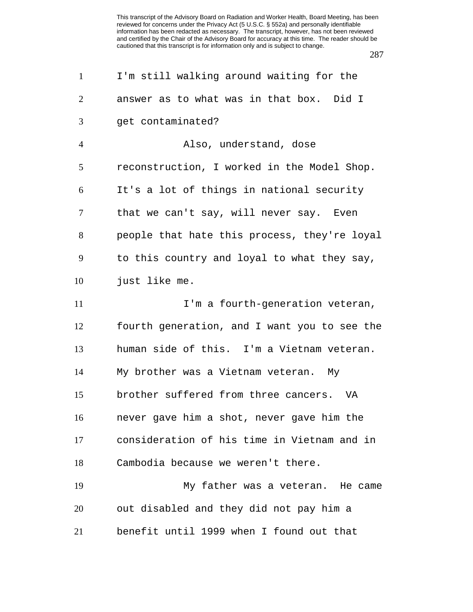| $\mathbf{1}$   | I'm still walking around waiting for the     |
|----------------|----------------------------------------------|
| $\overline{2}$ | answer as to what was in that box. Did I     |
| 3              | get contaminated?                            |
| $\overline{4}$ | Also, understand, dose                       |
| 5              | reconstruction, I worked in the Model Shop.  |
| 6              | It's a lot of things in national security    |
| $\overline{7}$ | that we can't say, will never say. Even      |
| 8              | people that hate this process, they're loyal |
| 9              | to this country and loyal to what they say,  |
| 10             | just like me.                                |
| 11             | I'm a fourth-generation veteran,             |
| 12             | fourth generation, and I want you to see the |
| 13             | human side of this. I'm a Vietnam veteran.   |
| 14             | My brother was a Vietnam veteran. My         |
| 15             | brother suffered from three cancers. VA      |
| 16             | never gave him a shot, never gave him the    |
| 17             | consideration of his time in Vietnam and in  |
| 18             | Cambodia because we weren't there.           |
| 19             | My father was a veteran. He came             |
| 20             | out disabled and they did not pay him a      |
| 21             | benefit until 1999 when I found out that     |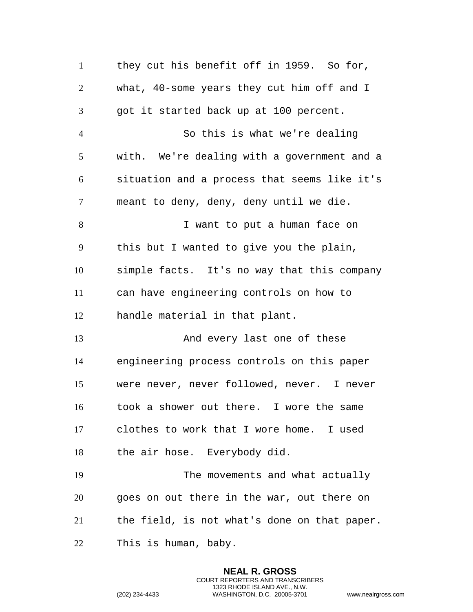1 they cut his benefit off in 1959. So for, what, 40-some years they cut him off and I got it started back up at 100 percent. So this is what we're dealing with. We're dealing with a government and a situation and a process that seems like it's meant to deny, deny, deny until we die. I want to put a human face on this but I wanted to give you the plain, simple facts. It's no way that this company can have engineering controls on how to handle material in that plant. 13 And every last one of these engineering process controls on this paper were never, never followed, never. I never took a shower out there. I wore the same clothes to work that I wore home. I used the air hose. Everybody did. The movements and what actually goes on out there in the war, out there on the field, is not what's done on that paper. This is human, baby.

> **NEAL R. GROSS** COURT REPORTERS AND TRANSCRIBERS 1323 RHODE ISLAND AVE., N.W.

```
(202) 234-4433 WASHINGTON, D.C. 20005-3701 www.nealrgross.com
```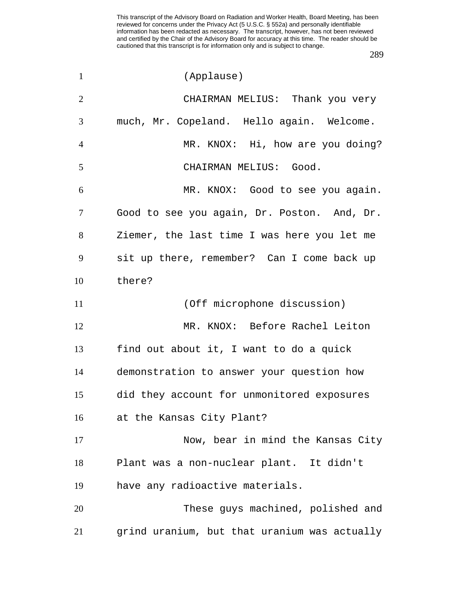| $\mathbf{1}$   | (Applause)                                   |
|----------------|----------------------------------------------|
| $\overline{2}$ | CHAIRMAN MELIUS: Thank you very              |
| 3              | much, Mr. Copeland. Hello again. Welcome.    |
| $\overline{4}$ | MR. KNOX: Hi, how are you doing?             |
| 5              | CHAIRMAN MELIUS: Good.                       |
| 6              | MR. KNOX: Good to see you again.             |
| 7              | Good to see you again, Dr. Poston. And, Dr.  |
| 8              | Ziemer, the last time I was here you let me  |
| 9              | sit up there, remember? Can I come back up   |
| 10             | there?                                       |
| 11             | (Off microphone discussion)                  |
| 12             | MR. KNOX: Before Rachel Leiton               |
| 13             | find out about it, I want to do a quick      |
| 14             | demonstration to answer your question how    |
| 15             | did they account for unmonitored exposures   |
| 16             | at the Kansas City Plant?                    |
| 17             | Now, bear in mind the Kansas City            |
| 18             | Plant was a non-nuclear plant. It didn't     |
| 19             | have any radioactive materials.              |
| 20             | These guys machined, polished and            |
| 21             | grind uranium, but that uranium was actually |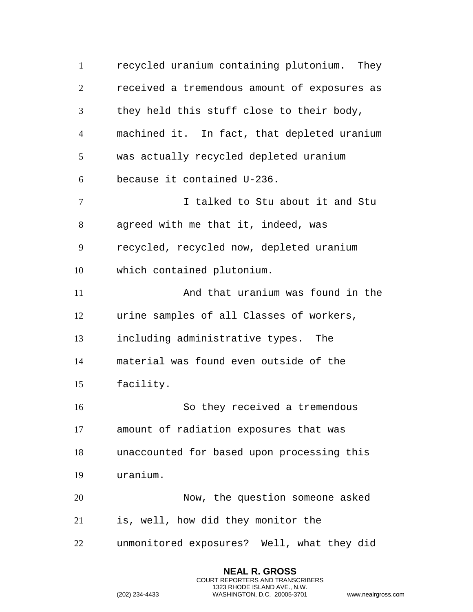recycled uranium containing plutonium. They received a tremendous amount of exposures as they held this stuff close to their body, machined it. In fact, that depleted uranium was actually recycled depleted uranium because it contained U-236. I talked to Stu about it and Stu agreed with me that it, indeed, was recycled, recycled now, depleted uranium which contained plutonium. 11 And that uranium was found in the urine samples of all Classes of workers, including administrative types. The material was found even outside of the facility. So they received a tremendous amount of radiation exposures that was unaccounted for based upon processing this uranium. Now, the question someone asked is, well, how did they monitor the unmonitored exposures? Well, what they did

> **NEAL R. GROSS** COURT REPORTERS AND TRANSCRIBERS 1323 RHODE ISLAND AVE., N.W.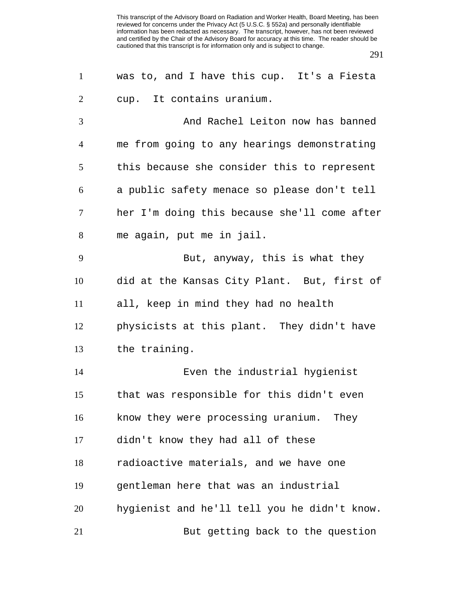| $\mathbf{1}$   | was to, and I have this cup. It's a Fiesta   |
|----------------|----------------------------------------------|
| $\overline{2}$ | cup. It contains uranium.                    |
| 3              | And Rachel Leiton now has banned             |
| 4              | me from going to any hearings demonstrating  |
| 5              | this because she consider this to represent  |
| 6              | a public safety menace so please don't tell  |
| 7              | her I'm doing this because she'll come after |
| 8              | me again, put me in jail.                    |
| 9              | But, anyway, this is what they               |
| 10             | did at the Kansas City Plant. But, first of  |
| 11             | all, keep in mind they had no health         |
| 12             | physicists at this plant. They didn't have   |
| 13             | the training.                                |
| 14             | Even the industrial hygienist                |
| 15             | that was responsible for this didn't even    |
| 16             | know they were processing uranium. They      |
| 17             | didn't know they had all of these            |
| 18             | radioactive materials, and we have one       |
| 19             | gentleman here that was an industrial        |
| 20             | hygienist and he'll tell you he didn't know. |
| 21             | But getting back to the question             |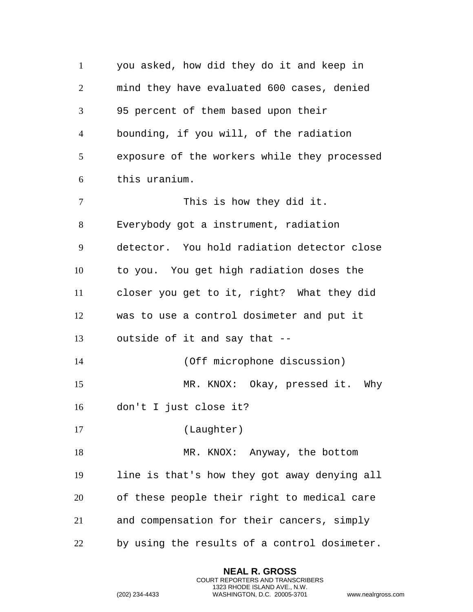you asked, how did they do it and keep in mind they have evaluated 600 cases, denied 95 percent of them based upon their bounding, if you will, of the radiation exposure of the workers while they processed this uranium. 7 This is how they did it. Everybody got a instrument, radiation detector. You hold radiation detector close to you. You get high radiation doses the closer you get to it, right? What they did was to use a control dosimeter and put it outside of it and say that -- (Off microphone discussion) MR. KNOX: Okay, pressed it. Why don't I just close it? (Laughter) 18 MR. KNOX: Anyway, the bottom line is that's how they got away denying all of these people their right to medical care and compensation for their cancers, simply by using the results of a control dosimeter.

> **NEAL R. GROSS** COURT REPORTERS AND TRANSCRIBERS 1323 RHODE ISLAND AVE., N.W.

```
(202) 234-4433 WASHINGTON, D.C. 20005-3701 www.nealrgross.com
```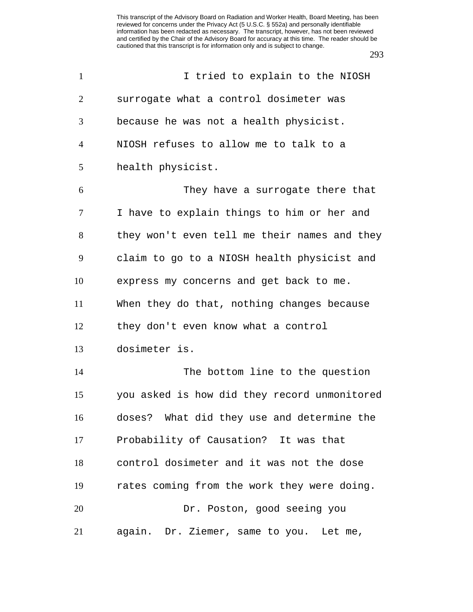| $\mathbf{1}$   | I tried to explain to the NIOSH              |
|----------------|----------------------------------------------|
| 2              | surrogate what a control dosimeter was       |
| 3              | because he was not a health physicist.       |
| $\overline{4}$ | NIOSH refuses to allow me to talk to a       |
| 5              | health physicist.                            |
| 6              | They have a surrogate there that             |
| 7              | I have to explain things to him or her and   |
| 8              | they won't even tell me their names and they |
| 9              | claim to go to a NIOSH health physicist and  |
| 10             | express my concerns and get back to me.      |
| 11             | When they do that, nothing changes because   |
| 12             | they don't even know what a control          |
| 13             | dosimeter is.                                |
| 14             | The bottom line to the question              |
| 15             | you asked is how did they record unmonitored |
| 16             | doses? What did they use and determine the   |
| 17             | Probability of Causation? It was that        |
| 18             | control dosimeter and it was not the dose    |
| 19             | rates coming from the work they were doing.  |
| 20             | Dr. Poston, good seeing you                  |
| 21             | again. Dr. Ziemer, same to you. Let me,      |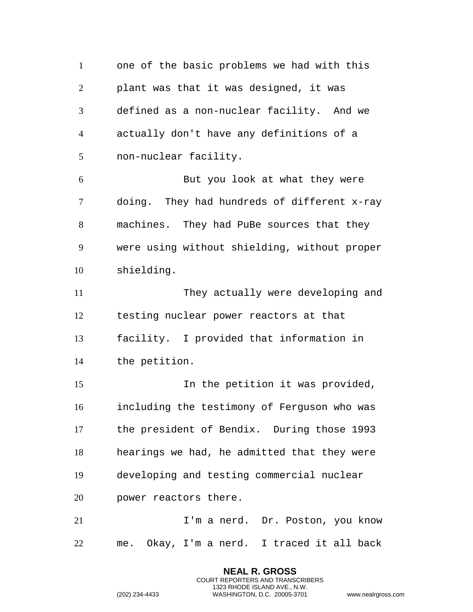one of the basic problems we had with this plant was that it was designed, it was defined as a non-nuclear facility. And we actually don't have any definitions of a non-nuclear facility. But you look at what they were doing. They had hundreds of different x-ray machines. They had PuBe sources that they were using without shielding, without proper shielding. They actually were developing and testing nuclear power reactors at that facility. I provided that information in the petition. In the petition it was provided, including the testimony of Ferguson who was the president of Bendix. During those 1993 hearings we had, he admitted that they were developing and testing commercial nuclear power reactors there. 21 I'm a nerd. Dr. Poston, you know me. Okay, I'm a nerd. I traced it all back

> **NEAL R. GROSS** COURT REPORTERS AND TRANSCRIBERS 1323 RHODE ISLAND AVE., N.W.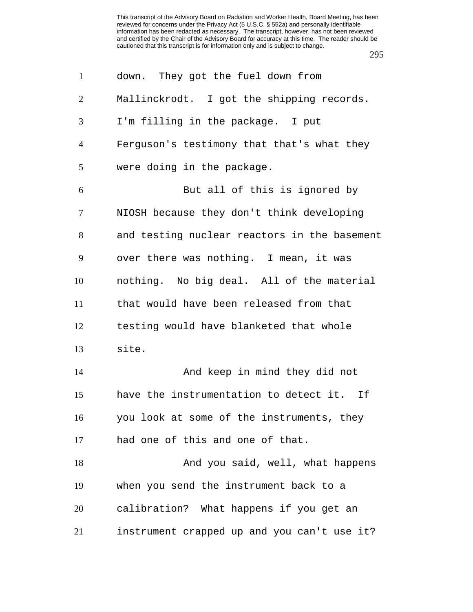| $\mathbf{1}$   | down. They got the fuel down from            |
|----------------|----------------------------------------------|
| $\overline{2}$ | Mallinckrodt. I got the shipping records.    |
| 3              | I'm filling in the package. I put            |
| $\overline{4}$ | Ferguson's testimony that that's what they   |
| 5              | were doing in the package.                   |
| 6              | But all of this is ignored by                |
| 7              | NIOSH because they don't think developing    |
| 8              | and testing nuclear reactors in the basement |
| 9              | over there was nothing. I mean, it was       |
| 10             | nothing. No big deal. All of the material    |
| 11             | that would have been released from that      |
| 12             | testing would have blanketed that whole      |
| 13             | site.                                        |
| 14             | And keep in mind they did not                |
| 15             | have the instrumentation to detect it. If    |
| 16             | you look at some of the instruments, they    |
| 17             | had one of this and one of that.             |
| 18             | And you said, well, what happens             |
| 19             | when you send the instrument back to a       |
| 20             | calibration? What happens if you get an      |
| 21             | instrument crapped up and you can't use it?  |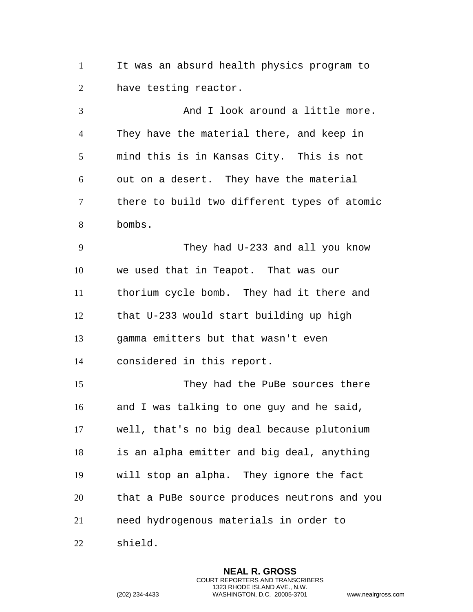It was an absurd health physics program to have testing reactor.

3 And I look around a little more. They have the material there, and keep in mind this is in Kansas City. This is not out on a desert. They have the material there to build two different types of atomic bombs. They had U-233 and all you know we used that in Teapot. That was our

 that U-233 would start building up high gamma emitters but that wasn't even considered in this report.

thorium cycle bomb. They had it there and

 They had the PuBe sources there and I was talking to one guy and he said, well, that's no big deal because plutonium is an alpha emitter and big deal, anything will stop an alpha. They ignore the fact that a PuBe source produces neutrons and you need hydrogenous materials in order to

shield.

**NEAL R. GROSS** COURT REPORTERS AND TRANSCRIBERS 1323 RHODE ISLAND AVE., N.W. (202) 234-4433 WASHINGTON, D.C. 20005-3701 www.nealrgross.com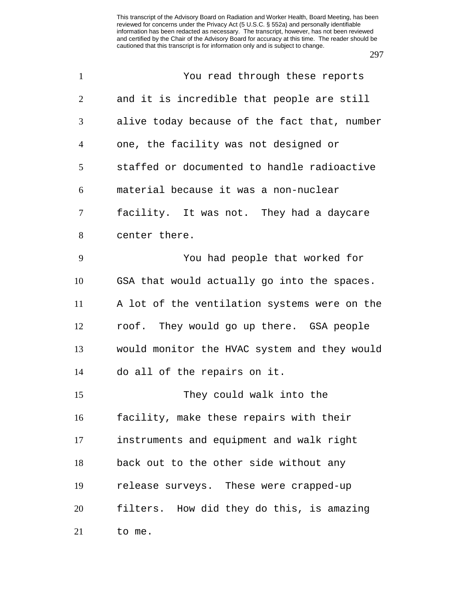| $\mathbf{1}$   | You read through these reports               |
|----------------|----------------------------------------------|
| $\overline{2}$ | and it is incredible that people are still   |
| 3              | alive today because of the fact that, number |
| $\overline{4}$ | one, the facility was not designed or        |
| 5              | staffed or documented to handle radioactive  |
| 6              | material because it was a non-nuclear        |
| 7              | facility. It was not. They had a daycare     |
| 8              | center there.                                |
| 9              | You had people that worked for               |
| 10             | GSA that would actually go into the spaces.  |
| 11             | A lot of the ventilation systems were on the |
| 12             | roof. They would go up there. GSA people     |
| 13             | would monitor the HVAC system and they would |
| 14             | do all of the repairs on it.                 |
| 15             | They could walk into the                     |
| 16             | facility, make these repairs with their      |
| 17             | instruments and equipment and walk right     |
| 18             | back out to the other side without any       |
| 19             | release surveys. These were crapped-up       |
| 20             | filters. How did they do this, is amazing    |
| 21             | to me.                                       |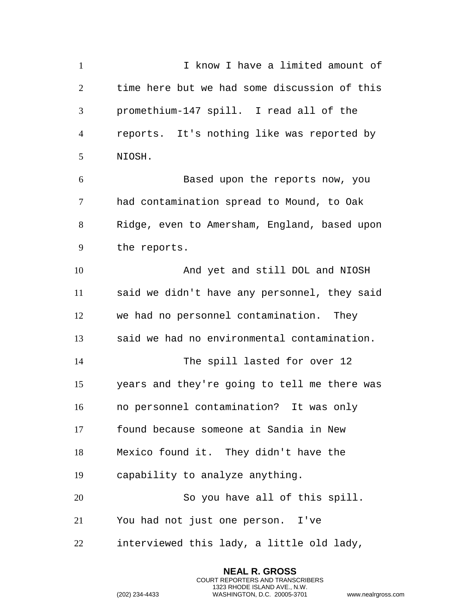I know I have a limited amount of time here but we had some discussion of this promethium-147 spill. I read all of the reports. It's nothing like was reported by NIOSH. Based upon the reports now, you had contamination spread to Mound, to Oak Ridge, even to Amersham, England, based upon the reports. And yet and still DOL and NIOSH said we didn't have any personnel, they said we had no personnel contamination. They said we had no environmental contamination. The spill lasted for over 12 years and they're going to tell me there was no personnel contamination? It was only found because someone at Sandia in New Mexico found it. They didn't have the capability to analyze anything. So you have all of this spill. You had not just one person. I've interviewed this lady, a little old lady,

> **NEAL R. GROSS** COURT REPORTERS AND TRANSCRIBERS 1323 RHODE ISLAND AVE., N.W.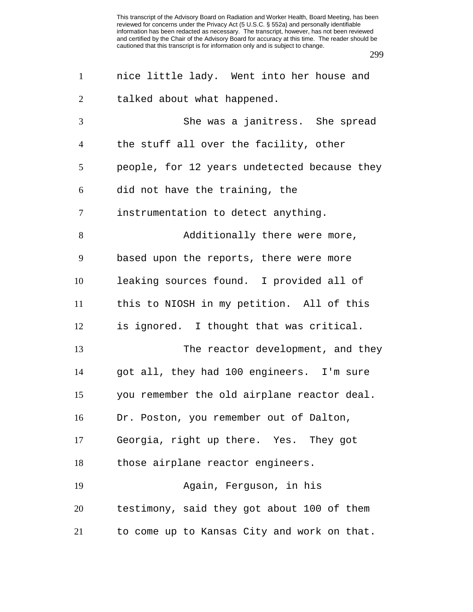| $\mathbf{1}$   | nice little lady. Went into her house and    |
|----------------|----------------------------------------------|
| $\overline{2}$ | talked about what happened.                  |
| 3              | She was a janitress. She spread              |
| $\overline{4}$ | the stuff all over the facility, other       |
| 5              | people, for 12 years undetected because they |
| 6              | did not have the training, the               |
| 7              | instrumentation to detect anything.          |
| 8              | Additionally there were more,                |
| 9              | based upon the reports, there were more      |
| 10             | leaking sources found. I provided all of     |
| 11             | this to NIOSH in my petition. All of this    |
| 12             | is ignored. I thought that was critical.     |
| 13             | The reactor development, and they            |
| 14             | got all, they had 100 engineers. I'm sure    |
| 15             | you remember the old airplane reactor deal.  |
| 16             | Dr. Poston, you remember out of Dalton,      |
| 17             | Georgia, right up there. Yes. They got       |
| 18             | those airplane reactor engineers.            |
| 19             | Again, Ferguson, in his                      |
| 20             | testimony, said they got about 100 of them   |
| 21             | to come up to Kansas City and work on that.  |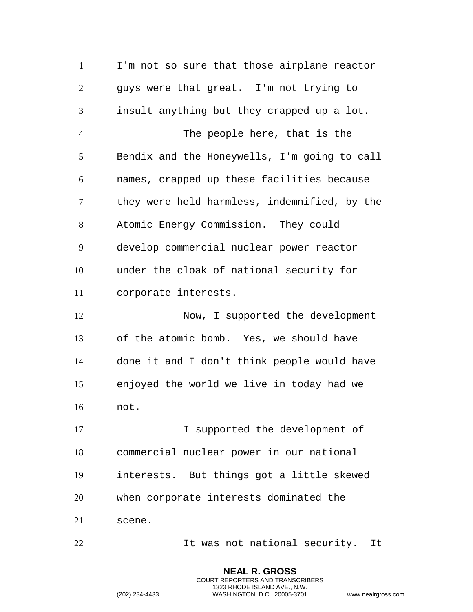I'm not so sure that those airplane reactor guys were that great. I'm not trying to insult anything but they crapped up a lot. The people here, that is the Bendix and the Honeywells, I'm going to call names, crapped up these facilities because they were held harmless, indemnified, by the Atomic Energy Commission. They could develop commercial nuclear power reactor under the cloak of national security for corporate interests. 12 Now, I supported the development of the atomic bomb. Yes, we should have done it and I don't think people would have enjoyed the world we live in today had we not. I supported the development of commercial nuclear power in our national interests. But things got a little skewed when corporate interests dominated the scene. 22 1t was not national security. It

> **NEAL R. GROSS** COURT REPORTERS AND TRANSCRIBERS 1323 RHODE ISLAND AVE., N.W.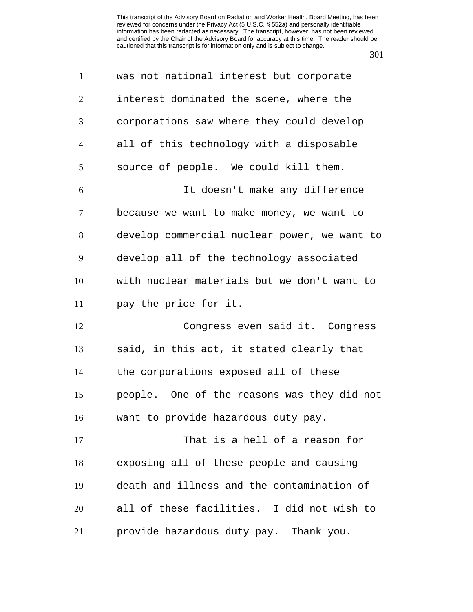| $\mathbf{1}$   | was not national interest but corporate      |
|----------------|----------------------------------------------|
| $\overline{2}$ | interest dominated the scene, where the      |
| 3              | corporations saw where they could develop    |
| $\overline{4}$ | all of this technology with a disposable     |
| 5              | source of people. We could kill them.        |
| 6              | It doesn't make any difference               |
| 7              | because we want to make money, we want to    |
| 8              | develop commercial nuclear power, we want to |
| 9              | develop all of the technology associated     |
| 10             | with nuclear materials but we don't want to  |
| 11             | pay the price for it.                        |
| 12             | Congress even said it. Congress              |
| 13             | said, in this act, it stated clearly that    |
| 14             | the corporations exposed all of these        |
| 15             | people. One of the reasons was they did not  |
| 16             | want to provide hazardous duty pay.          |
| 17             | That is a hell of a reason for               |
| 18             | exposing all of these people and causing     |
| 19             | death and illness and the contamination of   |
| 20             | all of these facilities. I did not wish to   |
| 21             | provide hazardous duty pay. Thank you.       |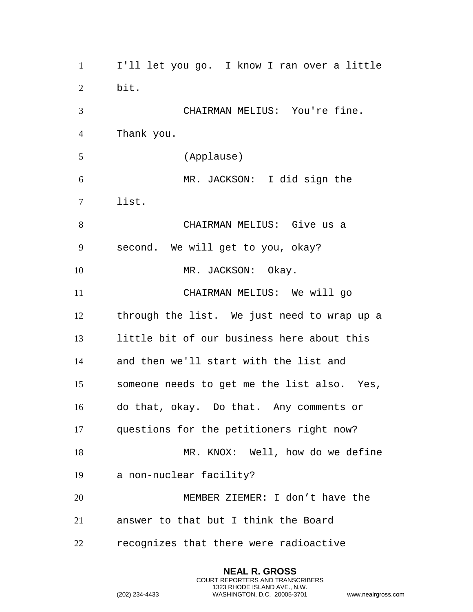I'll let you go. I know I ran over a little bit. CHAIRMAN MELIUS: You're fine. Thank you. (Applause) MR. JACKSON: I did sign the list. CHAIRMAN MELIUS: Give us a second. We will get to you, okay? 10 MR. JACKSON: Okay. CHAIRMAN MELIUS: We will go through the list. We just need to wrap up a little bit of our business here about this and then we'll start with the list and someone needs to get me the list also. Yes, do that, okay. Do that. Any comments or questions for the petitioners right now? 18 MR. KNOX: Well, how do we define a non-nuclear facility? MEMBER ZIEMER: I don't have the answer to that but I think the Board recognizes that there were radioactive

> **NEAL R. GROSS** COURT REPORTERS AND TRANSCRIBERS 1323 RHODE ISLAND AVE., N.W.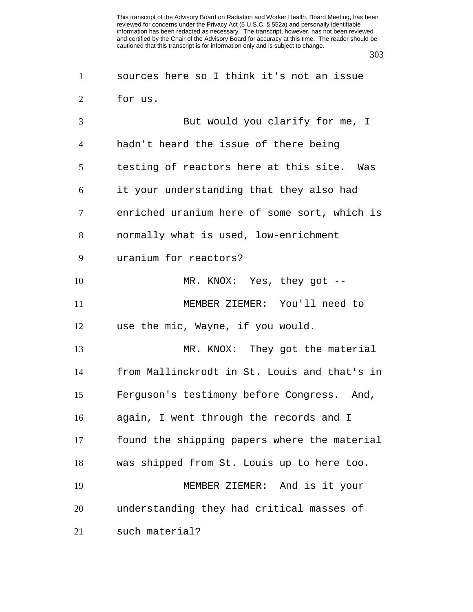| $\mathbf{1}$   | sources here so I think it's not an issue    |
|----------------|----------------------------------------------|
| $\overline{2}$ | for us.                                      |
| 3              | But would you clarify for me, I              |
| $\overline{4}$ | hadn't heard the issue of there being        |
| 5              | testing of reactors here at this site. Was   |
| 6              | it your understanding that they also had     |
| 7              | enriched uranium here of some sort, which is |
| 8              | normally what is used, low-enrichment        |
| 9              | uranium for reactors?                        |
| 10             | MR. KNOX: Yes, they got --                   |
| 11             | MEMBER ZIEMER: You'll need to                |
| 12             | use the mic, Wayne, if you would.            |
| 13             | MR. KNOX: They got the material              |
| 14             | from Mallinckrodt in St. Louis and that's in |
| 15             | Ferguson's testimony before Congress. And,   |
| 16             | again, I went through the records and I      |
| 17             | found the shipping papers where the material |
| 18             | was shipped from St. Louis up to here too.   |
| 19             | MEMBER ZIEMER: And is it your                |
| 20             | understanding they had critical masses of    |
| 21             | such material?                               |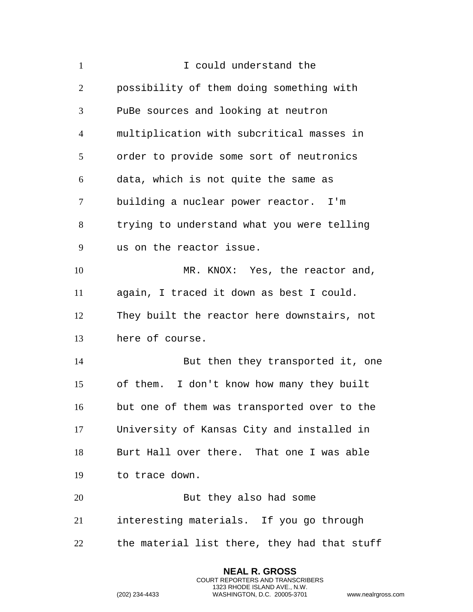| $\mathbf{1}$   | I could understand the                       |
|----------------|----------------------------------------------|
| 2              | possibility of them doing something with     |
| 3              | PuBe sources and looking at neutron          |
| $\overline{4}$ | multiplication with subcritical masses in    |
| 5              | order to provide some sort of neutronics     |
| 6              | data, which is not quite the same as         |
| $\tau$         | building a nuclear power reactor. I'm        |
| 8              | trying to understand what you were telling   |
| 9              | us on the reactor issue.                     |
| 10             | MR. KNOX: Yes, the reactor and,              |
| 11             | again, I traced it down as best I could.     |
| 12             | They built the reactor here downstairs, not  |
| 13             | here of course.                              |
| 14             | But then they transported it, one            |
| 15             | of them. I don't know how many they built    |
| 16             | but one of them was transported over to the  |
| 17             | University of Kansas City and installed in   |
| 18             | Burt Hall over there. That one I was able    |
| 19             | to trace down.                               |
| 20             | But they also had some                       |
| 21             | interesting materials. If you go through     |
| 22             | the material list there, they had that stuff |

**NEAL R. GROSS** COURT REPORTERS AND TRANSCRIBERS 1323 RHODE ISLAND AVE., N.W.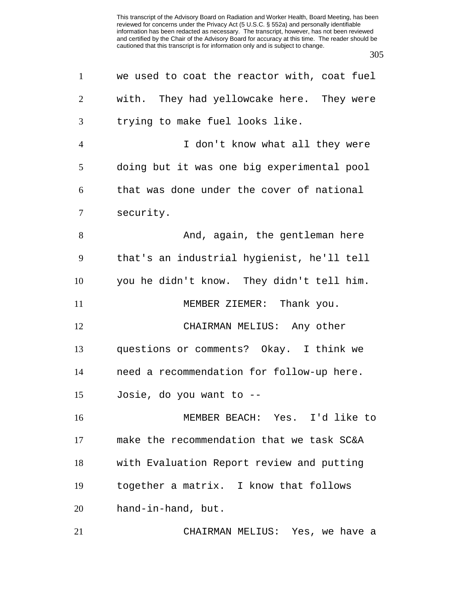| $\mathbf{1}$   | we used to coat the reactor with, coat fuel |
|----------------|---------------------------------------------|
| $\overline{2}$ | with. They had yellowcake here. They were   |
| 3              | trying to make fuel looks like.             |
| $\overline{4}$ | I don't know what all they were             |
| 5              | doing but it was one big experimental pool  |
| 6              | that was done under the cover of national   |
| 7              | security.                                   |
| 8              | And, again, the gentleman here              |
| 9              | that's an industrial hygienist, he'll tell  |
| 10             | you he didn't know. They didn't tell him.   |
| 11             | MEMBER ZIEMER: Thank you.                   |
| 12             | CHAIRMAN MELIUS: Any other                  |
| 13             | questions or comments? Okay. I think we     |
| 14             | need a recommendation for follow-up here.   |
| 15             | Josie, do you want to --                    |
| 16             | MEMBER BEACH: Yes. I'd like to              |
| 17             | make the recommendation that we task SC&A   |
| 18             | with Evaluation Report review and putting   |
| 19             | together a matrix. I know that follows      |
| 20             | hand-in-hand, but.                          |
| 21             | CHAIRMAN MELIUS: Yes, we have a             |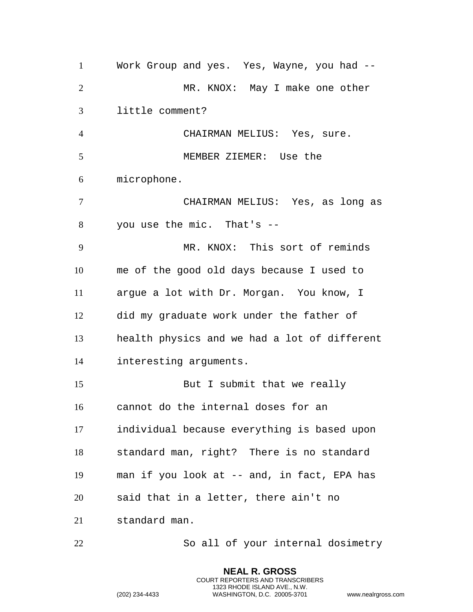Work Group and yes. Yes, Wayne, you had -- 2 MR. KNOX: May I make one other little comment? CHAIRMAN MELIUS: Yes, sure. MEMBER ZIEMER: Use the microphone. CHAIRMAN MELIUS: Yes, as long as you use the mic. That's -- MR. KNOX: This sort of reminds me of the good old days because I used to argue a lot with Dr. Morgan. You know, I did my graduate work under the father of health physics and we had a lot of different interesting arguments. 15 But I submit that we really cannot do the internal doses for an individual because everything is based upon standard man, right? There is no standard man if you look at -- and, in fact, EPA has said that in a letter, there ain't no standard man.

So all of your internal dosimetry

**NEAL R. GROSS** COURT REPORTERS AND TRANSCRIBERS 1323 RHODE ISLAND AVE., N.W.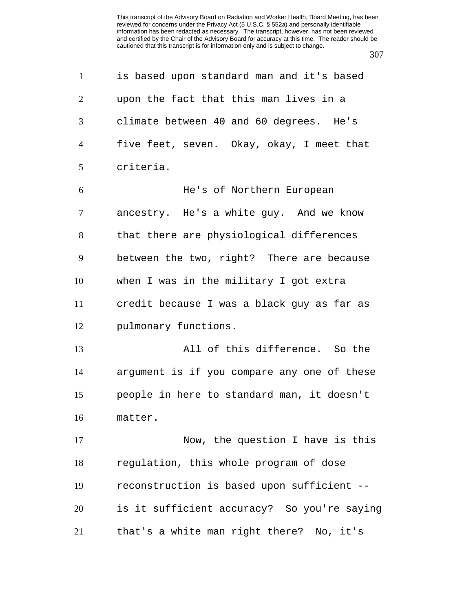| $\mathbf{1}$   | is based upon standard man and it's based   |
|----------------|---------------------------------------------|
| $\overline{2}$ | upon the fact that this man lives in a      |
| 3              | climate between 40 and 60 degrees. He's     |
| $\overline{4}$ | five feet, seven. Okay, okay, I meet that   |
| 5              | criteria.                                   |
| 6              | He's of Northern European                   |
| $\tau$         | ancestry. He's a white guy. And we know     |
| 8              | that there are physiological differences    |
| 9              | between the two, right? There are because   |
| 10             | when I was in the military I got extra      |
| 11             | credit because I was a black guy as far as  |
| 12             | pulmonary functions.                        |
| 13             | All of this difference. So the              |
| 14             | argument is if you compare any one of these |
| 15             | people in here to standard man, it doesn't  |
| 16             | matter.                                     |
| 17             | Now, the question I have is this            |
| 18             | regulation, this whole program of dose      |
| 19             | reconstruction is based upon sufficient --  |
| 20             | is it sufficient accuracy? So you're saying |
| 21             | that's a white man right there? No, it's    |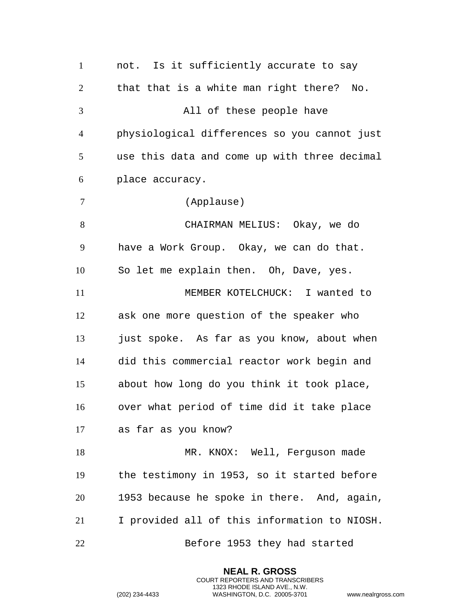not. Is it sufficiently accurate to say that that is a white man right there? No. All of these people have physiological differences so you cannot just use this data and come up with three decimal place accuracy. (Applause) CHAIRMAN MELIUS: Okay, we do have a Work Group. Okay, we can do that. So let me explain then. Oh, Dave, yes. MEMBER KOTELCHUCK: I wanted to ask one more question of the speaker who just spoke. As far as you know, about when did this commercial reactor work begin and about how long do you think it took place, over what period of time did it take place as far as you know? 18 MR. KNOX: Well, Ferguson made the testimony in 1953, so it started before 1953 because he spoke in there. And, again, I provided all of this information to NIOSH. Before 1953 they had started

> **NEAL R. GROSS** COURT REPORTERS AND TRANSCRIBERS 1323 RHODE ISLAND AVE., N.W.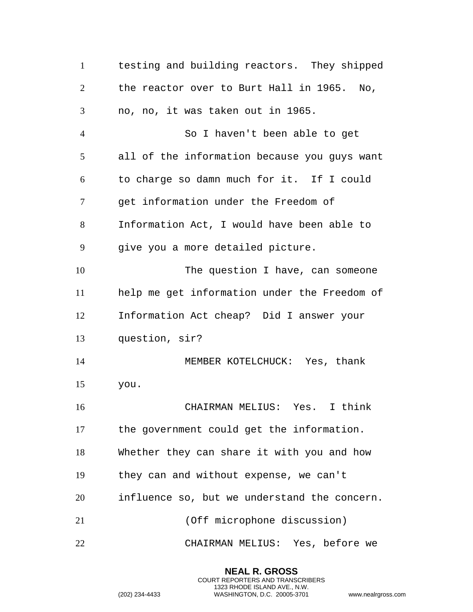testing and building reactors. They shipped the reactor over to Burt Hall in 1965. No, no, no, it was taken out in 1965. So I haven't been able to get all of the information because you guys want to charge so damn much for it. If I could get information under the Freedom of Information Act, I would have been able to give you a more detailed picture. The question I have, can someone help me get information under the Freedom of Information Act cheap? Did I answer your question, sir? MEMBER KOTELCHUCK: Yes, thank you. CHAIRMAN MELIUS: Yes. I think the government could get the information. Whether they can share it with you and how they can and without expense, we can't influence so, but we understand the concern. (Off microphone discussion) CHAIRMAN MELIUS: Yes, before we

> **NEAL R. GROSS** COURT REPORTERS AND TRANSCRIBERS 1323 RHODE ISLAND AVE., N.W.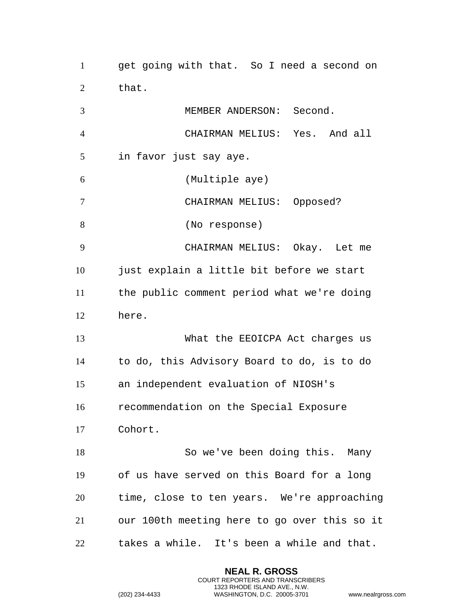get going with that. So I need a second on that.

 MEMBER ANDERSON: Second. CHAIRMAN MELIUS: Yes. And all in favor just say aye. (Multiple aye) CHAIRMAN MELIUS: Opposed? (No response) CHAIRMAN MELIUS: Okay. Let me just explain a little bit before we start the public comment period what we're doing here. What the EEOICPA Act charges us to do, this Advisory Board to do, is to do an independent evaluation of NIOSH's recommendation on the Special Exposure Cohort. So we've been doing this. Many of us have served on this Board for a long time, close to ten years. We're approaching our 100th meeting here to go over this so it takes a while. It's been a while and that.

> **NEAL R. GROSS** COURT REPORTERS AND TRANSCRIBERS 1323 RHODE ISLAND AVE., N.W.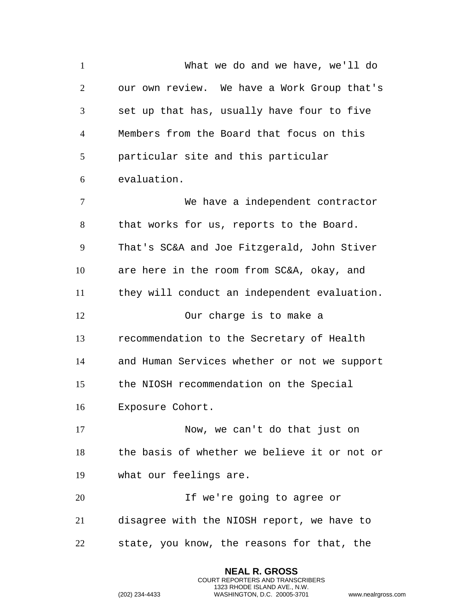What we do and we have, we'll do our own review. We have a Work Group that's set up that has, usually have four to five Members from the Board that focus on this particular site and this particular evaluation. We have a independent contractor that works for us, reports to the Board. That's SC&A and Joe Fitzgerald, John Stiver are here in the room from SC&A, okay, and they will conduct an independent evaluation. Our charge is to make a recommendation to the Secretary of Health and Human Services whether or not we support the NIOSH recommendation on the Special Exposure Cohort. Now, we can't do that just on the basis of whether we believe it or not or what our feelings are. If we're going to agree or disagree with the NIOSH report, we have to state, you know, the reasons for that, the

> **NEAL R. GROSS** COURT REPORTERS AND TRANSCRIBERS 1323 RHODE ISLAND AVE., N.W.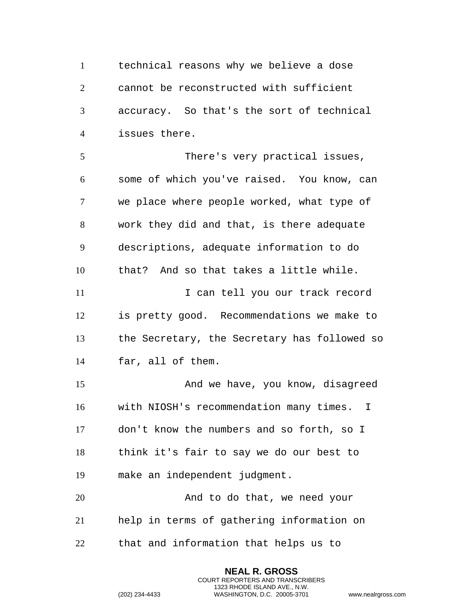technical reasons why we believe a dose cannot be reconstructed with sufficient accuracy. So that's the sort of technical issues there.

 There's very practical issues, some of which you've raised. You know, can we place where people worked, what type of work they did and that, is there adequate descriptions, adequate information to do that? And so that takes a little while. 11 1 I can tell you our track record is pretty good. Recommendations we make to the Secretary, the Secretary has followed so far, all of them. And we have, you know, disagreed with NIOSH's recommendation many times. I don't know the numbers and so forth, so I think it's fair to say we do our best to make an independent judgment.

20 And to do that, we need your help in terms of gathering information on that and information that helps us to

> **NEAL R. GROSS** COURT REPORTERS AND TRANSCRIBERS 1323 RHODE ISLAND AVE., N.W.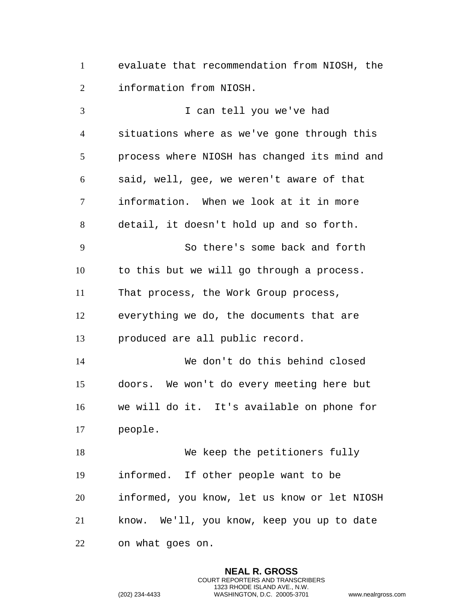evaluate that recommendation from NIOSH, the information from NIOSH.

 I can tell you we've had situations where as we've gone through this process where NIOSH has changed its mind and said, well, gee, we weren't aware of that information. When we look at it in more detail, it doesn't hold up and so forth. So there's some back and forth to this but we will go through a process. That process, the Work Group process, everything we do, the documents that are produced are all public record. We don't do this behind closed doors. We won't do every meeting here but we will do it. It's available on phone for people. We keep the petitioners fully informed. If other people want to be informed, you know, let us know or let NIOSH know. We'll, you know, keep you up to date on what goes on.

> **NEAL R. GROSS** COURT REPORTERS AND TRANSCRIBERS 1323 RHODE ISLAND AVE., N.W.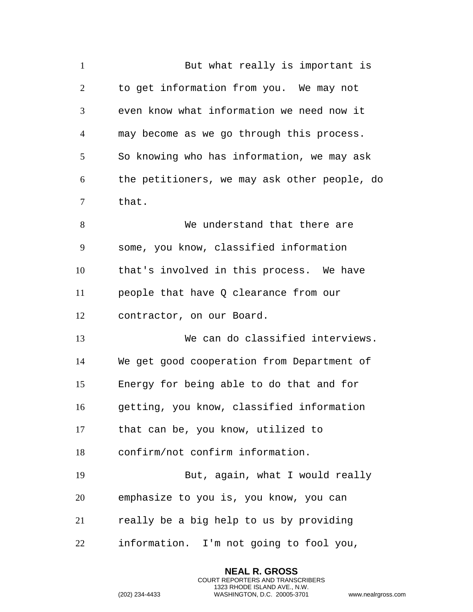| $\mathbf{1}$   | But what really is important is              |
|----------------|----------------------------------------------|
| $\overline{2}$ | to get information from you. We may not      |
| 3              | even know what information we need now it    |
| $\overline{4}$ | may become as we go through this process.    |
| 5              | So knowing who has information, we may ask   |
| 6              | the petitioners, we may ask other people, do |
| 7              | that.                                        |
| 8              | We understand that there are                 |
| 9              | some, you know, classified information       |
| 10             | that's involved in this process. We have     |
| 11             | people that have Q clearance from our        |
| 12             | contractor, on our Board.                    |
| 13             | We can do classified interviews.             |
| 14             | We get good cooperation from Department of   |
| 15             | Energy for being able to do that and for     |
| 16             | getting, you know, classified information    |
| 17             | that can be, you know, utilized to           |
| 18             | confirm/not confirm information.             |
| 19             | But, again, what I would really              |
| 20             | emphasize to you is, you know, you can       |
| 21             | really be a big help to us by providing      |
| 22             | information. I'm not going to fool you,      |

**NEAL R. GROSS** COURT REPORTERS AND TRANSCRIBERS 1323 RHODE ISLAND AVE., N.W.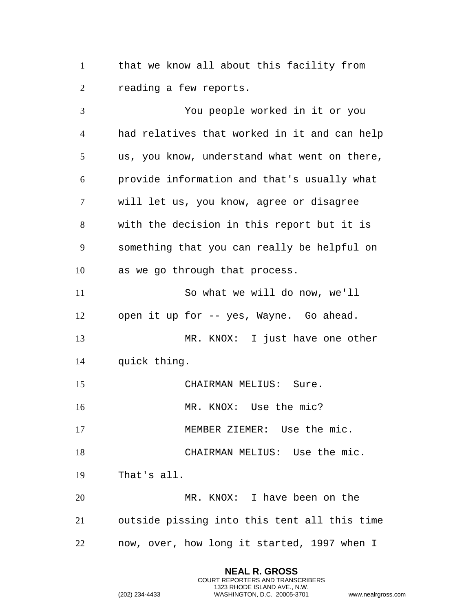that we know all about this facility from reading a few reports.

 You people worked in it or you had relatives that worked in it and can help us, you know, understand what went on there, provide information and that's usually what will let us, you know, agree or disagree with the decision in this report but it is something that you can really be helpful on as we go through that process. So what we will do now, we'll open it up for -- yes, Wayne. Go ahead. MR. KNOX: I just have one other quick thing. 15 CHAIRMAN MELIUS: Sure. 16 MR. KNOX: Use the mic? 17 MEMBER ZIEMER: Use the mic. CHAIRMAN MELIUS: Use the mic. That's all. 20 MR. KNOX: I have been on the outside pissing into this tent all this time now, over, how long it started, 1997 when I

> **NEAL R. GROSS** COURT REPORTERS AND TRANSCRIBERS 1323 RHODE ISLAND AVE., N.W.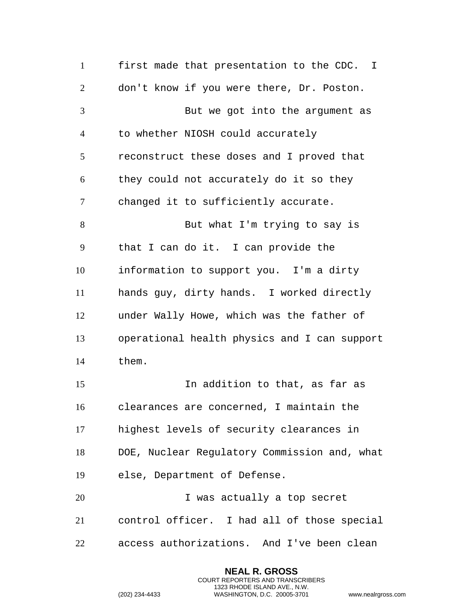first made that presentation to the CDC. I don't know if you were there, Dr. Poston. But we got into the argument as to whether NIOSH could accurately reconstruct these doses and I proved that they could not accurately do it so they changed it to sufficiently accurate. But what I'm trying to say is that I can do it. I can provide the information to support you. I'm a dirty hands guy, dirty hands. I worked directly under Wally Howe, which was the father of operational health physics and I can support them. In addition to that, as far as clearances are concerned, I maintain the highest levels of security clearances in DOE, Nuclear Regulatory Commission and, what else, Department of Defense. I was actually a top secret control officer. I had all of those special access authorizations. And I've been clean

> **NEAL R. GROSS** COURT REPORTERS AND TRANSCRIBERS 1323 RHODE ISLAND AVE., N.W.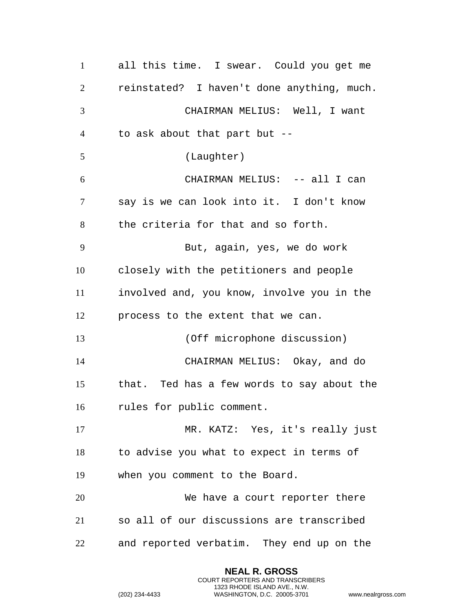all this time. I swear. Could you get me reinstated? I haven't done anything, much. CHAIRMAN MELIUS: Well, I want to ask about that part but -- (Laughter) CHAIRMAN MELIUS: -- all I can say is we can look into it. I don't know the criteria for that and so forth. But, again, yes, we do work closely with the petitioners and people involved and, you know, involve you in the process to the extent that we can. (Off microphone discussion) CHAIRMAN MELIUS: Okay, and do that. Ted has a few words to say about the rules for public comment. MR. KATZ: Yes, it's really just to advise you what to expect in terms of when you comment to the Board. We have a court reporter there so all of our discussions are transcribed and reported verbatim. They end up on the

> **NEAL R. GROSS** COURT REPORTERS AND TRANSCRIBERS 1323 RHODE ISLAND AVE., N.W.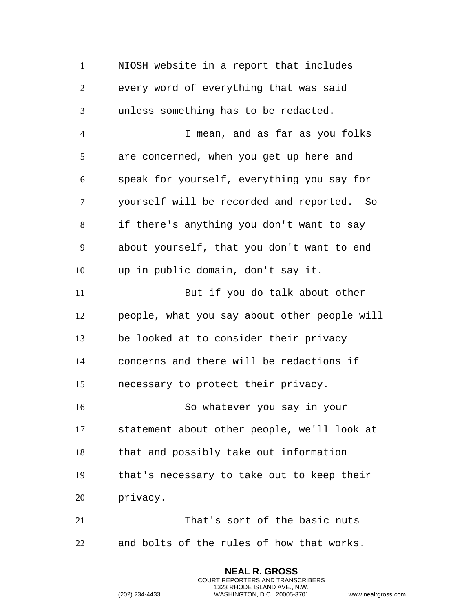NIOSH website in a report that includes every word of everything that was said unless something has to be redacted. I mean, and as far as you folks are concerned, when you get up here and speak for yourself, everything you say for yourself will be recorded and reported. So if there's anything you don't want to say about yourself, that you don't want to end up in public domain, don't say it. But if you do talk about other people, what you say about other people will be looked at to consider their privacy concerns and there will be redactions if necessary to protect their privacy. So whatever you say in your statement about other people, we'll look at that and possibly take out information that's necessary to take out to keep their privacy. That's sort of the basic nuts and bolts of the rules of how that works.

> **NEAL R. GROSS** COURT REPORTERS AND TRANSCRIBERS 1323 RHODE ISLAND AVE., N.W.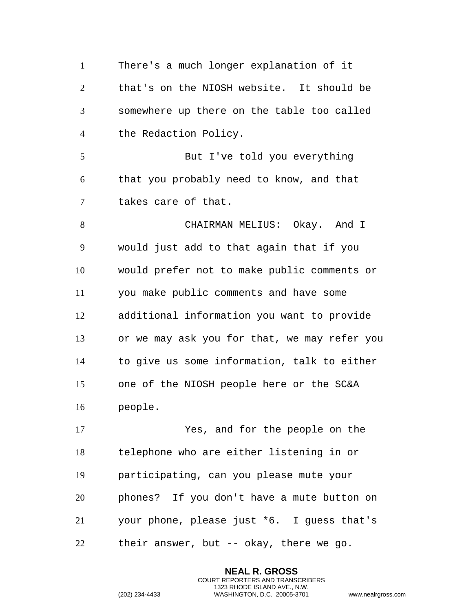There's a much longer explanation of it that's on the NIOSH website. It should be somewhere up there on the table too called the Redaction Policy. But I've told you everything that you probably need to know, and that takes care of that. 8 CHAIRMAN MELIUS: Okay. And I would just add to that again that if you would prefer not to make public comments or you make public comments and have some additional information you want to provide or we may ask you for that, we may refer you to give us some information, talk to either one of the NIOSH people here or the SC&A people. Yes, and for the people on the telephone who are either listening in or participating, can you please mute your phones? If you don't have a mute button on your phone, please just \*6. I guess that's their answer, but -- okay, there we go.

> **NEAL R. GROSS** COURT REPORTERS AND TRANSCRIBERS 1323 RHODE ISLAND AVE., N.W.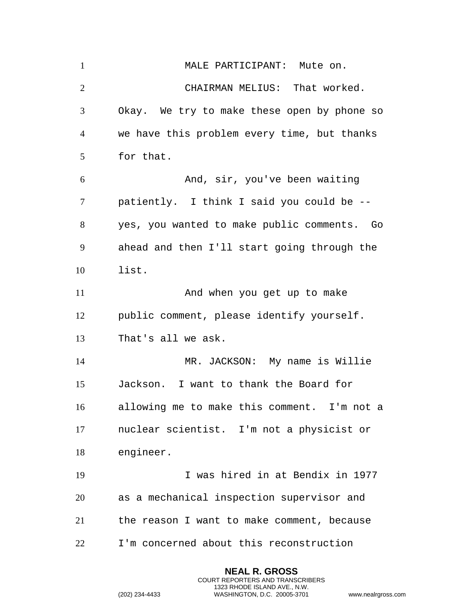1 MALE PARTICIPANT: Mute on. CHAIRMAN MELIUS: That worked. Okay. We try to make these open by phone so we have this problem every time, but thanks for that. And, sir, you've been waiting patiently. I think I said you could be -- yes, you wanted to make public comments. Go ahead and then I'll start going through the list. 11 And when you get up to make public comment, please identify yourself. That's all we ask. MR. JACKSON: My name is Willie Jackson. I want to thank the Board for allowing me to make this comment. I'm not a nuclear scientist. I'm not a physicist or engineer. I was hired in at Bendix in 1977 as a mechanical inspection supervisor and the reason I want to make comment, because I'm concerned about this reconstruction

> **NEAL R. GROSS** COURT REPORTERS AND TRANSCRIBERS 1323 RHODE ISLAND AVE., N.W.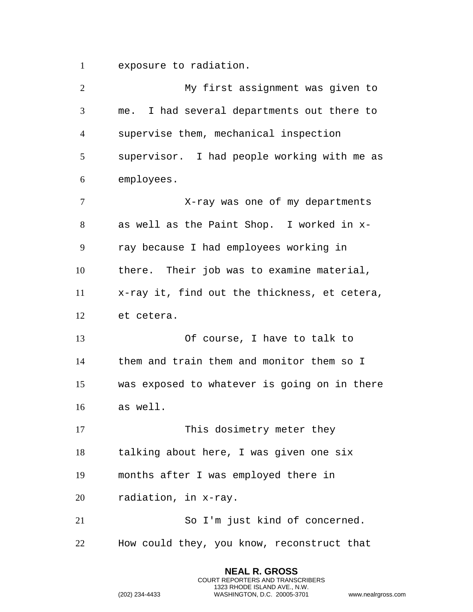exposure to radiation.

| $\overline{2}$ | My first assignment was given to              |
|----------------|-----------------------------------------------|
| 3              | I had several departments out there to<br>me. |
| $\overline{4}$ | supervise them, mechanical inspection         |
| 5              | supervisor. I had people working with me as   |
| 6              | employees.                                    |
| $\tau$         | X-ray was one of my departments               |
| 8              | as well as the Paint Shop. I worked in x-     |
| 9              | ray because I had employees working in        |
| 10             | there. Their job was to examine material,     |
| 11             | x-ray it, find out the thickness, et cetera,  |
| 12             | et cetera.                                    |
| 13             | Of course, I have to talk to                  |
| 14             | them and train them and monitor them so I     |
| 15             | was exposed to whatever is going on in there  |
| 16             | as well.                                      |
| 17             | This dosimetry meter they                     |
| 18             | talking about here, I was given one six       |
| 19             | months after I was employed there in          |
| 20             | radiation, in x-ray.                          |
| 21             | So I'm just kind of concerned.                |
| 22             | How could they, you know, reconstruct that    |
|                |                                               |

**NEAL R. GROSS** COURT REPORTERS AND TRANSCRIBERS 1323 RHODE ISLAND AVE., N.W.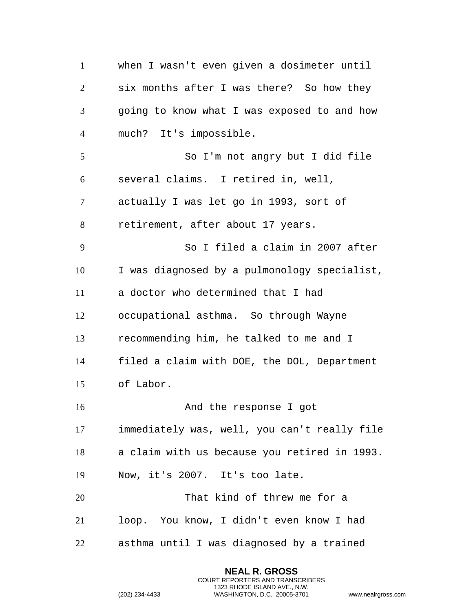when I wasn't even given a dosimeter until six months after I was there? So how they going to know what I was exposed to and how much? It's impossible. So I'm not angry but I did file several claims. I retired in, well, actually I was let go in 1993, sort of retirement, after about 17 years. So I filed a claim in 2007 after I was diagnosed by a pulmonology specialist, a doctor who determined that I had occupational asthma. So through Wayne recommending him, he talked to me and I filed a claim with DOE, the DOL, Department of Labor. **And the response I got**  immediately was, well, you can't really file a claim with us because you retired in 1993. Now, it's 2007. It's too late. That kind of threw me for a loop. You know, I didn't even know I had asthma until I was diagnosed by a trained

> **NEAL R. GROSS** COURT REPORTERS AND TRANSCRIBERS 1323 RHODE ISLAND AVE., N.W.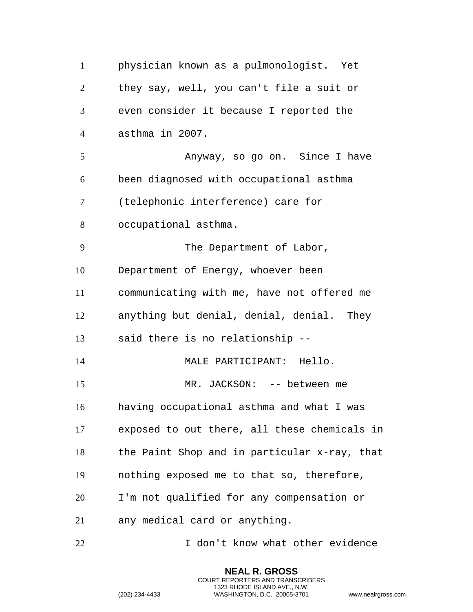| $\mathbf{1}$   | physician known as a pulmonologist. Yet      |
|----------------|----------------------------------------------|
| $\overline{2}$ | they say, well, you can't file a suit or     |
| 3              | even consider it because I reported the      |
| 4              | asthma in 2007.                              |
| 5              | Anyway, so go on. Since I have               |
| 6              | been diagnosed with occupational asthma      |
| 7              | (telephonic interference) care for           |
| 8              | occupational asthma.                         |
| 9              | The Department of Labor,                     |
| 10             | Department of Energy, whoever been           |
| 11             | communicating with me, have not offered me   |
| 12             | anything but denial, denial, denial. They    |
| 13             | said there is no relationship --             |
| 14             | MALE PARTICIPANT: Hello.                     |
| 15             | MR. JACKSON: -- between me                   |
| 16             | having occupational asthma and what I was    |
| 17             | exposed to out there, all these chemicals in |
| 18             | the Paint Shop and in particular x-ray, that |
| 19             | nothing exposed me to that so, therefore,    |
| 20             | I'm not qualified for any compensation or    |
| 21             | any medical card or anything.                |
| 22             | I don't know what other evidence             |

**NEAL R. GROSS** COURT REPORTERS AND TRANSCRIBERS 1323 RHODE ISLAND AVE., N.W.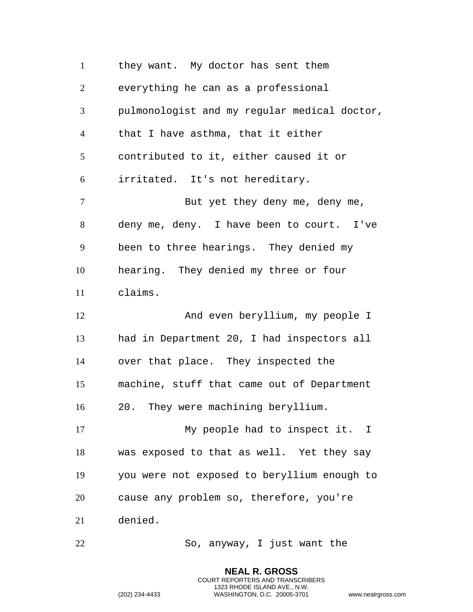they want. My doctor has sent them everything he can as a professional pulmonologist and my regular medical doctor, that I have asthma, that it either contributed to it, either caused it or irritated. It's not hereditary. 7 But yet they deny me, deny me, deny me, deny. I have been to court. I've been to three hearings. They denied my hearing. They denied my three or four claims. And even beryllium, my people I had in Department 20, I had inspectors all over that place. They inspected the machine, stuff that came out of Department 20. They were machining beryllium. My people had to inspect it. I was exposed to that as well. Yet they say you were not exposed to beryllium enough to cause any problem so, therefore, you're denied. So, anyway, I just want the

> **NEAL R. GROSS** COURT REPORTERS AND TRANSCRIBERS 1323 RHODE ISLAND AVE., N.W.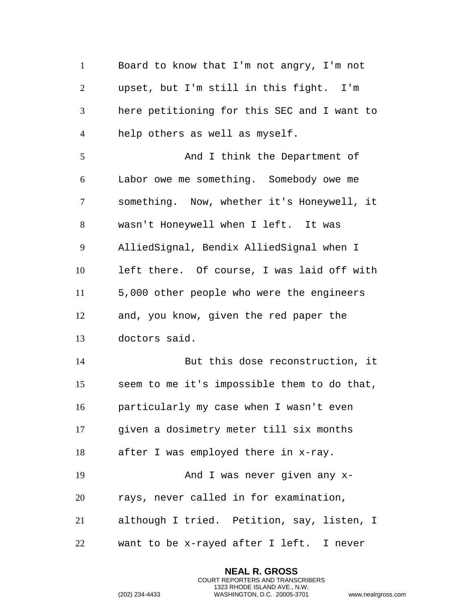Board to know that I'm not angry, I'm not upset, but I'm still in this fight. I'm here petitioning for this SEC and I want to help others as well as myself. 5 And I think the Department of Labor owe me something. Somebody owe me something. Now, whether it's Honeywell, it wasn't Honeywell when I left. It was AlliedSignal, Bendix AlliedSignal when I left there. Of course, I was laid off with 5,000 other people who were the engineers and, you know, given the red paper the doctors said. But this dose reconstruction, it seem to me it's impossible them to do that, particularly my case when I wasn't even given a dosimetry meter till six months after I was employed there in x-ray. And I was never given any x- rays, never called in for examination, although I tried. Petition, say, listen, I want to be x-rayed after I left. I never

> **NEAL R. GROSS** COURT REPORTERS AND TRANSCRIBERS 1323 RHODE ISLAND AVE., N.W.

```
(202) 234-4433 WASHINGTON, D.C. 20005-3701 www.nealrgross.com
```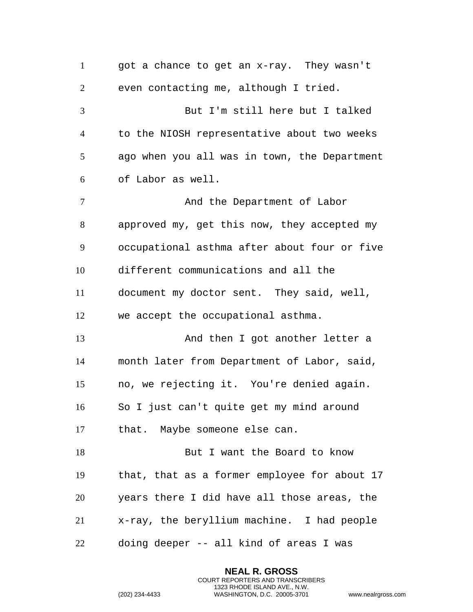got a chance to get an x-ray. They wasn't even contacting me, although I tried. But I'm still here but I talked to the NIOSH representative about two weeks ago when you all was in town, the Department of Labor as well. 7 And the Department of Labor approved my, get this now, they accepted my occupational asthma after about four or five different communications and all the document my doctor sent. They said, well, we accept the occupational asthma. 13 And then I got another letter a month later from Department of Labor, said, no, we rejecting it. You're denied again. So I just can't quite get my mind around that. Maybe someone else can. 18 But I want the Board to know that, that as a former employee for about 17 years there I did have all those areas, the x-ray, the beryllium machine. I had people doing deeper -- all kind of areas I was

> **NEAL R. GROSS** COURT REPORTERS AND TRANSCRIBERS 1323 RHODE ISLAND AVE., N.W.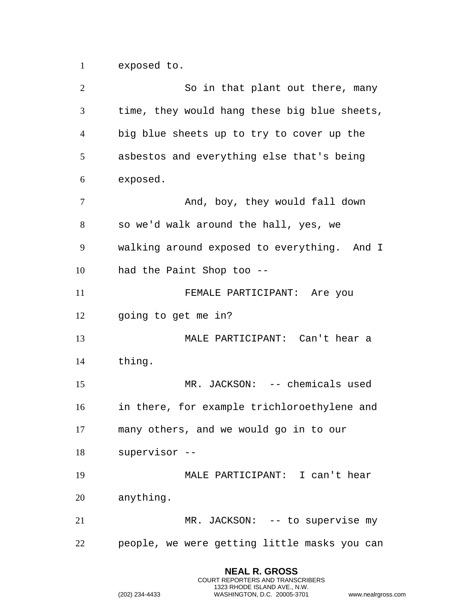exposed to.

2 So in that plant out there, many time, they would hang these big blue sheets, big blue sheets up to try to cover up the asbestos and everything else that's being exposed. 7 And, boy, they would fall down so we'd walk around the hall, yes, we walking around exposed to everything. And I had the Paint Shop too -- FEMALE PARTICIPANT: Are you going to get me in? MALE PARTICIPANT: Can't hear a thing. MR. JACKSON: -- chemicals used in there, for example trichloroethylene and many others, and we would go in to our supervisor -- MALE PARTICIPANT: I can't hear anything. 21 MR. JACKSON: -- to supervise my people, we were getting little masks you can

> **NEAL R. GROSS** COURT REPORTERS AND TRANSCRIBERS 1323 RHODE ISLAND AVE., N.W.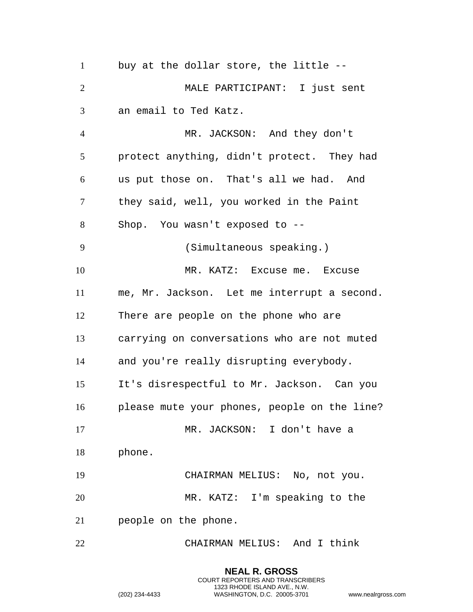buy at the dollar store, the little -- MALE PARTICIPANT: I just sent an email to Ted Katz. MR. JACKSON: And they don't protect anything, didn't protect. They had us put those on. That's all we had. And they said, well, you worked in the Paint Shop. You wasn't exposed to -- (Simultaneous speaking.) 10 MR. KATZ: Excuse me. Excuse me, Mr. Jackson. Let me interrupt a second. There are people on the phone who are carrying on conversations who are not muted and you're really disrupting everybody. It's disrespectful to Mr. Jackson. Can you please mute your phones, people on the line? MR. JACKSON: I don't have a phone. CHAIRMAN MELIUS: No, not you. MR. KATZ: I'm speaking to the people on the phone. CHAIRMAN MELIUS: And I think

> **NEAL R. GROSS** COURT REPORTERS AND TRANSCRIBERS 1323 RHODE ISLAND AVE., N.W.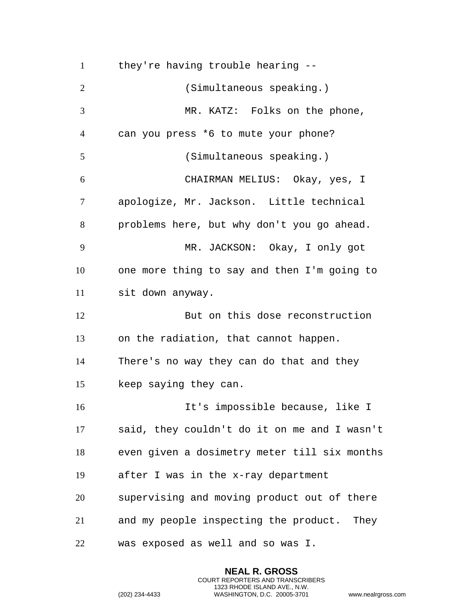they're having trouble hearing -- (Simultaneous speaking.) MR. KATZ: Folks on the phone, can you press \*6 to mute your phone? (Simultaneous speaking.) CHAIRMAN MELIUS: Okay, yes, I apologize, Mr. Jackson. Little technical problems here, but why don't you go ahead. MR. JACKSON: Okay, I only got one more thing to say and then I'm going to sit down anyway. But on this dose reconstruction on the radiation, that cannot happen. There's no way they can do that and they keep saying they can. It's impossible because, like I said, they couldn't do it on me and I wasn't even given a dosimetry meter till six months after I was in the x-ray department supervising and moving product out of there and my people inspecting the product. They was exposed as well and so was I.

> **NEAL R. GROSS** COURT REPORTERS AND TRANSCRIBERS 1323 RHODE ISLAND AVE., N.W.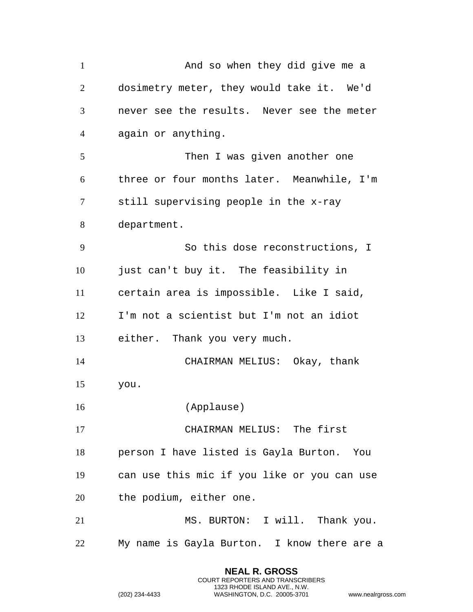1 And so when they did give me a dosimetry meter, they would take it. We'd never see the results. Never see the meter again or anything. Then I was given another one three or four months later. Meanwhile, I'm still supervising people in the x-ray department. So this dose reconstructions, I 10 just can't buy it. The feasibility in certain area is impossible. Like I said, I'm not a scientist but I'm not an idiot either. Thank you very much. CHAIRMAN MELIUS: Okay, thank you. (Applause) CHAIRMAN MELIUS: The first person I have listed is Gayla Burton. You can use this mic if you like or you can use the podium, either one. MS. BURTON: I will. Thank you. My name is Gayla Burton. I know there are a

> **NEAL R. GROSS** COURT REPORTERS AND TRANSCRIBERS 1323 RHODE ISLAND AVE., N.W.

```
(202) 234-4433 WASHINGTON, D.C. 20005-3701 www.nealrgross.com
```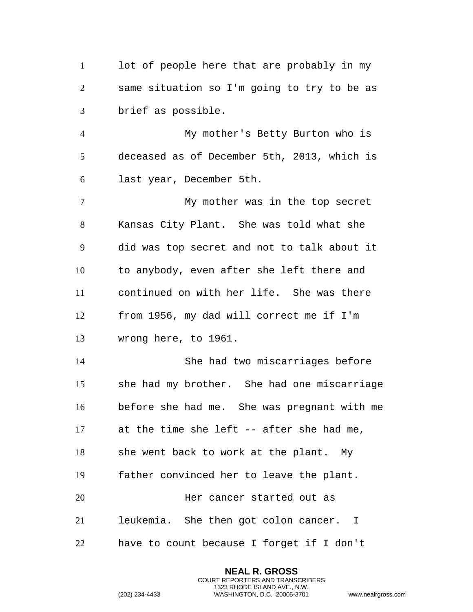1 lot of people here that are probably in my same situation so I'm going to try to be as brief as possible.

 My mother's Betty Burton who is deceased as of December 5th, 2013, which is last year, December 5th.

 My mother was in the top secret Kansas City Plant. She was told what she did was top secret and not to talk about it to anybody, even after she left there and continued on with her life. She was there from 1956, my dad will correct me if I'm wrong here, to 1961.

 She had two miscarriages before she had my brother. She had one miscarriage before she had me. She was pregnant with me at the time she left -- after she had me, she went back to work at the plant. My father convinced her to leave the plant. Her cancer started out as leukemia. She then got colon cancer. I have to count because I forget if I don't

> **NEAL R. GROSS** COURT REPORTERS AND TRANSCRIBERS 1323 RHODE ISLAND AVE., N.W.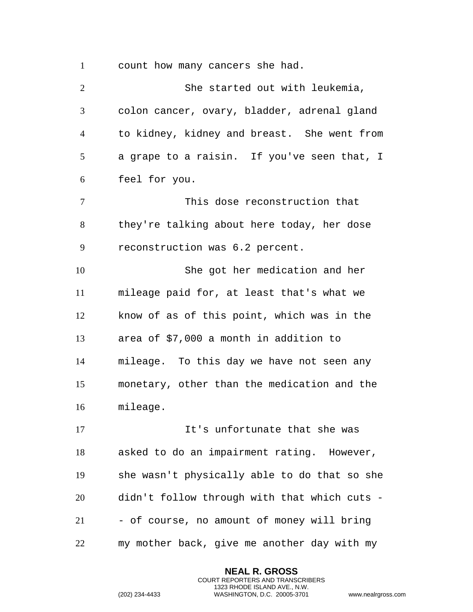count how many cancers she had.

 She started out with leukemia, colon cancer, ovary, bladder, adrenal gland to kidney, kidney and breast. She went from a grape to a raisin. If you've seen that, I feel for you. This dose reconstruction that they're talking about here today, her dose reconstruction was 6.2 percent. She got her medication and her mileage paid for, at least that's what we know of as of this point, which was in the area of \$7,000 a month in addition to mileage. To this day we have not seen any monetary, other than the medication and the mileage. It's unfortunate that she was asked to do an impairment rating. However, she wasn't physically able to do that so she didn't follow through with that which cuts - - of course, no amount of money will bring my mother back, give me another day with my

> **NEAL R. GROSS** COURT REPORTERS AND TRANSCRIBERS 1323 RHODE ISLAND AVE., N.W.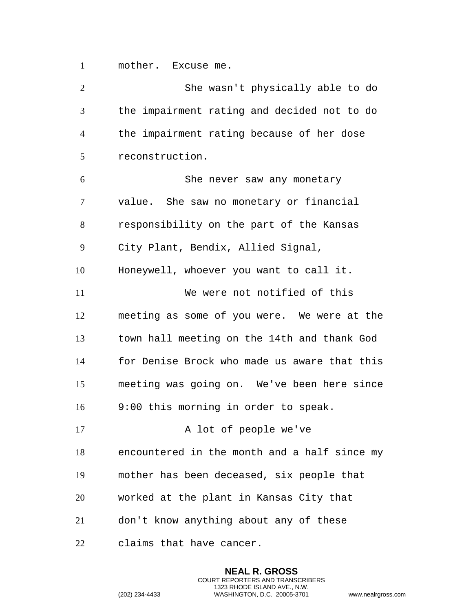mother. Excuse me.

| $\overline{2}$ | She wasn't physically able to do             |
|----------------|----------------------------------------------|
| 3              | the impairment rating and decided not to do  |
| $\overline{4}$ | the impairment rating because of her dose    |
| 5              | reconstruction.                              |
| 6              | She never saw any monetary                   |
| 7              | value. She saw no monetary or financial      |
| 8              | responsibility on the part of the Kansas     |
| 9              | City Plant, Bendix, Allied Signal,           |
| 10             | Honeywell, whoever you want to call it.      |
| 11             | We were not notified of this                 |
| 12             | meeting as some of you were. We were at the  |
| 13             | town hall meeting on the 14th and thank God  |
| 14             | for Denise Brock who made us aware that this |
| 15             | meeting was going on. We've been here since  |
| 16             | 9:00 this morning in order to speak.         |
| 17             | A lot of people we've                        |
| 18             | encountered in the month and a half since my |
| 19             | mother has been deceased, six people that    |
| 20             | worked at the plant in Kansas City that      |
| 21             | don't know anything about any of these       |
| 22             | claims that have cancer.                     |

**NEAL R. GROSS** COURT REPORTERS AND TRANSCRIBERS 1323 RHODE ISLAND AVE., N.W.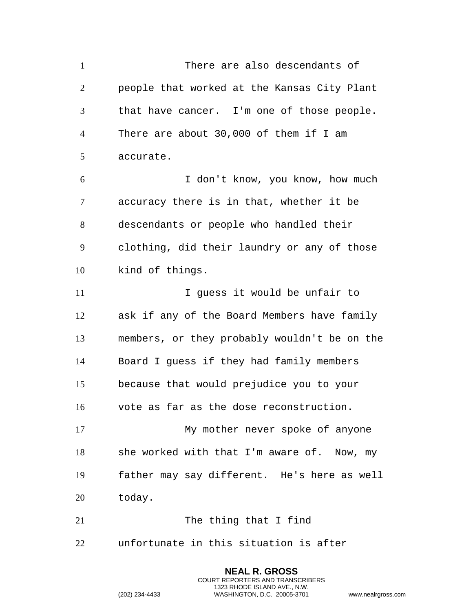There are also descendants of people that worked at the Kansas City Plant that have cancer. I'm one of those people. There are about 30,000 of them if I am accurate. I don't know, you know, how much accuracy there is in that, whether it be descendants or people who handled their clothing, did their laundry or any of those kind of things. 11 11 I guess it would be unfair to ask if any of the Board Members have family members, or they probably wouldn't be on the Board I guess if they had family members because that would prejudice you to your vote as far as the dose reconstruction. My mother never spoke of anyone she worked with that I'm aware of. Now, my father may say different. He's here as well today. 21 The thing that I find unfortunate in this situation is after

> **NEAL R. GROSS** COURT REPORTERS AND TRANSCRIBERS 1323 RHODE ISLAND AVE., N.W.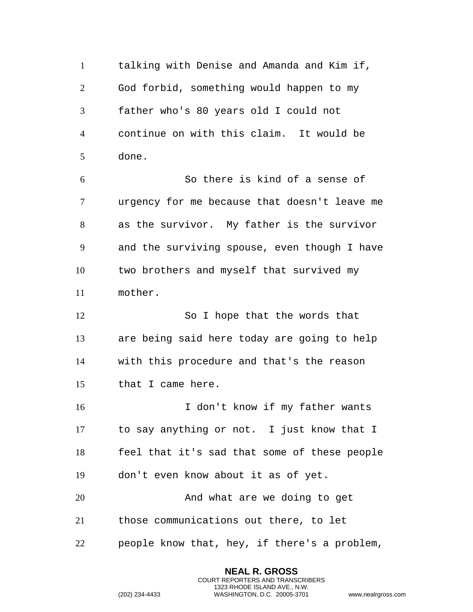talking with Denise and Amanda and Kim if, God forbid, something would happen to my father who's 80 years old I could not continue on with this claim. It would be done.

 So there is kind of a sense of urgency for me because that doesn't leave me as the survivor. My father is the survivor and the surviving spouse, even though I have two brothers and myself that survived my mother.

12 So I hope that the words that are being said here today are going to help with this procedure and that's the reason that I came here.

 I don't know if my father wants to say anything or not. I just know that I feel that it's sad that some of these people don't even know about it as of yet.

20 And what are we doing to get those communications out there, to let

people know that, hey, if there's a problem,

**NEAL R. GROSS** COURT REPORTERS AND TRANSCRIBERS 1323 RHODE ISLAND AVE., N.W.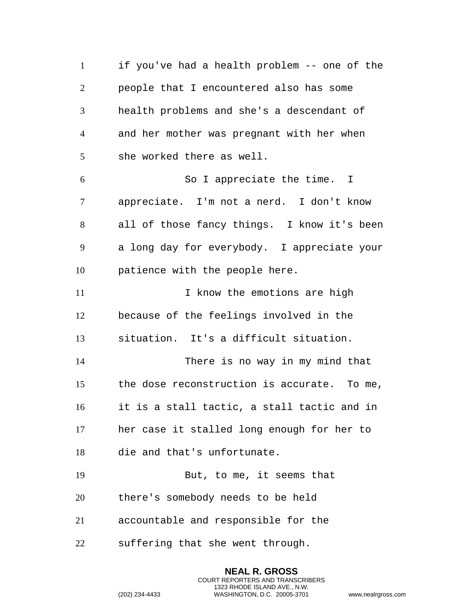if you've had a health problem -- one of the people that I encountered also has some health problems and she's a descendant of and her mother was pregnant with her when she worked there as well. So I appreciate the time. I appreciate. I'm not a nerd. I don't know all of those fancy things. I know it's been a long day for everybody. I appreciate your patience with the people here. 11 11 I know the emotions are high because of the feelings involved in the situation. It's a difficult situation. There is no way in my mind that the dose reconstruction is accurate. To me, it is a stall tactic, a stall tactic and in her case it stalled long enough for her to die and that's unfortunate. But, to me, it seems that there's somebody needs to be held accountable and responsible for the suffering that she went through.

> **NEAL R. GROSS** COURT REPORTERS AND TRANSCRIBERS 1323 RHODE ISLAND AVE., N.W.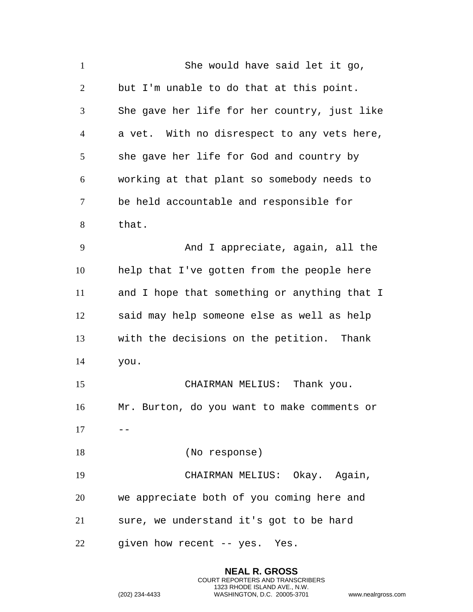| $\mathbf{1}$   | She would have said let it go,               |
|----------------|----------------------------------------------|
| $\overline{2}$ | but I'm unable to do that at this point.     |
| 3              | She gave her life for her country, just like |
| $\overline{4}$ | a vet. With no disrespect to any vets here,  |
| 5              | she gave her life for God and country by     |
| 6              | working at that plant so somebody needs to   |
| $\tau$         | be held accountable and responsible for      |
| 8              | that.                                        |
| 9              | And I appreciate, again, all the             |
| 10             | help that I've gotten from the people here   |
| 11             | and I hope that something or anything that I |
| 12             | said may help someone else as well as help   |
| 13             | with the decisions on the petition. Thank    |
| 14             | you.                                         |
| 15             | CHAIRMAN MELIUS:<br>Thank you.               |
| 16             | Mr. Burton, do you want to make comments or  |
| 17             |                                              |
| 18             | (No response)                                |
| 19             | CHAIRMAN MELIUS: Okay. Again,                |
| 20             | we appreciate both of you coming here and    |
| 21             | sure, we understand it's got to be hard      |
| 22             | given how recent -- yes. Yes.                |

**NEAL R. GROSS** COURT REPORTERS AND TRANSCRIBERS 1323 RHODE ISLAND AVE., N.W.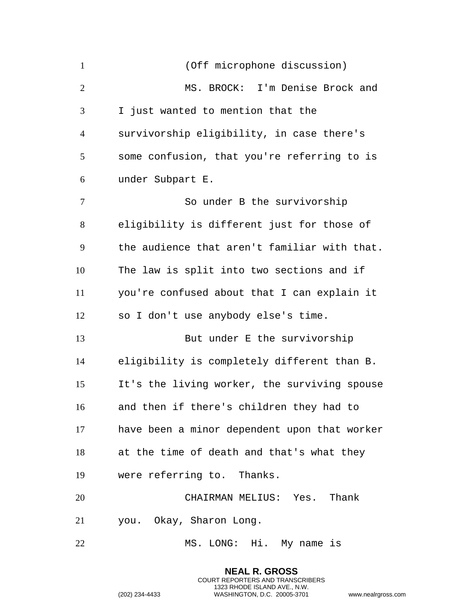| $\mathbf{1}$   | (Off microphone discussion)                  |
|----------------|----------------------------------------------|
| $\overline{2}$ | MS. BROCK: I'm Denise Brock and              |
| 3              | I just wanted to mention that the            |
| $\overline{4}$ | survivorship eligibility, in case there's    |
| 5              | some confusion, that you're referring to is  |
| 6              | under Subpart E.                             |
| $\overline{7}$ | So under B the survivorship                  |
| 8              | eligibility is different just for those of   |
| 9              | the audience that aren't familiar with that. |
| 10             | The law is split into two sections and if    |
| 11             | you're confused about that I can explain it  |
| 12             | so I don't use anybody else's time.          |
| 13             | But under E the survivorship                 |
| 14             | eligibility is completely different than B.  |
| 15             | It's the living worker, the surviving spouse |
| 16             | and then if there's children they had to     |
| 17             | have been a minor dependent upon that worker |
| 18             | at the time of death and that's what they    |
| 19             | were referring to. Thanks.                   |
| 20             | CHAIRMAN MELIUS: Yes. Thank                  |
| 21             | you. Okay, Sharon Long.                      |
| 22             | MS. LONG: Hi. My name is                     |

**NEAL R. GROSS** COURT REPORTERS AND TRANSCRIBERS 1323 RHODE ISLAND AVE., N.W. (202) 234-4433 WASHINGTON, D.C. 20005-3701 www.nealrgross.com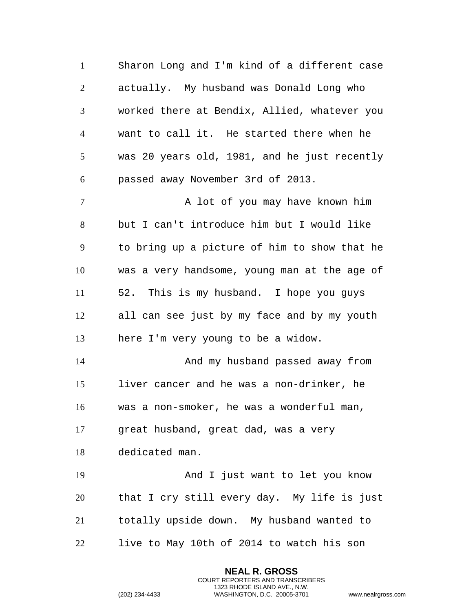Sharon Long and I'm kind of a different case actually. My husband was Donald Long who worked there at Bendix, Allied, whatever you want to call it. He started there when he was 20 years old, 1981, and he just recently passed away November 3rd of 2013. 7 A lot of you may have known him but I can't introduce him but I would like to bring up a picture of him to show that he was a very handsome, young man at the age of 52. This is my husband. I hope you guys all can see just by my face and by my youth here I'm very young to be a widow. And my husband passed away from liver cancer and he was a non-drinker, he was a non-smoker, he was a wonderful man, great husband, great dad, was a very dedicated man. And I just want to let you know that I cry still every day. My life is just totally upside down. My husband wanted to live to May 10th of 2014 to watch his son

> **NEAL R. GROSS** COURT REPORTERS AND TRANSCRIBERS 1323 RHODE ISLAND AVE., N.W.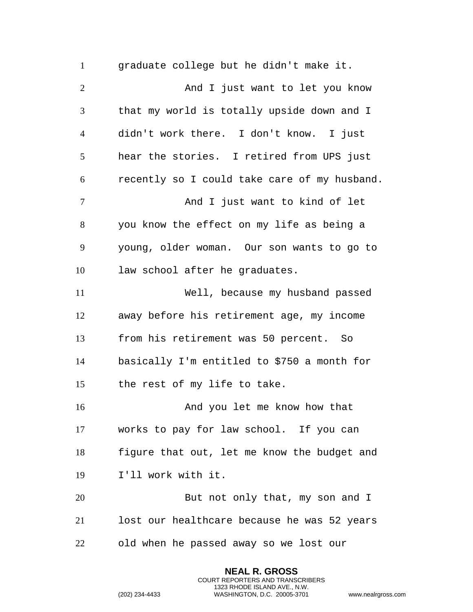graduate college but he didn't make it. 2 And I just want to let you know that my world is totally upside down and I didn't work there. I don't know. I just hear the stories. I retired from UPS just recently so I could take care of my husband. 7 And I just want to kind of let you know the effect on my life as being a young, older woman. Our son wants to go to law school after he graduates. Well, because my husband passed away before his retirement age, my income from his retirement was 50 percent. So basically I'm entitled to \$750 a month for the rest of my life to take. And you let me know how that works to pay for law school. If you can figure that out, let me know the budget and I'll work with it. But not only that, my son and I lost our healthcare because he was 52 years old when he passed away so we lost our

> **NEAL R. GROSS** COURT REPORTERS AND TRANSCRIBERS 1323 RHODE ISLAND AVE., N.W.

```
(202) 234-4433 WASHINGTON, D.C. 20005-3701 www.nealrgross.com
```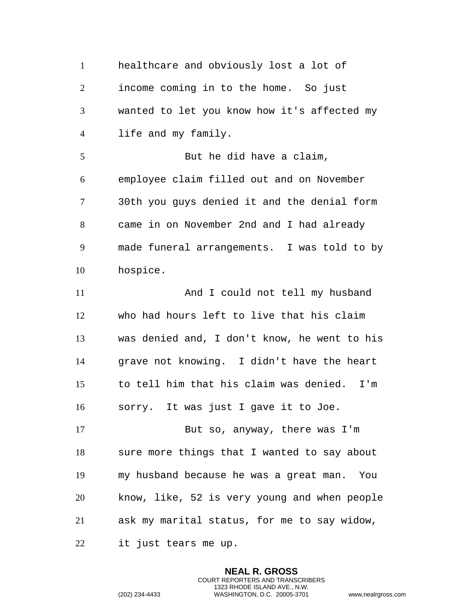healthcare and obviously lost a lot of income coming in to the home. So just wanted to let you know how it's affected my life and my family. 5 But he did have a claim, employee claim filled out and on November 30th you guys denied it and the denial form came in on November 2nd and I had already made funeral arrangements. I was told to by hospice. 11 And I could not tell my husband who had hours left to live that his claim was denied and, I don't know, he went to his grave not knowing. I didn't have the heart to tell him that his claim was denied. I'm sorry. It was just I gave it to Joe. But so, anyway, there was I'm sure more things that I wanted to say about my husband because he was a great man. You know, like, 52 is very young and when people ask my marital status, for me to say widow, it just tears me up.

> **NEAL R. GROSS** COURT REPORTERS AND TRANSCRIBERS 1323 RHODE ISLAND AVE., N.W.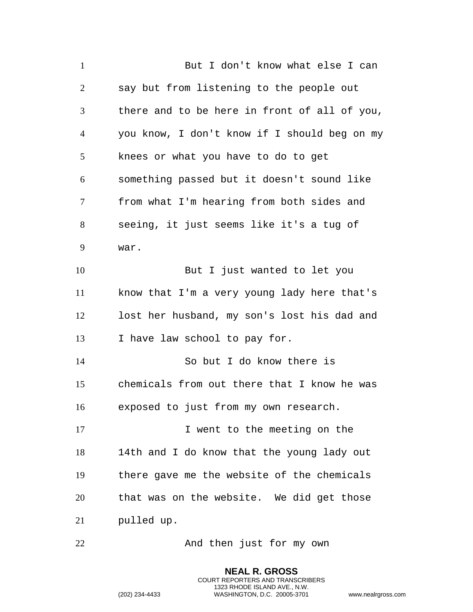But I don't know what else I can say but from listening to the people out there and to be here in front of all of you, you know, I don't know if I should beg on my knees or what you have to do to get something passed but it doesn't sound like from what I'm hearing from both sides and seeing, it just seems like it's a tug of war. But I just wanted to let you know that I'm a very young lady here that's lost her husband, my son's lost his dad and I have law school to pay for. So but I do know there is chemicals from out there that I know he was exposed to just from my own research. 17 I went to the meeting on the 14th and I do know that the young lady out there gave me the website of the chemicals that was on the website. We did get those pulled up. 22 And then just for my own

> **NEAL R. GROSS** COURT REPORTERS AND TRANSCRIBERS 1323 RHODE ISLAND AVE., N.W.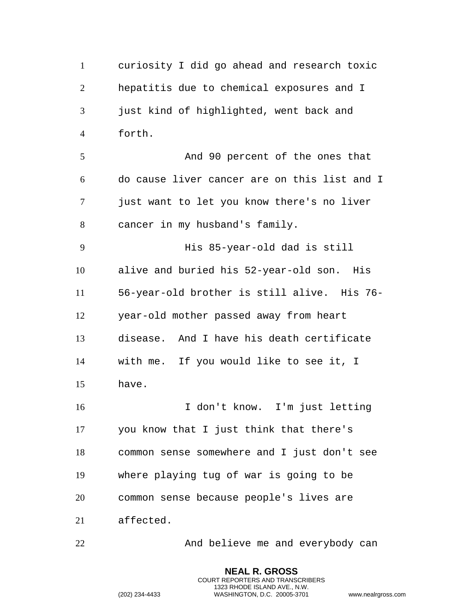curiosity I did go ahead and research toxic hepatitis due to chemical exposures and I just kind of highlighted, went back and forth. And 90 percent of the ones that do cause liver cancer are on this list and I just want to let you know there's no liver cancer in my husband's family. His 85-year-old dad is still alive and buried his 52-year-old son. His 56-year-old brother is still alive. His 76- year-old mother passed away from heart disease. And I have his death certificate with me. If you would like to see it, I have. I don't know. I'm just letting you know that I just think that there's common sense somewhere and I just don't see where playing tug of war is going to be common sense because people's lives are affected. 22 And believe me and everybody can

> **NEAL R. GROSS** COURT REPORTERS AND TRANSCRIBERS 1323 RHODE ISLAND AVE., N.W.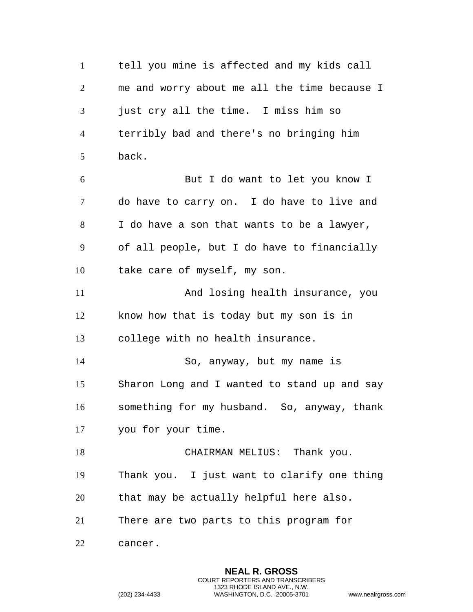tell you mine is affected and my kids call me and worry about me all the time because I just cry all the time. I miss him so terribly bad and there's no bringing him back. But I do want to let you know I do have to carry on. I do have to live and I do have a son that wants to be a lawyer, of all people, but I do have to financially take care of myself, my son. And losing health insurance, you know how that is today but my son is in college with no health insurance. So, anyway, but my name is Sharon Long and I wanted to stand up and say something for my husband. So, anyway, thank you for your time. 18 CHAIRMAN MELIUS: Thank you. Thank you. I just want to clarify one thing that may be actually helpful here also. There are two parts to this program for cancer.

> **NEAL R. GROSS** COURT REPORTERS AND TRANSCRIBERS 1323 RHODE ISLAND AVE., N.W.

```
(202) 234-4433 WASHINGTON, D.C. 20005-3701 www.nealrgross.com
```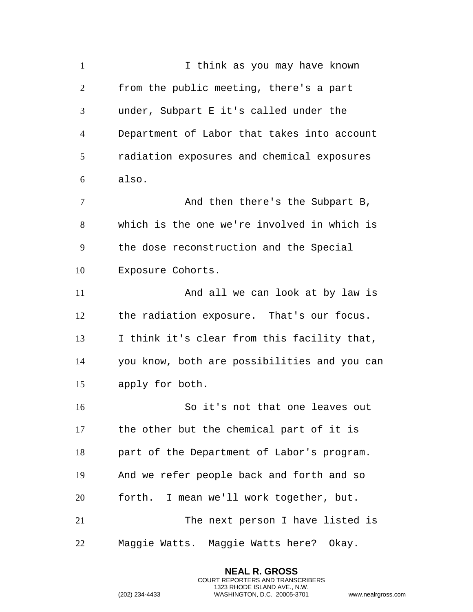1 I think as you may have known from the public meeting, there's a part under, Subpart E it's called under the Department of Labor that takes into account radiation exposures and chemical exposures also. 7 And then there's the Subpart B, which is the one we're involved in which is the dose reconstruction and the Special Exposure Cohorts. And all we can look at by law is the radiation exposure. That's our focus. I think it's clear from this facility that, you know, both are possibilities and you can apply for both. So it's not that one leaves out the other but the chemical part of it is part of the Department of Labor's program. And we refer people back and forth and so forth. I mean we'll work together, but. 21 The next person I have listed is Maggie Watts. Maggie Watts here? Okay.

> **NEAL R. GROSS** COURT REPORTERS AND TRANSCRIBERS 1323 RHODE ISLAND AVE., N.W.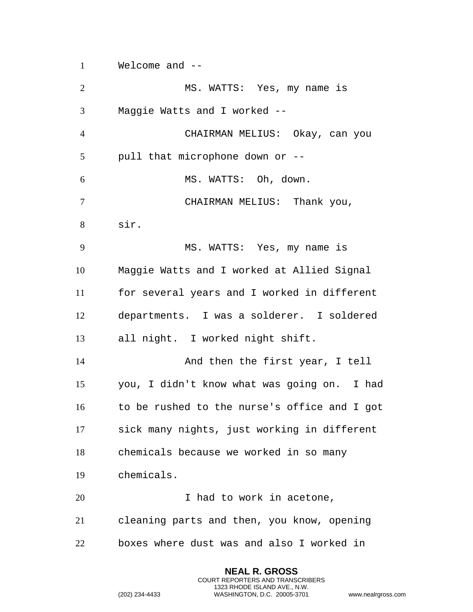Welcome and --

 MS. WATTS: Yes, my name is Maggie Watts and I worked -- CHAIRMAN MELIUS: Okay, can you pull that microphone down or -- MS. WATTS: Oh, down. CHAIRMAN MELIUS: Thank you, sir. MS. WATTS: Yes, my name is Maggie Watts and I worked at Allied Signal for several years and I worked in different departments. I was a solderer. I soldered all night. I worked night shift. And then the first year, I tell you, I didn't know what was going on. I had to be rushed to the nurse's office and I got sick many nights, just working in different chemicals because we worked in so many chemicals. 20 1 had to work in acetone, cleaning parts and then, you know, opening boxes where dust was and also I worked in

> **NEAL R. GROSS** COURT REPORTERS AND TRANSCRIBERS 1323 RHODE ISLAND AVE., N.W.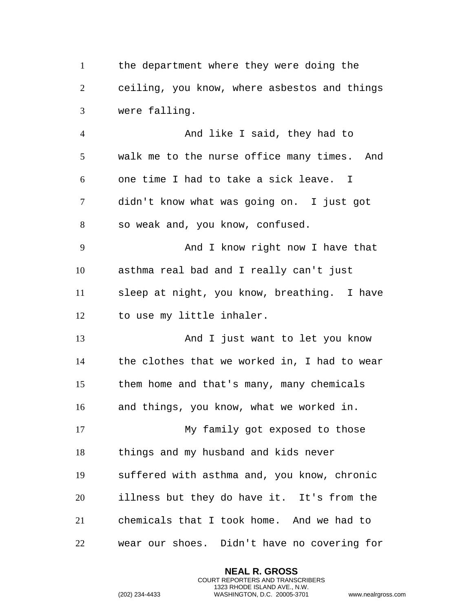the department where they were doing the ceiling, you know, where asbestos and things were falling.

 And like I said, they had to walk me to the nurse office many times. And one time I had to take a sick leave. I didn't know what was going on. I just got so weak and, you know, confused. 9 And I know right now I have that asthma real bad and I really can't just sleep at night, you know, breathing. I have to use my little inhaler. And I just want to let you know the clothes that we worked in, I had to wear them home and that's many, many chemicals

and things, you know, what we worked in.

 My family got exposed to those things and my husband and kids never suffered with asthma and, you know, chronic illness but they do have it. It's from the chemicals that I took home. And we had to wear our shoes. Didn't have no covering for

> **NEAL R. GROSS** COURT REPORTERS AND TRANSCRIBERS 1323 RHODE ISLAND AVE., N.W.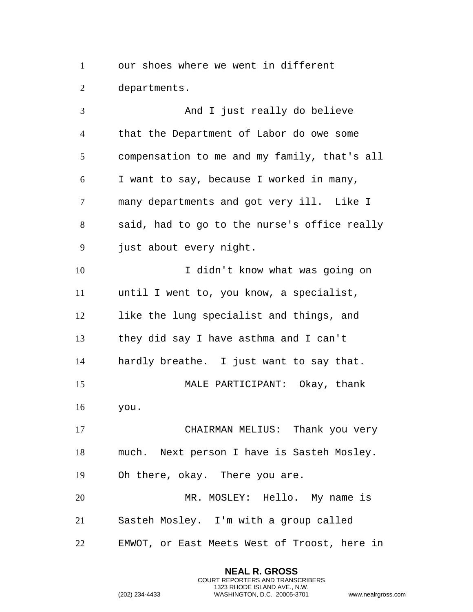our shoes where we went in different departments.

 And I just really do believe that the Department of Labor do owe some compensation to me and my family, that's all I want to say, because I worked in many, many departments and got very ill. Like I said, had to go to the nurse's office really just about every night. I didn't know what was going on until I went to, you know, a specialist, like the lung specialist and things, and they did say I have asthma and I can't hardly breathe. I just want to say that. MALE PARTICIPANT: Okay, thank you. CHAIRMAN MELIUS: Thank you very much. Next person I have is Sasteh Mosley. Oh there, okay. There you are. MR. MOSLEY: Hello. My name is Sasteh Mosley. I'm with a group called EMWOT, or East Meets West of Troost, here in

> **NEAL R. GROSS** COURT REPORTERS AND TRANSCRIBERS 1323 RHODE ISLAND AVE., N.W.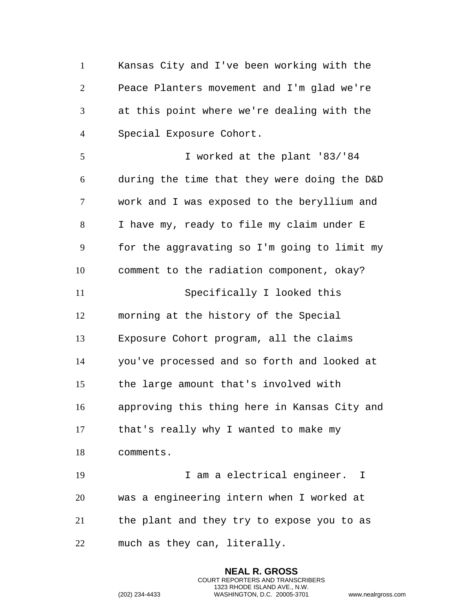Kansas City and I've been working with the Peace Planters movement and I'm glad we're at this point where we're dealing with the Special Exposure Cohort. I worked at the plant '83/'84 during the time that they were doing the D&D work and I was exposed to the beryllium and I have my, ready to file my claim under E for the aggravating so I'm going to limit my comment to the radiation component, okay? Specifically I looked this morning at the history of the Special Exposure Cohort program, all the claims you've processed and so forth and looked at the large amount that's involved with approving this thing here in Kansas City and that's really why I wanted to make my comments. I am a electrical engineer. I was a engineering intern when I worked at the plant and they try to expose you to as much as they can, literally.

> **NEAL R. GROSS** COURT REPORTERS AND TRANSCRIBERS 1323 RHODE ISLAND AVE., N.W.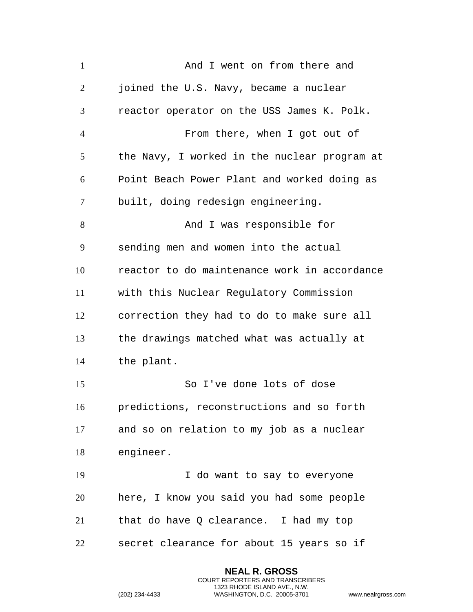| $\mathbf{1}$   | And I went on from there and                 |
|----------------|----------------------------------------------|
| $\overline{2}$ | joined the U.S. Navy, became a nuclear       |
| 3              | reactor operator on the USS James K. Polk.   |
| $\overline{4}$ | From there, when I got out of                |
| 5              | the Navy, I worked in the nuclear program at |
| 6              | Point Beach Power Plant and worked doing as  |
| $\overline{7}$ | built, doing redesign engineering.           |
| 8              | And I was responsible for                    |
| 9              | sending men and women into the actual        |
| 10             | reactor to do maintenance work in accordance |
| 11             | with this Nuclear Regulatory Commission      |
| 12             | correction they had to do to make sure all   |
| 13             | the drawings matched what was actually at    |
| 14             | the plant.                                   |
| 15             | So I've done lots of dose                    |
| 16             | predictions, reconstructions and so forth    |
| 17             | and so on relation to my job as a nuclear    |
| 18             | engineer.                                    |
| 19             | I do want to say to everyone                 |
| 20             | here, I know you said you had some people    |
| 21             | that do have Q clearance. I had my top       |
| 22             | secret clearance for about 15 years so if    |

**NEAL R. GROSS** COURT REPORTERS AND TRANSCRIBERS 1323 RHODE ISLAND AVE., N.W.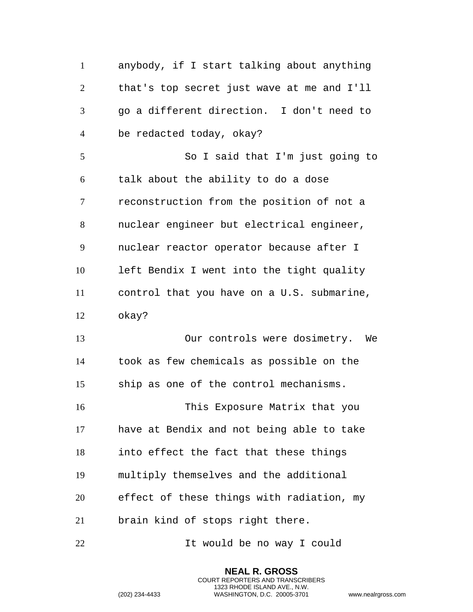| $\mathbf{1}$   | anybody, if I start talking about anything |
|----------------|--------------------------------------------|
| $\overline{2}$ | that's top secret just wave at me and I'll |
| 3              | go a different direction. I don't need to  |
| $\overline{4}$ | be redacted today, okay?                   |
| 5              | So I said that I'm just going to           |
| 6              | talk about the ability to do a dose        |
| 7              | reconstruction from the position of not a  |
| 8              | nuclear engineer but electrical engineer,  |
| 9              | nuclear reactor operator because after I   |
| 10             | left Bendix I went into the tight quality  |
| 11             | control that you have on a U.S. submarine, |
| 12             | okay?                                      |
| 13             | Our controls were dosimetry. We            |
| 14             | took as few chemicals as possible on the   |
| 15             | ship as one of the control mechanisms.     |
| 16             | This Exposure Matrix that you              |
| 17             | have at Bendix and not being able to take  |
| 18             | into effect the fact that these things     |
| 19             | multiply themselves and the additional     |
| 20             | effect of these things with radiation, my  |
| 21             | brain kind of stops right there.           |
| 22             | It would be no way I could                 |

**NEAL R. GROSS** COURT REPORTERS AND TRANSCRIBERS 1323 RHODE ISLAND AVE., N.W.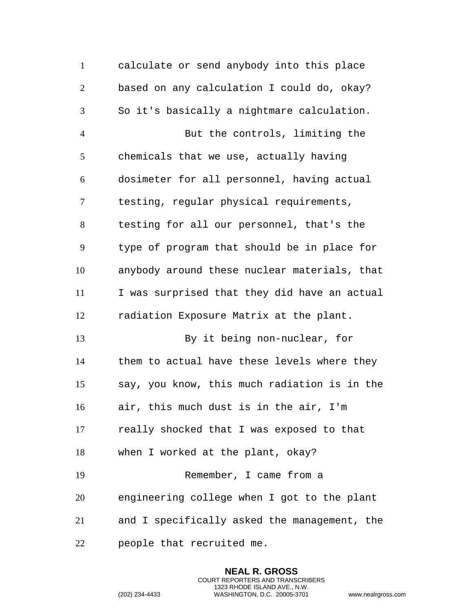calculate or send anybody into this place based on any calculation I could do, okay? So it's basically a nightmare calculation. But the controls, limiting the chemicals that we use, actually having dosimeter for all personnel, having actual testing, regular physical requirements, testing for all our personnel, that's the type of program that should be in place for anybody around these nuclear materials, that I was surprised that they did have an actual radiation Exposure Matrix at the plant. By it being non-nuclear, for them to actual have these levels where they say, you know, this much radiation is in the air, this much dust is in the air, I'm really shocked that I was exposed to that when I worked at the plant, okay? Remember, I came from a engineering college when I got to the plant and I specifically asked the management, the people that recruited me.

> **NEAL R. GROSS** COURT REPORTERS AND TRANSCRIBERS 1323 RHODE ISLAND AVE., N.W.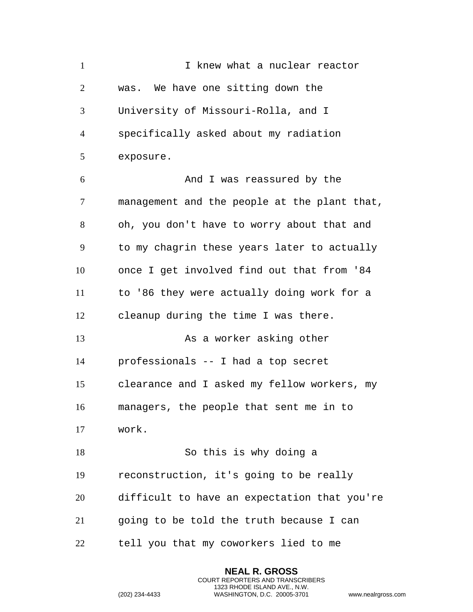I knew what a nuclear reactor was. We have one sitting down the University of Missouri-Rolla, and I specifically asked about my radiation exposure. And I was reassured by the management and the people at the plant that, oh, you don't have to worry about that and to my chagrin these years later to actually once I get involved find out that from '84 to '86 they were actually doing work for a cleanup during the time I was there. 13 As a worker asking other professionals -- I had a top secret clearance and I asked my fellow workers, my managers, the people that sent me in to work. So this is why doing a reconstruction, it's going to be really difficult to have an expectation that you're going to be told the truth because I can tell you that my coworkers lied to me

> **NEAL R. GROSS** COURT REPORTERS AND TRANSCRIBERS 1323 RHODE ISLAND AVE., N.W.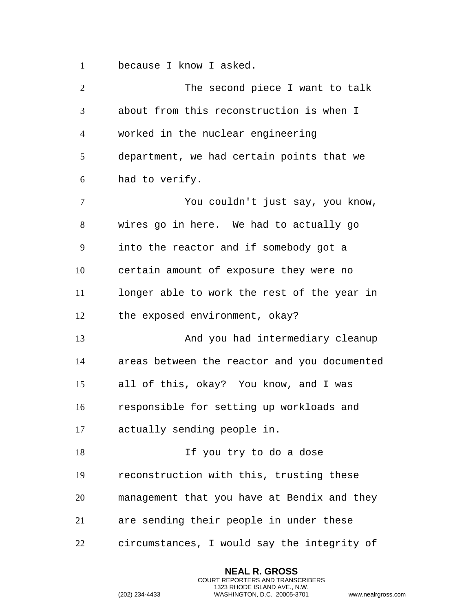because I know I asked.

2 The second piece I want to talk about from this reconstruction is when I worked in the nuclear engineering department, we had certain points that we had to verify. You couldn't just say, you know, wires go in here. We had to actually go into the reactor and if somebody got a certain amount of exposure they were no longer able to work the rest of the year in the exposed environment, okay? And you had intermediary cleanup areas between the reactor and you documented all of this, okay? You know, and I was responsible for setting up workloads and actually sending people in. 18 If you try to do a dose reconstruction with this, trusting these management that you have at Bendix and they are sending their people in under these circumstances, I would say the integrity of

> **NEAL R. GROSS** COURT REPORTERS AND TRANSCRIBERS 1323 RHODE ISLAND AVE., N.W.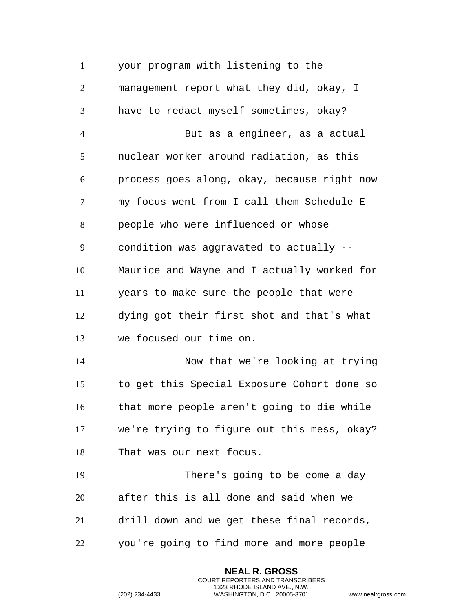your program with listening to the management report what they did, okay, I have to redact myself sometimes, okay? But as a engineer, as a actual nuclear worker around radiation, as this process goes along, okay, because right now my focus went from I call them Schedule E people who were influenced or whose condition was aggravated to actually -- Maurice and Wayne and I actually worked for years to make sure the people that were dying got their first shot and that's what we focused our time on. Now that we're looking at trying to get this Special Exposure Cohort done so that more people aren't going to die while we're trying to figure out this mess, okay? That was our next focus. There's going to be come a day after this is all done and said when we drill down and we get these final records, you're going to find more and more people

> **NEAL R. GROSS** COURT REPORTERS AND TRANSCRIBERS 1323 RHODE ISLAND AVE., N.W.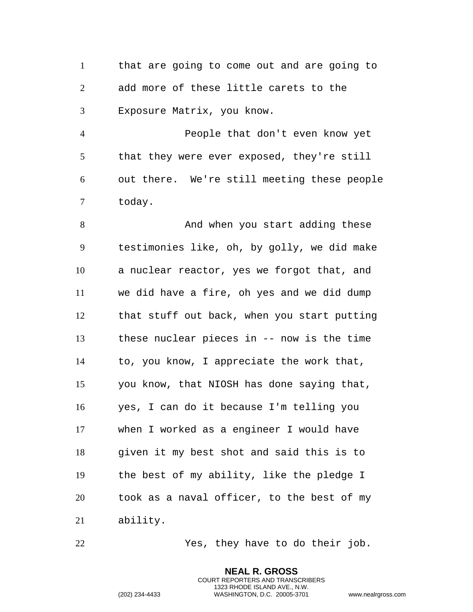that are going to come out and are going to add more of these little carets to the Exposure Matrix, you know.

 People that don't even know yet that they were ever exposed, they're still out there. We're still meeting these people today.

8 And when you start adding these testimonies like, oh, by golly, we did make a nuclear reactor, yes we forgot that, and we did have a fire, oh yes and we did dump that stuff out back, when you start putting these nuclear pieces in -- now is the time to, you know, I appreciate the work that, you know, that NIOSH has done saying that, yes, I can do it because I'm telling you when I worked as a engineer I would have given it my best shot and said this is to the best of my ability, like the pledge I took as a naval officer, to the best of my ability.

Yes, they have to do their job.

**NEAL R. GROSS** COURT REPORTERS AND TRANSCRIBERS 1323 RHODE ISLAND AVE., N.W.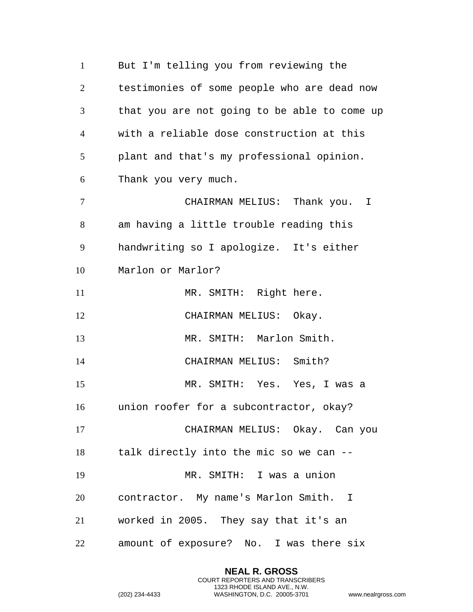But I'm telling you from reviewing the testimonies of some people who are dead now that you are not going to be able to come up with a reliable dose construction at this plant and that's my professional opinion. Thank you very much. CHAIRMAN MELIUS: Thank you. I am having a little trouble reading this handwriting so I apologize. It's either Marlon or Marlor? 11 MR. SMITH: Right here. 12 CHAIRMAN MELIUS: Okay. MR. SMITH: Marlon Smith. 14 CHAIRMAN MELIUS: Smith? MR. SMITH: Yes. Yes, I was a union roofer for a subcontractor, okay? CHAIRMAN MELIUS: Okay. Can you talk directly into the mic so we can -- MR. SMITH: I was a union contractor. My name's Marlon Smith. I worked in 2005. They say that it's an amount of exposure? No. I was there six

> **NEAL R. GROSS** COURT REPORTERS AND TRANSCRIBERS 1323 RHODE ISLAND AVE., N.W.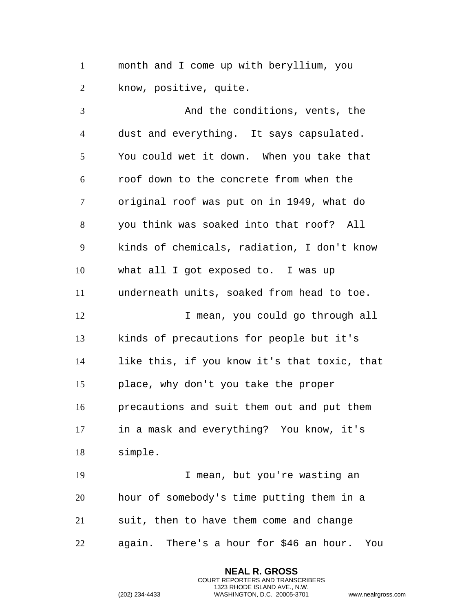month and I come up with beryllium, you know, positive, quite.

 And the conditions, vents, the dust and everything. It says capsulated. You could wet it down. When you take that roof down to the concrete from when the original roof was put on in 1949, what do you think was soaked into that roof? All kinds of chemicals, radiation, I don't know what all I got exposed to. I was up underneath units, soaked from head to toe. I mean, you could go through all kinds of precautions for people but it's like this, if you know it's that toxic, that place, why don't you take the proper precautions and suit them out and put them in a mask and everything? You know, it's simple. I mean, but you're wasting an hour of somebody's time putting them in a suit, then to have them come and change

again. There's a hour for \$46 an hour. You

**NEAL R. GROSS** COURT REPORTERS AND TRANSCRIBERS 1323 RHODE ISLAND AVE., N.W.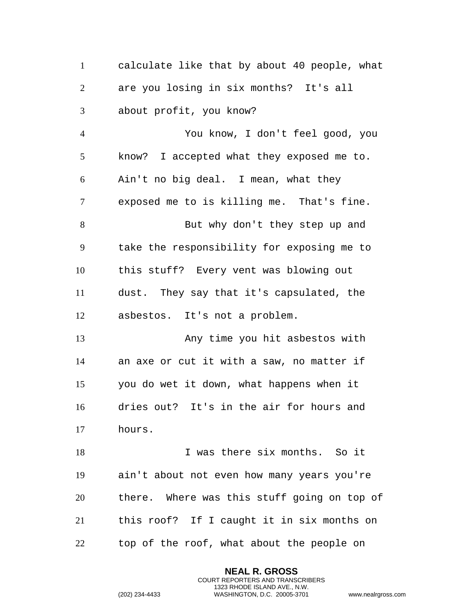calculate like that by about 40 people, what are you losing in six months? It's all about profit, you know? You know, I don't feel good, you know? I accepted what they exposed me to. Ain't no big deal. I mean, what they exposed me to is killing me. That's fine. But why don't they step up and take the responsibility for exposing me to this stuff? Every vent was blowing out dust. They say that it's capsulated, the asbestos. It's not a problem. Any time you hit asbestos with an axe or cut it with a saw, no matter if you do wet it down, what happens when it dries out? It's in the air for hours and hours. I was there six months. So it ain't about not even how many years you're there. Where was this stuff going on top of this roof? If I caught it in six months on top of the roof, what about the people on

> **NEAL R. GROSS** COURT REPORTERS AND TRANSCRIBERS 1323 RHODE ISLAND AVE., N.W.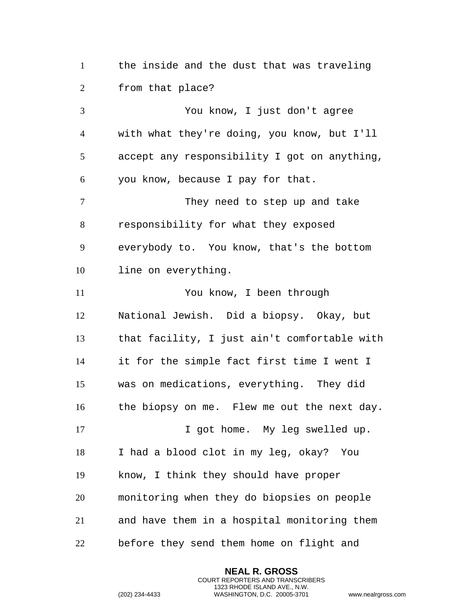the inside and the dust that was traveling from that place?

 You know, I just don't agree with what they're doing, you know, but I'll accept any responsibility I got on anything, you know, because I pay for that. 7 They need to step up and take responsibility for what they exposed everybody to. You know, that's the bottom line on everything. You know, I been through National Jewish. Did a biopsy. Okay, but that facility, I just ain't comfortable with it for the simple fact first time I went I was on medications, everything. They did the biopsy on me. Flew me out the next day. 17 17 I got home. My leg swelled up. I had a blood clot in my leg, okay? You know, I think they should have proper monitoring when they do biopsies on people and have them in a hospital monitoring them before they send them home on flight and

> **NEAL R. GROSS** COURT REPORTERS AND TRANSCRIBERS 1323 RHODE ISLAND AVE., N.W.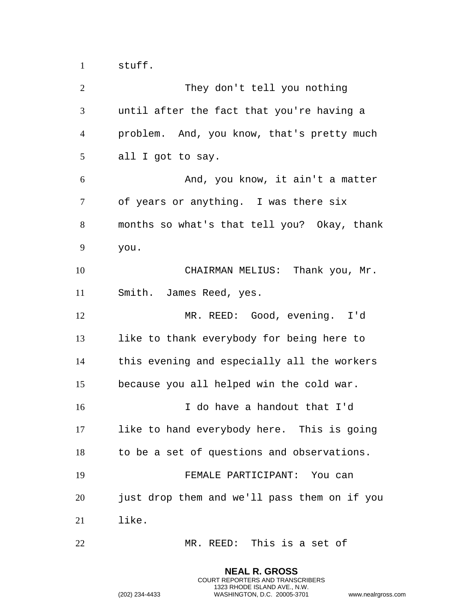stuff.

 They don't tell you nothing until after the fact that you're having a problem. And, you know, that's pretty much all I got to say. And, you know, it ain't a matter of years or anything. I was there six months so what's that tell you? Okay, thank you. CHAIRMAN MELIUS: Thank you, Mr. Smith. James Reed, yes. MR. REED: Good, evening. I'd like to thank everybody for being here to this evening and especially all the workers because you all helped win the cold war. I do have a handout that I'd like to hand everybody here. This is going to be a set of questions and observations. FEMALE PARTICIPANT: You can just drop them and we'll pass them on if you like. MR. REED: This is a set of

> **NEAL R. GROSS** COURT REPORTERS AND TRANSCRIBERS 1323 RHODE ISLAND AVE., N.W.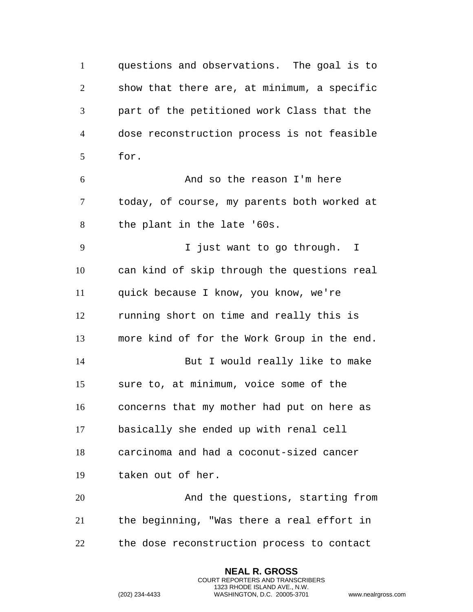questions and observations. The goal is to show that there are, at minimum, a specific part of the petitioned work Class that the dose reconstruction process is not feasible for. And so the reason I'm here today, of course, my parents both worked at the plant in the late '60s. I just want to go through. I can kind of skip through the questions real quick because I know, you know, we're running short on time and really this is more kind of for the Work Group in the end. But I would really like to make sure to, at minimum, voice some of the concerns that my mother had put on here as basically she ended up with renal cell carcinoma and had a coconut-sized cancer taken out of her. And the questions, starting from the beginning, "Was there a real effort in the dose reconstruction process to contact

> **NEAL R. GROSS** COURT REPORTERS AND TRANSCRIBERS 1323 RHODE ISLAND AVE., N.W.

```
(202) 234-4433 WASHINGTON, D.C. 20005-3701 www.nealrgross.com
```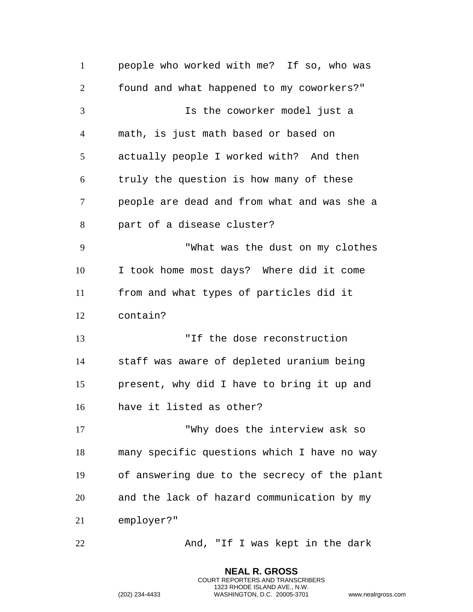people who worked with me? If so, who was found and what happened to my coworkers?" Is the coworker model just a math, is just math based or based on actually people I worked with? And then truly the question is how many of these people are dead and from what and was she a part of a disease cluster? "What was the dust on my clothes I took home most days? Where did it come from and what types of particles did it contain? "If the dose reconstruction staff was aware of depleted uranium being present, why did I have to bring it up and have it listed as other? "Why does the interview ask so many specific questions which I have no way of answering due to the secrecy of the plant and the lack of hazard communication by my employer?" 22 And, "If I was kept in the dark

> **NEAL R. GROSS** COURT REPORTERS AND TRANSCRIBERS 1323 RHODE ISLAND AVE., N.W.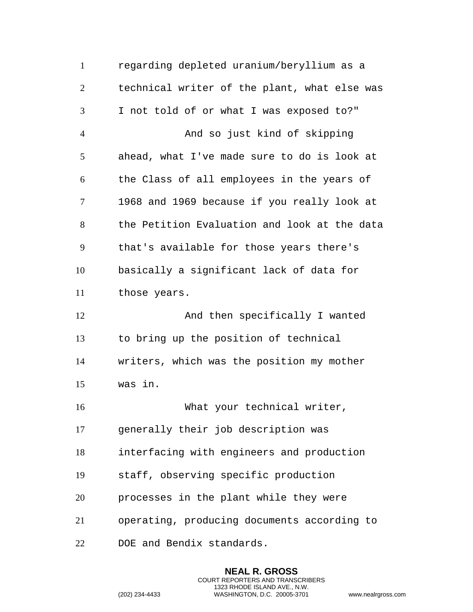| $\mathbf{1}$   | regarding depleted uranium/beryllium as a    |
|----------------|----------------------------------------------|
| $\overline{2}$ | technical writer of the plant, what else was |
| 3              | I not told of or what I was exposed to?"     |
| $\overline{4}$ | And so just kind of skipping                 |
| 5              | ahead, what I've made sure to do is look at  |
| 6              | the Class of all employees in the years of   |
| 7              | 1968 and 1969 because if you really look at  |
| 8              | the Petition Evaluation and look at the data |
| 9              | that's available for those years there's     |
| 10             | basically a significant lack of data for     |
| 11             | those years.                                 |
|                |                                              |
| 12             | And then specifically I wanted               |
| 13             | to bring up the position of technical        |
| 14             | writers, which was the position my mother    |
| 15             | was in.                                      |
| 16             | What your technical writer,                  |
| 17             | generally their job description was          |
| 18             | interfacing with engineers and production    |
| 19             | staff, observing specific production         |
| 20             | processes in the plant while they were       |
| 21             | operating, producing documents according to  |

**NEAL R. GROSS** COURT REPORTERS AND TRANSCRIBERS 1323 RHODE ISLAND AVE., N.W.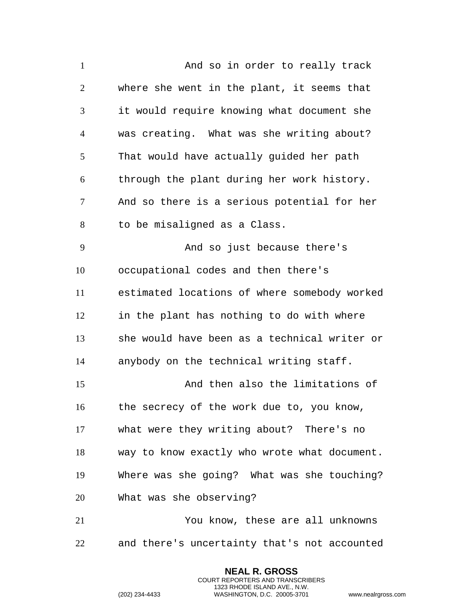And so in order to really track where she went in the plant, it seems that it would require knowing what document she was creating. What was she writing about? That would have actually guided her path through the plant during her work history. And so there is a serious potential for her to be misaligned as a Class. And so just because there's occupational codes and then there's estimated locations of where somebody worked in the plant has nothing to do with where she would have been as a technical writer or anybody on the technical writing staff. And then also the limitations of the secrecy of the work due to, you know, what were they writing about? There's no way to know exactly who wrote what document. Where was she going? What was she touching? What was she observing? You know, these are all unknowns and there's uncertainty that's not accounted

> **NEAL R. GROSS** COURT REPORTERS AND TRANSCRIBERS 1323 RHODE ISLAND AVE., N.W.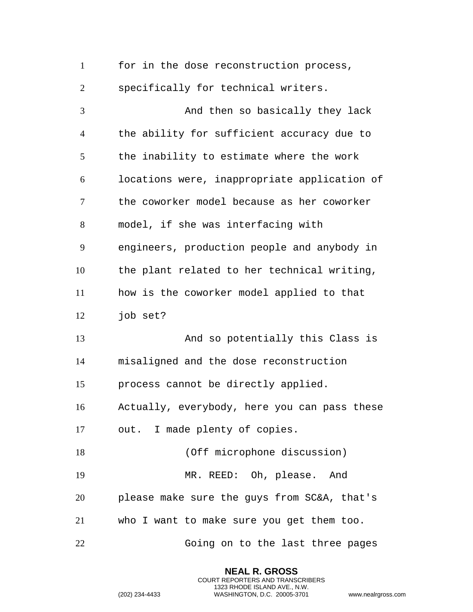| $\mathbf{1}$   | for in the dose reconstruction process,      |
|----------------|----------------------------------------------|
| $\overline{2}$ | specifically for technical writers.          |
| 3              | And then so basically they lack              |
| $\overline{4}$ | the ability for sufficient accuracy due to   |
| 5              | the inability to estimate where the work     |
| 6              | locations were, inappropriate application of |
| $\tau$         | the coworker model because as her coworker   |
| 8              | model, if she was interfacing with           |
| 9              | engineers, production people and anybody in  |
| 10             | the plant related to her technical writing,  |
| 11             | how is the coworker model applied to that    |
| 12             | job set?                                     |
| 13             | And so potentially this Class is             |
| 14             | misaligned and the dose reconstruction       |
| 15             | process cannot be directly applied.          |
| 16             | Actually, everybody, here you can pass these |
| 17             | out. I made plenty of copies.                |
| 18             | (Off microphone discussion)                  |
| 19             | MR. REED: Oh, please. And                    |
| 20             | please make sure the guys from SC&A, that's  |
| 21             | who I want to make sure you get them too.    |
| 22             | Going on to the last three pages             |

**NEAL R. GROSS** COURT REPORTERS AND TRANSCRIBERS 1323 RHODE ISLAND AVE., N.W.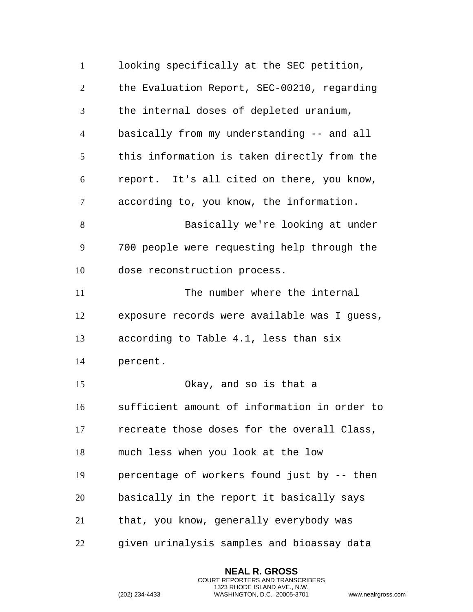looking specifically at the SEC petition, the Evaluation Report, SEC-00210, regarding the internal doses of depleted uranium, basically from my understanding -- and all this information is taken directly from the report. It's all cited on there, you know, according to, you know, the information. Basically we're looking at under 700 people were requesting help through the dose reconstruction process. 11 The number where the internal exposure records were available was I guess, according to Table 4.1, less than six percent. Okay, and so is that a sufficient amount of information in order to recreate those doses for the overall Class, much less when you look at the low percentage of workers found just by -- then basically in the report it basically says that, you know, generally everybody was given urinalysis samples and bioassay data

> **NEAL R. GROSS** COURT REPORTERS AND TRANSCRIBERS 1323 RHODE ISLAND AVE., N.W.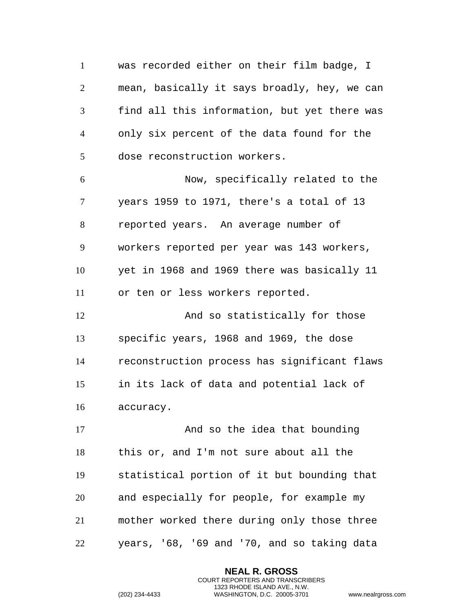was recorded either on their film badge, I mean, basically it says broadly, hey, we can find all this information, but yet there was only six percent of the data found for the dose reconstruction workers. Now, specifically related to the years 1959 to 1971, there's a total of 13 reported years. An average number of workers reported per year was 143 workers, yet in 1968 and 1969 there was basically 11 or ten or less workers reported. And so statistically for those specific years, 1968 and 1969, the dose reconstruction process has significant flaws in its lack of data and potential lack of accuracy. 17 And so the idea that bounding this or, and I'm not sure about all the statistical portion of it but bounding that and especially for people, for example my mother worked there during only those three years, '68, '69 and '70, and so taking data

> **NEAL R. GROSS** COURT REPORTERS AND TRANSCRIBERS 1323 RHODE ISLAND AVE., N.W.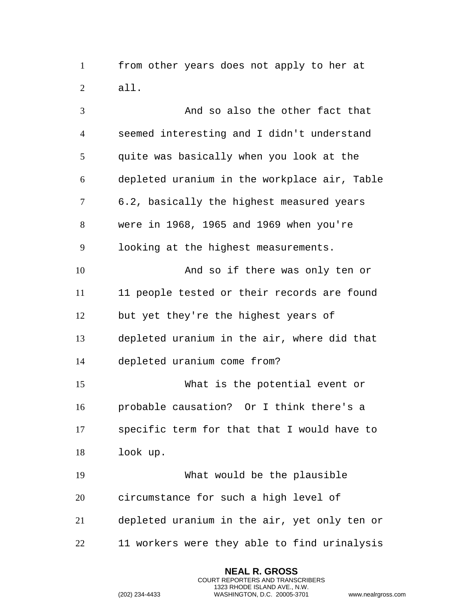from other years does not apply to her at all.

 And so also the other fact that seemed interesting and I didn't understand quite was basically when you look at the depleted uranium in the workplace air, Table 6.2, basically the highest measured years were in 1968, 1965 and 1969 when you're looking at the highest measurements. And so if there was only ten or 11 11 people tested or their records are found but yet they're the highest years of depleted uranium in the air, where did that depleted uranium come from? What is the potential event or probable causation? Or I think there's a specific term for that that I would have to look up. What would be the plausible circumstance for such a high level of depleted uranium in the air, yet only ten or 11 workers were they able to find urinalysis

> **NEAL R. GROSS** COURT REPORTERS AND TRANSCRIBERS 1323 RHODE ISLAND AVE., N.W.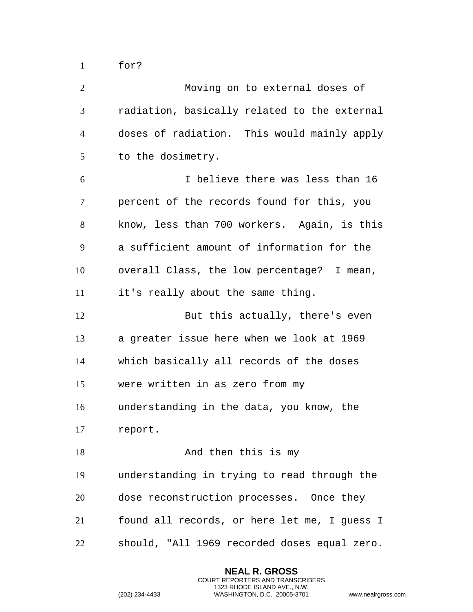for?

| $\overline{2}$ | Moving on to external doses of               |
|----------------|----------------------------------------------|
| 3              | radiation, basically related to the external |
| $\overline{4}$ | doses of radiation. This would mainly apply  |
| 5              | to the dosimetry.                            |
| 6              | I believe there was less than 16             |
| 7              | percent of the records found for this, you   |
| 8              | know, less than 700 workers. Again, is this  |
| 9              | a sufficient amount of information for the   |
| 10             | overall Class, the low percentage? I mean,   |
| 11             | it's really about the same thing.            |
| 12             | But this actually, there's even              |
| 13             | a greater issue here when we look at 1969    |
| 14             | which basically all records of the doses     |
| 15             | were written in as zero from my              |
| 16             | understanding in the data, you know, the     |
| 17             | report.                                      |
| 18             | And then this is my                          |
| 19             | understanding in trying to read through the  |
| 20             | dose reconstruction processes. Once they     |
| 21             | found all records, or here let me, I guess I |
| 22             | should, "All 1969 recorded doses equal zero. |

**NEAL R. GROSS** COURT REPORTERS AND TRANSCRIBERS 1323 RHODE ISLAND AVE., N.W.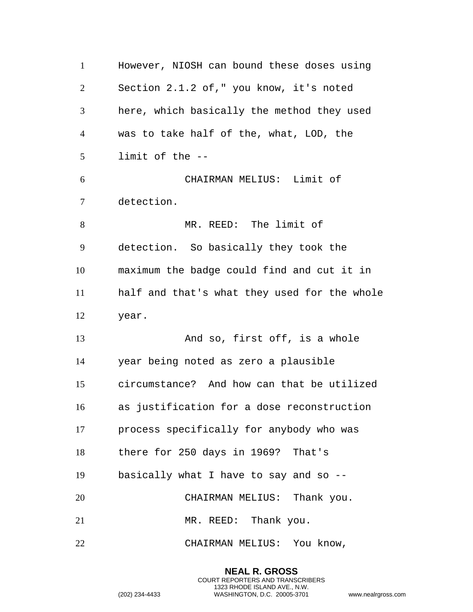However, NIOSH can bound these doses using Section 2.1.2 of," you know, it's noted here, which basically the method they used was to take half of the, what, LOD, the limit of the -- CHAIRMAN MELIUS: Limit of detection. MR. REED: The limit of detection. So basically they took the maximum the badge could find and cut it in half and that's what they used for the whole year. And so, first off, is a whole year being noted as zero a plausible circumstance? And how can that be utilized as justification for a dose reconstruction process specifically for anybody who was there for 250 days in 1969? That's basically what I have to say and so -- CHAIRMAN MELIUS: Thank you. 21 MR. REED: Thank you. CHAIRMAN MELIUS: You know,

> **NEAL R. GROSS** COURT REPORTERS AND TRANSCRIBERS 1323 RHODE ISLAND AVE., N.W.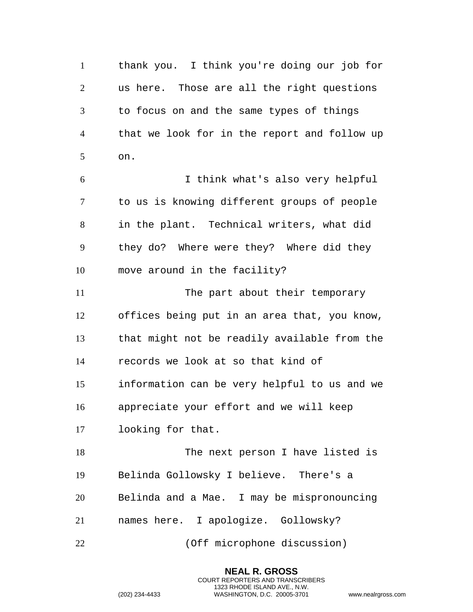thank you. I think you're doing our job for us here. Those are all the right questions to focus on and the same types of things that we look for in the report and follow up on. I think what's also very helpful to us is knowing different groups of people in the plant. Technical writers, what did they do? Where were they? Where did they move around in the facility? 11 The part about their temporary offices being put in an area that, you know, that might not be readily available from the records we look at so that kind of information can be very helpful to us and we appreciate your effort and we will keep looking for that. The next person I have listed is Belinda Gollowsky I believe. There's a Belinda and a Mae. I may be mispronouncing names here. I apologize. Gollowsky? (Off microphone discussion)

> **NEAL R. GROSS** COURT REPORTERS AND TRANSCRIBERS 1323 RHODE ISLAND AVE., N.W.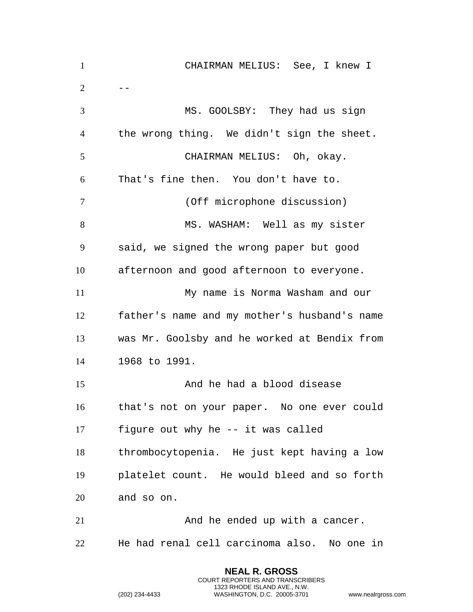| $\mathbf{1}$   | CHAIRMAN MELIUS: See, I knew I               |
|----------------|----------------------------------------------|
| $\overline{2}$ |                                              |
| 3              | MS. GOOLSBY: They had us sign                |
| $\overline{4}$ | the wrong thing. We didn't sign the sheet.   |
| 5              | CHAIRMAN MELIUS: Oh, okay.                   |
| 6              | That's fine then. You don't have to.         |
| 7              | (Off microphone discussion)                  |
| 8              | MS. WASHAM: Well as my sister                |
| 9              | said, we signed the wrong paper but good     |
| 10             | afternoon and good afternoon to everyone.    |
| 11             | My name is Norma Washam and our              |
| 12             | father's name and my mother's husband's name |
| 13             | was Mr. Goolsby and he worked at Bendix from |
| 14             | 1968 to 1991.                                |
| 15             | And he had a blood disease                   |
| 16             | that's not on your paper. No one ever could  |
| 17             | figure out why he -- it was called           |
| 18             | thrombocytopenia. He just kept having a low  |
| 19             | platelet count. He would bleed and so forth  |
| 20             | and so on.                                   |
| 21             | And he ended up with a cancer.               |
| 22             | He had renal cell carcinoma also. No one in  |

**NEAL R. GROSS** COURT REPORTERS AND TRANSCRIBERS 1323 RHODE ISLAND AVE., N.W.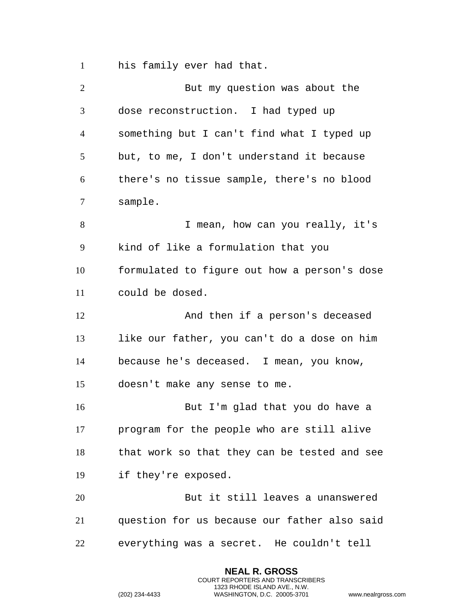his family ever had that.

| But my question was about the                |
|----------------------------------------------|
| dose reconstruction. I had typed up          |
| something but I can't find what I typed up   |
| but, to me, I don't understand it because    |
| there's no tissue sample, there's no blood   |
|                                              |
| I mean, how can you really, it's             |
| kind of like a formulation that you          |
| formulated to figure out how a person's dose |
|                                              |
|                                              |
| And then if a person's deceased              |
| like our father, you can't do a dose on him  |
| because he's deceased. I mean, you know,     |
| doesn't make any sense to me.                |
| But I'm glad that you do have a              |
| program for the people who are still alive   |
| that work so that they can be tested and see |
|                                              |
| But it still leaves a unanswered             |
| question for us because our father also said |
|                                              |

**NEAL R. GROSS** COURT REPORTERS AND TRANSCRIBERS 1323 RHODE ISLAND AVE., N.W.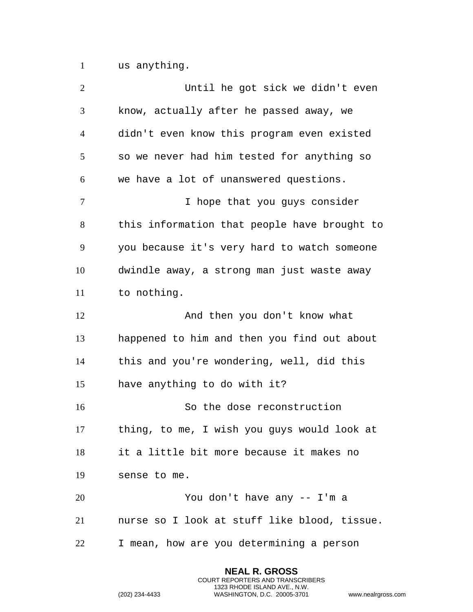us anything.

| $\overline{2}$ | Until he got sick we didn't even             |
|----------------|----------------------------------------------|
| 3              | know, actually after he passed away, we      |
| $\overline{4}$ | didn't even know this program even existed   |
| 5              | so we never had him tested for anything so   |
| 6              | we have a lot of unanswered questions.       |
| $\tau$         | I hope that you guys consider                |
| 8              | this information that people have brought to |
| 9              | you because it's very hard to watch someone  |
| 10             | dwindle away, a strong man just waste away   |
| 11             | to nothing.                                  |
| 12             | And then you don't know what                 |
| 13             | happened to him and then you find out about  |
| 14             | this and you're wondering, well, did this    |
| 15             | have anything to do with it?                 |
| 16             | So the dose reconstruction                   |
| 17             | thing, to me, I wish you guys would look at  |
| 18             | it a little bit more because it makes no     |
| 19             | sense to me.                                 |
| 20             | You don't have any -- I'm a                  |
| 21             | nurse so I look at stuff like blood, tissue. |
| 22             | I mean, how are you determining a person     |

**NEAL R. GROSS** COURT REPORTERS AND TRANSCRIBERS 1323 RHODE ISLAND AVE., N.W.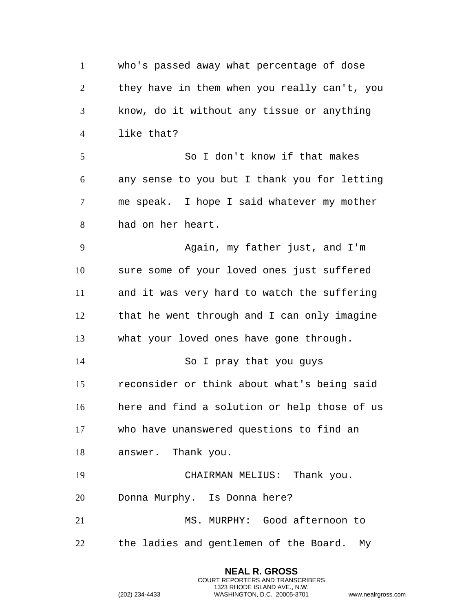who's passed away what percentage of dose they have in them when you really can't, you know, do it without any tissue or anything like that? So I don't know if that makes any sense to you but I thank you for letting me speak. I hope I said whatever my mother had on her heart. Again, my father just, and I'm sure some of your loved ones just suffered and it was very hard to watch the suffering that he went through and I can only imagine what your loved ones have gone through. So I pray that you guys reconsider or think about what's being said here and find a solution or help those of us who have unanswered questions to find an answer. Thank you. CHAIRMAN MELIUS: Thank you. Donna Murphy. Is Donna here? MS. MURPHY: Good afternoon to the ladies and gentlemen of the Board. My

> **NEAL R. GROSS** COURT REPORTERS AND TRANSCRIBERS 1323 RHODE ISLAND AVE., N.W.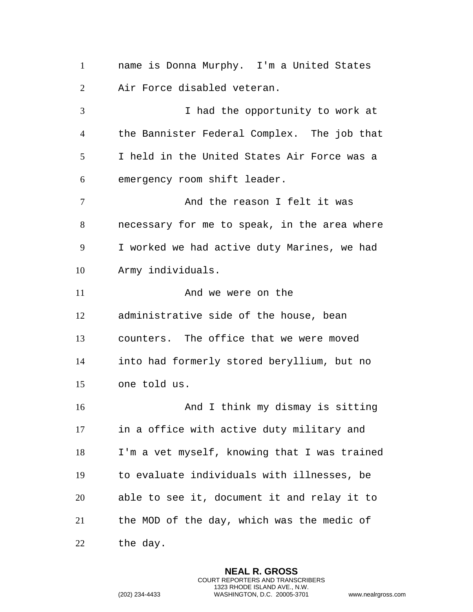name is Donna Murphy. I'm a United States Air Force disabled veteran.

 I had the opportunity to work at the Bannister Federal Complex. The job that I held in the United States Air Force was a emergency room shift leader. And the reason I felt it was necessary for me to speak, in the area where I worked we had active duty Marines, we had Army individuals. 11 And we were on the administrative side of the house, bean counters. The office that we were moved into had formerly stored beryllium, but no one told us. And I think my dismay is sitting in a office with active duty military and I'm a vet myself, knowing that I was trained to evaluate individuals with illnesses, be able to see it, document it and relay it to the MOD of the day, which was the medic of

the day.

**NEAL R. GROSS** COURT REPORTERS AND TRANSCRIBERS 1323 RHODE ISLAND AVE., N.W. (202) 234-4433 WASHINGTON, D.C. 20005-3701 www.nealrgross.com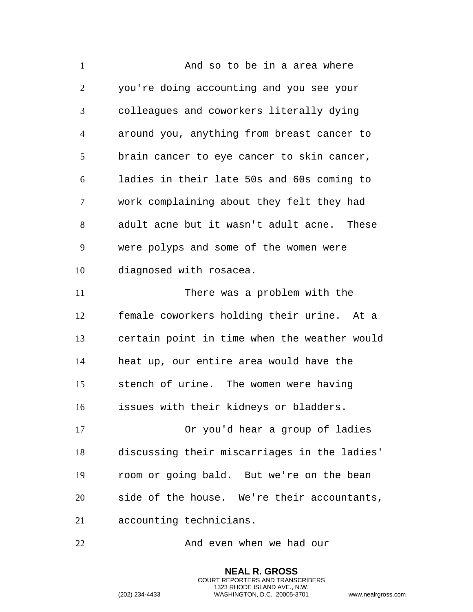1 and so to be in a area where you're doing accounting and you see your colleagues and coworkers literally dying around you, anything from breast cancer to brain cancer to eye cancer to skin cancer, ladies in their late 50s and 60s coming to work complaining about they felt they had adult acne but it wasn't adult acne. These were polyps and some of the women were diagnosed with rosacea. There was a problem with the female coworkers holding their urine. At a certain point in time when the weather would heat up, our entire area would have the stench of urine. The women were having issues with their kidneys or bladders. Or you'd hear a group of ladies discussing their miscarriages in the ladies' room or going bald. But we're on the bean side of the house. We're their accountants, accounting technicians.

And even when we had our

**NEAL R. GROSS** COURT REPORTERS AND TRANSCRIBERS 1323 RHODE ISLAND AVE., N.W.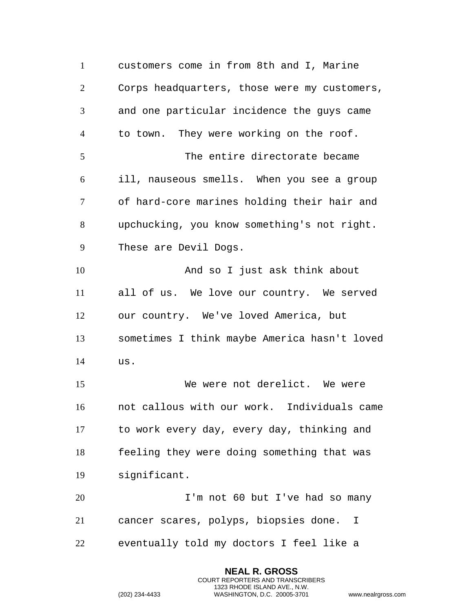customers come in from 8th and I, Marine Corps headquarters, those were my customers, and one particular incidence the guys came to town. They were working on the roof. The entire directorate became ill, nauseous smells. When you see a group of hard-core marines holding their hair and upchucking, you know something's not right. These are Devil Dogs. And so I just ask think about all of us. We love our country. We served our country. We've loved America, but sometimes I think maybe America hasn't loved us. We were not derelict. We were not callous with our work. Individuals came to work every day, every day, thinking and feeling they were doing something that was significant. I'm not 60 but I've had so many cancer scares, polyps, biopsies done. I eventually told my doctors I feel like a

> **NEAL R. GROSS** COURT REPORTERS AND TRANSCRIBERS 1323 RHODE ISLAND AVE., N.W.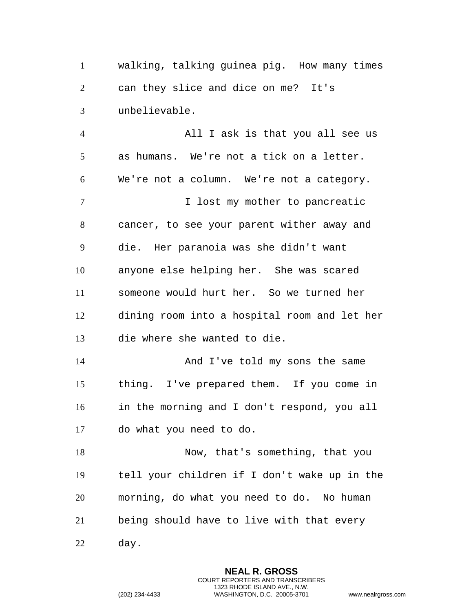walking, talking guinea pig. How many times can they slice and dice on me? It's unbelievable.

 All I ask is that you all see us as humans. We're not a tick on a letter. We're not a column. We're not a category. 7 1 I lost my mother to pancreatic cancer, to see your parent wither away and die. Her paranoia was she didn't want anyone else helping her. She was scared someone would hurt her. So we turned her dining room into a hospital room and let her die where she wanted to die. 14 And I've told my sons the same thing. I've prepared them. If you come in in the morning and I don't respond, you all do what you need to do. Now, that's something, that you tell your children if I don't wake up in the morning, do what you need to do. No human being should have to live with that every day.

> **NEAL R. GROSS** COURT REPORTERS AND TRANSCRIBERS 1323 RHODE ISLAND AVE., N.W.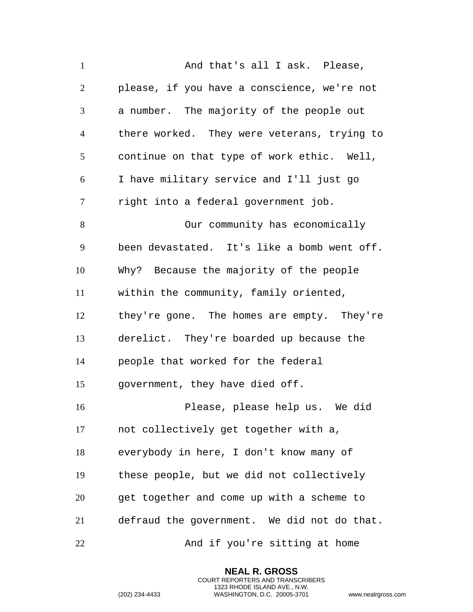1 and that's all I ask. Please, please, if you have a conscience, we're not a number. The majority of the people out there worked. They were veterans, trying to continue on that type of work ethic. Well, I have military service and I'll just go right into a federal government job. Our community has economically been devastated. It's like a bomb went off. Why? Because the majority of the people within the community, family oriented, they're gone. The homes are empty. They're derelict. They're boarded up because the people that worked for the federal government, they have died off. Please, please help us. We did not collectively get together with a, everybody in here, I don't know many of these people, but we did not collectively get together and come up with a scheme to defraud the government. We did not do that. And if you're sitting at home

> **NEAL R. GROSS** COURT REPORTERS AND TRANSCRIBERS 1323 RHODE ISLAND AVE., N.W.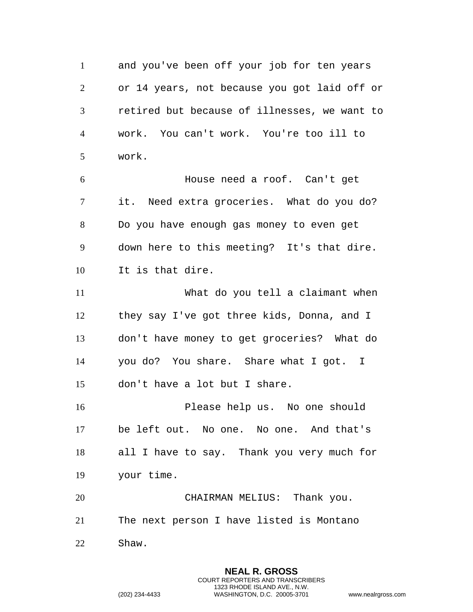and you've been off your job for ten years or 14 years, not because you got laid off or retired but because of illnesses, we want to work. You can't work. You're too ill to work. House need a roof. Can't get it. Need extra groceries. What do you do? Do you have enough gas money to even get down here to this meeting? It's that dire. It is that dire. What do you tell a claimant when they say I've got three kids, Donna, and I don't have money to get groceries? What do you do? You share. Share what I got. I don't have a lot but I share. Please help us. No one should be left out. No one. No one. And that's all I have to say. Thank you very much for your time. CHAIRMAN MELIUS: Thank you.

The next person I have listed is Montano

Shaw.

**NEAL R. GROSS** COURT REPORTERS AND TRANSCRIBERS 1323 RHODE ISLAND AVE., N.W. (202) 234-4433 WASHINGTON, D.C. 20005-3701 www.nealrgross.com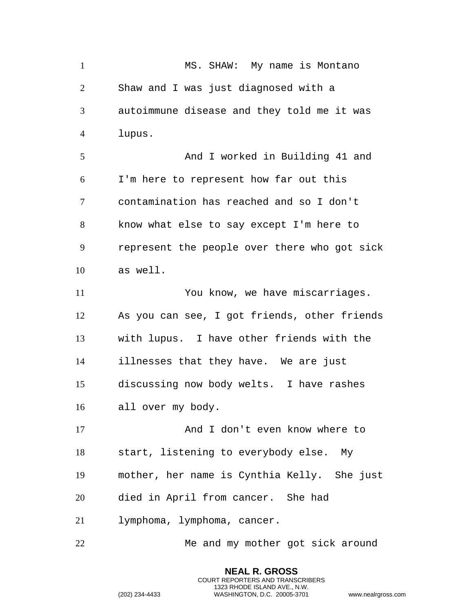1 MS. SHAW: My name is Montano Shaw and I was just diagnosed with a autoimmune disease and they told me it was lupus. And I worked in Building 41 and I'm here to represent how far out this contamination has reached and so I don't know what else to say except I'm here to represent the people over there who got sick as well. You know, we have miscarriages. As you can see, I got friends, other friends with lupus. I have other friends with the illnesses that they have. We are just discussing now body welts. I have rashes all over my body. 17 And I don't even know where to start, listening to everybody else. My mother, her name is Cynthia Kelly. She just died in April from cancer. She had lymphoma, lymphoma, cancer. Me and my mother got sick around

> **NEAL R. GROSS** COURT REPORTERS AND TRANSCRIBERS 1323 RHODE ISLAND AVE., N.W.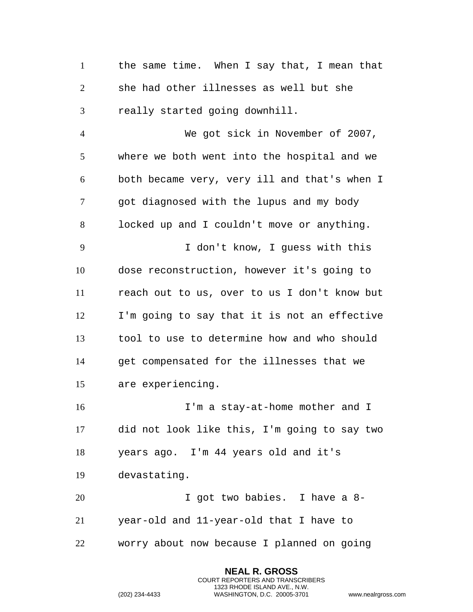the same time. When I say that, I mean that she had other illnesses as well but she really started going downhill.

 We got sick in November of 2007, where we both went into the hospital and we both became very, very ill and that's when I got diagnosed with the lupus and my body locked up and I couldn't move or anything. I don't know, I guess with this dose reconstruction, however it's going to reach out to us, over to us I don't know but I'm going to say that it is not an effective tool to use to determine how and who should get compensated for the illnesses that we are experiencing.

16 I'm a stay-at-home mother and I did not look like this, I'm going to say two years ago. I'm 44 years old and it's devastating.

 I got two babies. I have a 8- year-old and 11-year-old that I have to worry about now because I planned on going

> **NEAL R. GROSS** COURT REPORTERS AND TRANSCRIBERS 1323 RHODE ISLAND AVE., N.W.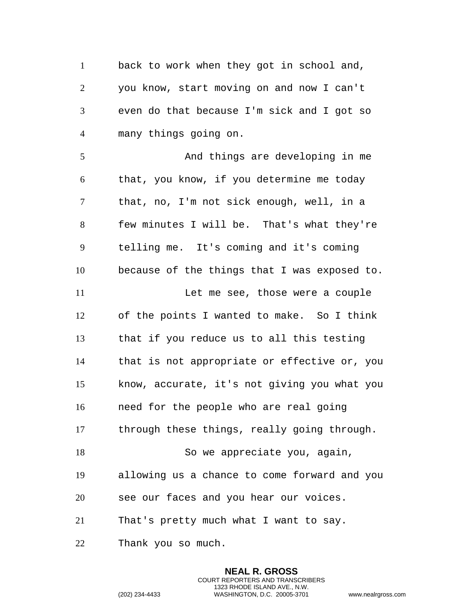1 back to work when they got in school and, you know, start moving on and now I can't even do that because I'm sick and I got so many things going on.

 And things are developing in me that, you know, if you determine me today that, no, I'm not sick enough, well, in a few minutes I will be. That's what they're telling me. It's coming and it's coming because of the things that I was exposed to. Let me see, those were a couple of the points I wanted to make. So I think that if you reduce us to all this testing that is not appropriate or effective or, you know, accurate, it's not giving you what you need for the people who are real going through these things, really going through. 18 So we appreciate you, again, allowing us a chance to come forward and you see our faces and you hear our voices. That's pretty much what I want to say. Thank you so much.

> **NEAL R. GROSS** COURT REPORTERS AND TRANSCRIBERS 1323 RHODE ISLAND AVE., N.W.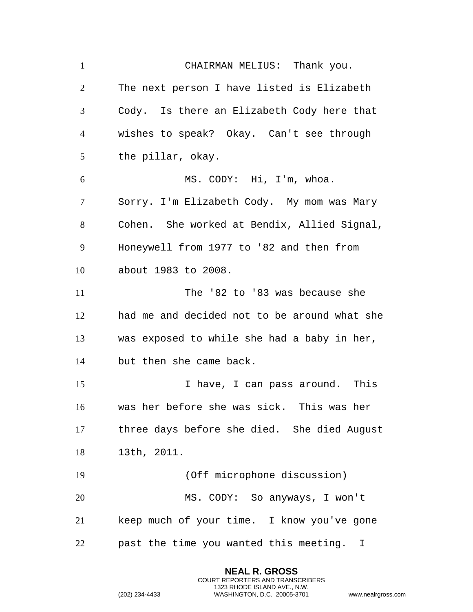CHAIRMAN MELIUS: Thank you. The next person I have listed is Elizabeth Cody. Is there an Elizabeth Cody here that wishes to speak? Okay. Can't see through the pillar, okay. MS. CODY: Hi, I'm, whoa. Sorry. I'm Elizabeth Cody. My mom was Mary Cohen. She worked at Bendix, Allied Signal, Honeywell from 1977 to '82 and then from about 1983 to 2008. 11 The '82 to '83 was because she had me and decided not to be around what she was exposed to while she had a baby in her, but then she came back. I have, I can pass around. This was her before she was sick. This was her three days before she died. She died August 13th, 2011. (Off microphone discussion) MS. CODY: So anyways, I won't keep much of your time. I know you've gone past the time you wanted this meeting. I

> **NEAL R. GROSS** COURT REPORTERS AND TRANSCRIBERS 1323 RHODE ISLAND AVE., N.W.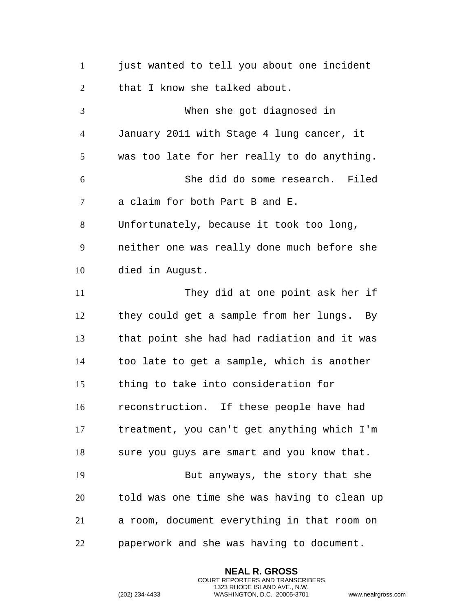1 just wanted to tell you about one incident 2 that I know she talked about. When she got diagnosed in January 2011 with Stage 4 lung cancer, it was too late for her really to do anything. She did do some research. Filed a claim for both Part B and E. Unfortunately, because it took too long, neither one was really done much before she died in August. They did at one point ask her if they could get a sample from her lungs. By that point she had had radiation and it was too late to get a sample, which is another thing to take into consideration for reconstruction. If these people have had treatment, you can't get anything which I'm 18 sure you guys are smart and you know that. But anyways, the story that she told was one time she was having to clean up a room, document everything in that room on paperwork and she was having to document.

> **NEAL R. GROSS** COURT REPORTERS AND TRANSCRIBERS 1323 RHODE ISLAND AVE., N.W.

```
(202) 234-4433 WASHINGTON, D.C. 20005-3701 www.nealrgross.com
```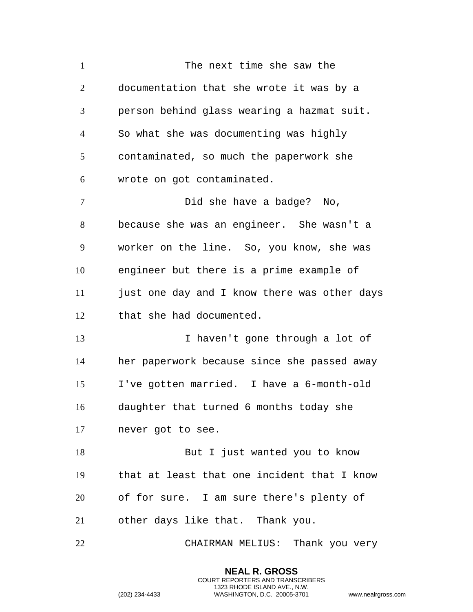1 The next time she saw the documentation that she wrote it was by a person behind glass wearing a hazmat suit. So what she was documenting was highly contaminated, so much the paperwork she wrote on got contaminated. Did she have a badge? No, because she was an engineer. She wasn't a worker on the line. So, you know, she was engineer but there is a prime example of 11 just one day and I know there was other days that she had documented. I haven't gone through a lot of her paperwork because since she passed away I've gotten married. I have a 6-month-old daughter that turned 6 months today she never got to see. 18 But I just wanted you to know that at least that one incident that I know of for sure. I am sure there's plenty of other days like that. Thank you. CHAIRMAN MELIUS: Thank you very

> **NEAL R. GROSS** COURT REPORTERS AND TRANSCRIBERS 1323 RHODE ISLAND AVE., N.W.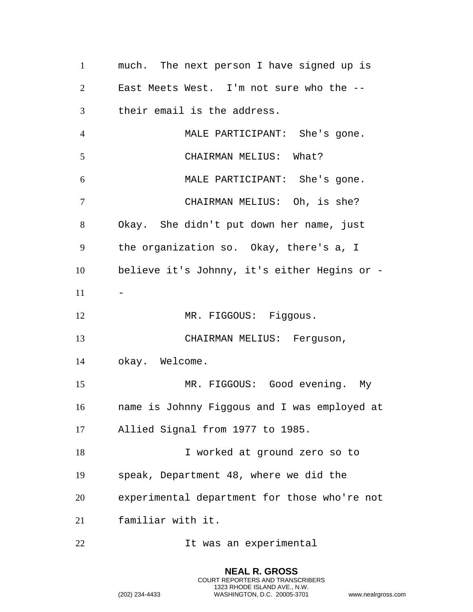much. The next person I have signed up is East Meets West. I'm not sure who the -- their email is the address. MALE PARTICIPANT: She's gone. CHAIRMAN MELIUS: What? MALE PARTICIPANT: She's gone. CHAIRMAN MELIUS: Oh, is she? Okay. She didn't put down her name, just the organization so. Okay, there's a, I believe it's Johnny, it's either Hegins or - 12 MR. FIGGOUS: Figgous. CHAIRMAN MELIUS: Ferguson, okay. Welcome. MR. FIGGOUS: Good evening. My name is Johnny Figgous and I was employed at Allied Signal from 1977 to 1985. 18 I worked at ground zero so to speak, Department 48, where we did the experimental department for those who're not familiar with it. It was an experimental

> **NEAL R. GROSS** COURT REPORTERS AND TRANSCRIBERS 1323 RHODE ISLAND AVE., N.W.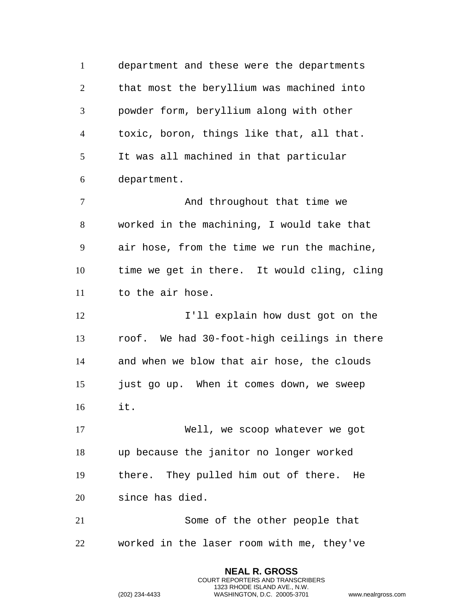department and these were the departments that most the beryllium was machined into powder form, beryllium along with other toxic, boron, things like that, all that. It was all machined in that particular department. 7 And throughout that time we worked in the machining, I would take that air hose, from the time we run the machine, time we get in there. It would cling, cling to the air hose. **I'll explain how dust got on the**  roof. We had 30-foot-high ceilings in there and when we blow that air hose, the clouds just go up. When it comes down, we sweep it. Well, we scoop whatever we got up because the janitor no longer worked there. They pulled him out of there. He since has died. Some of the other people that worked in the laser room with me, they've

> **NEAL R. GROSS** COURT REPORTERS AND TRANSCRIBERS 1323 RHODE ISLAND AVE., N.W.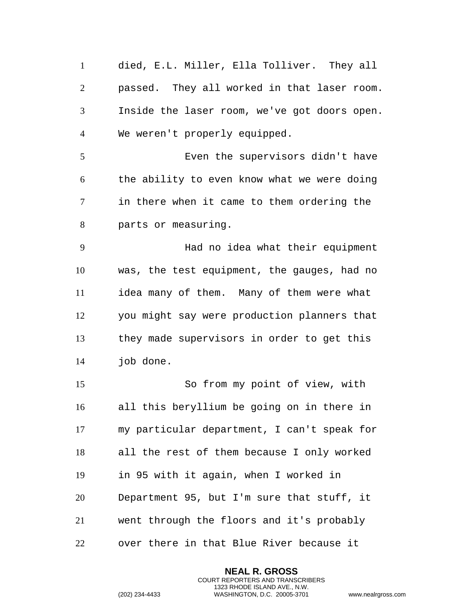died, E.L. Miller, Ella Tolliver. They all passed. They all worked in that laser room. Inside the laser room, we've got doors open. We weren't properly equipped.

 Even the supervisors didn't have the ability to even know what we were doing in there when it came to them ordering the parts or measuring.

 Had no idea what their equipment was, the test equipment, the gauges, had no idea many of them. Many of them were what you might say were production planners that they made supervisors in order to get this job done.

 So from my point of view, with all this beryllium be going on in there in my particular department, I can't speak for all the rest of them because I only worked in 95 with it again, when I worked in Department 95, but I'm sure that stuff, it went through the floors and it's probably over there in that Blue River because it

> **NEAL R. GROSS** COURT REPORTERS AND TRANSCRIBERS 1323 RHODE ISLAND AVE., N.W.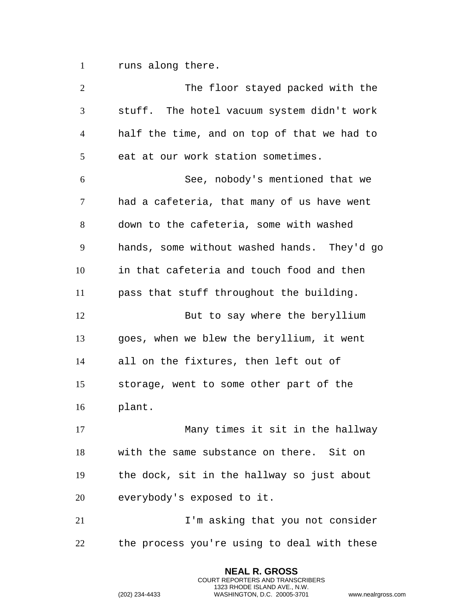runs along there.

| $\overline{2}$ | The floor stayed packed with the            |
|----------------|---------------------------------------------|
| 3              | stuff. The hotel vacuum system didn't work  |
| 4              | half the time, and on top of that we had to |
| 5              | eat at our work station sometimes.          |
| 6              | See, nobody's mentioned that we             |
| 7              | had a cafeteria, that many of us have went  |
| $8\,$          | down to the cafeteria, some with washed     |
| 9              | hands, some without washed hands. They'd go |
| 10             | in that cafeteria and touch food and then   |
| 11             | pass that stuff throughout the building.    |
| 12             | But to say where the beryllium              |
| 13             | goes, when we blew the beryllium, it went   |
| 14             | all on the fixtures, then left out of       |
| 15             | storage, went to some other part of the     |
| 16             | plant.                                      |
| 17             | Many times it sit in the hallway            |
| 18             | with the same substance on there. Sit on    |
| 19             | the dock, sit in the hallway so just about  |
| 20             | everybody's exposed to it.                  |
| 21             | I'm asking that you not consider            |
| 22             | the process you're using to deal with these |
|                |                                             |

**NEAL R. GROSS** COURT REPORTERS AND TRANSCRIBERS 1323 RHODE ISLAND AVE., N.W.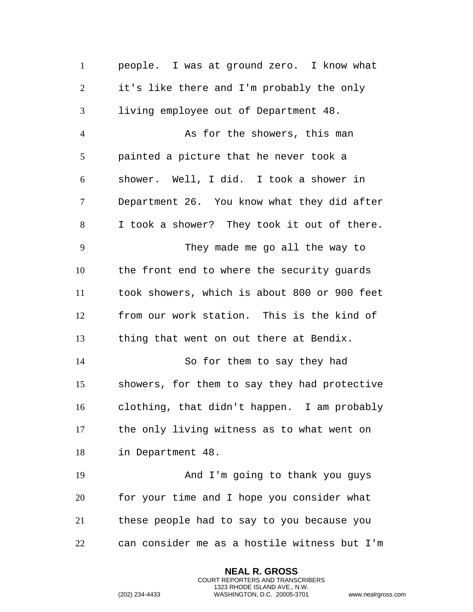people. I was at ground zero. I know what it's like there and I'm probably the only living employee out of Department 48. 4 As for the showers, this man painted a picture that he never took a shower. Well, I did. I took a shower in Department 26. You know what they did after I took a shower? They took it out of there. They made me go all the way to the front end to where the security guards took showers, which is about 800 or 900 feet from our work station. This is the kind of thing that went on out there at Bendix. So for them to say they had showers, for them to say they had protective clothing, that didn't happen. I am probably the only living witness as to what went on in Department 48. And I'm going to thank you guys for your time and I hope you consider what these people had to say to you because you can consider me as a hostile witness but I'm

> **NEAL R. GROSS** COURT REPORTERS AND TRANSCRIBERS 1323 RHODE ISLAND AVE., N.W.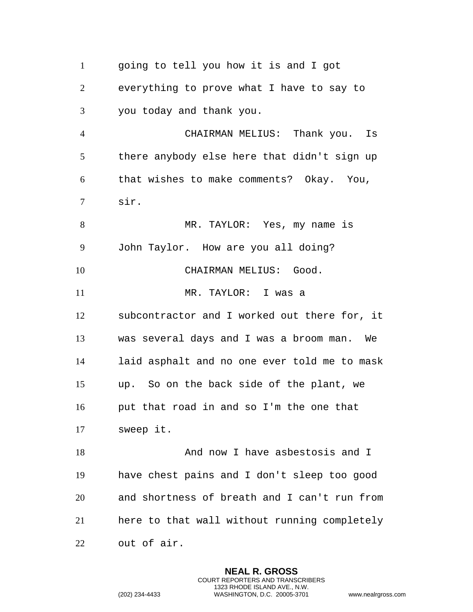going to tell you how it is and I got everything to prove what I have to say to you today and thank you. CHAIRMAN MELIUS: Thank you. Is there anybody else here that didn't sign up that wishes to make comments? Okay. You, sir. MR. TAYLOR: Yes, my name is John Taylor. How are you all doing? 10 CHAIRMAN MELIUS: Good. MR. TAYLOR: I was a subcontractor and I worked out there for, it was several days and I was a broom man. We laid asphalt and no one ever told me to mask up. So on the back side of the plant, we put that road in and so I'm the one that sweep it. 18 And now I have asbestosis and I have chest pains and I don't sleep too good and shortness of breath and I can't run from here to that wall without running completely out of air.

> **NEAL R. GROSS** COURT REPORTERS AND TRANSCRIBERS 1323 RHODE ISLAND AVE., N.W.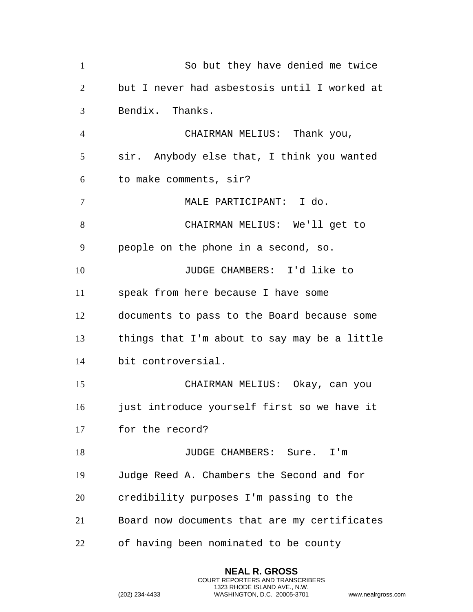| $\mathbf{1}$   | So but they have denied me twice             |
|----------------|----------------------------------------------|
| $\overline{2}$ | but I never had asbestosis until I worked at |
| 3              | Bendix. Thanks.                              |
| $\overline{4}$ | CHAIRMAN MELIUS: Thank you,                  |
| 5              | sir. Anybody else that, I think you wanted   |
| 6              | to make comments, sir?                       |
| 7              | MALE PARTICIPANT: I do.                      |
| 8              | CHAIRMAN MELIUS: We'll get to                |
| 9              | people on the phone in a second, so.         |
| 10             | JUDGE CHAMBERS: I'd like to                  |
| 11             | speak from here because I have some          |
| 12             | documents to pass to the Board because some  |
| 13             | things that I'm about to say may be a little |
| 14             | bit controversial.                           |
| 15             | CHAIRMAN MELIUS: Okay, can you               |
| 16             | just introduce yourself first so we have it  |
| 17             | for the record?                              |
| 18             | JUDGE CHAMBERS: Sure. I'm                    |
| 19             | Judge Reed A. Chambers the Second and for    |
| 20             | credibility purposes I'm passing to the      |
| 21             | Board now documents that are my certificates |
| 22             | of having been nominated to be county        |

**NEAL R. GROSS** COURT REPORTERS AND TRANSCRIBERS 1323 RHODE ISLAND AVE., N.W.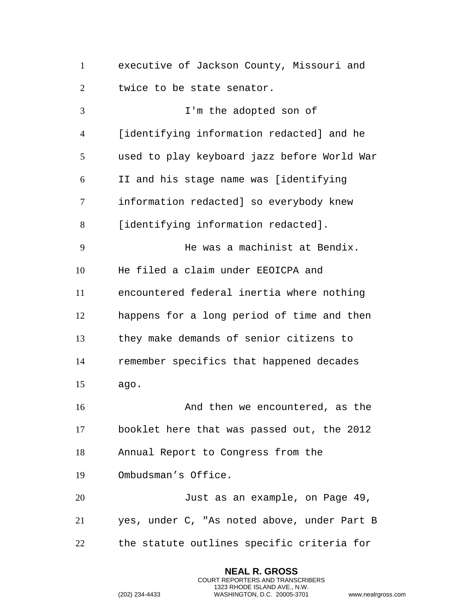executive of Jackson County, Missouri and twice to be state senator.

 I'm the adopted son of [identifying information redacted] and he used to play keyboard jazz before World War II and his stage name was [identifying information redacted] so everybody knew [identifying information redacted]. He was a machinist at Bendix. He filed a claim under EEOICPA and encountered federal inertia where nothing happens for a long period of time and then they make demands of senior citizens to remember specifics that happened decades ago. 16 And then we encountered, as the booklet here that was passed out, the 2012 Annual Report to Congress from the Ombudsman's Office. Just as an example, on Page 49, yes, under C, "As noted above, under Part B the statute outlines specific criteria for

> **NEAL R. GROSS** COURT REPORTERS AND TRANSCRIBERS 1323 RHODE ISLAND AVE., N.W.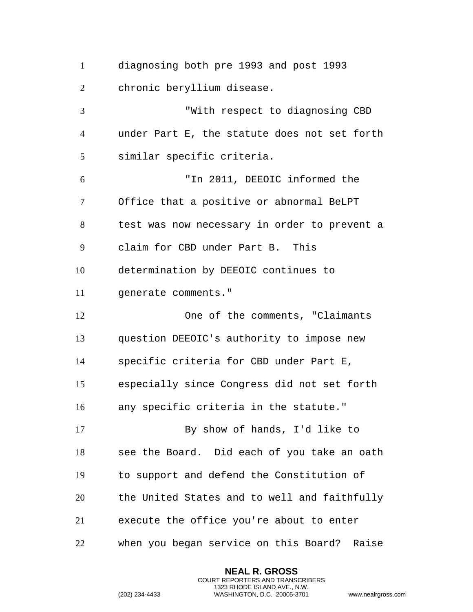diagnosing both pre 1993 and post 1993 chronic beryllium disease. "With respect to diagnosing CBD under Part E, the statute does not set forth similar specific criteria. "In 2011, DEEOIC informed the Office that a positive or abnormal BeLPT test was now necessary in order to prevent a claim for CBD under Part B. This determination by DEEOIC continues to generate comments." One of the comments, "Claimants question DEEOIC's authority to impose new specific criteria for CBD under Part E, especially since Congress did not set forth any specific criteria in the statute." By show of hands, I'd like to see the Board. Did each of you take an oath to support and defend the Constitution of the United States and to well and faithfully execute the office you're about to enter when you began service on this Board? Raise

> **NEAL R. GROSS** COURT REPORTERS AND TRANSCRIBERS 1323 RHODE ISLAND AVE., N.W.

```
(202) 234-4433 WASHINGTON, D.C. 20005-3701 www.nealrgross.com
```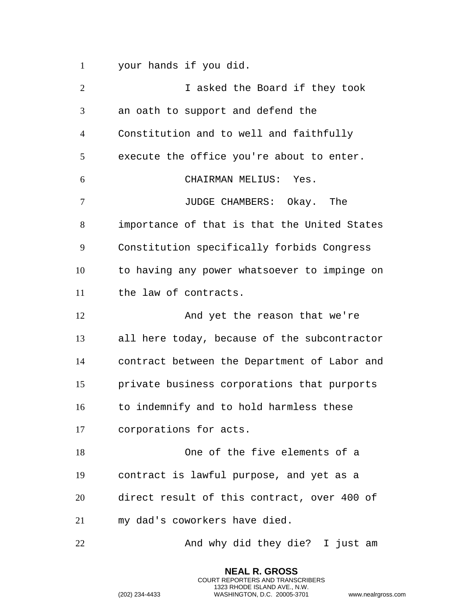your hands if you did.

| $\overline{2}$ | I asked the Board if they took               |
|----------------|----------------------------------------------|
| 3              | an oath to support and defend the            |
| $\overline{4}$ | Constitution and to well and faithfully      |
| 5              | execute the office you're about to enter.    |
| 6              | CHAIRMAN MELIUS: Yes.                        |
| 7              | JUDGE CHAMBERS: Okay. The                    |
| 8              | importance of that is that the United States |
| 9              | Constitution specifically forbids Congress   |
| 10             | to having any power whatsoever to impinge on |
| 11             | the law of contracts.                        |
| 12             | And yet the reason that we're                |
| 13             | all here today, because of the subcontractor |
| 14             | contract between the Department of Labor and |
| 15             | private business corporations that purports  |
| 16             | to indemnify and to hold harmless these      |
| 17             | corporations for acts.                       |
| 18             | One of the five elements of a                |
| 19             | contract is lawful purpose, and yet as a     |
| 20             | direct result of this contract, over 400 of  |
| 21             | my dad's coworkers have died.                |
| 22             | And why did they die? I just am              |

**NEAL R. GROSS** COURT REPORTERS AND TRANSCRIBERS 1323 RHODE ISLAND AVE., N.W.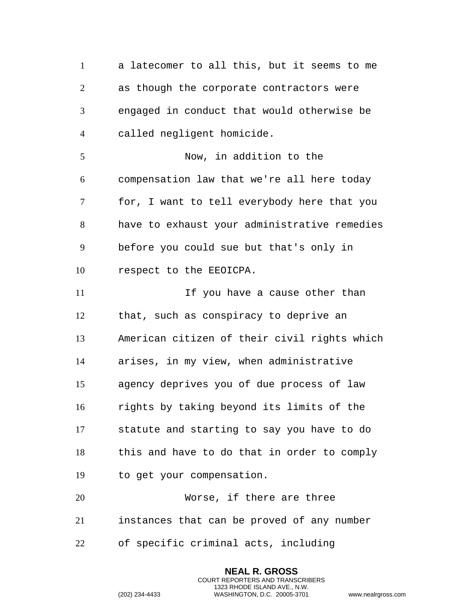a latecomer to all this, but it seems to me as though the corporate contractors were engaged in conduct that would otherwise be called negligent homicide. Now, in addition to the compensation law that we're all here today for, I want to tell everybody here that you have to exhaust your administrative remedies before you could sue but that's only in respect to the EEOICPA. 11 11 If you have a cause other than that, such as conspiracy to deprive an American citizen of their civil rights which arises, in my view, when administrative agency deprives you of due process of law rights by taking beyond its limits of the statute and starting to say you have to do this and have to do that in order to comply to get your compensation. Worse, if there are three instances that can be proved of any number of specific criminal acts, including

> **NEAL R. GROSS** COURT REPORTERS AND TRANSCRIBERS 1323 RHODE ISLAND AVE., N.W.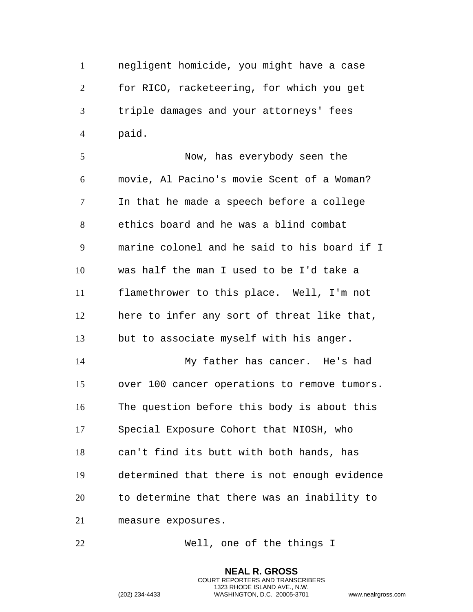negligent homicide, you might have a case for RICO, racketeering, for which you get triple damages and your attorneys' fees paid.

 Now, has everybody seen the movie, Al Pacino's movie Scent of a Woman? In that he made a speech before a college ethics board and he was a blind combat marine colonel and he said to his board if I was half the man I used to be I'd take a flamethrower to this place. Well, I'm not here to infer any sort of threat like that, but to associate myself with his anger. My father has cancer. He's had over 100 cancer operations to remove tumors. The question before this body is about this Special Exposure Cohort that NIOSH, who can't find its butt with both hands, has determined that there is not enough evidence to determine that there was an inability to measure exposures.

Well, one of the things I

**NEAL R. GROSS** COURT REPORTERS AND TRANSCRIBERS 1323 RHODE ISLAND AVE., N.W.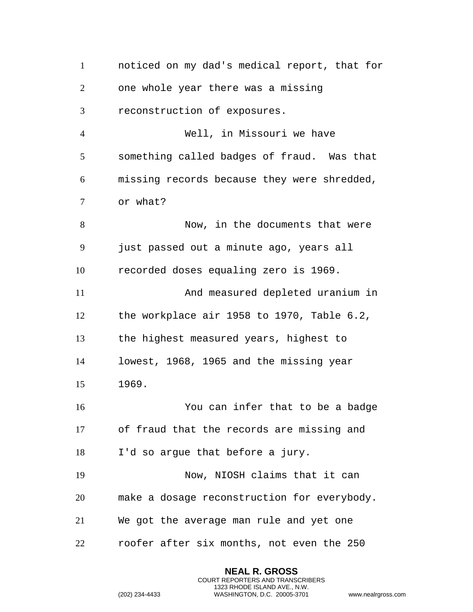noticed on my dad's medical report, that for one whole year there was a missing reconstruction of exposures. Well, in Missouri we have something called badges of fraud. Was that missing records because they were shredded, or what? Now, in the documents that were just passed out a minute ago, years all recorded doses equaling zero is 1969. And measured depleted uranium in the workplace air 1958 to 1970, Table 6.2, the highest measured years, highest to lowest, 1968, 1965 and the missing year 1969. You can infer that to be a badge of fraud that the records are missing and I'd so argue that before a jury. Now, NIOSH claims that it can make a dosage reconstruction for everybody. We got the average man rule and yet one roofer after six months, not even the 250

> **NEAL R. GROSS** COURT REPORTERS AND TRANSCRIBERS 1323 RHODE ISLAND AVE., N.W.

```
(202) 234-4433 WASHINGTON, D.C. 20005-3701 www.nealrgross.com
```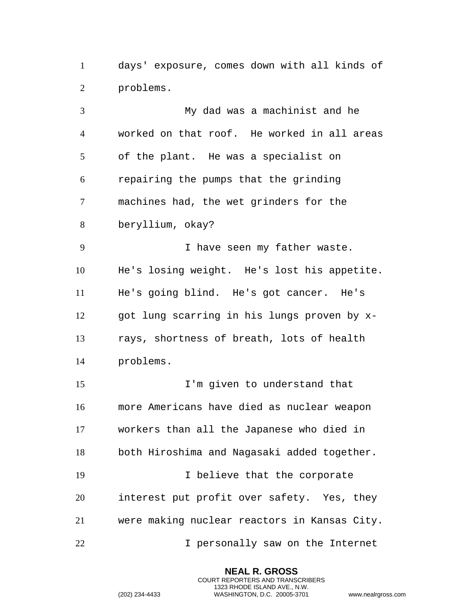days' exposure, comes down with all kinds of problems.

 My dad was a machinist and he worked on that roof. He worked in all areas of the plant. He was a specialist on repairing the pumps that the grinding machines had, the wet grinders for the beryllium, okay? I have seen my father waste. He's losing weight. He's lost his appetite. He's going blind. He's got cancer. He's got lung scarring in his lungs proven by x- rays, shortness of breath, lots of health problems. I'm given to understand that more Americans have died as nuclear weapon workers than all the Japanese who died in both Hiroshima and Nagasaki added together. 19 10 I believe that the corporate interest put profit over safety. Yes, they were making nuclear reactors in Kansas City. I personally saw on the Internet

> **NEAL R. GROSS** COURT REPORTERS AND TRANSCRIBERS 1323 RHODE ISLAND AVE., N.W.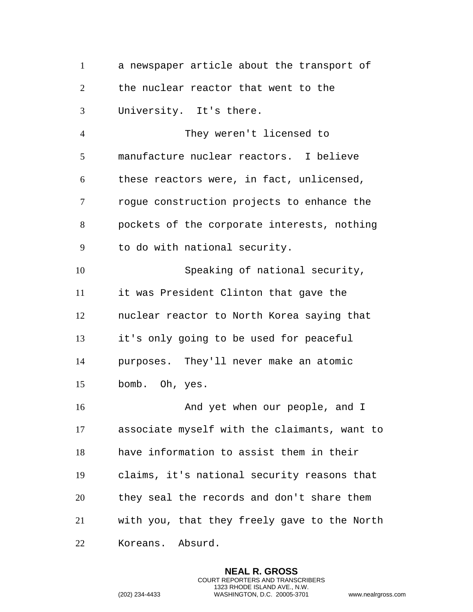a newspaper article about the transport of the nuclear reactor that went to the University. It's there.

 They weren't licensed to manufacture nuclear reactors. I believe these reactors were, in fact, unlicensed, rogue construction projects to enhance the pockets of the corporate interests, nothing to do with national security.

 Speaking of national security, it was President Clinton that gave the nuclear reactor to North Korea saying that it's only going to be used for peaceful purposes. They'll never make an atomic bomb. Oh, yes.

16 And yet when our people, and I associate myself with the claimants, want to have information to assist them in their claims, it's national security reasons that they seal the records and don't share them with you, that they freely gave to the North Koreans. Absurd.

> **NEAL R. GROSS** COURT REPORTERS AND TRANSCRIBERS 1323 RHODE ISLAND AVE., N.W.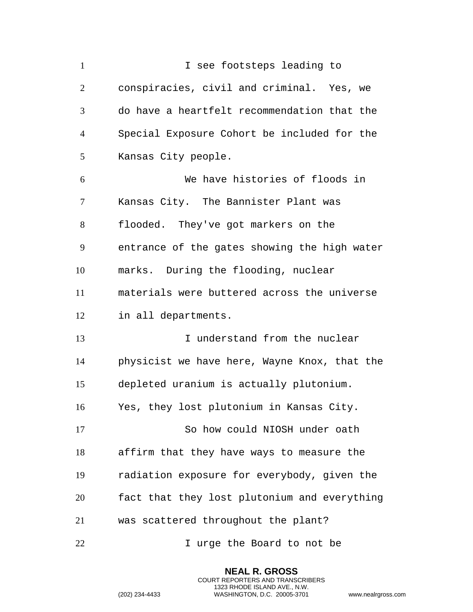| $\mathbf{1}$   | I see footsteps leading to                   |
|----------------|----------------------------------------------|
| $\overline{2}$ | conspiracies, civil and criminal. Yes, we    |
| 3              | do have a heartfelt recommendation that the  |
| $\overline{4}$ | Special Exposure Cohort be included for the  |
| 5              | Kansas City people.                          |
| 6              | We have histories of floods in               |
| 7              | Kansas City. The Bannister Plant was         |
| 8              | flooded. They've got markers on the          |
| 9              | entrance of the gates showing the high water |
| 10             | marks. During the flooding, nuclear          |
| 11             | materials were buttered across the universe  |
| 12             | in all departments.                          |
| 13             | I understand from the nuclear                |
| 14             | physicist we have here, Wayne Knox, that the |
| 15             | depleted uranium is actually plutonium.      |
| 16             | Yes, they lost plutonium in Kansas City.     |
| 17             | So how could NIOSH under oath                |
| 18             | affirm that they have ways to measure the    |
| 19             | radiation exposure for everybody, given the  |
| 20             | fact that they lost plutonium and everything |
| 21             | was scattered throughout the plant?          |
| 22             | I urge the Board to not be                   |

**NEAL R. GROSS** COURT REPORTERS AND TRANSCRIBERS 1323 RHODE ISLAND AVE., N.W.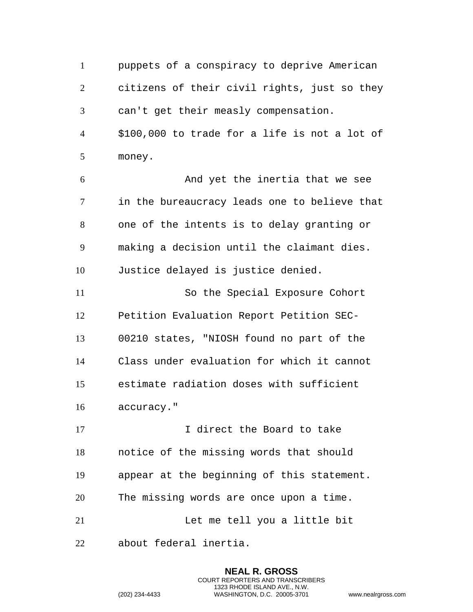puppets of a conspiracy to deprive American citizens of their civil rights, just so they can't get their measly compensation. \$100,000 to trade for a life is not a lot of money. And yet the inertia that we see in the bureaucracy leads one to believe that one of the intents is to delay granting or making a decision until the claimant dies. Justice delayed is justice denied. So the Special Exposure Cohort Petition Evaluation Report Petition SEC- 00210 states, "NIOSH found no part of the Class under evaluation for which it cannot estimate radiation doses with sufficient accuracy." 17 10 I direct the Board to take notice of the missing words that should appear at the beginning of this statement. The missing words are once upon a time. Let me tell you a little bit about federal inertia.

> **NEAL R. GROSS** COURT REPORTERS AND TRANSCRIBERS 1323 RHODE ISLAND AVE., N.W.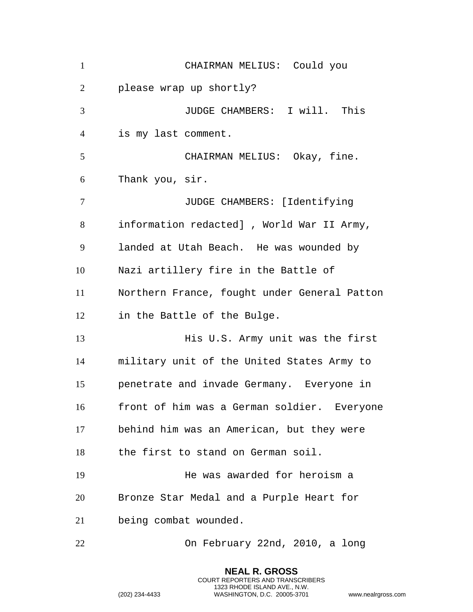| $\mathbf{1}$   | CHAIRMAN MELIUS: Could you                   |
|----------------|----------------------------------------------|
| $\overline{2}$ | please wrap up shortly?                      |
| 3              | JUDGE CHAMBERS: I will. This                 |
| $\overline{4}$ | is my last comment.                          |
| 5              | CHAIRMAN MELIUS: Okay, fine.                 |
| 6              | Thank you, sir.                              |
| $\tau$         | JUDGE CHAMBERS: [Identifying                 |
| 8              | information redacted] , World War II Army,   |
| 9              | landed at Utah Beach. He was wounded by      |
| 10             | Nazi artillery fire in the Battle of         |
| 11             | Northern France, fought under General Patton |
| 12             | in the Battle of the Bulge.                  |
| 13             | His U.S. Army unit was the first             |
| 14             | military unit of the United States Army to   |
| 15             | penetrate and invade Germany. Everyone in    |
| 16             | front of him was a German soldier. Everyone  |
| 17             | behind him was an American, but they were    |
| 18             | the first to stand on German soil.           |
| 19             | He was awarded for heroism a                 |
| 20             | Bronze Star Medal and a Purple Heart for     |
| 21             | being combat wounded.                        |
| 22             | On February 22nd, 2010, a long               |

**NEAL R. GROSS** COURT REPORTERS AND TRANSCRIBERS 1323 RHODE ISLAND AVE., N.W.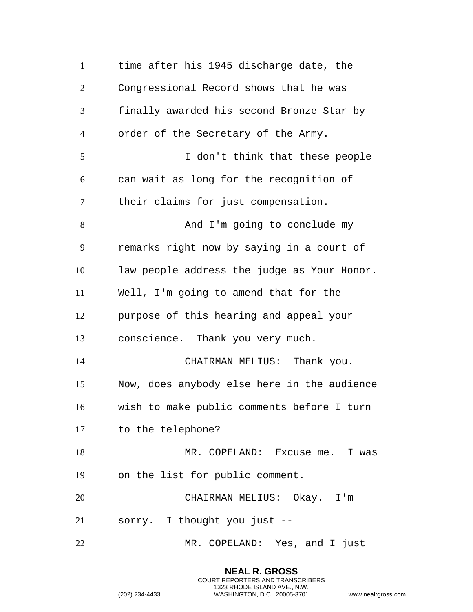time after his 1945 discharge date, the Congressional Record shows that he was finally awarded his second Bronze Star by order of the Secretary of the Army. I don't think that these people can wait as long for the recognition of their claims for just compensation. 8 And I'm going to conclude my remarks right now by saying in a court of law people address the judge as Your Honor. Well, I'm going to amend that for the purpose of this hearing and appeal your conscience. Thank you very much. CHAIRMAN MELIUS: Thank you. Now, does anybody else here in the audience wish to make public comments before I turn to the telephone? 18 MR. COPELAND: Excuse me. I was on the list for public comment. CHAIRMAN MELIUS: Okay. I'm sorry. I thought you just -- MR. COPELAND: Yes, and I just

> **NEAL R. GROSS** COURT REPORTERS AND TRANSCRIBERS 1323 RHODE ISLAND AVE., N.W.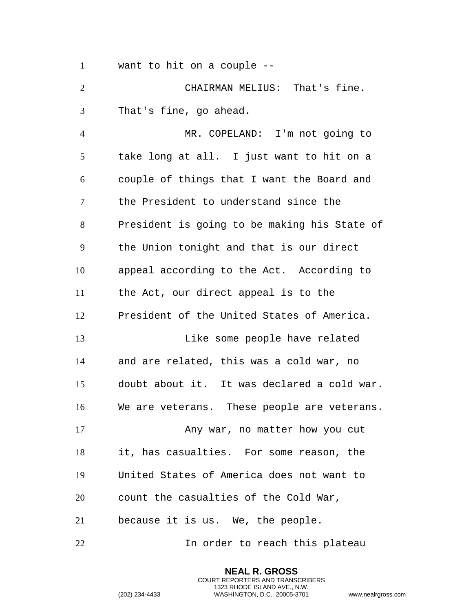want to hit on a couple --

 CHAIRMAN MELIUS: That's fine. That's fine, go ahead.

 MR. COPELAND: I'm not going to take long at all. I just want to hit on a couple of things that I want the Board and the President to understand since the President is going to be making his State of the Union tonight and that is our direct appeal according to the Act. According to the Act, our direct appeal is to the President of the United States of America. Like some people have related and are related, this was a cold war, no doubt about it. It was declared a cold war. We are veterans. These people are veterans. 17 Any war, no matter how you cut it, has casualties. For some reason, the United States of America does not want to count the casualties of the Cold War, because it is us. We, the people. In order to reach this plateau

> **NEAL R. GROSS** COURT REPORTERS AND TRANSCRIBERS 1323 RHODE ISLAND AVE., N.W.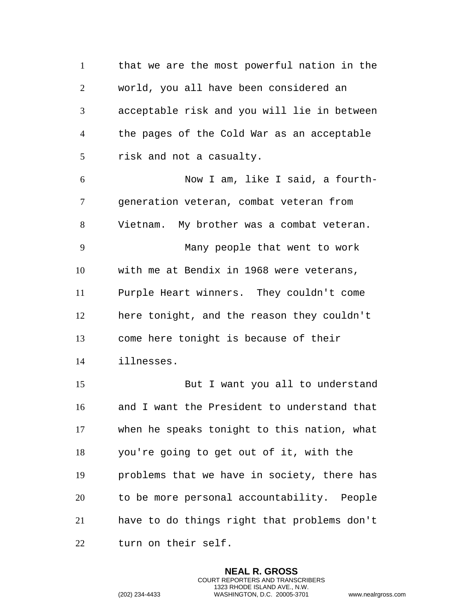that we are the most powerful nation in the world, you all have been considered an acceptable risk and you will lie in between the pages of the Cold War as an acceptable risk and not a casualty. Now I am, like I said, a fourth- generation veteran, combat veteran from Vietnam. My brother was a combat veteran. Many people that went to work with me at Bendix in 1968 were veterans, Purple Heart winners. They couldn't come here tonight, and the reason they couldn't come here tonight is because of their illnesses. But I want you all to understand and I want the President to understand that when he speaks tonight to this nation, what you're going to get out of it, with the problems that we have in society, there has to be more personal accountability. People have to do things right that problems don't turn on their self.

> **NEAL R. GROSS** COURT REPORTERS AND TRANSCRIBERS 1323 RHODE ISLAND AVE., N.W.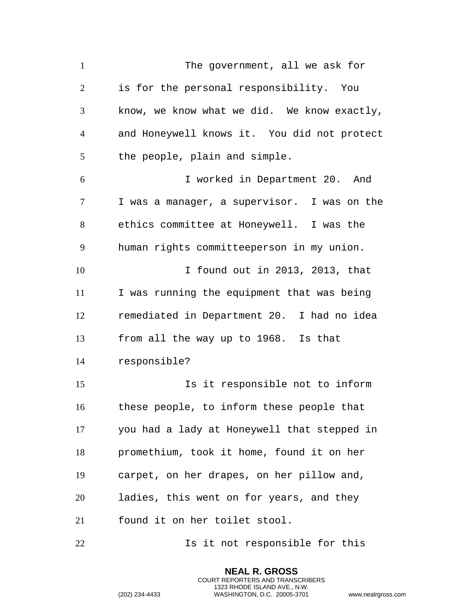The government, all we ask for is for the personal responsibility. You know, we know what we did. We know exactly, and Honeywell knows it. You did not protect the people, plain and simple. I worked in Department 20. And I was a manager, a supervisor. I was on the ethics committee at Honeywell. I was the human rights committeeperson in my union. I found out in 2013, 2013, that I was running the equipment that was being remediated in Department 20. I had no idea from all the way up to 1968. Is that responsible? Is it responsible not to inform these people, to inform these people that you had a lady at Honeywell that stepped in promethium, took it home, found it on her carpet, on her drapes, on her pillow and, ladies, this went on for years, and they found it on her toilet stool. **Is it not responsible for this** 

> **NEAL R. GROSS** COURT REPORTERS AND TRANSCRIBERS 1323 RHODE ISLAND AVE., N.W.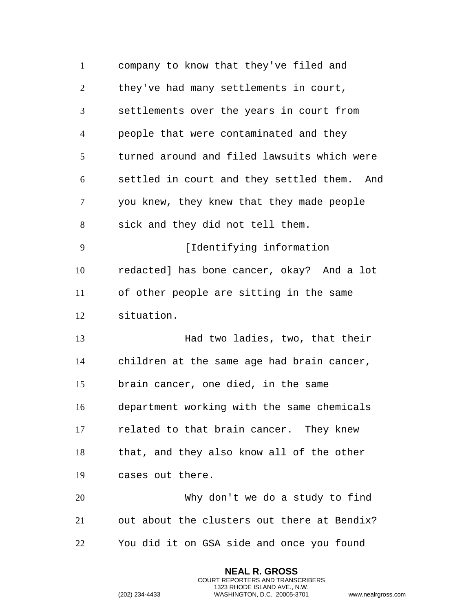| $\mathbf{1}$   | company to know that they've filed and      |
|----------------|---------------------------------------------|
| $\overline{2}$ | they've had many settlements in court,      |
| 3              | settlements over the years in court from    |
| $\overline{4}$ | people that were contaminated and they      |
| 5              | turned around and filed lawsuits which were |
| 6              | settled in court and they settled them. And |
| 7              | you knew, they knew that they made people   |
| 8              | sick and they did not tell them.            |
| 9              | [Identifying information                    |
| 10             | redacted] has bone cancer, okay? And a lot  |
| 11             | of other people are sitting in the same     |
| 12             | situation.                                  |
| 13             | Had two ladies, two, that their             |
| 14             | children at the same age had brain cancer,  |
| 15             | brain cancer, one died, in the same         |
| 16             | department working with the same chemicals  |
| 17             | related to that brain cancer. They knew     |
| 18             | that, and they also know all of the other   |
| 19             | cases out there.                            |
| 20             | Why don't we do a study to find             |
| 21             | out about the clusters out there at Bendix? |
| 22             | You did it on GSA side and once you found   |

**NEAL R. GROSS** COURT REPORTERS AND TRANSCRIBERS 1323 RHODE ISLAND AVE., N.W.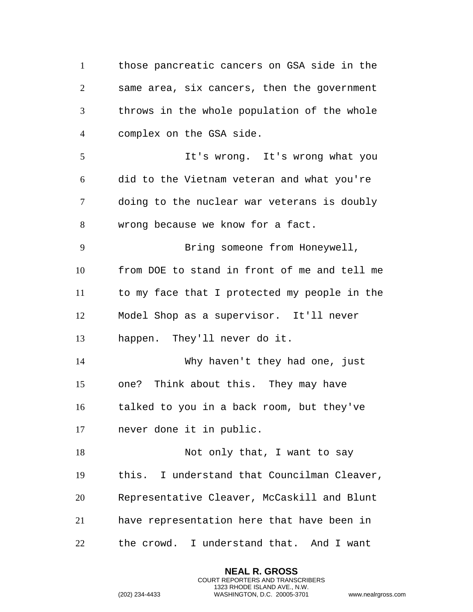those pancreatic cancers on GSA side in the same area, six cancers, then the government throws in the whole population of the whole complex on the GSA side. It's wrong. It's wrong what you did to the Vietnam veteran and what you're doing to the nuclear war veterans is doubly wrong because we know for a fact. Bring someone from Honeywell, from DOE to stand in front of me and tell me to my face that I protected my people in the Model Shop as a supervisor. It'll never happen. They'll never do it. Why haven't they had one, just one? Think about this. They may have talked to you in a back room, but they've never done it in public. 18 Not only that, I want to say this. I understand that Councilman Cleaver, Representative Cleaver, McCaskill and Blunt have representation here that have been in the crowd. I understand that. And I want

> **NEAL R. GROSS** COURT REPORTERS AND TRANSCRIBERS 1323 RHODE ISLAND AVE., N.W.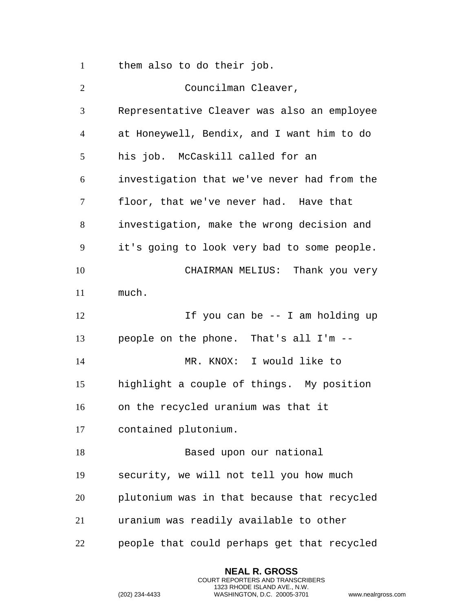them also to do their job.

| $\overline{2}$ | Councilman Cleaver,                         |
|----------------|---------------------------------------------|
| 3              | Representative Cleaver was also an employee |
| $\overline{4}$ | at Honeywell, Bendix, and I want him to do  |
| 5              | his job. McCaskill called for an            |
| 6              | investigation that we've never had from the |
| 7              | floor, that we've never had. Have that      |
| 8              | investigation, make the wrong decision and  |
| 9              | it's going to look very bad to some people. |
| 10             | CHAIRMAN MELIUS: Thank you very             |
| 11             | much.                                       |
| 12             | If you can be -- I am holding up            |
| 13             | people on the phone. That's all I'm --      |
| 14             | MR. KNOX: I would like to                   |
| 15             | highlight a couple of things. My position   |
| 16             | on the recycled uranium was that it         |
| 17             | contained plutonium.                        |
| 18             | Based upon our national                     |
| 19             | security, we will not tell you how much     |
| 20             | plutonium was in that because that recycled |
| 21             | uranium was readily available to other      |
| 22             | people that could perhaps get that recycled |

**NEAL R. GROSS** COURT REPORTERS AND TRANSCRIBERS 1323 RHODE ISLAND AVE., N.W.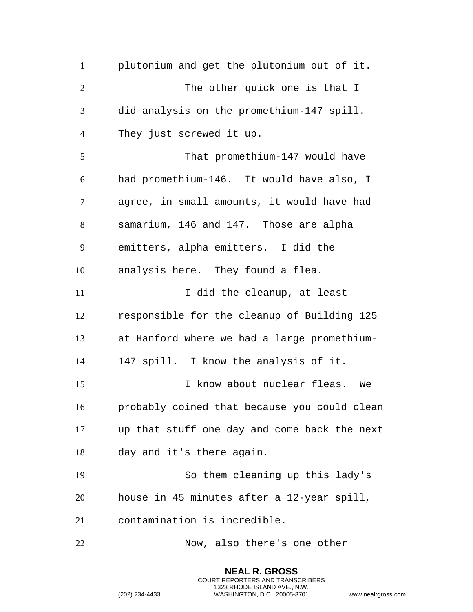plutonium and get the plutonium out of it. 2 The other quick one is that I did analysis on the promethium-147 spill. They just screwed it up. That promethium-147 would have had promethium-146. It would have also, I agree, in small amounts, it would have had samarium, 146 and 147. Those are alpha emitters, alpha emitters. I did the analysis here. They found a flea. 11 11 I did the cleanup, at least responsible for the cleanup of Building 125 at Hanford where we had a large promethium- 147 spill. I know the analysis of it. I know about nuclear fleas. We probably coined that because you could clean up that stuff one day and come back the next day and it's there again. So them cleaning up this lady's house in 45 minutes after a 12-year spill, contamination is incredible. Now, also there's one other

> **NEAL R. GROSS** COURT REPORTERS AND TRANSCRIBERS 1323 RHODE ISLAND AVE., N.W.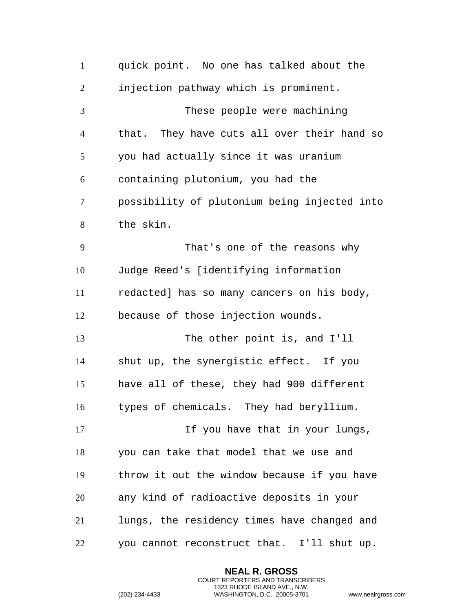| $\mathbf{1}$   | quick point. No one has talked about the     |
|----------------|----------------------------------------------|
| $\overline{2}$ | injection pathway which is prominent.        |
| 3              | These people were machining                  |
| $\overline{4}$ | that. They have cuts all over their hand so  |
| 5              | you had actually since it was uranium        |
| 6              | containing plutonium, you had the            |
| 7              | possibility of plutonium being injected into |
| 8              | the skin.                                    |
| 9              | That's one of the reasons why                |
| 10             | Judge Reed's [identifying information        |
| 11             | redacted] has so many cancers on his body,   |
| 12             | because of those injection wounds.           |
| 13             | The other point is, and I'll                 |
| 14             | shut up, the synergistic effect. If you      |
| 15             | have all of these, they had 900 different    |
| 16             | types of chemicals. They had beryllium.      |
| 17             | If you have that in your lungs,              |
| 18             | you can take that model that we use and      |
| 19             | throw it out the window because if you have  |
| 20             | any kind of radioactive deposits in your     |
| 21             | lungs, the residency times have changed and  |
| 22             | you cannot reconstruct that. I'll shut up.   |

**NEAL R. GROSS** COURT REPORTERS AND TRANSCRIBERS 1323 RHODE ISLAND AVE., N.W.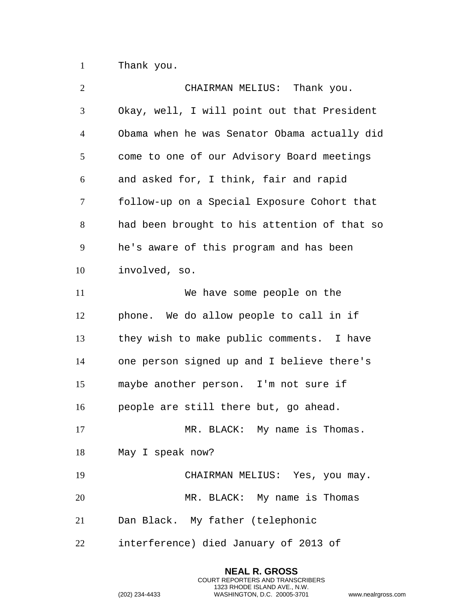Thank you.

| $\overline{2}$ | CHAIRMAN MELIUS: Thank you.                  |
|----------------|----------------------------------------------|
| 3              | Okay, well, I will point out that President  |
| $\overline{4}$ | Obama when he was Senator Obama actually did |
| 5              | come to one of our Advisory Board meetings   |
| 6              | and asked for, I think, fair and rapid       |
| $\tau$         | follow-up on a Special Exposure Cohort that  |
| $8\,$          | had been brought to his attention of that so |
| 9              | he's aware of this program and has been      |
| 10             | involved, so.                                |
| 11             | We have some people on the                   |
| 12             | phone. We do allow people to call in if      |
| 13             | they wish to make public comments. I have    |
| 14             | one person signed up and I believe there's   |
| 15             | maybe another person. I'm not sure if        |
| 16             | people are still there but, go ahead.        |
| 17             | MR. BLACK: My name is Thomas.                |
| 18             | May I speak now?                             |
| 19             | CHAIRMAN MELIUS: Yes, you may.               |
| 20             | MR. BLACK: My name is Thomas                 |
| 21             | Dan Black. My father (telephonic             |
| 22             | interference) died January of 2013 of        |

**NEAL R. GROSS** COURT REPORTERS AND TRANSCRIBERS 1323 RHODE ISLAND AVE., N.W.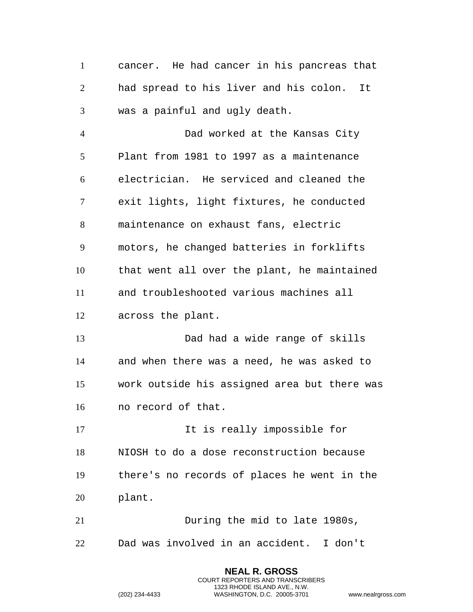cancer. He had cancer in his pancreas that had spread to his liver and his colon. It was a painful and ugly death.

 Dad worked at the Kansas City Plant from 1981 to 1997 as a maintenance electrician. He serviced and cleaned the exit lights, light fixtures, he conducted maintenance on exhaust fans, electric motors, he changed batteries in forklifts that went all over the plant, he maintained and troubleshooted various machines all across the plant.

 Dad had a wide range of skills and when there was a need, he was asked to work outside his assigned area but there was no record of that.

17 11 It is really impossible for NIOSH to do a dose reconstruction because there's no records of places he went in the plant.

 During the mid to late 1980s, Dad was involved in an accident. I don't

> **NEAL R. GROSS** COURT REPORTERS AND TRANSCRIBERS 1323 RHODE ISLAND AVE., N.W.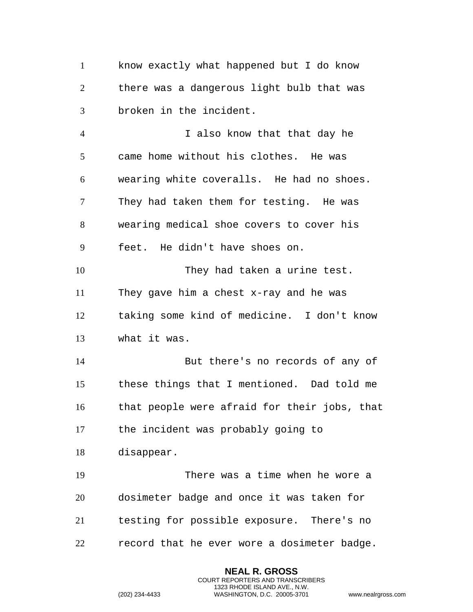know exactly what happened but I do know there was a dangerous light bulb that was broken in the incident.

 I also know that that day he came home without his clothes. He was wearing white coveralls. He had no shoes. They had taken them for testing. He was wearing medical shoe covers to cover his feet. He didn't have shoes on. 10 They had taken a urine test. They gave him a chest x-ray and he was taking some kind of medicine. I don't know what it was. But there's no records of any of these things that I mentioned. Dad told me that people were afraid for their jobs, that the incident was probably going to disappear. There was a time when he wore a dosimeter badge and once it was taken for testing for possible exposure. There's no

record that he ever wore a dosimeter badge.

**NEAL R. GROSS** COURT REPORTERS AND TRANSCRIBERS 1323 RHODE ISLAND AVE., N.W.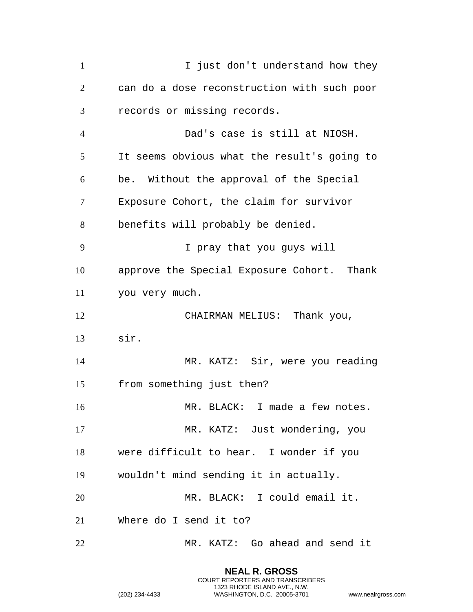1 I just don't understand how they can do a dose reconstruction with such poor records or missing records. Dad's case is still at NIOSH. It seems obvious what the result's going to be. Without the approval of the Special Exposure Cohort, the claim for survivor benefits will probably be denied. I pray that you guys will approve the Special Exposure Cohort. Thank you very much. 12 CHAIRMAN MELIUS: Thank you, sir. MR. KATZ: Sir, were you reading from something just then? MR. BLACK: I made a few notes. MR. KATZ: Just wondering, you were difficult to hear. I wonder if you wouldn't mind sending it in actually. MR. BLACK: I could email it. Where do I send it to? MR. KATZ: Go ahead and send it

> **NEAL R. GROSS** COURT REPORTERS AND TRANSCRIBERS 1323 RHODE ISLAND AVE., N.W.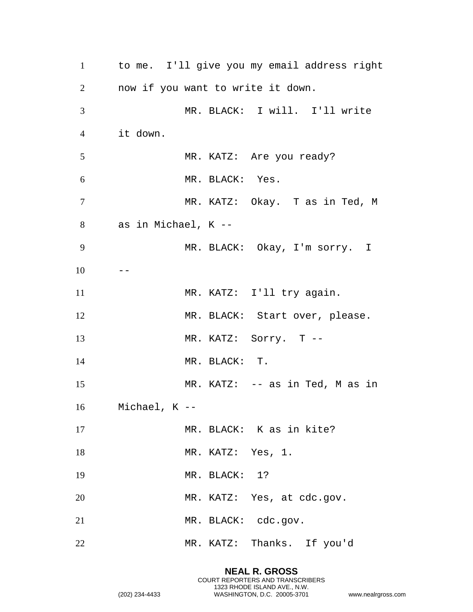| $\mathbf{1}$   |                     |                 | to me. I'll give you my email address right |
|----------------|---------------------|-----------------|---------------------------------------------|
| $\overline{2}$ |                     |                 | now if you want to write it down.           |
| 3              |                     |                 | MR. BLACK: I will. I'll write               |
| $\overline{4}$ | it down.            |                 |                                             |
| 5              |                     |                 | MR. KATZ: Are you ready?                    |
| 6              |                     | MR. BLACK: Yes. |                                             |
| $\tau$         |                     |                 | MR. KATZ: Okay. T as in Ted, M              |
| 8              | as in Michael, K -- |                 |                                             |
| 9              |                     |                 | MR. BLACK: Okay, I'm sorry. I               |
| 10             |                     |                 |                                             |
| 11             |                     |                 | MR. KATZ: I'll try again.                   |
| 12             |                     |                 | MR. BLACK: Start over, please.              |
| 13             |                     |                 | MR. KATZ: Sorry. T --                       |
| 14             |                     | MR. BLACK: T.   |                                             |
| 15             |                     |                 | MR. KATZ: -- as in Ted, M as in             |
| 16             | Michael, K --       |                 |                                             |
| 17             |                     |                 | MR. BLACK: K as in kite?                    |
| 18             |                     |                 | MR. KATZ: Yes, 1.                           |
| 19             |                     | MR. BLACK: 1?   |                                             |
| 20             |                     |                 | MR. KATZ: Yes, at cdc.gov.                  |
| 21             |                     |                 | MR. BLACK: cdc.gov.                         |
| 22             |                     |                 | MR. KATZ: Thanks. If you'd                  |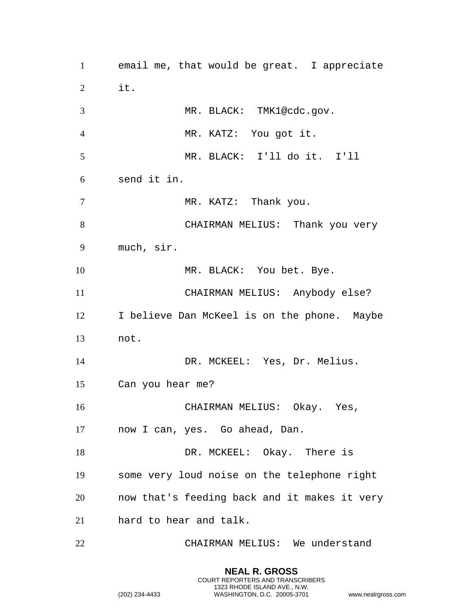email me, that would be great. I appreciate it. 3 MR. BLACK: TMK1@cdc.gov. MR. KATZ: You got it. MR. BLACK: I'll do it. I'll send it in. 7 MR. KATZ: Thank you. CHAIRMAN MELIUS: Thank you very much, sir. 10 MR. BLACK: You bet. Bye. CHAIRMAN MELIUS: Anybody else? I believe Dan McKeel is on the phone. Maybe not. DR. MCKEEL: Yes, Dr. Melius. Can you hear me? CHAIRMAN MELIUS: Okay. Yes, now I can, yes. Go ahead, Dan. 18 DR. MCKEEL: Okay. There is some very loud noise on the telephone right now that's feeding back and it makes it very hard to hear and talk. CHAIRMAN MELIUS: We understand

> **NEAL R. GROSS** COURT REPORTERS AND TRANSCRIBERS 1323 RHODE ISLAND AVE., N.W.

```
(202) 234-4433 WASHINGTON, D.C. 20005-3701 www.nealrgross.com
```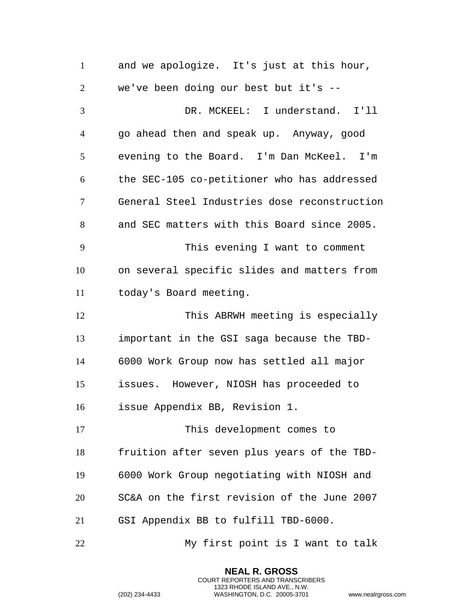and we apologize. It's just at this hour, we've been doing our best but it's -- DR. MCKEEL: I understand. I'll go ahead then and speak up. Anyway, good evening to the Board. I'm Dan McKeel. I'm the SEC-105 co-petitioner who has addressed General Steel Industries dose reconstruction and SEC matters with this Board since 2005. This evening I want to comment on several specific slides and matters from today's Board meeting. This ABRWH meeting is especially important in the GSI saga because the TBD- 6000 Work Group now has settled all major issues. However, NIOSH has proceeded to issue Appendix BB, Revision 1. This development comes to fruition after seven plus years of the TBD- 6000 Work Group negotiating with NIOSH and SC&A on the first revision of the June 2007 GSI Appendix BB to fulfill TBD-6000. My first point is I want to talk

> **NEAL R. GROSS** COURT REPORTERS AND TRANSCRIBERS 1323 RHODE ISLAND AVE., N.W.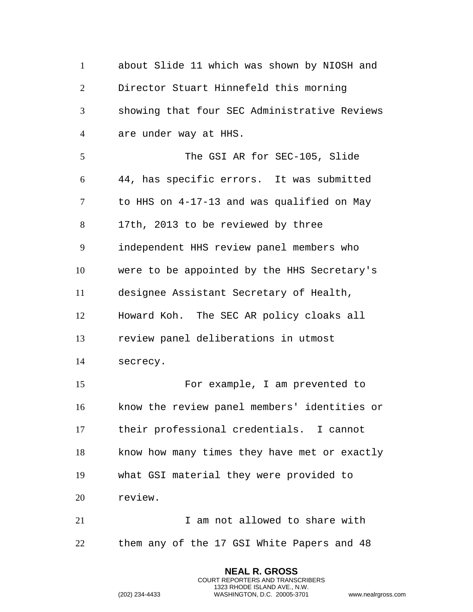about Slide 11 which was shown by NIOSH and Director Stuart Hinnefeld this morning showing that four SEC Administrative Reviews are under way at HHS. The GSI AR for SEC-105, Slide 44, has specific errors. It was submitted to HHS on 4-17-13 and was qualified on May 17th, 2013 to be reviewed by three independent HHS review panel members who were to be appointed by the HHS Secretary's designee Assistant Secretary of Health, Howard Koh. The SEC AR policy cloaks all review panel deliberations in utmost secrecy. For example, I am prevented to know the review panel members' identities or their professional credentials. I cannot know how many times they have met or exactly what GSI material they were provided to review. I am not allowed to share with them any of the 17 GSI White Papers and 48

> **NEAL R. GROSS** COURT REPORTERS AND TRANSCRIBERS 1323 RHODE ISLAND AVE., N.W.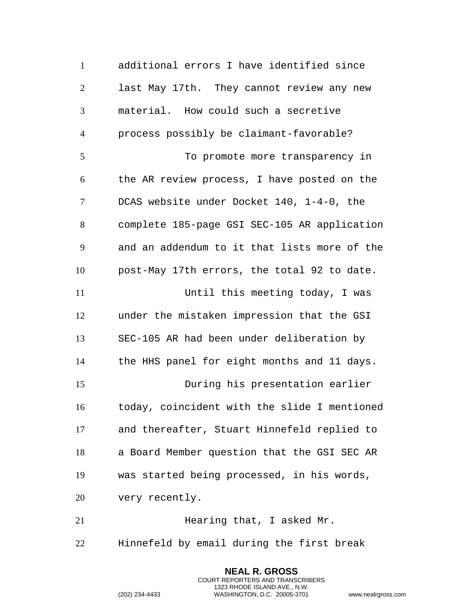additional errors I have identified since last May 17th. They cannot review any new material. How could such a secretive process possibly be claimant-favorable? To promote more transparency in the AR review process, I have posted on the DCAS website under Docket 140, 1-4-0, the complete 185-page GSI SEC-105 AR application and an addendum to it that lists more of the post-May 17th errors, the total 92 to date. Until this meeting today, I was under the mistaken impression that the GSI SEC-105 AR had been under deliberation by the HHS panel for eight months and 11 days. During his presentation earlier today, coincident with the slide I mentioned and thereafter, Stuart Hinnefeld replied to a Board Member question that the GSI SEC AR was started being processed, in his words, very recently. **Hearing that, I asked Mr.** 

Hinnefeld by email during the first break

**NEAL R. GROSS** COURT REPORTERS AND TRANSCRIBERS 1323 RHODE ISLAND AVE., N.W.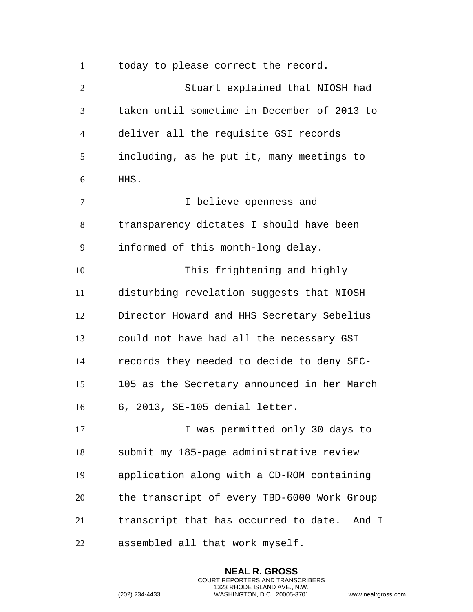today to please correct the record. Stuart explained that NIOSH had taken until sometime in December of 2013 to deliver all the requisite GSI records including, as he put it, many meetings to HHS. I believe openness and transparency dictates I should have been informed of this month-long delay. This frightening and highly disturbing revelation suggests that NIOSH Director Howard and HHS Secretary Sebelius could not have had all the necessary GSI records they needed to decide to deny SEC- 105 as the Secretary announced in her March 6, 2013, SE-105 denial letter. **I** was permitted only 30 days to submit my 185-page administrative review application along with a CD-ROM containing the transcript of every TBD-6000 Work Group transcript that has occurred to date. And I assembled all that work myself.

> **NEAL R. GROSS** COURT REPORTERS AND TRANSCRIBERS 1323 RHODE ISLAND AVE., N.W.

```
(202) 234-4433 WASHINGTON, D.C. 20005-3701 www.nealrgross.com
```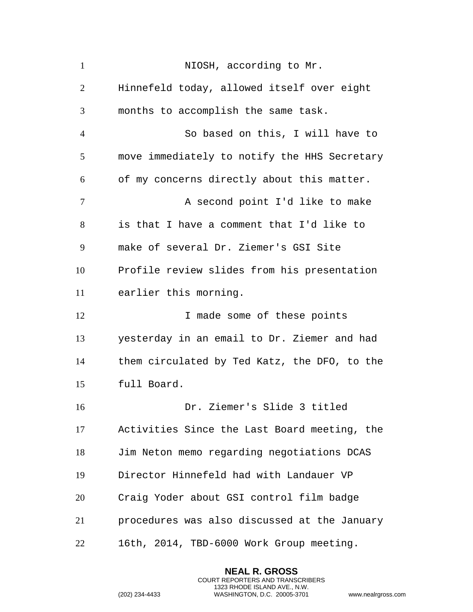| $\mathbf{1}$   | NIOSH, according to Mr.                      |
|----------------|----------------------------------------------|
| $\overline{2}$ | Hinnefeld today, allowed itself over eight   |
| 3              | months to accomplish the same task.          |
| $\overline{4}$ | So based on this, I will have to             |
| 5              | move immediately to notify the HHS Secretary |
| 6              | of my concerns directly about this matter.   |
| 7              | A second point I'd like to make              |
| 8              | is that I have a comment that I'd like to    |
| 9              | make of several Dr. Ziemer's GSI Site        |
| 10             | Profile review slides from his presentation  |
| 11             | earlier this morning.                        |
| 12             | I made some of these points                  |
| 13             | yesterday in an email to Dr. Ziemer and had  |
| 14             | them circulated by Ted Katz, the DFO, to the |
| 15             | full Board.                                  |
| 16             | Dr. Ziemer's Slide 3 titled                  |
| 17             | Activities Since the Last Board meeting, the |
| 18             | Jim Neton memo regarding negotiations DCAS   |
| 19             | Director Hinnefeld had with Landauer VP      |
| 20             | Craig Yoder about GSI control film badge     |
| 21             | procedures was also discussed at the January |
| 22             | 16th, 2014, TBD-6000 Work Group meeting.     |

**NEAL R. GROSS** COURT REPORTERS AND TRANSCRIBERS 1323 RHODE ISLAND AVE., N.W.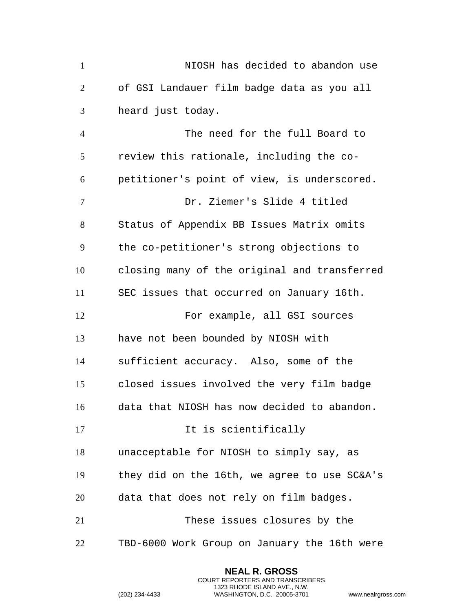NIOSH has decided to abandon use of GSI Landauer film badge data as you all heard just today.

 The need for the full Board to review this rationale, including the co- petitioner's point of view, is underscored. Dr. Ziemer's Slide 4 titled Status of Appendix BB Issues Matrix omits the co-petitioner's strong objections to closing many of the original and transferred SEC issues that occurred on January 16th. For example, all GSI sources have not been bounded by NIOSH with sufficient accuracy. Also, some of the closed issues involved the very film badge data that NIOSH has now decided to abandon. 17 10 11 It is scientifically unacceptable for NIOSH to simply say, as they did on the 16th, we agree to use SC&A's data that does not rely on film badges. These issues closures by the TBD-6000 Work Group on January the 16th were

> **NEAL R. GROSS** COURT REPORTERS AND TRANSCRIBERS 1323 RHODE ISLAND AVE., N.W.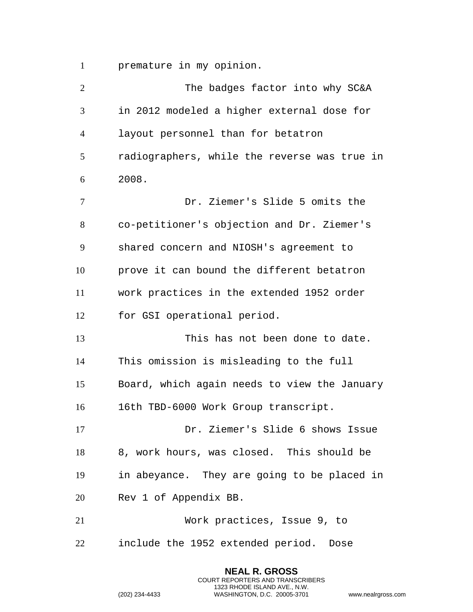premature in my opinion.

| $\overline{2}$ | The badges factor into why SC&A              |
|----------------|----------------------------------------------|
| 3              | in 2012 modeled a higher external dose for   |
| $\overline{4}$ | layout personnel than for betatron           |
| 5              | radiographers, while the reverse was true in |
| 6              | 2008.                                        |
| $\tau$         | Dr. Ziemer's Slide 5 omits the               |
| 8              | co-petitioner's objection and Dr. Ziemer's   |
| 9              | shared concern and NIOSH's agreement to      |
| 10             | prove it can bound the different betatron    |
| 11             | work practices in the extended 1952 order    |
| 12             | for GSI operational period.                  |
| 13             | This has not been done to date.              |
| 14             | This omission is misleading to the full      |
| 15             | Board, which again needs to view the January |
| 16             | 16th TBD-6000 Work Group transcript.         |
| 17             | Dr. Ziemer's Slide 6 shows Issue             |
| 18             | 8, work hours, was closed. This should be    |
| 19             | in abeyance. They are going to be placed in  |
| 20             | Rev 1 of Appendix BB.                        |
| 21             | Work practices, Issue 9, to                  |
| 22             | include the 1952 extended period.<br>Dose    |
|                |                                              |

**NEAL R. GROSS** COURT REPORTERS AND TRANSCRIBERS 1323 RHODE ISLAND AVE., N.W.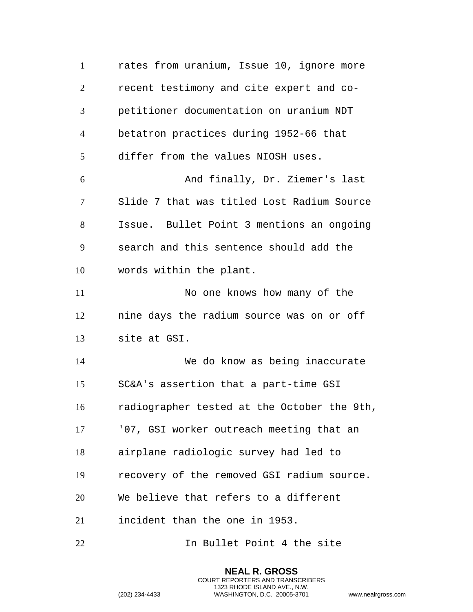rates from uranium, Issue 10, ignore more recent testimony and cite expert and co- petitioner documentation on uranium NDT betatron practices during 1952-66 that differ from the values NIOSH uses. And finally, Dr. Ziemer's last Slide 7 that was titled Lost Radium Source Issue. Bullet Point 3 mentions an ongoing search and this sentence should add the words within the plant. 11 No one knows how many of the nine days the radium source was on or off site at GSI. We do know as being inaccurate SC&A's assertion that a part-time GSI radiographer tested at the October the 9th, '07, GSI worker outreach meeting that an airplane radiologic survey had led to recovery of the removed GSI radium source. We believe that refers to a different incident than the one in 1953. In Bullet Point 4 the site

> **NEAL R. GROSS** COURT REPORTERS AND TRANSCRIBERS 1323 RHODE ISLAND AVE., N.W.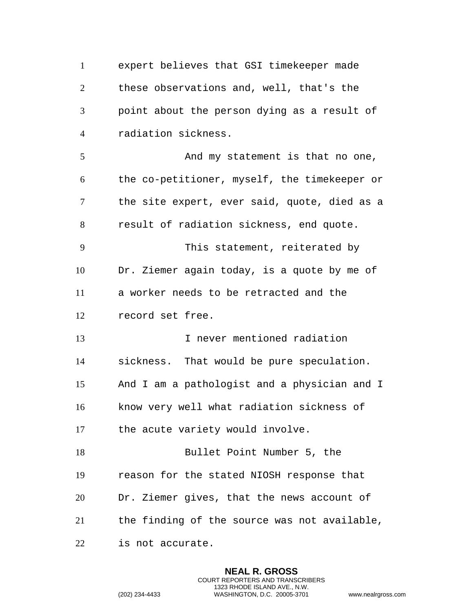expert believes that GSI timekeeper made these observations and, well, that's the point about the person dying as a result of radiation sickness. 5 And my statement is that no one, the co-petitioner, myself, the timekeeper or the site expert, ever said, quote, died as a result of radiation sickness, end quote. This statement, reiterated by Dr. Ziemer again today, is a quote by me of a worker needs to be retracted and the record set free. I never mentioned radiation sickness. That would be pure speculation. And I am a pathologist and a physician and I know very well what radiation sickness of the acute variety would involve. Bullet Point Number 5, the reason for the stated NIOSH response that Dr. Ziemer gives, that the news account of the finding of the source was not available, is not accurate.

> **NEAL R. GROSS** COURT REPORTERS AND TRANSCRIBERS 1323 RHODE ISLAND AVE., N.W.

```
(202) 234-4433 WASHINGTON, D.C. 20005-3701 www.nealrgross.com
```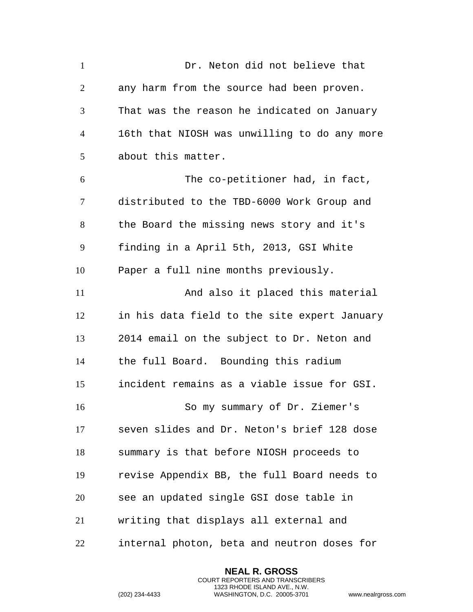| $\mathbf{1}$   | Dr. Neton did not believe that               |
|----------------|----------------------------------------------|
| $\overline{2}$ | any harm from the source had been proven.    |
| 3              | That was the reason he indicated on January  |
| 4              | 16th that NIOSH was unwilling to do any more |
| 5              | about this matter.                           |
| 6              | The co-petitioner had, in fact,              |
| 7              | distributed to the TBD-6000 Work Group and   |
| 8              | the Board the missing news story and it's    |
| 9              | finding in a April 5th, 2013, GSI White      |
| 10             | Paper a full nine months previously.         |
| 11             | And also it placed this material             |
| 12             | in his data field to the site expert January |
| 13             | 2014 email on the subject to Dr. Neton and   |
| 14             | the full Board. Bounding this radium         |
| 15             | incident remains as a viable issue for GSI.  |
| 16             | So my summary of Dr. Ziemer's                |
| 17             | seven slides and Dr. Neton's brief 128 dose  |
| 18             | summary is that before NIOSH proceeds to     |
| 19             | revise Appendix BB, the full Board needs to  |
| 20             | see an updated single GSI dose table in      |
| 21             | writing that displays all external and       |
| 22             | internal photon, beta and neutron doses for  |

**NEAL R. GROSS** COURT REPORTERS AND TRANSCRIBERS 1323 RHODE ISLAND AVE., N.W.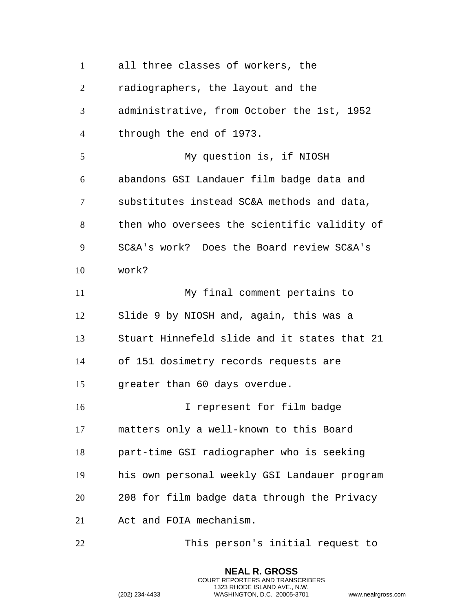all three classes of workers, the radiographers, the layout and the administrative, from October the 1st, 1952 through the end of 1973. My question is, if NIOSH abandons GSI Landauer film badge data and substitutes instead SC&A methods and data, then who oversees the scientific validity of SC&A's work? Does the Board review SC&A's work? My final comment pertains to Slide 9 by NIOSH and, again, this was a Stuart Hinnefeld slide and it states that 21 of 151 dosimetry records requests are greater than 60 days overdue. I represent for film badge matters only a well-known to this Board part-time GSI radiographer who is seeking his own personal weekly GSI Landauer program 208 for film badge data through the Privacy Act and FOIA mechanism. This person's initial request to

> **NEAL R. GROSS** COURT REPORTERS AND TRANSCRIBERS 1323 RHODE ISLAND AVE., N.W.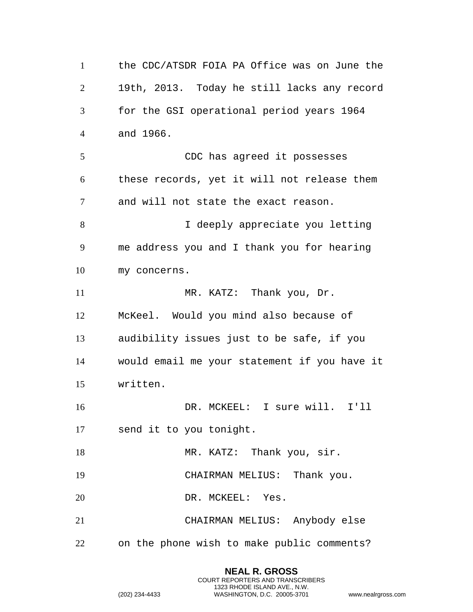the CDC/ATSDR FOIA PA Office was on June the 19th, 2013. Today he still lacks any record for the GSI operational period years 1964 and 1966. CDC has agreed it possesses these records, yet it will not release them and will not state the exact reason. I deeply appreciate you letting me address you and I thank you for hearing my concerns. 11 MR. KATZ: Thank you, Dr. McKeel. Would you mind also because of audibility issues just to be safe, if you would email me your statement if you have it written. DR. MCKEEL: I sure will. I'll send it to you tonight. 18 MR. KATZ: Thank you, sir. CHAIRMAN MELIUS: Thank you. 20 DR. MCKEEL: Yes. CHAIRMAN MELIUS: Anybody else on the phone wish to make public comments?

> **NEAL R. GROSS** COURT REPORTERS AND TRANSCRIBERS 1323 RHODE ISLAND AVE., N.W.

(202) 234-4433 WASHINGTON, D.C. 20005-3701 www.nealrgross.com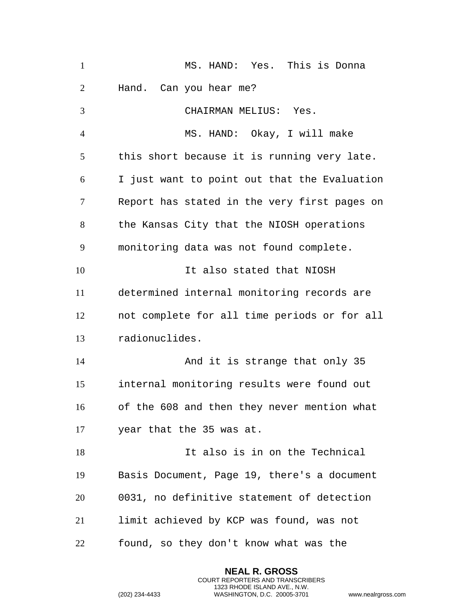| $\mathbf{1}$   | MS. HAND: Yes. This is Donna                 |
|----------------|----------------------------------------------|
| 2              | Hand. Can you hear me?                       |
| 3              | CHAIRMAN MELIUS: Yes.                        |
| $\overline{4}$ | MS. HAND: Okay, I will make                  |
| 5              | this short because it is running very late.  |
| 6              | I just want to point out that the Evaluation |
| 7              | Report has stated in the very first pages on |
| 8              | the Kansas City that the NIOSH operations    |
| 9              | monitoring data was not found complete.      |
| 10             | It also stated that NIOSH                    |
| 11             | determined internal monitoring records are   |
| 12             | not complete for all time periods or for all |
| 13             | radionuclides.                               |
| 14             | And it is strange that only 35               |
| 15             | internal monitoring results were found out   |
| 16             | of the 608 and then they never mention what  |
| 17             | year that the 35 was at.                     |
| 18             | It also is in on the Technical               |
| 19             | Basis Document, Page 19, there's a document  |
| 20             | 0031, no definitive statement of detection   |
| 21             | limit achieved by KCP was found, was not     |
| 22             | found, so they don't know what was the       |

**NEAL R. GROSS** COURT REPORTERS AND TRANSCRIBERS 1323 RHODE ISLAND AVE., N.W.

```
(202) 234-4433 WASHINGTON, D.C. 20005-3701 www.nealrgross.com
```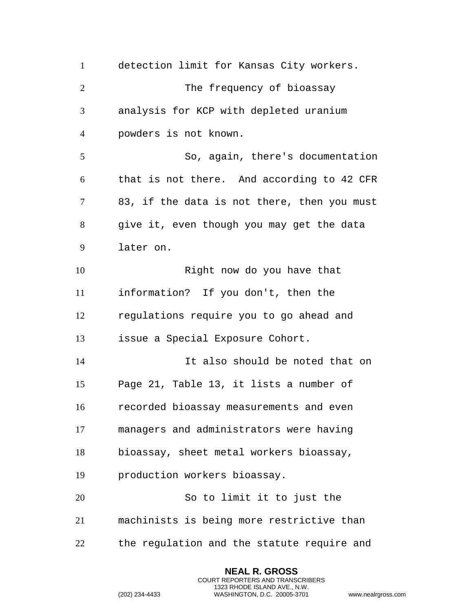detection limit for Kansas City workers. 2 The frequency of bioassay analysis for KCP with depleted uranium powders is not known. So, again, there's documentation that is not there. And according to 42 CFR 83, if the data is not there, then you must give it, even though you may get the data later on. 10 Right now do you have that information? If you don't, then the regulations require you to go ahead and issue a Special Exposure Cohort. It also should be noted that on Page 21, Table 13, it lists a number of recorded bioassay measurements and even managers and administrators were having bioassay, sheet metal workers bioassay, production workers bioassay. So to limit it to just the machinists is being more restrictive than the regulation and the statute require and

> **NEAL R. GROSS** COURT REPORTERS AND TRANSCRIBERS 1323 RHODE ISLAND AVE., N.W.

```
(202) 234-4433 WASHINGTON, D.C. 20005-3701 www.nealrgross.com
```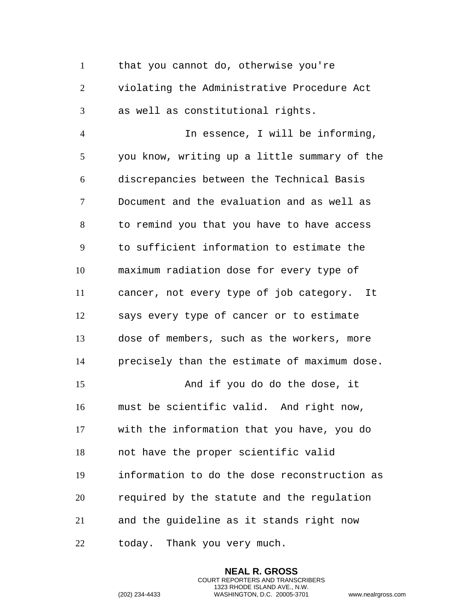that you cannot do, otherwise you're violating the Administrative Procedure Act as well as constitutional rights.

 In essence, I will be informing, you know, writing up a little summary of the discrepancies between the Technical Basis Document and the evaluation and as well as to remind you that you have to have access to sufficient information to estimate the maximum radiation dose for every type of cancer, not every type of job category. It says every type of cancer or to estimate dose of members, such as the workers, more precisely than the estimate of maximum dose. And if you do do the dose, it must be scientific valid. And right now, with the information that you have, you do not have the proper scientific valid information to do the dose reconstruction as required by the statute and the regulation and the guideline as it stands right now today. Thank you very much.

> **NEAL R. GROSS** COURT REPORTERS AND TRANSCRIBERS 1323 RHODE ISLAND AVE., N.W.

(202) 234-4433 WASHINGTON, D.C. 20005-3701 www.nealrgross.com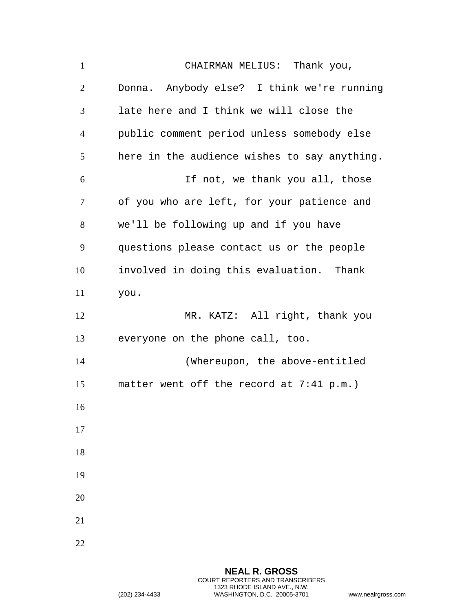CHAIRMAN MELIUS: Thank you, Donna. Anybody else? I think we're running late here and I think we will close the public comment period unless somebody else here in the audience wishes to say anything. If not, we thank you all, those of you who are left, for your patience and we'll be following up and if you have questions please contact us or the people involved in doing this evaluation. Thank you. MR. KATZ: All right, thank you everyone on the phone call, too. (Whereupon, the above-entitled matter went off the record at 7:41 p.m.)